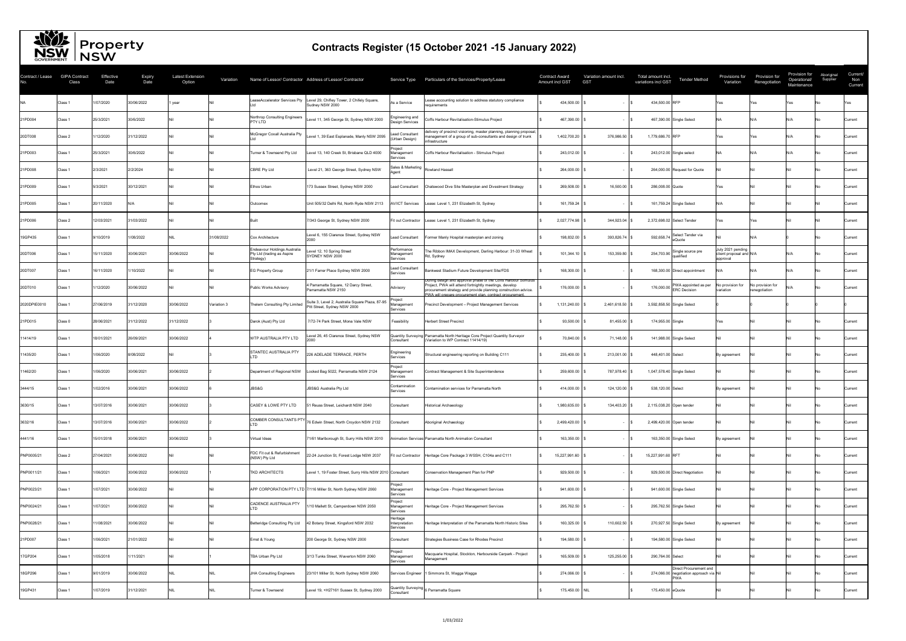|                  | <b>INDW</b> INSW              |                   |                       |                                   |             |                                                                         |                                                                                              |                                           |                                                                                                                                                                                                                                                       |                                                 |                        |                                                                   |                                                          |                                          |                                              |                        |                            |
|------------------|-------------------------------|-------------------|-----------------------|-----------------------------------|-------------|-------------------------------------------------------------------------|----------------------------------------------------------------------------------------------|-------------------------------------------|-------------------------------------------------------------------------------------------------------------------------------------------------------------------------------------------------------------------------------------------------------|-------------------------------------------------|------------------------|-------------------------------------------------------------------|----------------------------------------------------------|------------------------------------------|----------------------------------------------|------------------------|----------------------------|
| Contract / Lease | <b>GIPA Contract</b><br>Class | Effective<br>Date | <b>Expiry</b><br>Date | <b>Latest Extension</b><br>Option | Variation   |                                                                         | Name of Lessor/ Contractor Address of Lessor/ Contractor                                     |                                           | Service Type Particulars of the Services/Property/Lease                                                                                                                                                                                               | Contract Award<br><b>GST</b><br>Amount incl GST | Variation amount incl. | Total amount incl.<br><b>Tender Method</b><br>variations incl GST | Provisions for<br>Variation                              | Provision for<br>Renegotiation           | Provision for<br>Operational/<br>Maintenance | Aboriginal<br>Supplier | Current/<br>Non<br>Current |
|                  | Class 1                       | 1/07/2020         | 30/06/2022            | year                              |             |                                                                         | LeaseAccelerator Services Pty  Level 29, Chifley Tower, 2 Chifely Square,<br>Sudney NSW 2000 | As a Service                              | Lease accounting solution to address statutory compliance<br>requirements                                                                                                                                                                             | 434,500.00                                      |                        | 434,500.00 RFP                                                    | Yes                                                      | res                                      | Yes                                          |                        | Yes                        |
| 21PD004          | Class 1                       | 25/3/2021         | 30/6/2022             |                                   |             | Northrop Consulting Engineers<br><b>PTY LTD</b>                         | Level 11, 345 George St, Sydney NSW 2000                                                     | Engineering and<br><b>Design Services</b> | Coffs Harbour Revitalisation-Stimulus Project                                                                                                                                                                                                         | 467,390.00                                      |                        | 467,390.00 Single Select                                          |                                                          |                                          | \I/A                                         |                        | Current                    |
| 20DT008          | Class 2                       | 1/12/2020         | 31/12/2022            |                                   |             | McGregor Coxall Australia Pty                                           | Level 1, 39 East Esplanade, Manly NSW 2095                                                   | <b>Lead Consultant</b><br>(Urban Design)  | delivery of precinct visioning, master planning, planning proposal,<br>management of a group of sub-consultants and design of trunk<br>infrastructure                                                                                                 | 1,402,700.20                                    | 376,986.50             | 1,779,686.70 RFP                                                  | γes                                                      | 'es                                      | N/A                                          |                        | Current                    |
| 21PD003          | Class 1                       | 25/3/2021         | 30/6/2022             |                                   |             | Turner & Townsend Pty Ltd                                               | evel 13, 140 Creek St, Brisbane QLD 4000                                                     | Proiect<br>Management<br>Services         | Coffs Harbour Revitalisation - Stimulus Project                                                                                                                                                                                                       | 243,012.00                                      |                        | 243,012.00 Single select                                          |                                                          |                                          | N/A l                                        |                        | Current                    |
| 21PD008          | Class 1                       | 2/3/2021          | 2/2/2024              |                                   |             | <b>CBRE Pty Ltd</b>                                                     | Level 21, 363 George Street, Sydney NSW                                                      | Sales & Marketing<br>Agent                | Rowland Hassall                                                                                                                                                                                                                                       | 264,000.00                                      |                        | 264,000.00 Request for Quote                                      |                                                          |                                          |                                              |                        | Current                    |
| 21PD009          | Class 1                       | 5/3/2021          | 30/12/2021            |                                   |             | Ethos Urban                                                             | 173 Sussex Street, Sydney NSW 2000                                                           | <b>Lead Consultant</b>                    | Chatswood Dive Site Masterplan and Divestment Strategy                                                                                                                                                                                                | 269,508.00                                      | $16,500.00$ \$         | 286,008.00 Quote                                                  | Yes                                                      |                                          |                                              |                        | Current                    |
| 21PD005          | Class 1                       | 20/11/2020        |                       |                                   |             | Outcomex                                                                | Unit 505/32 Delhi Rd, North Ryde NSW 2113                                                    | <b>AV/ICT Services</b>                    | Lease: Level 1, 231 Elizabeth St, Sydney                                                                                                                                                                                                              | 161,759.24                                      |                        | 161,759.24 Single Select                                          |                                                          |                                          |                                              |                        | <b>Current</b>             |
| 21PD006          | Class 2                       | 12/03/2021        | 31/03/2022            |                                   |             | <b>Built</b>                                                            | 7/343 George St, Sydney NSW 2000                                                             |                                           | Fit out Contractor   Lease: Level 1, 231 Elizabeth St, Sydney                                                                                                                                                                                         | 2,027,774.98                                    | 344,923.04             | 2,372,698.02 Select Tender                                        | Yes                                                      |                                          |                                              |                        | Current                    |
| 19GP435          | Class 1                       | 9/10/2019         | 1/08/2022             |                                   | 31/08/2022  | <b>Cox Architecture</b>                                                 | Level 6, 155 Clarence Street, Sydney NSW<br>2000                                             | <b>Lead Consultant</b>                    | Former Manly Hospital masterplan and zoning                                                                                                                                                                                                           | 198,832.00                                      | 393,826.74 \$          | Select Tender via<br>592,658.74<br>eQuote                         |                                                          |                                          |                                              |                        | Current                    |
| 20DT006          | Class 1                       | 15/11/2020        | 30/06/2021            | 30/06/2022                        |             | Endeavour Holdings Australia<br>Pty Ltd (trading as Aspire<br>Strategy) | Level 12, 10 Spring Street<br>SYDNEY NSW 2000                                                | Performance<br>Management<br>Services     | The Ribbon IMAX Development, Darling Harbour: 31-33 Wheat<br>Rd, Sydney                                                                                                                                                                               | 101,344.10                                      | 153,359.80             | Single source pre<br>254,703.90<br>qualified                      | July 2021 pending<br>client proposal and N/A<br>approval |                                          | N/A                                          |                        | Current                    |
| 20DT007          | Class 1                       | 16/11/2020        | /10/2022              |                                   |             | <b>EG Property Group</b>                                                | 21/1 Farrer Place Sydney NSW 2000                                                            | <b>Lead Consultant</b><br>Services        | Bankwest Stadium Future Development Site/FDS                                                                                                                                                                                                          | 168,300.00                                      |                        | 168,300.00 Direct appointment                                     | \l/A                                                     |                                          | N/A                                          |                        | Current                    |
| 20DT010          | Class 1                       | 1/12/2020         | 30/06/2022            |                                   |             | <b>Public Works Advisory</b>                                            | 4 Parramatta Square, 12 Darcy Street,<br>Parramatta NSW 2150                                 | Advisory                                  | During design and approval phase of the Coffs Harbour Stimulus<br>Project, PWA will attend fortnightly meetings, develop<br>procurement strategy and provide planning construction advice.<br>PWA will prepare procurement plan, contract procurement | 176,000.00                                      |                        | PWA appointed as per<br>176,000.00<br><b>ERC Decision</b>         | No provision for<br>variation                            | <b>No provision for</b><br>renegotiation | \l/A                                         |                        | Current                    |
| 2020DPIE0010     | Class 1                       | 27/06/2019        | 31/12/2020            | 30/06/2022                        | Variation 3 | Thelem Consulting Pty Limited                                           | Suite 3, Level 2, Australia Square Plaza, 87-95<br>Pitt Street, Sydney NSW 2000              | Project<br>Management<br>Services         | Precinct Development - Project Management Services                                                                                                                                                                                                    | 1,131,240.00                                    | 2,461,618.50           | 3,592,858.50 Single Select                                        |                                                          |                                          |                                              |                        |                            |
| 21PD015          | Class 0                       | 28/06/2021        | 31/12/2022            | 31/12/2022                        |             | Darok (Aust) Pty Ltd                                                    | 7/72-74 Park Street, Mona Vale NSW                                                           | Feasibility                               | Herbert Street Precinct                                                                                                                                                                                                                               | 93,500.00                                       | 81,455.00              | 174,955.00 Single                                                 | Yes.                                                     |                                          |                                              |                        | Current                    |
| 11414/19         | Class 1                       | 18/01/2021        | 26/09/2021            | 30/06/2022                        |             | WTP AUSTRALIA PTY LTD                                                   | evel 26, 45 Clarence Street, Sydney NSW                                                      | Consultant                                | Quantity Surveying Parramatta North Heritage Core Project Quantity Surveyor<br>(Variation to WP Contract 11414/19)                                                                                                                                    | 70,840.00                                       | 71,148.00              | 141,988.00 Single Select                                          |                                                          |                                          |                                              |                        | <b>Current</b>             |
| 11435/20         | Class 1                       | 1/06/2020         | 8/08/2022             |                                   |             | <b>STANTEC AUSTRALIA PTY</b>                                            | 226 ADELADE TERRACE, PERTH                                                                   | Engineering<br>Services                   | Structural engineering reporting on Building C111                                                                                                                                                                                                     | 235,400.00                                      | 213,001.00             | 448,401.00 Select                                                 | By agreement                                             |                                          |                                              |                        | Current                    |
| 11462/20         | Class 1                       | 1/06/2020         | 30/06/2021            | 30/06/2022                        |             | Department of Regional NSW                                              | Locked Bag 5022, Parramatta NSW 2124                                                         | Project<br>Management<br>Services         | Contract Management & Site Superintendence                                                                                                                                                                                                            | 259,600.00                                      | 787,978.40             | 1,047,578.40 Single Select                                        |                                                          |                                          |                                              |                        | Current                    |
| 3444/15          | Class 1                       | 1/02/2016         | 30/06/2021            | 30/06/2022                        |             | JBS&G                                                                   | JBS&G Australia Pty Ltd                                                                      | Contamination<br>Services                 | Contamination services for Parramatta North                                                                                                                                                                                                           | 414,000.00                                      | 124,120.00             | 538,120.00 Select                                                 | By agreement                                             |                                          |                                              |                        | Current                    |
| 3630/15          | Class 1                       | 13/07/2016        | 30/06/2021            | 30/06/2022                        |             | <b>CASEY &amp; LOWE PTY LTD</b>                                         | 1 Reuss Street, Leichardt NSW 2040                                                           | Consultant                                | <b>Historical Archaeology</b>                                                                                                                                                                                                                         | 1,980,635.00                                    | 134,403.20             | 2,115,038.20 Open tender                                          |                                                          |                                          |                                              |                        | Current                    |
| 3632/16          | Class 1                       | 13/07/2016        | 30/06/2021            | 30/06/2022                        |             | COMBER CONSULTANTS PTY                                                  | 76 Edwin Street, North Croydon NSW 2132                                                      | Consultant                                | Aboriginal Archaeology                                                                                                                                                                                                                                | 2,499,420.00                                    |                        | 2,499,420.00 Open tender                                          |                                                          |                                          |                                              |                        | Current                    |
| 4441/16          | Class 1                       | 15/01/2018        | 30/06/2021            | 30/06/2022                        |             | Virtual Ideas                                                           | 71/61 Marlborough St, Surry Hills NSW 2010                                                   |                                           | Animation Services Parramatta North Animation Consultant                                                                                                                                                                                              | 163,350.00 \$                                   | $\mathsf{S}$           | 163,350.00 Single Select                                          | By agreement                                             |                                          |                                              |                        | Current                    |
| PNP0005/21       | Class 2                       | 27/04/2021        | 30/06/2022            |                                   |             | FDC Fit out & Refurbishment<br>(NSW) Pty Ltd                            | 22-24 Junction St, Forest Lodge NSW 2037                                                     |                                           | Fit out Contractor   Heritage Core Package 3 WSSH, C104a and C111                                                                                                                                                                                     | 15,227,991.60                                   |                        | 15,227,991.60 RFT                                                 |                                                          |                                          |                                              |                        | Current                    |
| PNP0011/21       | Class 1                       | 1/06/2021         | 30/06/2022            | 30/06/2022                        |             | <b>TKD ARCHITECTS</b>                                                   | Level 1, 19 Foster Street, Surry Hills NSW 2010 Consultant                                   |                                           | Conservation Management Plan for PNP                                                                                                                                                                                                                  | 929,500.00                                      |                        | 929,500.00 Direct Negotiation                                     |                                                          |                                          |                                              |                        | Current                    |
| PNP0023/21       | Class 1                       | 1/07/2021         | 30/06/2022            |                                   |             |                                                                         | APP CORPORATION PTY LTD 7/116 Miller St, North Sydney NSW 2060                               | Project<br>Management<br>Services         | Heritage Core - Project Management Services                                                                                                                                                                                                           | 941,600.00                                      |                        | 941,600.00 Single Select                                          |                                                          |                                          |                                              |                        | Current                    |
| PNP0024/21       | Class 1                       | 1/07/2021         | 30/06/2022            |                                   |             | CADENCE AUSTRALIA PTY                                                   | 1/10 Mallett St, Camperdown NSW 2050                                                         | Project<br>Management<br>Services         | Heritage Core - Project Management Services                                                                                                                                                                                                           | 295,762.50                                      |                        | 295,762.50 Single Select                                          |                                                          |                                          |                                              |                        | Current                    |
| PNP0028/21       | Class 1                       | 11/08/2021        | 30/06/2022            |                                   |             | Betteridge Consulting Pty Ltd                                           | 42 Botany Street, Kingsford NSW 2032                                                         | Heritage<br>Interpretation<br>Services    | Heritage Interpretation of the Parramatta North Historic Sites                                                                                                                                                                                        | 160,325.00                                      | 110,602.50             | 270,927.50 Single Select                                          | By agreement                                             |                                          |                                              |                        | Current                    |
| 21PD007          | Class 1                       | 1/06/2021         | 21/01/2022            |                                   |             | Ernst & Young                                                           | 200 George St, Sydney NSW 2000                                                               | Consultant                                | Strategies Business Case for Rhodes Precinct                                                                                                                                                                                                          | 194,580.00                                      |                        | 194,580.00 Single Select                                          |                                                          |                                          |                                              |                        | Current                    |
| 17GP204          | Class 1                       | 1/05/2018         | 1/11/2021             |                                   |             | TBA Urban Pty Ltd                                                       | 3/13 Tunks Street, Waverton NSW 2060                                                         | Project<br>Management<br>Services         | Macquarie Hospital, Stockton, Harbourside Carpark - Project<br>Management                                                                                                                                                                             | 165,509.00                                      | $125,255.00$ \$        | 290,764.00 Select                                                 |                                                          |                                          |                                              |                        | Current                    |
| 18GP296          | Class 1                       | 9/01/2019         | 30/06/2022            |                                   |             | JHA Consulting Engineers                                                | 23/101 Miller St, North Sydney NSW 2060                                                      |                                           | Services Engineer  1 Simmons St, Wagga Wagga                                                                                                                                                                                                          | 274,066.00                                      |                        | Direct Procurement and<br>274,066.00 negotiation approach via Nil |                                                          |                                          |                                              |                        | Current                    |
| 19GP431          | Class 1                       | 1/07/2019         | 31/12/2021            |                                   |             | Turner & Townsend                                                       | Level 19, +H27161 Sussex St, Sydney 2000                                                     | Consultant                                | $\left $ Quantity Surveying $\right _6$ Parramatta Square                                                                                                                                                                                             | 175,450.00 NIL                                  |                        | 175,450.00 eQuote                                                 |                                                          |                                          |                                              |                        | Current                    |
|                  |                               |                   |                       |                                   |             |                                                                         |                                                                                              |                                           |                                                                                                                                                                                                                                                       |                                                 |                        |                                                                   |                                                          |                                          |                                              |                        |                            |

## NSW Property

## **Contracts Register (15 October 2021 -15 January 2022)**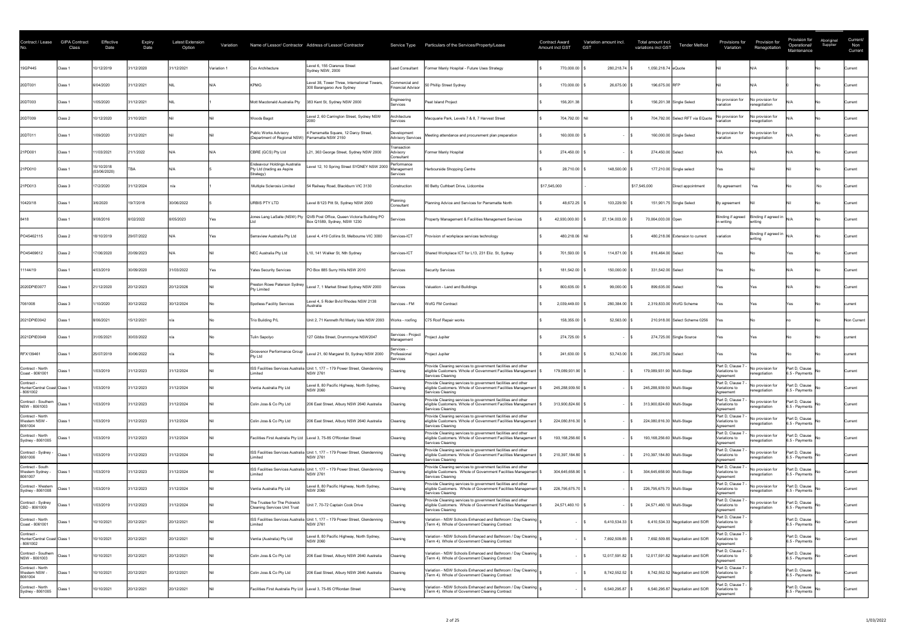| Contract / Lease                                    | <b>GIPA Contract</b><br>Class | Effective<br>Date          | <b>Expiry</b><br>Date | <b>Latest Extension</b><br>Option | Variation              |                                                                         | Name of Lessor/ Contractor Address of Lessor/ Contractor                                                  |                                              | Service Type Particulars of the Services/Property/Lease                                                                                                 |              | <b>Contract Award</b><br>Amount incl GST | Variation amount incl.<br><b>GST</b> | Total amount incl.<br>variations incl GST | <b>Tender Method</b>              | Provisions for<br>Variation                    | <b>Provision for</b><br>Renegotiation                                                   | Provision for<br>Operational/<br>Maintenance | Aboriginal<br>Supplier | Current/<br>Non<br>Current |
|-----------------------------------------------------|-------------------------------|----------------------------|-----------------------|-----------------------------------|------------------------|-------------------------------------------------------------------------|-----------------------------------------------------------------------------------------------------------|----------------------------------------------|---------------------------------------------------------------------------------------------------------------------------------------------------------|--------------|------------------------------------------|--------------------------------------|-------------------------------------------|-----------------------------------|------------------------------------------------|-----------------------------------------------------------------------------------------|----------------------------------------------|------------------------|----------------------------|
| 19GP445                                             | Class 1                       | 10/12/2019                 | 31/12/2020            | 31/12/2021                        | Variation <sup>1</sup> | Cox Architecture                                                        | Level 6, 155 Clarence Street<br>Sydney NSW, 2000                                                          | Lead Consultant                              | Former Manly Hospital - Future Uses Strategy                                                                                                            |              | 770,000.00                               | 280,218.74                           | 1,050,218.74 eQuote                       |                                   |                                                |                                                                                         |                                              |                        | Current                    |
| 20DT001                                             | Class 1                       | 6/04/2020                  | 31/12/2021            |                                   |                        | <b>KPMG</b>                                                             | Level 38, Tower Three, International Towers<br>300 Barangaroo Ave Sydney                                  | Commercial and<br><b>Financial Advisor</b>   | 50 Phillip Street Sydney                                                                                                                                |              | 170,000.00                               | 26,675.00                            | 196,675.00 RFP                            |                                   |                                                |                                                                                         |                                              |                        | Current                    |
| 20DT003                                             | Class                         | 1/05/2020                  | 31/12/2021            |                                   |                        | Mott Macdonald Australia Pty                                            | 383 Kent St, Sydney NSW 2000                                                                              | Engineering<br><b>Services</b>               | Peat Island Project                                                                                                                                     |              | 156,201.38                               |                                      | 156,201.38 Single Select                  |                                   | No provision for<br>variation                  | No provision for<br>renegotiation                                                       |                                              |                        | Current                    |
| 20DT009                                             | Class 2                       | 10/12/2020                 | 31/10/2021            |                                   |                        | Woods Bagot                                                             | Level 2, 60 Carrington Street, Sydney NSW                                                                 | Architecture<br>Services                     | Macquarie Park, Levels 7 & 8, 7 Harvest Street                                                                                                          |              | 704,792.00 Nil                           |                                      |                                           | 704,792.00 Select RFT via EQuote  | No provision for<br>variation                  | No provision for<br>renegotiation                                                       |                                              |                        | Current                    |
| 20DT011                                             | Class 1                       | 1/09/2020                  | 31/12/2021            |                                   |                        | <b>Public Works Advisory</b><br>(Department of Regional NSW)            | 4 Parramatta Square, 12 Darcy Street,<br>Parramatta NSW 2150                                              | Development<br><b>Advisory Services</b>      | Meeting attendance and procurement plan preparation                                                                                                     |              | 160,000.00                               |                                      | 160,000.00 Single Select                  |                                   | No provision for<br>variation                  | No provision for<br>renegotiation                                                       |                                              |                        | Current                    |
| 21PD001                                             | Class <sup>®</sup>            | 1/03/2021                  | 21/1/2022             |                                   |                        | CBRE (GCS) Pty Ltd                                                      | L21, 363 George Street, Sydney NSW 2000                                                                   | Transaction<br>Advisory<br>Consultant        | Former Manly Hospital                                                                                                                                   |              | 274,450.00                               |                                      | 274,450.00 Select                         |                                   |                                                |                                                                                         |                                              |                        | Current                    |
| 21PD010                                             | Class 1                       | 15/10/2018<br>(03/06/2020) | <b>TBA</b>            |                                   |                        | Endeavour Holdings Australia<br>Pty Ltd (trading as Aspire<br>Strategy) | Level 12, 10 Spring Street SYDNEY NSW 2000                                                                | Performance<br>Management<br><b>Services</b> | Harbourside Shopping Centre                                                                                                                             |              | 28,710.00                                | 148,500.00                           | 177,210.00 Single select                  |                                   | Yes                                            |                                                                                         |                                              |                        | Current                    |
| 21PD013                                             | Class 3                       | 7/2/2020                   | 31/12/2024            | n/a                               |                        | Multiple Sclerosis Limited                                              | 54 Railway Road, Blackburn VIC 3130                                                                       | Construction                                 | 80 Betty Cuthbert Drive, Lidcombe                                                                                                                       | \$17,545,000 |                                          |                                      | \$17,545,000                              | Direct appointment                | By agreement                                   | Yes                                                                                     |                                              |                        | Current                    |
| 10420/18                                            | Class 1                       | 3/6/2020                   | 19/7/2018             | 30/06/2022                        |                        | <b>URBIS PTY LTD</b>                                                    | Level 8/123 Pitt St, Sydney NSW 2000                                                                      | Planning<br>Consultant                       | Planning Advice and Services for Parramatta North                                                                                                       |              | 48,672.25                                | 103,229.50                           | 151,901.75 Single Select                  |                                   | By agreement                                   |                                                                                         |                                              |                        | Current                    |
| 8418                                                | Class <sup>®</sup>            | 9/08/2016                  | 8/02/2022             | 8/05/2023                         |                        |                                                                         | Jones Lang LaSalle (NSW) Pty   QVB Post Office, Queen Victoria Building PO<br>Box Q1589, Sydney, NSW 1230 | <b>Services</b>                              | Property Management & Facilities Management Services                                                                                                    |              | 42.930.000.00                            | 27.134.003.00                        | 70,064,003.00 Open                        |                                   | ın writing                                     | Binding if agreed $\left $ Binding if agreed in $\left _{N/A}\right $<br><b>Writing</b> |                                              |                        | Current                    |
| PO45462115                                          | Class 2                       | 18/10/2019                 | 29/07/2022            |                                   |                        | Serraview Australia Pty Ltd                                             | evel 4, 419 Collins St, Melbourne VIC 3000                                                                | Services-ICT                                 | Provision of workplace services technology                                                                                                              |              | 480,218.06 Nil                           |                                      |                                           | 480,218.06 Extension to current   | variation                                      | Binding if agreed in $\big _{N/L}$<br>writing                                           |                                              |                        | Current                    |
| PO45469612                                          | Class 2                       | 7/06/2020                  | 20/09/2023            |                                   |                        | <b>NEC Australia Pty Ltd</b>                                            | L10, 141 Walker St, Nth Sydney                                                                            | Services-ICT                                 | Shared Workplace ICT for L13, 231 Eliz. St, Sydney                                                                                                      |              | 701,593.00                               | 114,871.00 \$                        | 816,464.00 Select                         |                                   |                                                |                                                                                         |                                              |                        | Current                    |
| 11144/19                                            | Class <sup>®</sup>            | 4/03/2019                  | 30/09/2020            | 31/03/2022                        |                        | <b>Yates Security Services</b>                                          | PO Box 885 Surry Hills NSW 2010                                                                           | Services                                     | <b>Security Services</b>                                                                                                                                |              | 181,542.00                               | 150,000.00                           | 331,542.00 Select                         |                                   | Yes                                            |                                                                                         |                                              |                        | Current                    |
| 2020DPIE0077                                        | Class <sup>2</sup>            | 1/12/2020                  | 20/12/2023            | 20/12/2026                        |                        | Preston Rowe Paterson Sydney<br><b>Pty Limited</b>                      | Level 7, 1 Market Street Sydney NSW 2000                                                                  | Services                                     | Valuation - Land and Buildings                                                                                                                          |              | 800,635.00                               | 99,000.00                            | 899,635.00 Select                         |                                   | Yes                                            | Yes                                                                                     |                                              |                        | Current                    |
| 7061008                                             | Class 3                       | 1/10/2020                  | 30/12/2022            | 30/12/2024                        |                        | Spotless Facility Services                                              | Level 4, 5 Rider Bvld Rhodes NSW 2138<br>Australia                                                        | Services - FM                                | WofG FM Contract                                                                                                                                        |              | 2,039,449.00                             | 280,384.00                           | 2,319,833.00 WofG Scheme                  |                                   |                                                |                                                                                         |                                              |                        | current                    |
| 2021DPIE0042                                        | Class 1                       | 8/06/2021                  | 15/12/2021            |                                   |                        | Trio Building P/L                                                       | Unit 2, 71 Kenneth Rd Manly Vale NSW 2093                                                                 | Works - roofing                              | C75 Roof Repair works                                                                                                                                   |              | 158,355.00                               | 52,563.00                            |                                           | 210,918.00 Select Scheme 0256     |                                                |                                                                                         |                                              |                        | Non Current                |
| 2021DPIE0049                                        | Class 1                       | 31/05/2021                 | 30/03/2022            |                                   |                        | Tulin Sapolyo                                                           | 127 Gibbs Street, Drummoyne NSW2047                                                                       | Services - Project<br>Management             | Project Jupiter                                                                                                                                         |              | 274,725.00                               |                                      | 274,725.00 Single Source                  |                                   |                                                |                                                                                         |                                              |                        | current                    |
| RFX139461                                           | Class 1                       | 25/07/2019                 | 30/06/2022            |                                   |                        | Grosvenor Performance Group<br><b>Pty Ltd</b>                           | Level 21, 60 Margaret St, Sydney NSW 2000                                                                 | Services -<br>Professional<br>Services       | Project Jupiter                                                                                                                                         |              | 241,630.00                               | $53,743.00$ \\$                      | 295,373.00 Select                         |                                   | Yes                                            | Yes                                                                                     |                                              |                        | current                    |
| Contract - North<br>Coast - 8061001                 | Class 1                       | 1/03/2019                  | 31/12/2023            | 31/12/2024                        |                        | imited                                                                  | ISS Facilities Services Australia Unit 1, 177 - 179 Power Street, Glendenning<br><b>NSW 2761</b>          | Cleaning                                     | Provide Cleaning services to government facilities and other<br>eligible Customers. Whole of Government Facilities Management   9<br>Services Cleaning  |              | 179,089,931.90                           |                                      | 179,089,931.90 Multi-Stage                |                                   | Part D, Clause 7<br>Variations to<br>Agreement | No provision for<br>renegotiation                                                       | Part D, Clause<br>6.5 - Payments             | INo.                   | Current                    |
| Contract -<br>Hunter/Central Coast Class<br>8061002 |                               | 1/03/2019                  | 31/12/2023            | 31/12/2024                        |                        | Ventia Australia Pty Ltd                                                | Level 8, 80 Pacific Highway, North Sydney,<br><b>NSW 2060</b>                                             | Cleaning                                     | Provide Cleaning services to government facilities and other<br>eligible Customers. Whole of Government Facilities Management   \$<br>Services Cleaning |              | 245,288,939.50                           |                                      | 245,288,939.50 Multi-Stage                |                                   | Part D, Clause 7<br>Variations to<br>Agreement | No provision for<br>renegotiation                                                       | Part D, Clause<br>6.5 - Payments             |                        | Current                    |
| Contract - Southern<br>NSW - 8061003                | Class <sup>2</sup>            | 1/03/2019                  | 31/12/2023            | 31/12/2024                        |                        | Colin Joss & Co Pty Ltd                                                 | 206 East Street, Albury NSW 2640 Australia                                                                | Cleaning                                     | Provide Cleaning services to government facilities and other<br>eligible Customers. Whole of Government Facilities Management<br>Services Cleaning      |              | 313,900,824.60                           |                                      | 313,900,824.60 Multi-Stage                |                                   | Part D, Clause 7<br>Variations to<br>Agreement | No provision for<br>renegotiation                                                       | Part D, Clause<br>6.5 - Payments             | .No                    | Current                    |
| Contract - North<br>Western NSW -<br>8061004        | Class <sup>1</sup>            | 1/03/2019                  | 31/12/2023            | 31/12/2024                        |                        | Colin Joss & Co Pty Ltd                                                 | 206 East Street, Albury NSW 2640 Australia                                                                | Cleaning                                     | Provide Cleaning services to government facilities and other<br>eligible Customers. Whole of Government Facilities Management<br>Services Cleaning      |              | 224,080,816.30                           |                                      | 224,080,816.30 Multi-Stage                |                                   | Part D, Clause 7<br>Variations to<br>Agreement | No provision for<br>renegotiation                                                       | Part D, Clause<br>6.5 - Payments             |                        | Current                    |
| Contract - North<br>Sydney - 8061005                | ์ lass:                       | 1/03/2019                  | 31/12/2023            | 31/12/2024                        |                        | Facilities First Australia Pty Ltd   Level 3, 75-85 O'Riordan Street    |                                                                                                           | Cleaning                                     | Provide Cleaning services to government facilities and other<br>eligible Customers. Whole of Government Facilities Management<br>Services Cleaning      |              | 193,168,256.60                           |                                      | 193,168,256.60 Multi-Stage                |                                   | Part D, Clause 7<br>Variations to<br>Agreement | No provision for<br>renegotiation                                                       | Part D, Clause<br>6.5 - Payments             |                        | Current                    |
| Contract - Sydney -<br>8061006                      |                               | 1/03/2019                  | 31/12/2023            | 31/12/2024                        |                        | imited                                                                  | ISS Facilities Services Australia Unit 1, 177 - 179 Power Street, Glendenning<br><b>NSW 2761</b>          | Cleaning                                     | Provide Cleaning services to government facilities and other<br>eligible Customers. Whole of Government Facilities Management<br>Services Cleaning      |              | 210,397,184.80                           |                                      | 210,397,184.80 Multi-Stage                |                                   | Part D, Clause 7<br>Variations to<br>Agreement | No provision for<br>renegotiation                                                       | Part D, Clause<br>6.5 - Payments             | INo.                   | Current                    |
| Contract - South<br>Western Sydney -<br>8061007     | Class <sup>3</sup>            | 1/03/2019                  | 31/12/2023            | 31/12/2024                        |                        | imited                                                                  | ISS Facilities Services Australia Unit 1, 177 - 179 Power Street, Glendenning<br><b>NSW 2761</b>          | Cleaning                                     | Provide Cleaning services to government facilities and other<br>eligible Customers. Whole of Government Facilities Management<br>Services Cleaning      |              | 304,645,658.90                           |                                      | 304,645,658.90 Multi-Stage                |                                   | Part D, Clause 7<br>Variations to<br>Agreement | No provision for<br>renegotiation                                                       | Part D, Clause<br>6.5 - Payments             |                        | Current                    |
| Contract - Western<br>Sydney - 8061008              | Class 1                       | 1/03/2019                  | 31/12/2023            | 31/12/2024                        |                        | Ventia Australia Pty Ltd                                                | Level 8, 80 Pacific Highway, North Sydney,<br><b>NSW 2060</b>                                             | Cleaning                                     | Provide Cleaning services to government facilities and other<br>eligible Customers. Whole of Government Facilities Management<br>Services Cleaning      |              | 226,795,675.70                           |                                      | 226,795,675.70 Multi-Stage                |                                   | Part D, Clause 7<br>Variations to<br>Agreement | No provision for<br>renegotiation                                                       | Part D, Clause<br>6.5 - Payments             | INo.                   | Current                    |
| Contract - Sydney<br>CBD - 8061009                  | Class 1                       | 1/03/2019                  | 31/12/2023            | 31/12/2024                        |                        | The Trustee for The Pickwick<br><b>Cleaning Services Unit Trust</b>     | it 7, 70-72 Captain Cook Drive                                                                            | Cleaning                                     | Provide Cleaning services to government facilities and other<br>eligible Customers. Whole of Government Facilities Management<br>Services Cleaning      |              | 24,571,460.10                            |                                      | 24,571,460.10 Multi-Stage                 |                                   | Part D, Clause<br>Variations to<br>Agreement   | No provision for<br>renegotiation                                                       | Part D, Clause<br>6.5 - Payments             |                        | Current                    |
| Contract - North<br>Coast - 8061001                 | Class 1                       | 10/10/2021                 | 20/12/2021            | 20/12/2021                        |                        | imited                                                                  | ISS Facilities Services Australia Unit 1, 177 - 179 Power Street, Glendenning<br><b>NSW 2761</b>          | Cleaning                                     | Variation - NSW Schools Enhanced and Bathroom / Day Cleaning<br>(Term 4). Whole of Government Cleaning Contract                                         |              |                                          | 6,410,534.33                         |                                           | 6,410,534.33 Negotiation and SOR  | Part D, Clause 7<br>Variations to<br>Agreement |                                                                                         | Part D, Clause<br>6.5 - Payments             |                        | Current                    |
| Contract -<br>Hunter/Central Coast Class<br>8061002 |                               | 10/10/2021                 | 20/12/2021            | 20/12/2021                        |                        | Ventia (Australia) Pty Ltd                                              | Level 8, 80 Pacific Highway, North Sydney,<br><b>NSW 2060</b>                                             | Cleaning                                     | Variation - NSW Schools Enhanced and Bathroom / Day Cleaning<br>(Term 4). Whole of Government Cleaning Contract                                         |              |                                          | 7,692,509.85                         |                                           | 7,692,509.85 Negotiation and SOR  | Part D, Clause 7<br>Variations to<br>Agreement |                                                                                         | Part D, Clause<br>6.5 - Payments             |                        | Current                    |
| Contract - Southern<br>NSW - 8061003                | Class 1                       | 10/10/2021                 | 20/12/2021            | 20/12/2021                        |                        | Colin Joss & Co Pty Ltd                                                 | 206 East Street, Albury NSW 2640 Australia                                                                | Cleaning                                     | Variation - NSW Schools Enhanced and Bathroom / Day Cleaning<br>(Term 4). Whole of Government Cleaning Contract                                         |              |                                          | 12,017,591.82                        |                                           | 12,017,591.82 Negotiation and SOR | Part D, Clause 7<br>Variations to<br>Agreement |                                                                                         | Part D, Clause<br>6.5 - Payments             |                        | Current                    |
| Contract - North<br>Western NSW -<br>8061004        | Class 1                       | 10/10/2021                 | 20/12/2021            | 20/12/2021                        |                        | Colin Joss & Co Pty Ltd                                                 | 206 East Street, Albury NSW 2640 Australia                                                                | Cleaning                                     | Variation - NSW Schools Enhanced and Bathroom / Day Cleaning<br>(Term 4). Whole of Government Cleaning Contract                                         |              |                                          | 8,742,552.52                         |                                           | 8,742,552.52 Negotiation and SOR  | Part D, Clause 7<br>/ariations to<br>Agreement |                                                                                         | Part D, Clause<br>6.5 - Payments             |                        | Current                    |
| Contract - North<br>Sydney - 8061005                | Class ∶                       | 10/10/2021                 | 20/12/2021            | 20/12/2021                        |                        | Facilities First Australia Pty Ltd   Level 3, 75-85 O'Riordan Street    |                                                                                                           | Cleaning                                     | Variation - NSW Schools Enhanced and Bathroom / Day Cleaning<br>(Term 4). Whole of Government Cleaning Contract                                         |              |                                          | 6,540,295.87                         |                                           | 6,540,295.87 Negotiation and SOR  | Part D, Clause 7<br>Variations to<br>Agreement |                                                                                         | Part D, Clause<br>6.5 - Payments             |                        | Current                    |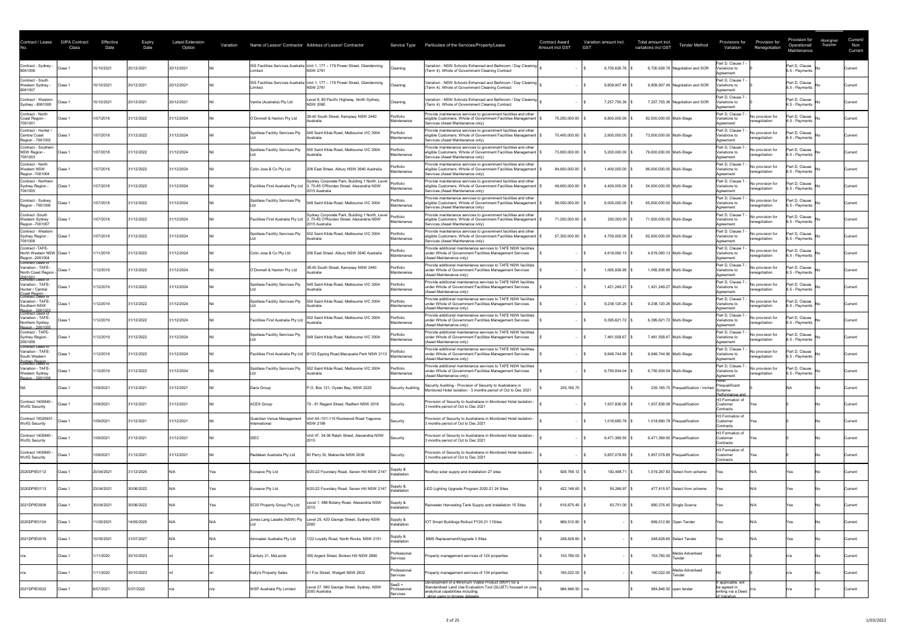| Contract / Lease                                                                     | <b>GIPA Contract</b><br>Class | Effective<br>Date | <b>Expiry</b><br>Date | Latest Extension<br>Option | Variation |                                            | Name of Lessor/ Contractor Address of Lessor/ Contractor                                                                                                     | Service Type                       | Particulars of the Services/Property/Lease                                                                                                                              | <b>Contract Award</b><br><b>Amount incl GST</b> | Variation amount incl.<br><b>GST</b> | Total amount incl.<br><b>Tender Method</b><br>variations incl GST | Provisions for<br>Variation                             | Provision for<br>Renegotiation     | Provision for<br>Aboriginal<br>Supplier<br>Operational/<br>Maintenance | Current/<br>Non<br>Current |
|--------------------------------------------------------------------------------------|-------------------------------|-------------------|-----------------------|----------------------------|-----------|--------------------------------------------|--------------------------------------------------------------------------------------------------------------------------------------------------------------|------------------------------------|-------------------------------------------------------------------------------------------------------------------------------------------------------------------------|-------------------------------------------------|--------------------------------------|-------------------------------------------------------------------|---------------------------------------------------------|------------------------------------|------------------------------------------------------------------------|----------------------------|
| Contract - Sydney -<br>8061006                                                       | Class 1                       | 10/10/202         | 20/12/2021            | 20/12/2021                 |           | imited                                     | ISS Facilities Services Australia Unit 1, 177 - 179 Power Street, Glendenning<br><b>NSW 2761</b>                                                             | Cleaning                           | Variation - NSW Schools Enhanced and Bathroom / Day Cleaning<br>(Term 4). Whole of Government Cleaning Contract                                                         |                                                 | 6,700,626.76                         | 6,700,626.76 Negotiation and SOR                                  | Part D, Clause 7<br>/ariations to<br>Agreement          |                                    | Part D, Clause<br>6.5 - Payments                                       | <b>Current</b>             |
| Contract - South<br>Western Sydney -<br>8061007                                      | Class 1                       | 10/10/2021        | 20/12/2021            | 20/12/2021                 |           | ∟imited                                    | ISS Facilities Services Australia Unit 1, 177 - 179 Power Street, Glendenning<br><b>NSW 2761</b>                                                             | Cleaning                           | Variation - NSW Schools Enhanced and Bathroom / Day Cleaning<br>(Term 4). Whole of Government Cleaning Contract                                                         |                                                 | 9,809,907.49                         | 9,809,907.49 Negotiation and SOR                                  | Part D, Clause 7<br>/ariations to<br>Agreement          |                                    | Part D, Clause<br>6.5 - Payments                                       | Current                    |
| Contract - Western<br>Sydney - 8061008                                               | Class 1                       | 10/10/2021        | 20/12/2021            | 20/12/2021                 |           | Ventia (Australia) Pty Ltd                 | Level 8, 80 Pacific Highway, North Sydney,<br><b>NSW 2060</b>                                                                                                | Cleaning                           | Variation - NSW Schools Enhanced and Bathroom / Day Cleaning<br>(Term 4). Whole of Government Cleaning Contract                                                         |                                                 | 7,257,755.36                         | 7,257,755.36 Negotiation and SOR                                  | Part D, Clause<br>ariations to<br>Agreement             |                                    | Part D, Clause<br>6.5 - Payments                                       | <b>Current</b>             |
| Contract - North<br>Coast Region<br>7061001                                          | Class 1                       | 1/07/2018         | 31/12/2022            | 31/12/2024                 |           | O'Donnell & Hanlon Pty Ltd                 | 38-40 South Street, Kempsey NSW 2440<br>ustralia                                                                                                             | Portfolio<br>Maintenance           | Provide maintenance services to government facilities and other<br>eligible Customers. Whole of Government Facilities Management<br>Services (Asset Maintenance only)   | 75,200,000.00                                   | 6,800,000.00                         | 82,000,000.00 Multi-Stage                                         | Part D, Clause 7<br>Variations to<br>Agreement          | No provision for<br>renegotiation  | Part D, Clause<br>6.5 - Payments                                       | Current                    |
| Contract - Hunter /<br><b>Central Coast</b><br>Region - 7061002                      | Class 1                       | 1/07/2018         | 31/12/2022            | 31/12/2024                 |           | Spotless Facility Services Pty             | 549 Saint Kilda Road, Melbourne VIC 3004<br><b>\ustralia</b>                                                                                                 | Portfolio<br>Maintenance           | Provide maintenance services to government facilities and other<br>eligible Customers. Whole of Government Facilities Management<br>Services (Asset Maintenance only)   | 70,400,000.00                                   | 2,600,000.00                         | 73,000,000.00 Multi-Stage                                         | Part D, Clause 7<br>Variations to<br>Agreement          | INo provision for<br>renegotiation | Part D, Clause<br>6.5 - Payments                                       | <b>Current</b>             |
| Contract - Southern<br>NSW Region -<br>7061003                                       | Class 1                       | 1/07/2018         | 31/12/2022            | 31/12/2024                 |           | Spotless Facility Services Pty             | 550 Saint Kilda Road, Melbourne VIC 3004<br>Australia                                                                                                        | Portfolio<br>Maintenance           | Provide maintenance services to government facilities and other<br>eligible Customers. Whole of Government Facilities Management<br>Services (Asset Maintenance only)   | 73,800,000.00                                   | 5,200,000.00                         | 79,000,000.00 Multi-Stage                                         | Part D, Clause<br>Variations to<br>Agreement            | No provision for<br>renegotiation  | Part D, Clause<br>6.5 - Payments                                       | <b>Current</b>             |
| Contract - North<br><b>Western NSW</b><br>Region - 7061004                           | Class 1                       | 1/07/2018         | 31/12/2022            | 31/12/2024                 |           | Colin Joss & Co Pty Ltd                    | 206 East Street, Albury NSW 2640 Australia                                                                                                                   | Portfolio<br>Maintenance           | Provide maintenance services to government facilities and other<br>eligible Customers. Whole of Government Facilities Management<br>Services (Asset Maintenance only)   | 84,600,000.00                                   | 1,400,000.00                         | 86,000,000.00 Multi-Stage                                         | Part D, Clause 7<br>Variations to<br>Agreement          | No provision for<br>renegotiation  | Part D, Clause<br>6.5 - Payments                                       | <b>Current</b>             |
| Contract - Northern<br>Sydney Region -<br>7061005                                    | Class 1                       | 1/07/2018         | 31/12/2022            | 1/12/2024                  |           | Facilities First Australia Pty Ltd         | Sydney Corporate Park, Building 1 North, Level<br>, 75-85 O'Riordan Street, Alexandria NSW<br>2015 Australia                                                 | Portfolio<br>Maintenance           | Provide maintenance services to government facilities and other<br>eligible Customers. Whole of Government Facilities Management  <br>Services (Asset Maintenance only) | 49,600,000.00                                   | 4,400,000.00                         | 54,000,000.00 Multi-Stage                                         | Part D, Clause<br>Variations to<br>Agreement            | No provision for<br>renegotiation  | Part D, Clause<br>6.5 - Payments                                       | Current                    |
| Contract - Sydney<br>Region - 7061006                                                | Class 1                       | 1/07/2018         | 31/12/2022            | 31/12/2024                 |           | Spotless Facility Services Pty             | 549 Saint Kilda Road, Melbourne VIC 3004                                                                                                                     | Portfolio<br>Maintenance           | Provide maintenance services to government facilities and other<br>eligible Customers. Whole of Government Facilities Management<br>Services (Asset Maintenance only)   | 59,000,000.00                                   | 6,000,000.00                         | 65,000,000.00 Multi-Stage                                         | Part D, Clause 7<br>Variations to<br>Agreement          | No provision for<br>renegotiation  | Part D, Clause<br>6.5 - Payments                                       | <b>Current</b>             |
| Contract -South<br>Western Sydney<br>Region -7061007                                 | Class <sup>2</sup>            | 1/07/2018         | 31/12/2022            | 31/12/2024                 |           |                                            | Sydney Corporate Park, Building 1 North, Level   Portfolio<br>Facilities First Australia Pty Ltd 3, 75-85 O'Riordan Street, Alexandria NSW<br>2015 Australia | IMaintenance                       | Provide maintenance services to government facilities and other<br>eligible Customers. Whole of Government Facilities Management<br>Services (Asset Maintenance only)   | 71,200,000.00                                   | 200,000,00                           | 71,000,000.00 Multi-Stage                                         | Part D, Clause 7<br>Variations to<br>Agreement          | No provision for<br>renegotiation  | Part D, Clause<br>6.5 - Payments                                       | lCurrent                   |
| Contract - Western<br>Sydney Region -<br>7061008                                     | Class 1                       | 1/07/2018         | 31/12/2022            | 31/12/2024                 |           | Spotless Facility Services Pty             | 552 Saint Kilda Road, Melbourne VIC 3004<br><b>\ustralia</b>                                                                                                 | Portfolio<br>Maintenance           | Provide maintenance services to government facilities and other<br>eligible Customers. Whole of Government Facilities Management  <br>Services (Asset Maintenance only) | 57,300,000.00                                   | 4,700,000.00                         | 62,000,000.00 Multi-Stage                                         | Part D, Clause 7<br>Variations to<br>Agreement          | No provision for<br>renegotiation  | Part D, Clause<br>6.5 - Payments                                       | <b>Current</b>             |
| Contract -TAFE-<br>North Western NSW Class 1<br>Region - 2061004<br>Contract Deed of |                               | 1/11/2019         | 31/12/2022            | 31/12/2024                 |           | Colin Joss & Co Pty Ltd                    | 206 East Street, Albury NSW 2640 Australia                                                                                                                   | Portfolio<br>Maintenance           | Provide additional maintenance services to TAFE NSW facilities<br>under Whole of Government Facilities Management Services<br>(Asset Maintenance only)                  |                                                 | 4,619,060.13                         | 4,619,060.13 Multi-Stage                                          | Part D, Clause 7<br>Variations to<br>Agreement          | No provision for<br>renegotiation  | Part D, Clause<br>6.5 - Payments                                       | <b>Current</b>             |
| Variation - TAFE-<br>North Coast Region -<br>2061001<br>Contract Deed of             | Class 1                       | /12/2019          | 31/12/2022            | 31/12/2024                 |           | O'Donnell & Hanlon Pty Ltd                 | 38-40 South Street, Kempsey NSW 2440<br>ustralia                                                                                                             | Portfolio<br>Maintenance           | Provide additional maintenance services to TAFE NSW facilities<br>under Whole of Government Facilities Management Services<br>(Asset Maintenance only)                  |                                                 | 1,065,936.95                         | 1,065,936.95 Multi-Stage                                          | Part D, Clause 7<br>Variations to<br>Agreement          | No provision for<br>renegotiation  | Part D, Clause<br>6.5 - Payments                                       | Current                    |
| Variation - TAFE-<br>Hunter / Central<br>Coast Region -<br>Contract Deed of          | Class 1                       | 1/12/2019         | 31/12/2022            | 31/12/2024                 |           | Spotless Facility Services Pty             | 549 Saint Kilda Road, Melbourne VIC 3004<br>Australia                                                                                                        | Portfolio<br>Maintenance           | Provide additional maintenance services to TAFE NSW facilities<br>under Whole of Government Facilities Management Services<br>(Asset Maintenance only)                  |                                                 | 1,421,249.27                         | 1,421,249.27 Multi-Stage                                          | Part D, Clause 7<br>Variations to<br>Agreement          | No provision for<br>renegotiation  | Part D, Clause<br>6.5 - Payments                                       | Current                    |
| Variation - TAFE-<br>Southern NSW<br>Region - 2061003<br>Contract Deed of            | Class 1                       | 1/12/2019         | 31/12/2022            | 31/12/2024                 |           | Spotless Facility Services Pty             | 550 Saint Kilda Road, Melbourne VIC 3004<br>Australia                                                                                                        | Portfolio<br>Maintenance           | Provide additional maintenance services to TAFE NSW facilities<br>under Whole of Government Facilities Management Services<br>(Asset Maintenance only)                  |                                                 | 9,238,120.26                         | 9,238,120.26 Multi-Stage                                          | Part D, Clause<br>Variations to<br>Agreement            | No provision for<br>renegotiation  | Part D, Clause<br>6.5 - Payments                                       | Current                    |
| Variation - TAFE-<br>Northern Sydney<br>Region - 2061005                             | Class 1                       | 1/12/2019         | 31/12/2022            | 31/12/2024                 |           | Facilities First Australia Pty Lt          | 552 Saint Kilda Road, Melbourne VIC 3004<br><b>Nustralia</b>                                                                                                 | Portfolio<br>Maintenance           | Provide additional maintenance services to TAFE NSW facilities<br>under Whole of Government Facilities Management Services<br>(Asset Maintenance only)                  |                                                 | 6,395,621.72                         | 6,395,621.72 Multi-Stage                                          | Part D, Clause 7<br>Variations to<br>Agreement          | No provision for<br>renegotiation  | Part D, Clause<br>6.5 - Payments                                       | Current                    |
| Contract - TAFE-<br>Sydney Region -<br>2061006<br>Contract Deed of                   | Class 1                       | 1/12/2019         | 31/12/2022            | 31/12/2024                 |           | Spotless Facility Services Pty             | 549 Saint Kilda Road, Melbourne VIC 3004                                                                                                                     | Maintenance                        | Provide additional maintenance services to TAFE NSW facilities<br>under Whole of Government Facilities Management Services<br>(Asset Maintenance only)                  |                                                 | 7,461,558.67                         | 7,461,558.67 Multi-Stage                                          | Part D, Clause 7<br>Variations to<br>Agreement          | No provision for<br>renegotiation  | Part D, Clause<br>6.5 - Payments                                       | <b>Current</b>             |
| Variation - TAFE-<br>South Western<br>Sydney Region -<br>Contract Deed of            | Class 1                       | 1/12/2019         | 31/12/2022            | 31/12/2024                 |           |                                            | Facilities First Australia Pty Ltd   6/123 Epping Road, Macquarie Park NSW 2113                                                                              | Portfolio<br>Maintenance           | Provide additional maintenance services to TAFE NSW facilities<br>under Whole of Government Facilities Management Services<br>(Asset Maintenance only)                  |                                                 | 9,948,744.90                         | 9,948,744.90 Multi-Stage                                          | Part D, Clause<br>Variations to<br>Agreement            | No provision for<br>renegotiation  | Part D, Clause<br>6.5 - Payments                                       | Current                    |
| Variation - TAFE-<br>Western Sydney<br>Region - 2061008                              | Class 1                       | 1/12/2019         | 31/12/2022            | 31/12/2024                 |           | Spotless Facility Services Pty             | 552 Saint Kilda Road, Melbourne VIC 3004<br>Australia                                                                                                        | Portfolio<br>Maintenance           | Provide additional maintenance services to TAFE NSW facilities<br>under Whole of Government Facilities Management Services<br>(Asset Maintenance only)                  |                                                 | 6,750,934.04                         | 6,750,934.04 Multi-Stage                                          | Part D, Clause 7<br>Variations to<br>Agreement<br>रefer | No provision for<br>renegotiation  | Part D, Clause<br>6.5 - Payments                                       | <b>Current</b>             |
| NA.                                                                                  | Class 1                       | 1/09/2021         | 31/12/2021            | 31/12/2021                 |           | Daris Group                                | P.O. Box 121, Oyster Bay, NSW 2225                                                                                                                           | <b>Security Auditing</b>           | Security Auditing - Provision of Security to Australians in<br>Monitored Hotel Isolation - 3 months period of Oct to Dec 2021                                           | 235,165.70                                      |                                      | 235,165.70 Prequalification / Invited                             | Prequalificant<br>Scheme:<br>∍rformance ano             |                                    |                                                                        | Current                    |
| Contract 1400840<br><b>WofG Security</b>                                             | lClass ∶                      | 1/09/2021         | 31/12/2021            | 31/12/2021                 |           | <b>ACES Group</b>                          | 79 - 81 Regent Street, Redfern NSW 2016                                                                                                                      | Security                           | Provision of Security to Australians in Monitored Hotel Isolation -<br>3 months period of Oct to Dec 2021                                                               |                                                 | 1,937,836.08                         | 1,937,836.08 Prequalification                                     | H3 Formation of<br>Customer<br>Contracts                |                                    |                                                                        | Current                    |
| Contract 10025931 -<br><b>WofG Security</b>                                          | Class 1                       | 1/09/2021         | 31/12/2021            | 31/12/2021                 |           | Guardian Venue Management<br>International | Unit A5 /101-115 Rookwood Road Yagoona<br><b>NSW 2199</b>                                                                                                    | Security                           | Provision of Security to Australians in Monitored Hotel Isolation -<br>3 months period of Oct to Dec 2021                                                               |                                                 | 1,018,680.78                         | 1,018,680.78 Prequalification                                     | H3 Formation of<br>Customer<br>Contracts                |                                    |                                                                        | <b>Current</b>             |
| Contract 1400840<br><b>WofG Security</b>                                             | Class 1                       | 1/09/2021         | 31/12/2021            | 31/12/2021                 |           | <b>ISEC</b>                                | Unit 47, 34-36 Ralph Street, Alexandria NSW                                                                                                                  | Security                           | Provision of Security to Australians in Monitored Hotel Isolation -<br>3 months period of Oct to Dec 2021                                                               |                                                 | 6,471,369.50                         | 6,471,369.50 Prequalification                                     | H3 Formation of<br>Customer<br>Contracts                |                                    |                                                                        | <b>Current</b>             |
| Contract 1400840<br><b>WofG Security</b>                                             | Class 1                       | 1/09/2021         | 31/12/2021            | 31/12/2021                 |           | Reddawn Australia Pty Ltd                  | 60 Perry St, Matraville NSW 2036                                                                                                                             | Security                           | Provision of Security to Australians in Monitored Hotel Isolation -<br>3 months period of Oct to Dec 2021                                                               |                                                 | 5,857,078.85                         | 5,857,078.85 Prequalification                                     | H3 Formation of<br>Customer<br>Contracts                |                                    |                                                                        | Current                    |
| 2020DPIE0112                                                                         | Class 1                       | 20/04/2021        | 31/12/2025            |                            |           | Ecosave Pty Ltd                            | 6/20-22 Foundary Road, Seven Hill NSW 2147                                                                                                                   | Supply &<br>Installation           | Rooftop solar supply and Installation 27 sites                                                                                                                          | 826,769.12                                      | 192,498.7                            | 1,019,267.83 Select from scheme                                   |                                                         |                                    | ∕es.                                                                   | <b>Current</b>             |
| 2020DPIE0113                                                                         | Class 1                       | 23/04/2021        | 30/06/2022            |                            |           | Ecosave Pty Ltd                            | 6/20-22 Foundary Road, Seven Hill NSW 2147                                                                                                                   | Supply &<br>Installation           | LED Lighting Upgrade Program 2020-21 24 Sites                                                                                                                           | 422,148.60                                      | 55,266.97                            | 477,415.57 Select from scheme                                     |                                                         |                                    |                                                                        | <b>Current</b>             |
| 2021DPIE0009                                                                         | Class 1                       | 30/04/2021        | 30/06/2022            |                            |           | SCIS Property Group Pty Ltd                | Level 1, 488 Botany Road, Alexandria NSW                                                                                                                     | Supply &<br>Installation           | Rainwater Harvesting Tank Supply and Installation 15 Sites                                                                                                              | 616,675.40                                      | 63,701.00 $\frac{1}{9}$              | 680,376.40 Single Source                                          |                                                         |                                    |                                                                        | <b>Current</b>             |
| 2020DPIE0104                                                                         | Class 1                       | 1/05/2021         | 14/05/2025            |                            |           |                                            | Jones Lang Lasalle (NSW) Pty   Level 25, 420 George Street, Sydney NSW                                                                                       | Supply &<br>Installation           | IOT Smart Buildings Rollout FY20.21 11Sites                                                                                                                             | 669,512.80                                      |                                      | 669,512.80 Open Tender                                            |                                                         |                                    | Yes                                                                    | <b>Current</b>             |
| 2021DPIE0018                                                                         | Class 1                       | 10/05/202         | 31/07/2027            |                            |           | Airmaster Australia Pty Ltd                | /22 Loyalty Road, North Rocks, NSW 2151                                                                                                                      | Supply &<br>Installation           | <b>BMS Replacement/Upgrade 3 Sites</b>                                                                                                                                  | 248,628.60                                      |                                      | 248,628.60 Select Tender                                          |                                                         |                                    | ∕es.                                                                   | Current                    |
|                                                                                      | Class 1                       | 1/11/2020         | 30/10/2023            |                            |           | Century 21, McLeods                        | 355 Argent Street, Broken Hill NSW 2880                                                                                                                      | Professional<br>Services           | Property management services of 124 properties                                                                                                                          | 153,780.00                                      |                                      | 153,780.00 Media Advertised                                       |                                                         |                                    | n/a                                                                    | <b>Current</b>             |
|                                                                                      | Class 1                       | 1/11/2020         | 30/10/2023            |                            |           | <b>Kelly's Property Sales</b>              | 51 Fox Street, Walgett NSW 2832                                                                                                                              | Professional<br>Services           | Property management services of 134 properties<br>Development of a Minimum Viable Product (MVP) for a                                                                   | 160,022.00                                      |                                      | Media Advertised<br>160,022.00<br>Tender                          | t applicable, will                                      |                                    |                                                                        | <b>Current</b>             |
| 2021DPIE0032                                                                         | Class 1                       | 6/07/2021         | 5/07/2022             |                            |           | <b>WSP Australia Pty Limited</b>           | Level 27, 680 George Street, Sydney, NSW<br>2000 Australia                                                                                                   | SaaS +<br>Professional<br>Services | Standardised Land Use Evaluation Tool (SLUET) focused on core<br>analytical capabilities including:<br>allow users to browse datasets                                   | 984,846.50 n/a                                  |                                      | 984,846.50 open tender                                            | be agreed in<br>writing via a Deed<br>of Variation      |                                    | In/a                                                                   | <b>Current</b>             |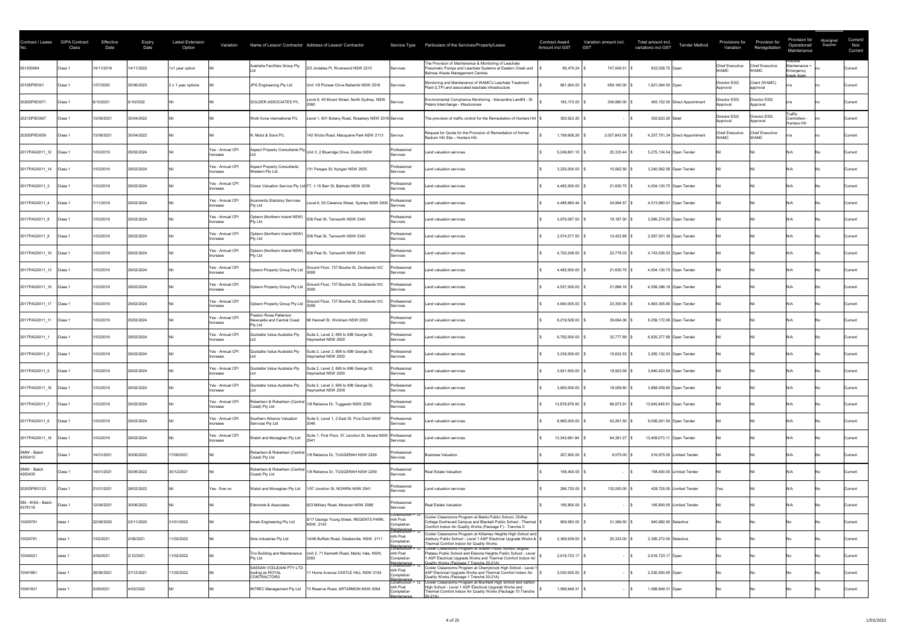| Contract / Lease            | <b>GIPA Contract</b><br>Class | Effective<br>Date | <b>Expiry</b><br>Date | Latest Extension<br>Option | Variation                    |                                                                         | Name of Lessor/ Contractor Address of Lessor/ Contractor           | Service Type                                                 | Particulars of the Services/Property/Lease                                                                                                                                                                            | <b>Contract Award</b><br>Amount incl GST | <b>GST</b>     | Variation amount incl. | Total amount incl.<br><b>Tender Method</b><br>variations incl GST | Provisions for<br>Variation           | Provision for<br>Renegotiation        | Provision for<br>Operational/<br>Maintenance        | Aboriginal<br>Supplier | Current/<br>Non<br>Current |
|-----------------------------|-------------------------------|-------------------|-----------------------|----------------------------|------------------------------|-------------------------------------------------------------------------|--------------------------------------------------------------------|--------------------------------------------------------------|-----------------------------------------------------------------------------------------------------------------------------------------------------------------------------------------------------------------------|------------------------------------------|----------------|------------------------|-------------------------------------------------------------------|---------------------------------------|---------------------------------------|-----------------------------------------------------|------------------------|----------------------------|
| 651200664                   | Class 1                       | 4/11/2019         | 14/11/2022            | 1x1 year option            |                              | Australia Facilities Group Pty                                          | 2/2 Jindalee PI, Riverwood NSW 2210                                | Services                                                     | The Provision of Maintenance & Monitoring of Leachate<br>Pneumatic Pumps and Leachate Systems at Eastern Creek and<br>Belrose Waste Management Centres                                                                |                                          | 85,479.24      | 747,549.51             | 833,028.75 Open                                                   | <b>Chief Executive</b><br><b>WAMC</b> | Chief Executive<br><b>WAMC</b>        | ≺outine<br>Maintenance ·<br>Emergency<br>break down |                        | Current                    |
| 2019DPIE001                 | Class 1                       | 1/07/2020         | 30/06/2023            | 2 x 1 year options         |                              | JPG Engineering Pty Ltd                                                 | Unit 1/8 Pioneer Drive Bellambi NSW 2518                           | <b>Services</b>                                              | Monitoring and Maintenance of WAMC's Leachate Treatment<br>Plant (LTP) and associated leachate infrastructure                                                                                                         |                                          | 661,904.00     | 959,160.00             | 1,621,064.00 Open                                                 | Director ESG<br>Approval              | Client (WAMC)<br>approval             |                                                     |                        | Current                    |
| 2020DPIE0071                | Class 1                       | 6/10/2021         | 5/10/2022             |                            |                              | <b>GOLDER ASSOCIATES P/L</b>                                            | evel 8, 40 Mount Street, North Sydney, NSW                         | Service                                                      | Envrionmental Compliance Monitoring - Alexandria Landfill - St<br>Peters Interchange - Westconnex                                                                                                                     |                                          | 183,172.00     | 309,980.00             | 493,152.00 Direct Appointment                                     | Director ESG<br>Approval              | Director ESG<br>Approval              |                                                     |                        | Current                    |
| 2021DPIE0067                | Class 1                       | 13/09/2021        | 30/04/2022            |                            |                              | Work force international P/L                                            | evel 1, 601 Botany Road, Rosebery NSW 2018 Service                 |                                                              | The provision of traffic control for the Remediaiton of Hunters Hill                                                                                                                                                  |                                          | 302,623.20     |                        | 302,623.20 Selet                                                  | Director ESG<br>Approval              | <b>IDirector ESG</b><br>Approval      | Traffic<br>Controllers -<br>Hunters Hill            |                        | Current                    |
| 2020DPIE0059                | Class <sup>®</sup>            | 13/09/2021        | 30/04/2022            |                            |                              | N. Moits & Sons P/L                                                     | 142 Wicks Road, Macquarie Park NSW 2113                            | Service                                                      | Request for Quote for the Provision of Remediation of former<br>Radium Hill Site - Hunters Hill                                                                                                                       |                                          | 1,199,908.26   | 3,057,843.08           | 4,257,751.34 Direct Appointment                                   | <b>Chief Executive</b><br><b>VAMC</b> | <b>Chief Executive</b><br><b>NAMC</b> |                                                     |                        | Current                    |
| 2017PAG0011_12 Class 1      |                               | 1/03/2019         | 29/02/2024            |                            | Yes - Annual CPI<br>Increase | Aspect Property Consultants Pty                                         | Unit 3, 2 Blueridge Drive, Dubbo NSW                               | Professional<br>Services                                     | Land valuation services                                                                                                                                                                                               |                                          | 5,249,801.10   | 25,333.44              | 5,275,134.54 Open Tender                                          |                                       |                                       |                                                     |                        | Current                    |
| 2017PAG0011 14              | Class 1                       | 1/03/2019         | 29/02/2024            |                            | Yes - Annual CPI<br>Increase | <b>Aspect Property Consultants</b><br>Western Pty Ltd                   | 131 Pangee St, Nyngan NSW 2825                                     | Professiona<br>Services                                      | Land valuation services                                                                                                                                                                                               |                                          | 3,225,000.00   | 15,562.56              | 3,240,562.56 Open Tender                                          |                                       |                                       |                                                     |                        | Current                    |
| 2017PAG0011_3               | Class 1                       | 1/03/2019         | 29/02/2024            |                            | Yes - Annual CPI<br>Increase |                                                                         | Crown Valuation Service Pty Ltd F7, 1-15 Barr St, Balmain NSW 2039 | Professional<br>Services                                     | Land valuation services                                                                                                                                                                                               |                                          | 4,482,500.00   | 21,630.75              | 4,504,130.75 Open Tender                                          |                                       |                                       |                                                     |                        | Current                    |
| 2017PAG0011_4               | Class 1                       | 1/11/2019         | 29/02/2024            |                            | Yes - Annual CPI<br>Increase | <b>Acumentis Statutory Services</b><br><b>Pty Ltd</b>                   | evel 6, 55 Clarence Street, Sydney NSW 2000                        | Professional<br>Services                                     | Land valuation services                                                                                                                                                                                               |                                          | 4,488,965.44   | 24,994.57              | 4,513,960.01 Open Tender                                          |                                       |                                       |                                                     |                        | Current                    |
| 2017PAG0011 8               | Class <sup>2</sup>            | /03/2019          | 29/02/2024            |                            | Yes - Annual CPI<br>Increase | <b>Pty Ltd</b>                                                          | [Opteon (Northern Inland NSW)   536 Peel St, Tamworth NSW 2340     | Professional<br>Services                                     | Land valuation services                                                                                                                                                                                               |                                          | 3,976,087.50   | 19.187.00 \$           | 3,995,274.50 Open Tender                                          |                                       |                                       |                                                     |                        | Current                    |
| 2017PAG0011 9               | Class 1                       | 1/03/2019         | 29/02/2024            |                            | Yes - Annual CPI<br>Increase | <b>Pty Ltd</b>                                                          | Opteon (Northern Inland NSW) 536 Peel St, Tamworth NSW 2340        | Professional<br><b>Services</b>                              | Land valuation services                                                                                                                                                                                               |                                          | 2,574,577.50   | 12,423.89              | 2,587,001.39 Open Tender                                          |                                       |                                       |                                                     |                        | Current                    |
| 2017PAG0011 10 Class 1      |                               | 1/03/2019         | 29/02/2024            |                            | Yes - Annual CPI<br>Increase | Opteon (Northern Inland NSW)<br><b>Pty Ltd</b>                          | 536 Peel St, Tamworth NSW 2340                                     | Professional<br>Services                                     | Land valuation services                                                                                                                                                                                               |                                          | 4,720,248.50   | $22,778.03$ \$         | 4,743,026.53 Open Tender                                          |                                       |                                       |                                                     |                        | Current                    |
| 2017PAG0011_13 Class 1      |                               | 1/03/2019         | 29/02/2024            |                            | Yes - Annual CPI<br>Increase | Opteon Property Group Pty Ltd                                           | Ground Floor, 737 Bourke St, Docklands VIC                         | Professional<br><b>Services</b>                              | Land valuation services                                                                                                                                                                                               |                                          | 4,482,500.00   | $21,630.75$ \$         | 4,504,130.75 Open Tender                                          |                                       |                                       |                                                     |                        | Current                    |
| 2017PAG0011 15 Class 1      |                               | 1/03/2019         | 29/02/2024            |                            | Yes - Annual CPI<br>Increase | Opteon Property Group Pty Ltd                                           | Ground Floor, 737 Bourke St, Docklands VIC                         | Professional<br>Services                                     | Land valuation services                                                                                                                                                                                               |                                          | 4,537,500.00   | $21,896.16$ \$         | 4,559,396.16 Open Tender                                          |                                       |                                       |                                                     |                        | Current                    |
| 2017PAG0011 17 Class 1      |                               | 1/03/2019         | 29/02/2024            |                            | Yes - Annual CPI<br>Increase | Opteon Property Group Pty Ltd                                           | Ground Floor, 737 Bourke St, Docklands VIC                         | Professional<br><b>Services</b>                              | Land valuation services                                                                                                                                                                                               |                                          | 4,840,000.00   | $23,355.90$ \$         | 4,863,355.90 Open Tender                                          |                                       |                                       |                                                     |                        | Current                    |
| 2017PAG0011_11 Class 1      |                               | 1/03/2019         | 29/02/2024            |                            | Yes - Annual CPI<br>Increase | Preston Rowe Patterson<br>Newcastle and Central Coast<br><b>Pty Ltd</b> | 98 Hannell St, Wickham NSW 2293                                    | Professional<br><b>Services</b>                              | Land valuation services                                                                                                                                                                                               |                                          | 8,219,508.00   | 39,664.06              | 8,259,172.06 Open Tender                                          |                                       |                                       |                                                     |                        | Current                    |
| 2017PAG0011_1               | Class 1                       | 1/03/2019         | 29/02/2024            |                            | Yes - Annual CPI<br>Increase | Quotable Value Australia Pty                                            | Suite 2, Level 2, 695 to 699 George St,<br>Haymarket NSW 2000      | Professional<br>Services                                     | Land valuation services                                                                                                                                                                                               |                                          | 6,792,500.00   | $32,777.89$ \$         | 6,825,277.89 Open Tender                                          |                                       |                                       |                                                     |                        | Current                    |
| 2017PAG0011_2               | Class 1                       | 1/03/2019         | 29/02/2024            |                            | Yes - Annual CPI<br>Increase | Quotable Value Australia Pty                                            | Suite 2, Level 2, 695 to 699 George St,<br>Haymarket NSW 2000      | Professional<br>Services                                     | Land valuation services                                                                                                                                                                                               |                                          | 3,239,500.00   | 15,632.53              | 3,255,132.53 Open Tender                                          |                                       |                                       |                                                     |                        | Current                    |
| 2017PAG0011 5               | Class 1                       | 1/03/2019         | 29/02/2024            |                            | Yes - Annual CPI<br>Increase | Quotable Value Australia Pty                                            | Suite 2, Level 2, 695 to 699 George St,<br>Haymarket NSW 2000      | Professional<br>Services                                     | Land valuation services                                                                                                                                                                                               |                                          | $3,921,500.00$ | $18,923.59$ \$         | 3,940,423.59 Open Tender                                          |                                       |                                       |                                                     |                        | Current                    |
| 2017PAG0011_16 Class 1      |                               | 1/03/2019         | 29/02/2024            |                            | Yes - Annual CPI<br>Increase | Quotable Value Australia Pty                                            | Suite 2, Level 2, 695 to 699 George St,<br>Haymarket NSW 2000      | Professional<br><b>Services</b>                              | Land valuation services                                                                                                                                                                                               |                                          | 3,850,000.00   | 18,009.60              | 3,868,009.60 Open Tender                                          |                                       |                                       |                                                     |                        | Current                    |
| 2017PAG0011_7               | Class 1                       | 1/03/2019         | 29/02/2024            |                            | Yes - Annual CPI<br>Increase | Robertson & Robertson (Central<br>Coast) Pty Ltd                        | 1/8 Reliance Dr, Tuggerah NSW 2259                                 | Professional<br>Services                                     | Land valuation services                                                                                                                                                                                               |                                          | 13,878,876.00  | 66,973.91              | 13,945,849.91 Open Tender                                         |                                       |                                       |                                                     |                        | Current                    |
| 2017PAG0011_6               | Class 1                       | 1/03/2019         | 29/02/2024            |                            | Yes - Annual CPI<br>Increase | Southern Alliance Valuation<br>Services Pty Ltd                         | Suite 5, Level 1, 2 East St, Five Dock NSW<br>2046                 | Professional<br>Services                                     | Land valuation services                                                                                                                                                                                               |                                          | 8,965,000.00   | $43,261.50$ \$         | 9,008,261.50 Open Tender                                          |                                       |                                       |                                                     |                        | Current                    |
| 2017PAG0011_18 Class 1      |                               | 1/03/2019         | 29/02/2024            |                            | Yes - Annual CPI<br>Increase | Walsh and Monaghan Pty Ltd                                              | Suite 1, First Floor, 57 Junction St, Nowra NSW Professional       | Services                                                     | Land valuation services                                                                                                                                                                                               |                                          | 13,343,681.84  | $64,391.27$ \$         | 13,408,073.11 Open Tender                                         |                                       |                                       |                                                     |                        | Current                    |
| SMW - Batch<br>4283415      | Class <sup>®</sup>            | 14/01/2021        | 30/06/2022            | 7/09/2021                  |                              | Robertson & Robertson (Centra<br>Coast) Pty Ltd                         | /8 Reliance Dr, TUGGERAH NSW 2259                                  | Professional<br>Services                                     | <b>Business Valuation</b>                                                                                                                                                                                             |                                          | 207,900.00     | $9,075.00$ \$          | 216,975.00 Limited Tender                                         |                                       |                                       |                                                     |                        | Current                    |
| SMW - Batch<br>4283435      | <b>Class</b>                  | 14/01/2021        | 30/06/2022            | 30/12/2021                 |                              | Robertson & Robertson (Centra<br>Coast) Pty Ltd                         | 1/8 Reliance Dr, TUGGERAH NSW 2259                                 | Professional<br>Services                                     | Real Estate Valuation                                                                                                                                                                                                 |                                          | 158,400.00     |                        | 158,400.00 Limited Tender                                         |                                       |                                       |                                                     |                        | Current                    |
| 2020DPIE0123                | Class 1                       | 21/01/2021        | 28/02/2022            |                            | Yes - flow on                | Walsh and Monaghan Pty Ltd                                              | 1/57 Junction St, NOWRA NSW 2541                                   | Professional<br>Services                                     | Land valuation services                                                                                                                                                                                               |                                          | 296,725.00     | 132,000.00             | 428,725.00 Limited Tender                                         | Yes                                   |                                       |                                                     |                        | Current                    |
| SM - WSA - Batch<br>4378116 | Class 1                       | 12/09/2021        | 30/06/2022            |                            |                              | Edmonds & Associates                                                    | 623 Military Road, Mosman NSW 2088                                 | Professional<br>Services                                     | <b>Real Estate Valuation</b>                                                                                                                                                                                          |                                          | 195,800.00     |                        | 195,800.00 Limited Tender                                         |                                       |                                       |                                                     |                        | Current                    |
| 10029791                    | class 1                       | 22/06/2020        | 23/11/2020            | 31/01/2022                 |                              | Amek Engineering Pty Ltd                                                | 5/17 George Young Street, REGENTS PARK,<br>NSW, 2143               | Construction + 12<br>mth Post<br>Completion                  | Cooler Classrooms Program at Banks Public School, Chifley<br>College Dunheved Campus and Blackett Public School - Thermal   \$<br>Comfort Indoor Air Quality Works (Package F) - Tranche C                            |                                          | 909,583.00     | 31,399.50              | 940,982.50 Selective                                              |                                       |                                       |                                                     |                        | Current                    |
| 10035781                    | class 1                       | 1/02/2021         | 2/08/2021             | 1/02/2022                  |                              | Sine Industries Pty Ltd                                                 | 14/46 Buffalo Road, Gladesville, NSW, 2111                         | Maintenance<br>Construction + 12<br>mth Post<br>Completion   | Cooler Classrooms Program at Killarney Heights High School and<br>Ashbury Public School - Level 1 ASP Electrical Upgrade Works &   \<br>Thermal Comfort Indoor Air Quality Works                                      |                                          | 2,369,939.00   | 25,333.00              | 2,395,272.00 Selective                                            |                                       |                                       |                                                     |                        | Current                    |
| 10040021                    | class 1                       | 3/06/2021         | 2/12/2021             | 1/02/2022                  |                              | Trio Building and Maintenance<br><b>Pty Ltd</b>                         | Unit 2, 71 Kenneth Road, Manly Vale, NSW,                          | mth Post<br>Completion                                       | Plateau Public School and Elanora Heights Public School - Level<br>1 ASP Electrical Upgrade Works and Thermal Comfort Indoor Air<br>Quality Works (Package 7 Tranche 20-21A)                                          |                                          | 2,618,723.17   |                        | 2,618,723.17 Open                                                 |                                       |                                       |                                                     |                        | Current                    |
| 10041861                    | class 1                       | 28/06/2021        | 27/12/2021            | 1/02/2022                  |                              | SASSAN VODJDANI PTY LTD<br>trading as ROYAL<br><b>CONTRACTORS</b>       | 11 Hume Avenue CASTLE HILL NSW 2154                                | Maintenance<br>Construction + 12<br>mth Post<br>Completion   | Cooler Classrooms Program at Cherrybrook High School - Level 1<br>ASP Electrical Upgrade Works and Thermal Comfort Indoor Air<br>Quality Works (Package 1 Tranche 20-21A)                                             |                                          | 2,030,500.00   |                        | 2,030,500.00 Open                                                 |                                       |                                       |                                                     |                        | Current                    |
| 10041831                    | class ′                       | 3/09/2021         | 4/03/2022             |                            |                              | <b>INTREC Management Pty Ltd</b>                                        | 73 Reserve Road, ARTARMON NSW 2064                                 | <u> Aaintenance</u><br>mth Post<br>Completion<br>Maintenance | Construction + 12 Cooler Classrooms Program at Muirfield High School and Setton<br>High School - Level 1 ASP Electrical Upgrade Works and<br>Thermal Comfort Indoor Air Quality Works (Package 10 Tranche<br>$20-21A$ |                                          | 1,568,849.31   |                        | 1,568,849.31 Open                                                 |                                       |                                       |                                                     |                        | Current                    |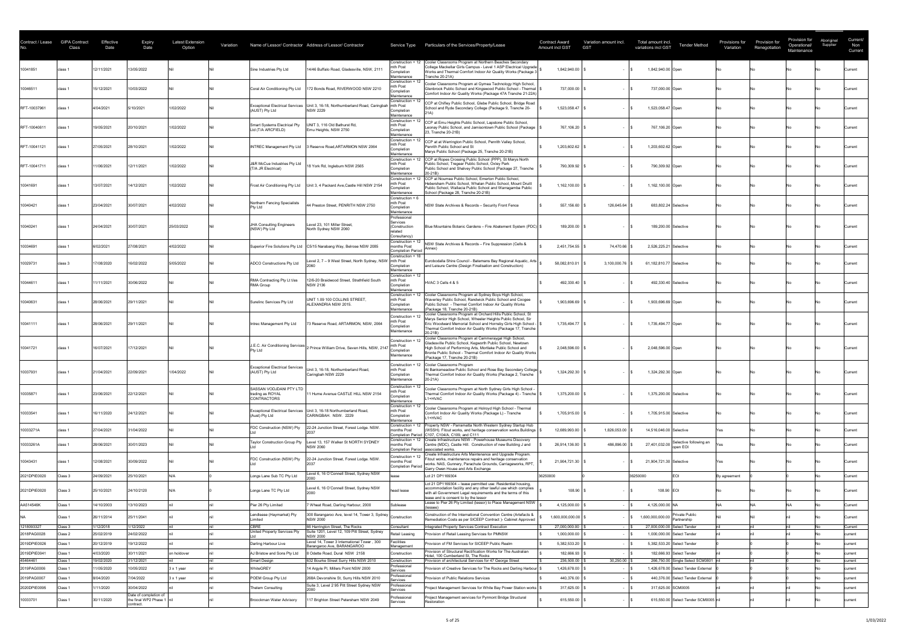| Contract / Lease        | <b>GIPA Contract</b><br>Class | <b>Effective</b><br>Date | <b>Expiry</b><br>Date    | <b>Latest Extension</b><br>Option | Variation |                                                                   | Name of Lessor/ Contractor Address of Lessor/ Contractor                                                         | Service Type                                                                    | Particulars of the Services/Property/Lease                                                                                                                                                                                                                                           | <b>Contract Award</b><br>Amount incl GST | Variation amount incl.<br><b>GST</b> | Total amount incl.<br><b>Tender Method</b><br>variations incl GST                       | Provisions for<br>Variation | Provision for<br>Renegotiation | Provision for<br>Operational/<br>Maintenance | Aboriginal<br>Supplier | Current/<br>Non<br>Current |
|-------------------------|-------------------------------|--------------------------|--------------------------|-----------------------------------|-----------|-------------------------------------------------------------------|------------------------------------------------------------------------------------------------------------------|---------------------------------------------------------------------------------|--------------------------------------------------------------------------------------------------------------------------------------------------------------------------------------------------------------------------------------------------------------------------------------|------------------------------------------|--------------------------------------|-----------------------------------------------------------------------------------------|-----------------------------|--------------------------------|----------------------------------------------|------------------------|----------------------------|
| 10041851                | class 1                       | 12/11/2021               | 13/05/2022               |                                   |           | Sine Industries Pty Ltd                                           | 14/46 Buffalo Road, Gladesville, NSW, 2111                                                                       | Construction + 12<br>mth Post<br>Completion<br>Maintenance                      | Cooler Classrooms Program at Northern Beaches Secondary<br>College Mackellar Girls Campus - Level 1 ASP Electrical Upgrade<br>Works and Thermal Comfort Indoor Air Quality Works (Package 3<br>Tranche 20-21A)                                                                       | 1,842,940.00                             |                                      | 1,842,940.00 Open                                                                       |                             |                                |                                              |                        | Current                    |
| 10046511                | class 1                       | 15/12/2021               | 10/03/2022               |                                   |           | Coral Air Conditioning Pty Ltd                                    | 172 Bonds Road, RIVERWOOD NSW 2210                                                                               | Construction + 1<br>mth Post<br>Completion<br>Maintenance                       | Cooler Classrooms Program at Gymea Technology High School,<br>Glenbrook Public School and Kingswood Public School - Thermal   9<br>Comfort Indoor Air Quality Works (Package 47A Tranche 21-22A)                                                                                     | 737,000.00                               |                                      | 737,000.00 Open                                                                         |                             |                                |                                              |                        | Current                    |
| RFT-10037961            | class 1                       | 4/04/2021                | 5/10/2021                | 1/02/2022                         |           | <b>Exceptional Electrical Services</b><br>(AUST) Pty Ltd          | Unit 3, 16-18, Northumberland Road, Caringbah   mth Post<br><b>NSW 2229</b>                                      | Construction + 12<br>Completion<br>Maintenance                                  | CCP at Chifley Public School, Glebe Public School, Bridge Road<br>School and Ryde Secondary College (Package 9, Tranche 20-                                                                                                                                                          | 1,523,058.47                             |                                      | 1,523,058.47 Open                                                                       |                             |                                |                                              |                        | Current                    |
| RFT-10040611            | class 1                       | 19/05/2021               | 20/10/2021               | 1/02/2022                         |           | Smart Systems Electrical Pty<br>Ltd (T/A ARCFIELD)                | UNIT 3, 116 Old Bathurst Rd,<br>Emu Heights, NSW 2750                                                            | Construction + 12<br>mth Post<br>Completion<br>Maintenance                      | CCP at Emu Heights Public School, Lapstone Public School,<br>Leonay Public School, and Jamisontown Public School (Package   \$<br>23, Tranche 20-21B)                                                                                                                                | 767,106.20                               |                                      | 767,106.20 Open                                                                         |                             |                                |                                              |                        | Current                    |
| RFT-10041121            | class 1                       | 27/05/2021               | 28/10/2021               | 1/02/2022                         |           | <b>INTREC Management Pty Ltd</b>                                  | 3 Reserve Road, ARTARMON NSW 2064                                                                                | Construction + 12<br>mth Post<br>Completion<br>Maintenance<br>Construction + 12 | CCP at at Werrington Public School, Penrith Valley School,<br>Penrith Public School and St<br>Marys Public School (Package 25, Tranche 20-21B)<br>CCP at Ropes Crossing Public School (PPP), St Marys North                                                                          | 1,203,602.62                             |                                      | 1,203,602.62 Open                                                                       |                             |                                |                                              |                        | Current                    |
| RFT-10041711            | class 1                       | 1/06/2021                | 12/11/2021               | 1/02/2022                         |           | J&R McCue Industries Pty Ltd<br>(T/A JR Electrical)               | 18 York Rd, Ingleburn NSW 2565                                                                                   | mth Post<br>Completion<br>Maintenance                                           | Public School, Tregear Public School, Oxley Park<br>Public School and Shalvey Public School (Package 27, Tranche<br>$20-21B)$                                                                                                                                                        | 790,309.92                               |                                      | 790,309.92 Open                                                                         |                             |                                |                                              |                        | Current                    |
| 10041691                | class 1                       | 13/07/2021               | 14/12/2021               | 1/02/2022                         |           | <b>Frost Air Conditioning Pty Ltd</b>                             | Unit 3, 4 Packard Ave, Castle Hill NSW 2154                                                                      | Construction +<br>mth Post<br>Completion<br>Maintenance                         | CCP at Noumea Public School, Emerton Public School,<br>Hebersham Public School, Whalan Public School, Mount Druitt<br>Public School, Wallacia Public School and Warragamba Public<br>School (Package 28, Tranche 20-21B)                                                             | 1,162,100.00                             |                                      | 1,162,100.00 Open                                                                       |                             |                                |                                              |                        | Current                    |
| 10040421                | class 1                       | 23/04/2021               | 30/07/2021               | 4/02/2022                         |           | Northern Fencing Specialists<br><b>Pty Ltd</b>                    | 44 Preston Street, PENRITH NSW 2750                                                                              | Construction + 6<br>mth Post<br>Completior<br>Maintenance                       | NSW State Archives & Records - Security Front Fence                                                                                                                                                                                                                                  | 557,156.60                               | 126,645.64                           | 683,802.24 Selective                                                                    |                             |                                |                                              |                        | Current                    |
| 10040241                | class 1                       | 24/04/2021               | 30/07/2021               | 25/03/2022                        |           | JHA Consulting Engineers<br>(NSW) Pty Ltd                         | Level 23, 101 Miller Street,<br>North Sydney NSW 2060                                                            | Professional<br>Services<br>(Construction<br>related<br>Consultancy)            | Blue Mountains Botanic Gardens - Fire Abatement System (PDC) \$                                                                                                                                                                                                                      | 189,200.00                               |                                      | 189,200.00 Selective                                                                    |                             |                                |                                              |                        | Current                    |
| 10034691                | class 1                       | 6/02/2021                | 27/08/2021               | 4/02/2022                         |           |                                                                   | Superior Fire Solutions Pty Ltd   C5/15 Narabang Way, Belrose NSW 2085                                           | Construction + 12<br>months Post<br><b>Completion Period</b>                    | NSW State Archives & Records - Fire Suppression (Cells &                                                                                                                                                                                                                             | 2,451,754.55                             | 74,470.66                            | 2,526,225.21 Selective                                                                  |                             |                                |                                              |                        | Current                    |
| 10029731                | class 3                       | 17/08/2020               | 16/02/2022               | 5/05/2022                         |           | <b>ADCO Constructions Pty Ltd</b>                                 | evel 2, 7 - 9 West Street, North Sydney, NSW                                                                     | Construction + 18<br>Inth Post<br>Completion<br>Maintenance                     | Eurobodalla Shire Council - Batemans Bay Regional Aquatic, Arts<br>and Leisure Centre (Design Finalisation and Construction)                                                                                                                                                         | 58,082,810.01                            | 3,100,000.76                         | 61,182,810.77 Selective                                                                 |                             |                                |                                              |                        | Current                    |
| 10044611                | class 1                       | 1/11/2021                | 30/06/2022               |                                   |           | RMA Contracting Pty Lt t/as<br><b>RMA Group</b>                   | 12/6-20 Braidwood Street, Strathfield South<br><b>NSW 2136</b>                                                   | Construction + 12<br>mth Post<br>Completion<br>Maintenance                      | HVAC 3 Cells 4 & 5                                                                                                                                                                                                                                                                   | 492,330.40                               |                                      | 492,330.40 Selective                                                                    |                             |                                |                                              |                        | Current                    |
| 10040631                | class 1                       | 28/06/2021               | 29/11/2021               |                                   |           | Surelinc Services Pty Ltd                                         | UNIT 1.09 100 COLLINS STREET,<br>ALEXANDRIA NSW 2015.                                                            | Construction + 12<br>mth Post<br>Completion<br>Maintenance                      | Cooler Classrooms Program at Sydney Boys High School,<br>Waverley Public School, Randwick Public School and Coogee<br>Public School - Thermal Comfort Indoor Air Quality Works<br>(Package 18, Tranche 20-21B)<br>Cooler Classrooms Program at Orchard Hills Public School, St       | 1,903,696.69                             |                                      | 1,903,696.69 Open                                                                       |                             |                                |                                              |                        | Current                    |
| 10041111                | class 1                       | 28/06/2021               | 29/11/2021               |                                   |           | Intrec Management Pty Ltd                                         | 73 Reserve Road, ARTARMON, NSW, 2064                                                                             | Construction + 12<br>mth Post<br>Completion<br>Maintenance                      | Marys Senior High School, Wheeler Heights Public School, Sir<br>Eric Woodward Memorial School and Hornsby Girls High School -<br>Thermal Comfort Indoor Air Quality Works (Package 17, Tranche<br>20-21B)                                                                            | $1,735,494.77$ $\mid$ 3                  |                                      | 1,735,494.77 Open                                                                       |                             |                                |                                              |                        | Current                    |
| 10041721                | class 1                       | 16/07/2021               | 17/12/2021               |                                   |           | J.E.C. Air Conditioning Services<br><b>Pty Ltd</b>                | 2 Prince William Drive, Seven Hills, NSW, 214                                                                    | Construction +<br>mth Post<br>Completion<br>Maintenance                         | Cooler Classrooms Program at Cammeraygal High School,<br>Gladesville Public School, Kegworth Public School, Newtown<br>High School of Performing Arts, Mortlake Public School and<br>Bronte Public School - Thermal Comfort Indoor Air Quality Works<br>(Package 17, Tranche 20-21B) | $2,048,596.00$ $\mid$ 3                  |                                      | 2,048,596.00 Open                                                                       |                             |                                |                                              |                        | Current                    |
| 10037931                | class 1                       | 21/04/2021               | 22/09/2021               | 1/04/2022                         |           | <b>Exceptional Electrical Services</b><br>(AUST) Pty Ltd          | nit 3, 16-18, Northumberland Road,<br>Caringbah NSW 2229                                                         | Construction + 12<br>mth Post<br>Completion<br>Maintenance                      | Cooler Classrooms Program<br>At Banksmeadow Public School and Rose Bay Secondary College<br>Thermal Comfort Indoor Air Quality Works (Package 2, Tranche<br>$20-21A)$                                                                                                                | 1,324,292.30                             |                                      | 1,324,292.30 Open                                                                       |                             |                                |                                              |                        | Current                    |
| 10035871                | class 1                       | 23/06/2021               | 22/12/2021               |                                   |           | SASSAN VODJDANI PTY LTD<br>trading as ROYAL<br><b>CONTRACTORS</b> | 11 Hume Avenue CASTLE HILL NSW 2154                                                                              | Construction + 12<br>mth Post<br>Completion<br>Maintenance                      | Cooler Classrooms Program at North Sydney Girls High School -<br>Thermal Comfort Indoor Air Quality Works (Package 4) - Tranche   \$<br>L1+HVAC                                                                                                                                      | $1,375,200.00$ $\mid$ 3                  |                                      | 1,375,200.00 Selective                                                                  |                             |                                |                                              |                        | Current                    |
| 10033541                |                               | 16/11/2020               | 24/12/2021               |                                   |           | (Aust) Pty Ltd                                                    | Exceptional Electrical Services   Unit 3, 16-18 Northumberland Road,<br>CARINGBAH. NSW. 2229                     | Construction + 12<br>mth Post<br>Completion<br>Maintenance                      | Cooler Classrooms Program at Holroyd High School - Thermal<br> Comfort Indoor Air Quality Works (Package L) - Tranche<br>L1+HVAC                                                                                                                                                     | 1,705,915.00 \$                          |                                      | 1,705,915.00 Selective                                                                  |                             |                                |                                              |                        | Current                    |
| 10033271A               | class 1                       | 27/04/2021               | 31/04/2022               |                                   |           | FDC Construction (NSW) Pty                                        | 22-24 Junction Street, Forest Lodge. NSW.                                                                        | Construction + 12<br>months Post                                                | Property NSW - Parramatta North Western Sydney Startup Hub<br>(WSSH). Fitout works, and heritage conservation works. Buildings  <br>Completion Period C107, C104/A, C109, and C111<br>Construction + 12 Create Infrastructure NSW - Powerhouse Museums Discovery                     | 12,689,993.00                            | 1,826,053.00                         | 14,516,046.00 Selective                                                                 |                             |                                |                                              |                        | Current                    |
| 10033261A               | class 1                       | 28/06/2021               | 30/01/2023               |                                   |           | <b>Taylor Construction Group Pty</b>                              | Level 13, 157 Walker St NORTH SYDNEY<br><b>NSW 2060</b>                                                          | months Post<br>Construction + 12                                                | Centre (MDC), Castle Hill. Construction of new Building J and<br>Completion Period associated works.<br>Create Infrastructure Arts Maintenance and Upgrade Program.                                                                                                                  | 26,914,136.00                            | 486,896.00                           | Selective following an<br>27,401,032.00<br>open EOI                                     |                             |                                |                                              |                        | Current                    |
| 10043431                | class 1                       | 12/08/2021               | 30/09/2022               |                                   |           | FDC Construction (NSW) Pty                                        | 22-24 Junction Street, Forest Lodge. NSW.                                                                        | months Post<br><b>Completion Period</b>                                         | Fitout works, maintenance repairs and heritage conservation<br>works. NAS, Gunnery, Parachute Grounds, Carriageworks, RPT,<br>Garry Owen House and Arts Exchange                                                                                                                     | 21,904,721.30                            |                                      | 21,904,721.30 Selective                                                                 |                             |                                |                                              |                        | Current                    |
| 2021DPIE0020            | Class 3                       | 24/09/2021               | 25/10/2021               |                                   |           | Longs Lane Sub TC Pty Ltd                                         | evel 6, 16 O'Connell Street, Sydney NSW                                                                          | lease                                                                           | Lot 21 DP1169304<br>Lot 21 DP1169304 - lease permitted use: Residential housing,                                                                                                                                                                                                     | 36250000                                 |                                      | <b>EOI</b><br>36250000                                                                  | By agreement                |                                |                                              |                        | Current                    |
| 2021DPIE0020            | Class 3                       | 25/10/2021               | 24/10/2120               |                                   |           | Longs Lane TC Pty Ltd                                             | Level 6, 16 O'Connell Street, Sydney NSW                                                                         | head lease                                                                      | accommodation facility and any other lawful use which complies<br>with all Government Legal requirements and the terms of this<br>lease and is consent to by the lessor                                                                                                              |                                          | 108.90                               | 108.90 EOI                                                                              |                             |                                |                                              |                        | Current                    |
| AA514546K               | Class 1                       | 14/10/2003               | 13/10/2023               |                                   |           | Pier 26 Pty Limited                                               | 7 Wheat Road, Darling Harbour, 2000                                                                              | Sublease                                                                        | Lease to Pier 26 Pty Limited (lessor) to Place Management NSW                                                                                                                                                                                                                        | 4,125,000.00                             |                                      | 4,125,000.00 NA                                                                         |                             |                                |                                              |                        | Current                    |
| 1218093327              | Class 1<br>Class 3            | 26/11/2014<br>1/12/2018  | 25/11/2041<br>1/12/2022  |                                   |           | Lendlease (Haymarket) Pty<br>imited<br><b>RRF</b>                 | 300 Barangaroo Ave, level 14, Tower 3, Sydney Construction<br><b>NSW 2000</b><br>66 Harrington Street, The Rocks | Consultant                                                                      | Construction of the International Convention Centre (Artefacts &<br>Remediation Costs as per SICEEP Contract )- Cabinet Approved  <br>Integrated Property Services Contract Execution                                                                                                | 1,600,000,000.00<br>27,000,000.00        |                                      | <b>Private Public</b><br>1,600,000,000.00<br>Partnership<br>27,000,000.00 Select Tender |                             |                                |                                              |                        | Current<br>Current         |
| 2018PAG0028             | Class 2                       | 25/02/2019               | 24/02/2022               |                                   |           | <b>Jnited Property Services Pty</b>                               | Suite 1201, Level 12, 109 Pitt Street, Sydney<br><b>NSW 2000</b>                                                 | <b>Retail Leasing</b>                                                           | Provision of Retail Leasing Services for PMNSW                                                                                                                                                                                                                                       | 1,000,000.00                             |                                      | 1,000,000.00 Select Tender                                                              |                             |                                |                                              |                        | current                    |
| 2019DPIE0026            | Class 1                       | 20/12/2019               | 19/12/2022               |                                   |           | Darling Harbour Live                                              | Level 14, Tower 3 International Tower, 300<br>Barangaroo Ave, BARANGAROO                                         | Facilities<br>Management                                                        | Provision of FM Services for SICEEP Public Realm                                                                                                                                                                                                                                     | 5,382,533.20                             |                                      | 5,382,533.20 Select Tender                                                              |                             |                                |                                              |                        | current                    |
| 2019DPIE0041            | Class 1                       | 4/03/2020                | 30/11/2021               | on holdover                       |           | AJ Bristow and Sons Pty Ltd                                       | 8 Odette Road, Dural NSW 2158                                                                                    | Construction                                                                    | Provision of Structural Rectification Works for The Australian<br>Hotel, 100 Cumberland St. The Rocks                                                                                                                                                                                | 182,666.93                               |                                      | 182,666.93 Select Tender                                                                |                             |                                |                                              |                        | current                    |
| 45464461<br>2019PAG0006 | Class 1                       | 19/02/2020<br>1/05/2020  | 31/12/2021<br>10/05/2022 |                                   |           | Smart Design<br>WhiteGREY                                         | 632 Bourke Street Surry Hills NSW 2010<br>14 Argyle PI, Millers Point NSW 2000                                   | Construction<br>Professional                                                    | Provision of architectural Services for 47 George Street<br>Provision of Creative Services for The Rocks and Darling Harbour                                                                                                                                                         | 236,500.00<br>1,426,678.00               | $30,250.00$ \$                       | 266,750.00 Single Select SCM0801<br>1,426,678.00 Select Tender External                 |                             |                                |                                              |                        | current                    |
| 2019PAG0007             | Class 1<br>Class 1            | 8/04/2020                | 7/04/2022                | 3 x 1 year<br>3 x 1 year          |           | POEM Group Pty Ltd                                                | 268A Devonshire St, Surry Hills NSW 2010                                                                         | Services<br>Professional                                                        | Provision of Public Relations Services                                                                                                                                                                                                                                               | 440,376.00                               |                                      | 440,376.00 Select Tender External                                                       |                             |                                |                                              |                        | current<br>current         |
| 2020DPIE0095            | Class 1                       | 1/11/2020                | 30/04/2022               |                                   |           | Thelem Consulting                                                 | Suite 3, Level 2 95 Pitt Street Sydney NSW                                                                       | <b>Services</b><br>Professional                                                 | Project Management Services for White Bay Power Station works   \$                                                                                                                                                                                                                   | 317,625.00                               |                                      | 317,625.00 SCM0005                                                                      |                             |                                |                                              |                        | current                    |
|                         |                               |                          | Date of completion of    |                                   |           |                                                                   |                                                                                                                  | <b>Services</b><br>Professional                                                 | Project Management services for Pyrmont Bridge Structural                                                                                                                                                                                                                            |                                          |                                      |                                                                                         |                             |                                |                                              |                        |                            |
| 10033701                | Class 1                       | 30/11/2020               | the final WP2 Phase 1    |                                   |           | Broockman Water Advisory                                          | 117 Brighton Street Petersham NSW 2049                                                                           | Services                                                                        | Restoration                                                                                                                                                                                                                                                                          | 615,550.00                               |                                      | 615,550.00 Select Tender SCM0005 ni                                                     |                             |                                |                                              |                        |                            |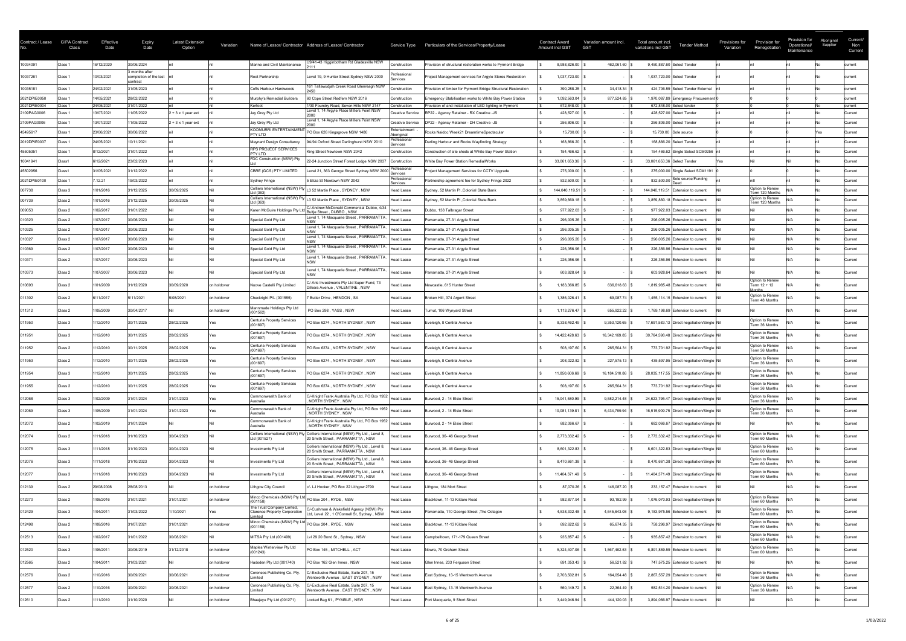| Contract / Lease            | <b>GIPA Contract</b><br>Class | Effective<br>Date        | <b>Expiry</b><br>Date                                | <b>Latest Extension</b><br>Option | Variation   |                                                                  | Name of Lessor/ Contractor Address of Lessor/ Contractor                              | Service Type                     | Particulars of the Services/Property/Lease                                                           | <b>Contract Award</b><br><b>Amount incl GST</b> | Variation amount incl.<br><b>GST</b> | Total amount incl.<br>variations incl GST | <b>Tender Method</b>                                                    | Provision for<br>Provisions for<br>Renegotiation<br>Variation | Provision for<br>Operational/<br>Maintenance | Aboriginal<br>Supplier | Current/<br>Non<br>Current |
|-----------------------------|-------------------------------|--------------------------|------------------------------------------------------|-----------------------------------|-------------|------------------------------------------------------------------|---------------------------------------------------------------------------------------|----------------------------------|------------------------------------------------------------------------------------------------------|-------------------------------------------------|--------------------------------------|-------------------------------------------|-------------------------------------------------------------------------|---------------------------------------------------------------|----------------------------------------------|------------------------|----------------------------|
| 10034091                    | Class 1                       | 6/12/2020                | 30/06/2024                                           |                                   |             | Marine and Civil Maintenance                                     | J9/41-43 Higginbotham Rd Gladesville NSW                                              | Construction                     | Provision of structural restoration works to Pyrmont Bridge                                          | 8,988,826.00                                    | 462,061.60                           | 9,450,887.60 Select Tender                |                                                                         |                                                               |                                              |                        | current                    |
| 10037261                    | Class 1                       | 0/03/2021                | 3 months after<br>completion of the last<br>contract |                                   |             | Root Partnership                                                 | Level 19, 9 Hunter Street Sydney NSW 2000                                             | Professional<br>Services         | Project Management services for Argyle Stores Restoration                                            | 1,037,723.00                                    |                                      | 1,037,723.00 Select Tender                |                                                                         |                                                               |                                              |                        | current                    |
| 10035181                    | Class 1                       | 24/02/2021               | 31/05/2023                                           |                                   |             | Coffs Harbour Hardwoods                                          | 161 Tallawudjah Creek Road Glenreagh NSW                                              | Construction                     | Provision of timber for Pyrmont Bridge Structural Restoration                                        | 390,288.25                                      | 34,418.34                            |                                           | 424,706.59 Select Tender External                                       |                                                               |                                              |                        | current                    |
| 2021DPIE0050                | Class 1                       | 14/05/2021               | 28/02/2022                                           |                                   |             | Murphy's Remedial Builders                                       | 60 Cope Street Redfern NSW 2016                                                       | Construction                     | Emergency Stabilisation works to White Bay Power Station                                             | 1,092,563.04                                    | 877,524.85                           |                                           | 1,970,087.89 Emergency Procurement                                      |                                                               |                                              |                        | current                    |
| 2021DPIE0004<br>2109PAG0006 | Class 1<br>Class 1            | 24/05/2021<br>13/07/2021 | 31/01/2022<br>11/05/2022                             | $2 + 3x 1$ year ext               |             | Kerfoot<br>Jay Grey Pty Ltd                                      | 1/30 Foundry Road, Seven Hills NSW 2147<br>Level 1, 14 Argyle Place Millers Point NSW | Construction<br>Creative Service | Provision of and installation of LED lighting in Pyrmont<br>RP22 - Agency Retainer - RX Creative -JS | 672,848.00<br>428,527.00                        |                                      |                                           | 672,848.00 Select tender<br>428,527.00 Select Tender                    |                                                               |                                              |                        | current<br>Current         |
| 2109PAG0006                 | Class 1                       | 13/07/2021               | 11/05/2022                                           | 2 + 3 x 1 year ext                |             | Jay Grey Pty Ltd                                                 | Level 1, 14 Argyle Place Millers Point NSW                                            | <b>Creative Service</b>          | DP22 - Agency Retainer - DH Creative -JS                                                             | 256,806.00                                      |                                      |                                           | 256,806.00 Select Tender                                                |                                                               |                                              |                        | Current                    |
| 45495617                    | Class 1                       | 23/06/2021               | 30/06/2022                                           |                                   |             | KOOMURRI ENTERTAINMENT<br><b>PTY LTD</b>                         | PO Box 626 Kingsgrove NSW 1480                                                        | Entertainment<br>Aboriginal      | Rocks Naidoc Week21 DreamtimeSpectacular                                                             | 15,730.00                                       |                                      | 15,730.00 Sole source                     |                                                                         |                                                               |                                              | res.                   | Current                    |
| 2019DPIE0037                | Class 1                       | 24/05/2021               | 10/11/2021                                           |                                   |             | laynard Design Consultancy                                       | 9A/94 Oxford Street Darlinghurst NSW 2010                                             | Professional<br>Services         | Darling Harbour and Rocks Wayfinding Strategy                                                        | 168,866.20                                      |                                      |                                           | 168,866.20 Select Tender                                                |                                                               |                                              |                        | Current                    |
| 45505351                    | Class 1                       | 3/12/2021                | 31/01/2022                                           |                                   |             | <b>RPS PROJECT SERVICES</b><br>PTY LTD                           | King Street Newtown NSW 2042                                                          | Construction                     | Construction of site sheds at White Bay Power Station                                                | 154,466.62                                      |                                      |                                           | 154,466.62 Single Select SCM0256                                        |                                                               |                                              |                        | Current                    |
| 10041941                    | Class1                        | 6/12/2021                | 23/02/2023                                           |                                   |             | FDC Construction (NSW) Pty                                       | 22-24 Junction Street Forest Lodge NSW 2037                                           | Construction<br>Professional     | White Bay Power Station RemedialWorks                                                                | 33,061,653.36                                   |                                      | 33,061,653.36 Select Tender               |                                                                         | res.                                                          |                                              |                        | Current                    |
| 45502956                    | Class1                        | 31/05/2021               | 31/12/2022                                           |                                   |             | CBRE (GCS) PTY LIMITED                                           | evel 21, 363 George Street Sydney NSW 2000                                            | Services<br>Professional         | Project Management Services for CCTV Upgrade                                                         | 275,000.00                                      |                                      |                                           | 275,000.00 Single Select SCM1191                                        |                                                               |                                              |                        | Current                    |
| 2021DPIE0100<br>007738      | Class 1<br>Class 3            | 12.21<br>/01/2016        | 19/03/2022<br>31/12/2025                             | 30/09/2025                        |             | <b>Sydney Fringe</b><br>Colliers International (NSW) Pty         | 5 Eliza St Newtown NSW 2042<br>L3 52 Martin Place, SYDNEY, NSW                        | Services<br><b>Head Lease</b>    | Partnership agreement fee for Sydney Fringe 2022<br>Sydney, 52 Martin PI, Colonial State Bank        | 832,500.00<br>144,040,119.51                    |                                      |                                           | $832,500.00$ Sole source/Funding<br>144,040,119.51 Extension to current | Option to Renew                                               |                                              |                        | Current<br>Current         |
| 007739                      | Class 2                       | 1/01/2016                | 31/12/2025                                           | 30/09/2025                        |             | td (363)<br>Colliers International (NSW) Pty                     | 13 52 Martin Place, SYDNEY, NSW                                                       | <b>Head Lease</b>                | Sydney, 52 Martin PI, Colonial State Bank                                                            | 3,859,860.18                                    |                                      |                                           | 3,859,860.18 Extension to current                                       | Term 120 Months<br>Option to Renew                            |                                              |                        | Current                    |
| 009053                      | Class 2                       | 1/02/2017                | 31/01/2022                                           |                                   |             | td (363)<br>Karen McGuire Holdings Pty                           | C/-Andrew McDonald Commercial Dubbo, 4/34<br>Bultje Street , DUBBO , NSW              | Head Lease                       | Dubbo, 138 Talbragar Street                                                                          | 977,922.03                                      |                                      |                                           | 977,922.03 Extension to current                                         | Term 120 Months                                               | IN/A                                         |                        | Current                    |
| 010323                      | Class 2                       | 07/2017<br>01720 L       | 30/06/2023                                           |                                   |             | Special Gold Pty Ltd                                             | Level 1, 74 Macquarie Street, PARRAMATTA,                                             | <b>Head Lease</b>                | Parramatta, 27-31 Argyle Street                                                                      | 296,005.26                                      |                                      |                                           | 296,005.26 Extension to current                                         |                                                               |                                              |                        | urrent                     |
| 010325                      | Class 2                       | /07/2017                 | 30/06/2023                                           |                                   |             | Special Gold Pty Ltd                                             | Level 1, 74 Macquarie Street, PARRAMATTA,                                             | <b>Head Lease</b>                | Parramatta, 27-31 Argyle Street                                                                      | 296,005.26                                      |                                      |                                           | 296,005.26 Extension to current                                         |                                                               | IN/A                                         |                        | Current                    |
| 010327                      | Class 2                       | /07/2017                 | 30/06/2023                                           |                                   |             | Special Gold Pty Ltd                                             | Level 1, 74 Macquarie Street, PARRAMATTA,                                             | <b>Head Lease</b>                | Parramatta, 27-31 Argyle Street                                                                      | 296,005.26                                      |                                      |                                           | 296,005.26 Extension to current                                         |                                                               | N/A                                          |                        | Current                    |
| 010369                      | Class 2                       | 1/07/2017                | 30/06/2023                                           |                                   |             | Special Gold Pty Ltd                                             | Level 1, 74 Macquarie Street, PARRAMATTA,                                             | <b>Head Lease</b>                | Parramatta, 27-31 Argyle Street                                                                      | 226,356.96                                      |                                      |                                           | 226,356.96 Extension to current                                         |                                                               | N/A                                          |                        | Current                    |
| 010371                      | Class 2                       | 1/07/2017                | 30/06/2023                                           |                                   |             | Special Gold Pty Ltd                                             | Level 1, 74 Macquarie Street, PARRAMATTA,                                             | <b>Head Lease</b>                | Parramatta, 27-31 Argyle Street                                                                      | 226,356.96                                      |                                      |                                           | 226,356.96 Extension to current                                         |                                                               | IN/A                                         |                        | Current                    |
| 010373                      | Class 2                       | 1/07/2007                | 30/06/2023                                           |                                   |             | Special Gold Pty Ltd                                             | Level 1, 74 Macquarie Street, PARRAMATTA,                                             | <b>Head Lease</b>                | Parramatta, 27-31 Argyle Street                                                                      | 603,928.64                                      |                                      |                                           | 603,928.64 Extension to current                                         |                                                               |                                              |                        | Current                    |
| 010693                      | Class 2                       | /01/2009                 | 31/12/2020                                           | 30/09/2020                        | on holdover | Nuove Castelli Pty Limited                                       | C/-Aris Investments Pty Ltd Super Fund, 73<br>Dilkera Avenue, VALENTINE, NSW          | Head Lease                       | Newcastle, 615 Hunter Street                                                                         | 1,183,366.85                                    | 636,618.63                           |                                           | 1,819,985.48 Extension to current                                       | Option to Renew<br>Term 12 + 12                               | IN/A                                         |                        | Current                    |
| 011302                      | Class 2                       | 6/11/2017                | 5/11/2021                                            | 5/08/2021                         | on holdover | Checkright P/L (001555)                                          | 7 Butler Drive, HENDON, SA                                                            | Head Lease                       | Broken Hill, 374 Argent Street                                                                       | 1,386,026.41                                    | 69,087.74                            |                                           | 1,455,114.15 Extension to current                                       | lonths.<br>Option to Renew<br>Term 48 Months                  |                                              |                        | Current                    |
| 011312                      | Class 2                       | /05/2009                 | 30/04/2017                                           |                                   | on holdover | Mannmade Holdings Pty Ltd<br>(001562)                            | PO Box 298, YASS, NSW                                                                 | Head Lease                       | Tumut, 106 Wynyard Street                                                                            | 1,113,276.47                                    | 655,922.22                           |                                           | 1,769,198.69 Extension to current                                       |                                                               |                                              |                        | Current                    |
| 011950                      | Class 3                       | /12/2010                 | 30/11/2025                                           | 28/02/2025                        |             | <b>Centuria Property Services</b>                                | PO Box 6274, NORTH SYDNEY, NSW                                                        | <b>Head Lease</b>                | Eveleigh, 8 Central Avenue                                                                           | 8,338,462.49                                    | 9,353,120.65                         |                                           | 17,691,583.13 Direct negotiation/Single Nil                             | Option to Renew<br>Term 36 Months                             |                                              |                        | Current                    |
| 011951                      | Class 3                       | /12/2010                 | 30/11/2025                                           | 28/02/2025                        |             | <b>Centuria Property Services</b><br>(001697)                    | PO Box 6274, NORTH SYDNEY, NSW                                                        | <b>Head Lease</b>                | Eveleigh, 8 Central Avenue                                                                           | 14,422,428.63                                   | 16,342,169.85                        |                                           | 30,764,598.48 Direct negotiation/Single Nil                             | Option to Renew<br>Term 36 Months                             |                                              |                        | Current                    |
| 011952                      | Class 2                       | 1/12/2010                | 30/11/2025                                           | 28/02/2025                        |             | <b>Centuria Property Services</b><br>(001697)                    | PO Box 6274, NORTH SYDNEY, NSW                                                        | Head Lease                       | Eveleigh, 8 Central Avenue                                                                           | 508,197.60                                      | 265,504.31                           |                                           | 773,701.92 Direct negotiation/Single Nil                                | Option to Renew<br>Term 36 Months                             |                                              |                        | Current                    |
| 011953                      | Class 2                       | /12/2010                 | 30/11/2025                                           | 28/02/2025                        |             | <b>Centuria Property Services</b><br>(001697)                    | PO Box 6274, NORTH SYDNEY, NSW                                                        | Head Lease                       | Eveleigh, 8 Central Avenue                                                                           | 208,022.82                                      | 227,575.13                           |                                           | 435,597.95 Direct negotiation/Single Nil                                | Option to Renew<br>Term 36 Months                             |                                              |                        | Current                    |
| 011954                      | Class 3                       | /12/2010                 | 30/11/2025                                           | 28/02/2025                        |             | <b>Centuria Property Services</b><br>(001697)                    | PO Box 6274, NORTH SYDNEY, NSW                                                        | Head Lease                       | Eveleigh, 8 Central Avenue                                                                           | 11,850,606.69                                   | 16,184,510.86                        |                                           | 28,035,117.55 Direct negotiation/Single Nil                             | Option to Renew<br>Term 36 Months                             |                                              |                        | Current                    |
| 011955                      | Class 2                       | /12/2010                 | 30/11/2025                                           | 28/02/2025                        |             | <b>Centuria Property Services</b><br>(001697)                    | PO Box 6274, NORTH SYDNEY, NSW                                                        | <b>Head Lease</b>                | Eveleigh, 8 Central Avenue                                                                           | 508,197.60                                      | 265,504.31 \$                        |                                           | 773,701.92 Direct negotiation/Single Nil                                | Option to Renew<br>Term 36 Months                             |                                              |                        | Current                    |
| 012068                      | Class 3                       | 1/02/2009                | 31/01/2024                                           | 31/01/2023                        |             | Commonwealth Bank of<br>\ustralia                                | C/-Knight Frank Australia Pty Ltd, PO Box 1952 Head Lease<br>NORTH SYDNEY, NSW        |                                  | Burwood, 2 - 14 Elsie Street                                                                         | 15,041,580.99                                   | 9,582,214.48                         |                                           | 24,623,795.47 Direct negotiation/Single Nil                             | Option to Renew<br>Term 36 Months                             |                                              |                        | Current                    |
|                             | Class 3                       | /05/2009                 | 31/01/2024                                           | 31/01/2023                        |             | Commonwealth Bank of<br>Australia                                | C/-Knight Frank Australia Pty Ltd, PO Box 1952  Head Lease<br>NORTH SYDNEY, NSW       |                                  | Burwood, 2 - 14 Elsie Street                                                                         | 10,081,139.81                                   | $6,434,769.94$ \$                    |                                           | 16,515,909.75 Direct negotiation/Single Nil                             | Option to Renew<br>Term 36 Months                             |                                              |                        | Current                    |
| 012072                      | Class 2                       | 1/02/2019                | 31/01/2024                                           |                                   |             | Commonwealth Bank of<br>∖ustralia                                | C/-Knight Frank Australia Pty Ltd, PO Box 1952 Head Lease<br>NORTH SYDNEY, NSW        |                                  | Burwood, 2 - 14 Elsie Street                                                                         | 682,066.67                                      |                                      |                                           | 682,066.67 Direct negotiation/Single Nil                                |                                                               | IN/A                                         |                        | Current                    |
| 012074                      | Class 2                       | /11/2018                 | 31/10/2023                                           | 30/04/2023                        |             | Colliers International (NSW) Pt<br>td (001527)                   | Colliers International (NSW) Pty Ltd, Level 8,<br>20 Smith Street, PARRAMATTA, NSW    | Head Lease                       | Burwood, 36-46 George Street                                                                         | 2,773,332.42                                    |                                      |                                           | 2,773,332.42 Direct negotiation/Single Nil                              | Option to Renew<br>Term 60 Months                             |                                              |                        | Current                    |
| 012075                      | Class 3                       | /11/2018                 | 31/10/2023                                           | 30/04/2023                        |             | Investments Pty Ltd                                              | Colliers International (NSW) Pty Ltd, Level 8,                                        | <b>Head Lease</b>                | Burwood, 36-46 George Street                                                                         | 8,601,322.83                                    |                                      |                                           | 8,601,322.83 Direct negotiation/Single Nil                              | Option to Renew                                               |                                              |                        | Current                    |
| 012076                      | Class 3                       | /11/2018                 | 31/10/2023                                           | 30/04/2023                        |             | Investments Pty Ltd                                              | 20 Smith Street, PARRAMATTA, NSW<br>Colliers International (NSW) Pty Ltd, Level 8,    | Head Lease                       | Burwood, 36-46 George Street                                                                         | 8,470,661.38                                    |                                      |                                           | 8,470,661.38 Direct negotiation/Single Nil                              | Term 60 Months<br>Option to Renew                             |                                              |                        | Current                    |
| 012077                      | Class 3                       | /11/2018                 | 31/10/2023                                           | 30/04/2023                        |             | Investments Pty Ltd                                              | 20 Smith Street, PARRAMATTA, NSW<br>Colliers International (NSW) Pty Ltd, Level 8,    | Head Lease                       | Burwood, 36-46 George Street                                                                         | 11,404,371.49                                   |                                      |                                           | 11,404,371.49 Direct negotiation/Single Nil                             | Term 60 Months<br>Option to Renew                             |                                              |                        | Current                    |
| 012139                      | Class 2                       | 29/08/2008               | 28/08/2013                                           |                                   | on holdover | Lithgow City Council                                             | 20 Smith Street, PARRAMATTA, NSW<br>c/- LJ Hooker, PO Box 22 Lithgow 2790             | <b>Head Lease</b>                | Lithgow, 184 Mort Street                                                                             | 87,070.26                                       | 146,087.20   \$                      |                                           | 233,157.47 Extension to current                                         | Term 60 Months                                                |                                              |                        | Current                    |
| 012270                      | Class 2                       | 1/08/2016                | 31/07/2021                                           | 31/01/2021                        | on holdover | [Minco Chemicals (NSW) Pty Ltd PO Box 204, RYDE, NSW             |                                                                                       | <b>Head Lease</b>                | Blacktown, 11-13 Kildare Road                                                                        | 982,877.94                                      | 93,192.99                            |                                           | 1,076,070.93 Direct negotiation/Single Nil                              | Option to Renew                                               |                                              |                        | Current                    |
|                             |                               |                          |                                                      |                                   |             | The Trust Company Limted,                                        | C/-Cushman & Wakefield Agency (NSW) Pty                                               |                                  |                                                                                                      |                                                 |                                      |                                           |                                                                         | Term 60 Months<br>Option to Renew                             |                                              |                        |                            |
| 012429                      | Class 3                       | 1/04/2011                | 31/03/2022                                           | /10/2021                          |             | <b>Clarence Property Corporation</b>                             | Ltd, Level 22, 1 O'Connell St, Sydney, NSW                                            | Head Lease                       | Parramatta, 110 George Street, The Octagon                                                           | 4,538,332.48                                    | 4,645,643.08                         |                                           | 9,183,975.56 Extension to current                                       | Term 60 Months                                                |                                              |                        | Current                    |
| 012498                      | Class 2                       | 1/08/2016                | 31/07/2021                                           | 31/01/2021                        | on holdover | [Minco Chemicals (NSW) Pty Ltd PO Box 204, RYDE, NSW<br>(001158) |                                                                                       | <b>Head Lease</b>                | Blacktown, 11-13 Kildare Road                                                                        | 692,622.62                                      | 65,674.35                            |                                           | 758,296.97 Direct negotiation/Single Nil                                | Option to Renew<br>Term 60 Months                             |                                              |                        | Current                    |
| 012513                      | Class 2                       | 1/02/2017                | 31/01/2022                                           | 30/08/2021                        |             | MITSA Pty Ltd (001499)                                           | Lvl 29 20 Bond St, Sydney, NSW                                                        | <b>Head Lease</b>                | Campbelltown, 171-179 Queen Street                                                                   | 935,857.42                                      |                                      |                                           | 935,857.42 Extension to current                                         | Option to Renew<br>Term 60 Months                             |                                              |                        | Current                    |
| 012520                      | Class 3                       | 1/06/2011                | 30/06/2019                                           | 31/12/2018                        | on holdover | Maples Winterview Pty Ltd<br>(001243)                            | PO Box 145, MITCHELL, ACT                                                             | Head Lease                       | Nowra, 70 Graham Street                                                                              | 5,324,407.06                                    | 1,567,462.53                         |                                           | 6,891,869.59 Extension to current                                       | Option to Renew<br>Term 60 Months                             |                                              |                        | Current                    |
| 012565                      | Class 2                       | 1/04/2011                | 31/03/2021                                           |                                   | on holdover | Hadoden Pty Ltd (001740)                                         | PO Box 162 Glen Innes, NSW                                                            | <b>Head Lease</b>                | Glen Innes, 233 Ferguson Street                                                                      | 691,053.43                                      | $56,521.82$ \$                       |                                           | 747,575.25 Extension to current                                         |                                                               | IN/A                                         |                        | <b>Current</b>             |
| 012576                      | Class 2                       | /10/2016                 | 30/09/2021                                           | 30/06/2021                        | on holdover | Coroneos Publishing Co. Pty.<br>imited                           | C/-Exclusive Real Estate, Suite 207, 15<br>Wentworth Avenue, EAST SYDNEY, NSW         | Head Lease                       | East Sydney, 13-15 Wentworth Avenue                                                                  | 2,703,502.81                                    | 164,054.48                           |                                           | 2,867,557.29 Extension to current                                       | Option to Renew<br>Term 36 Months                             |                                              |                        | Current                    |
| 012577                      | Class 2                       | /10/2016                 | 30/09/2021                                           | 30/06/2021                        | on holdover | Coroneos Publishing Co. Pty.<br>imited                           | C/-Exclusive Real Estate, Suite 207, 15<br>Wentworth Avenue, EAST SYDNEY, NSW         | Head Lease                       | East Sydney, 13-15 Wentworth Avenue                                                                  | 560,149.72                                      | 22,364.49                            |                                           | 582,514.20 Extension to current                                         | Option to Renew<br>Term 36 Months                             |                                              |                        | Current                    |
| 012610                      | Class 2                       | /11/2010                 | 31/10/2020                                           |                                   | on holdover | Bhaajayu Pty Ltd (001271)                                        | Locked Bag 61, PYMBLE, NSW                                                            | Head Lease                       | Port Macquarie, 9 Short Street                                                                       | 3,449,946.94                                    | $444,120.03$ \$                      |                                           | 3,894,066.97 Extension to current                                       |                                                               |                                              |                        | Current                    |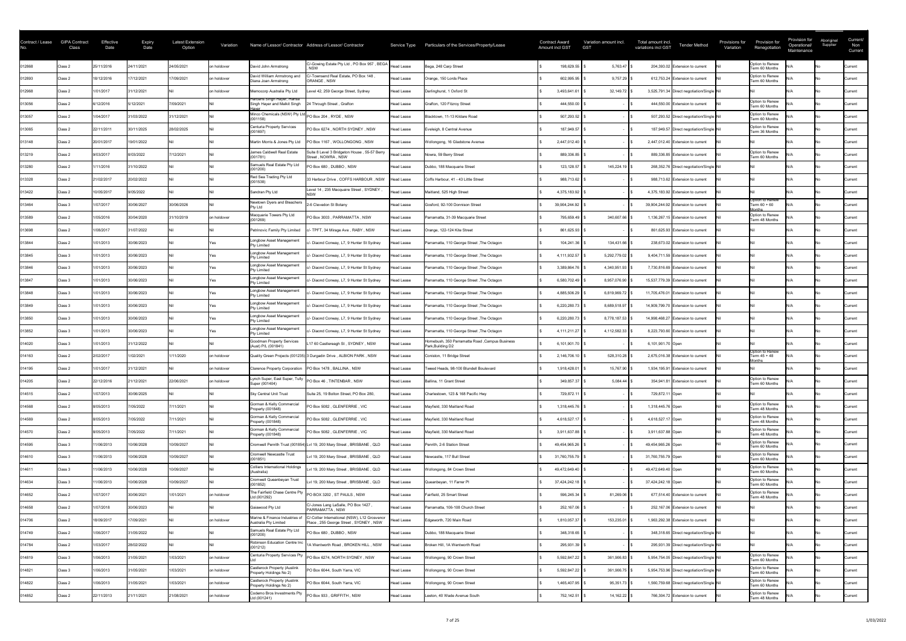| Contract / Lease | <b>GIPA Contract</b><br>Class | Effective<br>Date | <b>Expiry</b><br>Date | <b>Latest Extension</b><br>Option | Variation   |                                                                 | Name of Lessor/ Contractor Address of Lessor/ Contractor                               |                   | Service Type  Particulars of the Services/Property/Lease            | <b>Contract Award</b><br><b>Amount incl GST</b> |               | Variation amount incl.<br><b>GST</b> | Total amount incl.<br><b>Tender Method</b><br>variations incl GST | Provisions for<br>Variation | Provision for<br>Renegotiation                   | Provision for<br>Operational/<br>Maintenance | Aboriginal<br>Supplier | Current/<br>Non<br>Current |
|------------------|-------------------------------|-------------------|-----------------------|-----------------------------------|-------------|-----------------------------------------------------------------|----------------------------------------------------------------------------------------|-------------------|---------------------------------------------------------------------|-------------------------------------------------|---------------|--------------------------------------|-------------------------------------------------------------------|-----------------------------|--------------------------------------------------|----------------------------------------------|------------------------|----------------------------|
| 012868           | Class 2                       | 25/11/2016        | 24/11/2021            | 24/05/2021                        | on holdover | David John Armstrong                                            | C/-Gowing Estate Pty Ltd, PO Box 957, BEGA Head Lease<br><b>NSW</b>                    |                   | Bega, 248 Carp Street                                               |                                                 | 198,629.55    | $5,763.47$ \$                        | 204,393.02 Extension to current                                   |                             | Option to Renew<br>Term 60 Months                |                                              |                        | Current                    |
| 012893           | Class 2                       | 18/12/2016        | 17/12/2021            | 17/09/2021                        | on holdover | David William Armstrong and<br>Diana Joan Armstrong             | :/-Townsend Real Estate, PO Box 148,<br>ORANGE, NSW                                    | <b>Head Lease</b> | Orange, 150 Lords Place                                             |                                                 | 602,995.95    | $9,757.29$ \$                        | 612,753.24 Extension to current                                   |                             | Option to Renew<br>Term 60 Months                |                                              |                        | Current                    |
| 012968           | Class 2                       | 1/01/2017         | 31/12/2021            |                                   | on holdover | Memocorp Australia Pty Ltd                                      | Level 42, 259 George Street, Sydney                                                    | <b>Head Lease</b> | Darlinghurst, 1 Oxford St                                           |                                                 | 3,493,641.61  | 32,149.72                            | 3,525,791.34 Direct negotiation/Single Nil                        |                             |                                                  |                                              |                        | <b>Current</b>             |
| 013056           | Class 2                       | 6/12/2016         | 5/12/2021             | 7/09/2021                         |             | Harbans Singh Hayer, Hansa<br>Singh Hayer and Malkit Singh      | 24 Through Street, Grafton                                                             | <b>Head Lease</b> | Grafton, 120 Fitzroy Street                                         |                                                 | 444,550.00    |                                      | 444,550.00 Extension to current                                   |                             | Option to Renew<br>Term 60 Months                |                                              |                        | <b>Current</b>             |
| 013057           | Class 2                       | 1/04/2017         | 31/03/2022            | 31/12/2021                        |             | Minco Chemicals (NSW) Pty Ltd PO Box 204, RYDE, NSW<br>(001158) |                                                                                        | <b>Head Lease</b> | Blacktown, 11-13 Kildare Road                                       |                                                 | 507,293.52    |                                      | 507,293.52 Direct negotiation/Single Nil                          |                             | Option to Renew<br>Term 60 Months                |                                              |                        | Current                    |
| 013065           | Class 2                       | 22/11/2011        | 30/11/2025            | 28/02/2025                        |             | <b>Centuria Property Services</b><br>(001697)                   | PO Box 6274, NORTH SYDNEY, NSW                                                         | Head Lease        | Eveleigh, 8 Central Avenue                                          |                                                 | 187,949.57    |                                      | 187,949.57 Direct negotiation/Single Nil                          |                             | Option to Renew<br>Term 36 Months                |                                              |                        | <b>Current</b>             |
| 013148           | Class 2                       | 20/01/2017        | 19/01/2022            |                                   |             | Martin Morris & Jones Pty Ltd                                   | PO Box 1167, WOLLONGONG, NSW                                                           | <b>Head Lease</b> | Wollongong, 16 Gladstone Avenue                                     |                                                 | 2,447,012.40  |                                      | 2,447,012.40 Extension to current                                 |                             |                                                  |                                              |                        | Current                    |
| 013219           | Class 2                       | 9/03/2017         | 8/03/2022             | /12/2021                          |             | James Caldwell Real Estate<br>(001781)                          | Suite 8 Level 3 Bridgeton House, 55-57 Berry<br>Street, NOWRA, NSW                     | Head Lease        | Nowra, 59 Berry Street                                              |                                                 | 889,336.85    |                                      | 889.336.85 Extension to current                                   |                             | Option to Renew<br>Term 60 Months                |                                              |                        | <b>Current</b>             |
| 013280           | Class 2                       | /11/2016          | 31/10/2022            |                                   |             | Samuels Real Estate Pty Ltd<br>(001200)                         | PO Box 680, DUBBO, NSW                                                                 | Head Lease        | Dubbo, 188 Macquarie Street                                         |                                                 | 123,128.57    | 145,224.19 \$                        | 268,352.76 Direct negotiation/Single Nil                          |                             |                                                  |                                              |                        | <b>Current</b>             |
| 013328           | Class 2                       | 21/02/2017        | 20/02/2022            |                                   |             | Red Sea Trading Pty Ltd<br>(001538)                             | 33 Harbour Drive, COFFS HARBOUR, NSW                                                   | Head Lease        | Coffs Harbour, 41 - 43 Little Street                                |                                                 | 988,713.62    |                                      | 988,713.62 Extension to current                                   |                             |                                                  |                                              |                        | Current                    |
| 013422           | Class 2                       | 10/05/2017        | 9/05/2022             |                                   |             | Sandran Pty Ltd                                                 | Level 14, 235 Macquaire Street, SYDNEY,                                                | <b>Head Lease</b> | Maitland, 525 High Street                                           |                                                 | 4,375,183.92  |                                      | 4,375,183.92 Extension to current                                 |                             |                                                  |                                              |                        | Current                    |
| 013464           | Class 3                       | 1/07/2017         | 30/06/2027            | 30/06/2026                        |             | Newtown Dyers and Bleachers<br>Pty Ltd                          | 2-6 Clevedon St Botany                                                                 | Head Lease        | Gosford, 92-100 Donnison Street                                     |                                                 | 39,904,244.92 |                                      | 39,904,244.92 Extension to current                                |                             | <b>Option to Renew</b><br>Term 60 + 60<br>lonths |                                              |                        | <b>Current</b>             |
| 013589           | Class 2                       | 1/05/2016         | 30/04/2020            | 31/10/2019                        | on holdover | Macquarie Towers Pty Ltd<br>(001269)                            | PO Box 3003, PARRAMATTA, NSW                                                           | Head Lease        | Parramatta, 31-39 Macquarie Street                                  |                                                 | 795,659.49    | $340,607.66$ \$                      | 1,136,267.15 Extension to current                                 |                             | Option to Renew<br>Term 48 Months                |                                              |                        | <b>Current</b>             |
| 013698           | Class 2                       | 1/08/2017         | 31/07/2022            |                                   |             | Petrinovic Family Pty Limited                                   | c/- TPFT, 34 Mirage Ave, RABY, NSW                                                     | Head Lease        | Orange, 122-124 Kite Street                                         |                                                 | 861,625.93    |                                      | 861,625.93 Extension to current                                   |                             |                                                  |                                              |                        | <b>Current</b>             |
| 013844           | Class 2                       | 1/01/2013         | 30/06/2023            |                                   |             | Longbow Asset Management<br>Pty Limited                         | c/- Diaond Conway, L7, 9 Hunter St Sydney                                              | <b>Head Lease</b> | Parramatta, 110 George Street, The Octagon                          |                                                 | 104,241.36    | 134,431.66                           | 238,673.02 Extension to current                                   |                             |                                                  |                                              |                        | Current                    |
| 013845           | Class 3                       | 1/01/2013         | 30/06/2023            |                                   |             | Longbow Asset Management<br><b>Pty Limited</b>                  | c/- Diaond Conway, L7, 9 Hunter St Sydney                                              | Head Lease        | Parramatta, 110 George Street, The Octagon                          |                                                 | 4,111,932.57  | 5,292,779.02                         | 9,404,711.59 Extension to current                                 |                             |                                                  |                                              |                        | Current                    |
| 013846           | Class 3                       | 1/01/2013         | 30/06/2023            |                                   |             | Longbow Asset Management<br>Pty Limited                         | c/- Diaond Conway, L7, 9 Hunter St Sydney                                              | <b>Head Lease</b> | Parramatta, 110 George Street, The Octagon                          |                                                 | 3,389,864.76  | 4,340,951.93                         | 7,730,816.69 Extension to current                                 |                             |                                                  |                                              |                        | Current                    |
| 013847           | Class 3                       | 1/01/2013         | 30/06/2023            |                                   |             | Longbow Asset Management<br>Pty Limited                         | c/- Diaond Conway, L7, 9 Hunter St Sydney                                              | <b>Head Lease</b> | Parramatta, 110 George Street, The Octagon                          |                                                 | 6,580,702.49  | 8,957,076.90                         | 15,537,779.39 Extension to current                                |                             |                                                  |                                              |                        | <b>Current</b>             |
| 013848           | Class 3                       | 1/01/2013         | 30/06/2023            |                                   |             | Longbow Asset Management<br><b>Pty Limited</b>                  | c/- Diaond Conway, L7, 9 Hunter St Sydney                                              | Head Lease        | Parramatta, 110 George Street, The Octagon                          |                                                 | 4,885,506.29  | 6,819,969.72                         | 11,705,476.01 Extension to current                                |                             |                                                  |                                              |                        | <b>Current</b>             |
| 013849           | Class 3                       | 1/01/2013         | 30/06/2023            |                                   |             | Longbow Asset Management<br>Pty Limited                         | c/- Diaond Conway, L7, 9 Hunter St Sydney                                              | Head Lease        | Parramatta, 110 George Street, The Octagon                          |                                                 | 6,220,280.73  | 8,689,518.97                         | 14,909,799.70 Extension to current                                |                             |                                                  |                                              |                        | Current                    |
| 013850           | Class 3                       | 1/01/2013         | 30/06/2023            |                                   |             | Longbow Asset Management<br><b>Pty Limited</b>                  | /- Diaond Conway, L7, 9 Hunter St Sydney                                               | Head Lease        | Parramatta, 110 George Street, The Octagon                          |                                                 | 6,220,280.73  | 8,778,187.53                         | 14,998,468.27 Extension to current                                |                             |                                                  |                                              |                        | Current                    |
| 013852           | Class 3                       | 1/01/2013         | 30/06/2023            |                                   |             | Longbow Asset Management<br>Pty Limited                         | c/- Diaond Conway, L7, 9 Hunter St Sydney                                              | <b>Head Lease</b> | Parramatta, 110 George Street, The Octagon                          |                                                 | 4,111,211.27  | 4,112,582.33                         | 8,223,793.60 Extension to current                                 |                             |                                                  |                                              |                        | <b>Current</b>             |
| 014020           | Class 3                       | 1/01/2013         | 31/12/2022            |                                   |             | <b>Goodman Property Services</b><br>Aust) P/L (001841)          | L17 60 Castlereagh St, SYDNEY, NSW                                                     | <b>Head Lease</b> | Homebush, 350 Parramatta Road, Campus Business<br>Park, Building D2 |                                                 | 6,101,901.70  |                                      | 6,101,901.70 Open                                                 |                             |                                                  |                                              |                        | Current                    |
| 014163           | Class 2                       | 2/02/2017         | 1/02/2021             | 1/11/2020                         | on holdover |                                                                 | Quality Green Projects (001235) 3 Durgadin Drive, ALBION PARK, NSW                     | Head Lease        | Coniston, 11 Bridge Street                                          |                                                 | 2,146,706.10  | 528,310.28 \$                        | 2,675,016.38 Extension to current                                 |                             | Option to Renew<br>Term 45 + 48<br>lonths        |                                              |                        | Current                    |
| 014195           | Class 2                       | 1/01/2017         | 31/12/2021            |                                   | on holdover |                                                                 | Clarence Property Corporation   PO Box 1478, BALLINA, NSW                              | <b>Head Lease</b> | Tweed Heads, 98-100 Blundell Boulevard                              |                                                 | 1,918,428.01  | 15,767.90 \$                         | 1,934,195.91 Extension to current                                 |                             |                                                  |                                              |                        | <b>Current</b>             |
| 014205           | Class 2                       | 22/12/2016        | 21/12/2021            | 22/06/2021                        | on holdover | Super (001404)                                                  |                                                                                        | Head Lease        | Ballina, 11 Grant Street                                            |                                                 | 349,857.37    | $5,084.44$ \ \ \$                    | 354,941.81 Extension to current                                   |                             | Option to Renew<br>Term 60 Months                |                                              |                        | Current                    |
| 014515           | Class 2                       | 1/07/2013         | 30/06/2025            |                                   |             | Sky Central Unit Trust                                          | Suite 25, 19 Bolton Street, PO Box 280,                                                | Head Lease        | Charlestown, 123 & 168 Pacific Hwy                                  |                                                 | 729,872.11    |                                      | 729,872.11 Open                                                   |                             |                                                  |                                              |                        | Current                    |
| 014568           | Class 2                       | 8/05/2013         | 7/05/2022             | 7/11/2021                         |             | Gorman & Kelly Commercial<br>Property (001848)                  | PO Box 5082, GLENFERRIE, VIC                                                           | <b>Head Lease</b> | Mayfield, 330 Maitland Road                                         |                                                 | 1,318,445.76  |                                      | 1,318,445.76 Open                                                 |                             | Option to Renew<br>Term 48 Months                |                                              |                        | <b>Current</b>             |
| 014569           | Class 2                       | 8/05/2013         | 7/05/2022             | /11/2021                          |             | Gorman & Kelly Commercial<br>Property (001848)                  | PO Box 5082, GLENFERRIE, VIC                                                           | <b>Head Lease</b> | Mayfield, 330 Maitland Road                                         |                                                 | 4,618,527.17  |                                      | 4,618,527.17 Open                                                 |                             | Option to Renew<br>Term 48 Months                |                                              |                        | Current                    |
| 014570           | Class 2                       | 8/05/2013         | 7/05/2022             | 7/11/2021                         |             | Gorman & Kelly Commercial<br>Property (001848)                  | PO Box 5082, GLENFERRIE, VIC                                                           | <b>Head Lease</b> | Mayfield, 330 Maitland Road                                         |                                                 | 3,911,637.88  |                                      | 3,911,637.88 Open                                                 |                             | Option to Renew<br>Term 48 Months                |                                              |                        | <b>Current</b>             |
| 014595           | Class 3                       | 1/06/2013         | 10/06/2028            | 10/09/2027                        |             |                                                                 | Cromwell Penrith Trust (001854) Lvl 19, 200 Mary Street, BRISBANE, QLD                 | <b>Head Lease</b> | Penrith, 2-6 Station Street                                         |                                                 | 49,454,965.26 |                                      | 49,454,965.26 Open                                                |                             | Option to Renew<br>Term 60 Months                |                                              |                        | <b>Current</b>             |
| 014610           | Class 3                       | 1/06/2013         | 10/06/2028            | 10/09/2027                        |             | <b>Cromwell Newcastle Trust</b><br>(001851)                     | Lvl 19, 200 Mary Street, BRISBANE, QLD                                                 | <b>Head Lease</b> | Newcastle, 117 Bull Street                                          |                                                 | 31,760,755.79 |                                      | 31,760,755.79 Open                                                |                             | Option to Renew<br>Term 60 Months                |                                              |                        | Current                    |
| 014611           | Class 3                       | 1/06/2013         | 10/06/2028            | 10/09/2027                        |             | <b>Colliers International Holdings</b><br>(Australia)           | Lvl 19, 200 Mary Street, BRISBANE, QLD                                                 | <b>Head Lease</b> | Wollongong, 84 Crown Street                                         |                                                 | 49,472,649.40 |                                      | 49,472,649.40 Open                                                |                             | Option to Renew<br>Term 60 Months                |                                              |                        | Current                    |
| 014634           | Class 3                       | 1/06/2013         | 10/06/2028            | 10/09/2027                        |             | Cromwell Queanbeyan Trust<br>(001852)                           | Lvl 19, 200 Mary Street, BRISBANE, QLD                                                 | <b>Head Lease</b> | Queanbeyan, 11 Farrer Pl                                            |                                                 | 37,424,242.18 |                                      | 37,424,242.18 Open                                                |                             | Option to Renew<br>Term 60 Months                |                                              |                        | <b>Current</b>             |
| 014652           | Class 2                       | 1/07/2017         | 30/06/2021            | 1/01/2021                         | on holdover | The Fairfield Chase Centre Pty<br>Ltd (001292)                  | PO BOX 3202, ST PAULS, NSW                                                             | <b>Head Lease</b> | Fairfield, 25 Smart Street                                          |                                                 | 596,245.34    | 81,269.06                            | 677,514.40 Extension to current                                   |                             | Option to Renew<br>Term 48 Months                |                                              |                        | <b>Current</b>             |
| 014658           | Class 2                       | /07/2018          | 30/06/2023            |                                   |             | Gaiawood Pty Ltd                                                | C/-Jones Lang LaSalle, PO Box 1427<br>PARRAMATTA, NSW                                  | <b>Head Lease</b> | Parramatta, 106-108 Church Street                                   |                                                 | 252,167.06    |                                      | 252,167.06 Extension to current                                   |                             |                                                  |                                              |                        | Current                    |
| 014706           | Class 2                       | 18/09/2017        | 17/09/2021            |                                   | on holdover | Marine & Finance Industries of<br>Australia Pty Limited         | C/-Collier International (NSW), L12 Grosvenor<br>Place, 255 George Street, SYDNEY, NSW | Head Lease        | Edgeworth, 720 Main Road                                            |                                                 | 1,810,057.37  | 153,235.01                           | 1,963,292.38 Extension to current                                 |                             |                                                  |                                              |                        | Current                    |
| 014749           | Class 2                       | 1/06/2017         | 31/05/2022            |                                   |             | Samuels Real Estate Pty Ltd<br>(001200)                         | PO Box 680, DUBBO, NSW                                                                 | <b>Head Lease</b> | Dubbo, 188 Macquarie Street                                         |                                                 | 348,318.65    |                                      | 348,318.65 Direct negotiation/Single Nil                          |                             |                                                  |                                              |                        | <b>Current</b>             |
| 014784           | Class 2                       | 1/03/2017         | 28/02/2022            |                                   |             | Robinson Education Centre Inc<br>(001212)                       | 1A Wentworth Road, BROKEN HILL, NSW                                                    | Head Lease        | Broken Hill, 1A Wentworth Road                                      |                                                 | 295,931.39    |                                      | 295,931.39 Direct negotiation/Single Nil                          |                             |                                                  |                                              |                        | <b>Current</b>             |
| 014819           | Class 3                       | 1/06/2013         | 31/05/2021            | 1/03/2021                         | on holdover |                                                                 | Centuria Property Services Pty  PO Box 6274, NORTH SYDNEY, NSW                         | Head Lease        | Wollongong, 90 Crown Street                                         |                                                 | 5,592,847.22  | 361,906.83                           | 5,954,754.05 Direct negotiation/Single Nil                        |                             | Option to Renew<br>Term 60 Months                |                                              |                        | Current                    |
| 014821           | Class 3                       | 1/06/2013         | 31/05/2021            | 1/03/2021                         | on holdover | <b>Castlerock Property (Auslink</b><br>Property Holdings No 2)  | PO Box 6044, South Yarra, VIC                                                          | Head Lease        | Wollongong, 90 Crown Street                                         |                                                 | 5,592,847.22  | 361,906.75                           | 5,954,753.96 Direct negotiation/Single Nil                        |                             | Option to Renew<br>Term 60 Months                |                                              |                        | <b>Current</b>             |
| 014822           | Class 2                       | 1/06/2013         | 31/05/2021            | 1/03/2021                         | on holdover | Castlerock Property (Auslink<br>Property Holdings No 2)         | PO Box 6044, South Yarra, VIC                                                          | Head Lease        | Wollongong, 90 Crown Street                                         |                                                 | 1,465,407.95  | 95,351.73                            | 1,560,759.68 Direct negotiation/Single Nil                        |                             | Option to Renew<br>Term 60 Months                |                                              |                        | <b>Current</b>             |
| 014852           | Class 2                       | 22/11/2013        | 21/11/2021            | 21/08/2021                        | on holdover | Codemo Bros Investments Pty<br>Ltd (001241)                     | PO Box 933, GRIFFITH, NSW                                                              | Head Lease        | Leeton, 40 Wade Avenue South                                        |                                                 | 752,142.51    | $14,162.22$ \ \$                     | 766,304.72 Extension to current                                   |                             | Option to Renew<br>Term 48 Months                |                                              |                        | Current                    |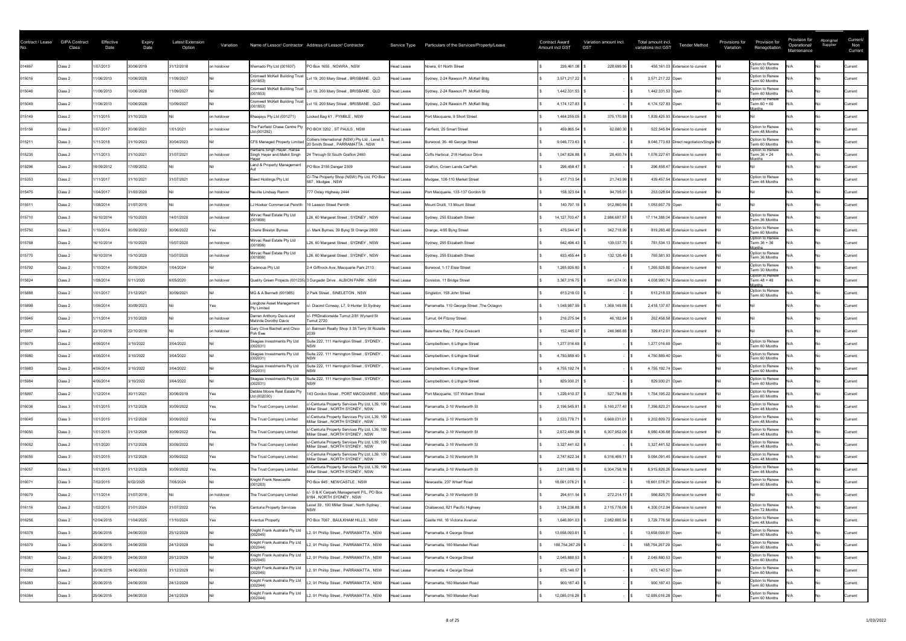| Option to Renew<br>014867<br>1/07/2013<br>30/06/2019<br>31/12/2018<br>PO Box 1655, NOWRA, NSW<br>226,461.08<br>Wernado Pty Ltd (001607)<br>Nowra, 61 North Street<br>228,699.95<br>455,161.03 Extension to current<br>on holdover<br>Class 2<br><b>Head Lease</b><br><b>Current</b><br>Term 60 Months<br>Option to Renew<br><b>Cromwell McKell Building Trust</b><br>10/06/2028<br>015016<br>1/06/2013<br>1/09/2027<br>Lvl 19, 200 Mary Street, BRISBANE, QLD<br>Sydney, 2-24 Rawson PI, McKell Bldg<br>3,571,217.22<br>3,571,217.22 Open<br>Class 2<br><b>Head Lease</b><br>Current<br>(001853)<br>Term 60 Months<br><b>Cromwell McKell Building Trust</b><br>Option to Renew<br>Lvl 19, 200 Mary Street, BRISBANE, QLD<br>015046<br>10/06/2028<br>1/09/2027<br>1/06/2013<br>Sydney, 2-24 Rawson PI, McKell Bldg<br>1,442,331.53<br>1,442,331.53 Open<br>Class 2<br><b>Head Lease</b><br><b>Current</b><br>(001853)<br>Term 60 Months<br>Option to Renew<br><b>Cromwell McKell Building Trust</b><br>1/06/2013<br>10/06/2028<br>Lvl 19, 200 Mary Street, BRISBANE, QLD<br>015049<br>10/09/2027<br>Sydney, 2-24 Rawson PI, McKell Bldg<br>4,174,127.83<br>4,174,127.83 Open<br>Term 60 + 60<br><b>Head Lease</b><br>Class 2<br><b>Current</b><br>(001853)<br>onths<br>Locked Bag 61, PYMBLE, NSW<br>Port Macquarie, 9 Short Street<br>015149<br>/11/2015<br>31/10/2020<br>1,464,255.05<br>375,170.88<br>1,839,425.93 Extension to current<br>Class 2<br>on holdover<br>Bhaajayu Pty Ltd (001271)<br><b>Head Lease</b><br><b>Current</b><br>The Fairfield Chase Centre Pty<br>Option to Renew<br>1/07/2017<br>30/06/2021<br>1/01/2021<br>PO BOX 3202, ST PAULS, NSW<br>015156<br>on holdover<br>Fairfield, 25 Smart Street<br>459,865.54<br>62,680.30<br>522,545.84 Extension to current<br>Class 2<br>Head Lease<br>Current<br>Ltd (001292)<br>Term 48 Months<br>Colliers International (NSW) Pty Ltd, Level 8,<br>Option to Renew<br>30/04/2023<br>Burwood, 36-46 George Street<br>015211<br>1/11/2018<br>31/10/2023<br>CFS Managed Property Limite<br>9,046,773.63<br>9,046,773.63 Direct negotiation/Single Nil<br>Class 3<br><b>Head Lease</b><br>Current<br>20 Smith Street, PARRAMATTA, NSW<br>Term 60 Months<br>Harbans Singh Hayer, Hansa<br>Option to Renew<br>/11/2013<br>015235<br>31/10/2021<br>31/07/2021<br>1,047,826.88<br>28,400.74<br>Class 2<br>on holdover<br>Singh Hayer and Malkit Singh<br>24 Through St South Grafton 2460<br><b>Head Lease</b><br>Coffs Harbour, 218 Harbour Drive<br>1,076,227.61 Extension to current<br>Term 36 + 24<br><b>Current</b><br>lonths<br>Land & Property Management<br>PO Box 2155 Dangar 2309<br>015296<br>17/09/2032<br>18/09/2012<br>Grafton, Crown Lands CarPark<br>296,458.47<br>Class 2<br><b>Head Lease</b><br>296,458.47 Extension to current<br><b>Current</b><br>C/-The Property Shop (NSW) Pty Ltd, PO Box<br>Option to Renew<br>/11/2017<br>31/10/2021<br>417,713.54<br>015353<br>31/07/2021<br><b>Bawd Holdings Pty Ltd</b><br>Mudgee, 108-110 Market Street<br>21,743.99<br>439,457.54 Extension to current<br>on holdover<br>Class 2<br>Head Lease<br>Current<br>587, Mudgee, NSW<br>Term 48 Months<br>015475<br>1/04/2017<br>31/03/2020<br>Port Macquarie, 133-137 Gordon St<br>158,323.64<br>$94,705.01$ \$<br>253,028.64 Extension to current<br>Neville Lindsay Ramm<br>777 Oxley Highway 2444<br>Class 2<br>on holdover<br>Head Lease<br>Current<br>1/08/2014<br>31/07/2015<br>140,797.15<br>912,860.64<br>1,053,657.79 Open<br>015511<br>LJ Hooker Commercial Penrith<br>Mount Druitt, 13 Mount Street<br>on holdover<br>16 Lawson Street Penrith<br>Head Lease<br>Class 2<br>Current<br>Option to Renew<br>Mirvac Real Estate Pty Ltd<br>14/01/2020<br>015710<br>16/10/2014<br>15/10/2020<br>L26, 60 Margaret Street, SYDNEY, NSW<br>14,127,700.47<br>2,986,687.57<br>17,114,388.04 Extension to current<br>on holdover<br>Sydney, 255 Elizabeth Street<br>Class 3<br>Head Lease<br>Current<br>(001899)<br>Term 36 Months<br>Option to Renew<br>015750<br>/10/2014<br>30/09/2022<br>30/06/2022<br>Orange, 4/95 Byng Street<br>476,544.47<br>342,718.99 \$<br>819,263.46 Extension to current<br>Cherie Breslyn Bymes<br>c/- Mark Byrnes, 39 Byng St Orange 2800<br><b>Head Lease</b><br>Class 2<br>Current<br>Yes<br>Term 60 Months<br>Option to Renew<br>Mirvac Real Estate Pty Ltd<br>L26, 60 Margaret Street, SYDNEY, NSW<br>Sydney, 255 Elizabeth Street<br>015768<br>16/10/2014<br>15/10/2020<br>15/07/2020<br>642,496.43<br>139,037.70 \$<br>Term 36 + 36<br>on holdover<br><b>Head Lease</b><br>781,534.13 Extension to current<br>Class 2<br><b>Current</b><br>(001899)<br><b>lonths</b><br>Mirvac Real Estate Pty Ltd<br>Option to Renew<br>015770<br>15/10/2020<br>L26, 60 Margaret Street, SYDNEY, NSW<br>132,126.49 \$<br>16/10/2014<br>15/07/2020<br>Sydney, 255 Elizabeth Street<br>633,455.44<br>Class 2<br>on holdover<br><b>Head Lease</b><br>765,581.93 Extension to current<br><b>Current</b><br>(001899)<br>Term 36 Months<br>Option to Renew<br>015792<br>1/10/2014<br>30/09/2024<br>1/04/2024<br>Burwood, 1-17 Elsie Street<br>Cadmous Pty Ltd<br>2-4 Giffnock Ave, Macquarie Park 2113<br>1,265,925.80<br>Class 2<br>1,265,925.80 Extension to current<br>Head Lease<br>Current<br>Term 30 Months<br>Option to Renew<br>1/08/2014<br>5/11/2020<br>6/05/2020<br>3,367,316.75<br>641,674.00<br>015824<br>Class 2<br>on holdover<br>Quality Green Projects (001235) 3 Durgadin Drive, ALBION PARK, NSW<br>Coniston, 11 Bridge Street<br>4,008,990.74 Extension to current<br>Term 48 + 48<br>Head Lease<br>Current<br>onths<br>Option to Renew<br>1/01/2017<br>31/12/2021<br>2 Park Street, SINELETON, NSW<br>Singleton, 158 John Street<br>015888<br>30/09/2021<br>MG & A Bennett (001985)<br>613,218.03<br>Class 2<br>613,218.03 Extension to current<br><b>Head Lease</b><br><b>Current</b><br>Term 60 Months<br>Longbow Asset Management<br>1/06/2014<br>30/09/2023<br>c/- Diaond Conway, L7, 9 Hunter St Sydney<br>1,048,987.99<br>015898<br>Parramatta, 110 George Street, The Octagon<br>1,369,149.68<br>2,418,137.67 Extension to current<br>Class 2<br>Head Lease<br>Current<br><b>Pty Limited</b><br>Darren Anthony Davis and<br>- PRDnationwide Tumut 2/81 Wynard St<br>Tumut, 64 Fitzroy Street<br>015945<br>/11/2014<br>31/10/2020<br>216,275.94<br><b>Head Lease</b><br>46,182.64<br>262,458.58 Extension to current<br>Class 2<br>on holdover<br>Current<br>Melinda Dorothy Davis<br><b>Tumut 2720</b><br>Gary Clive Bachell and Choo<br>/- Balmain Realty Shop 3 35 Terry St Rozelle<br>23/10/2016<br>22/10/2018<br>015957<br>Batemans Bay, 7 Kylie Crescent<br>152,445.97<br>246,966.65<br>Class 2<br>on holdover<br>Head Lease<br>399,412.61 Extension to current<br>Current<br>Poh Ewe<br>Skagias Investments Pty Ltd<br>Suite 222, 111 Harrington Street, SYDNEY<br>Option to Renew<br>3/10/2022<br>3/04/2022<br>1,277,016.69<br>015979<br>4/06/2014<br>Campbelltown, 6 Lithgow Street<br>1,277,016.69 Open<br>Class 2<br><b>Head Lease</b><br>Current<br>(002031)<br>Term 60 Months<br>Skagias Investments Pty Ltd<br>uite 222, 111 Harrington Street, SYDNEY<br>Option to Renew<br>4/06/2014<br>3/10/2022<br>015980<br>3/04/2022<br>4,750,889.40<br>4,750,889.40 Open<br>Class 2<br>Head Lease<br>Campbelltown, 6 Lithgow Street<br><b>Current</b><br>Term 60 Months<br>Skagias Investments Pty Ltd<br>Option to Renew<br>Suite 222, 111 Harrington Street, SYDNEY<br>015983<br>4/06/2014<br>3/10/2022<br>3/04/2022<br>Campbelltown, 6 Lithgow Street<br>4,755,192.74<br>4,755,192.74 Open<br><b>Head Lease</b><br>Class 2<br><b>Current</b><br>Term 60 Months<br>Skagias Investments Pty Ltd<br>Suite 222, 111 Harrington Street, SYDNEY<br>Option to Renew<br>4/06/2014<br>3/10/2022<br>3/04/2022<br>829,930.21<br>829,930.21 Open<br>Head Lease<br>Campbelltown, 6 Lithgow Street<br>015984<br>Class 2<br>Current<br>(002031)<br>Term 60 Months<br>Option to Renew<br>Debbie Moore Real Estate Pty<br>143 Gordon Street, PORT MACQUARIE, NSW Head Lease<br>015997<br>1/12/2014<br>30/11/2021<br>30/06/2019<br>Port Macquarie, 107 William Street<br>1,226,410.37<br>527,784.85<br>1,754,195.22 Extension to current<br>Class 2<br>Current<br>Ltd (002030)<br>Term 60 Months<br>Ic/-Centuria Property Services Pty Ltd, L39, 100  Head Lease<br>Option to Renew<br>1/01/2015<br>31/12/2026<br>$5,160,277.40$ \\$<br>30/09/2022<br>Parramatta, 2-10 Wentworth St<br>2,196,545.81<br>7,356,823.21 Extension to current<br>016036<br>The Trust Company Limited<br>Class 3<br>Current<br>Miller Street, NORTH SYDNEY, NSW<br>Term 48 Months<br>Ic/-Centuria Property Services Pty Ltd, L39, 100  Head Lease<br>Option to Renew<br>1/01/2015<br>31/12/2026<br>016045<br>30/09/2022<br>Parramatta, 2-10 Wentworth St<br>2,533,778.71<br>6,669,031.01<br>9,202,809.72 Extension to current<br>The Trust Company Limited<br>Class 3<br>Current<br>Miller Street, NORTH SYDNEY, NSW<br>Term 48 Months<br>C/-Centuria Property Services Pty Ltd, L39, 100  Head Lease<br>Option to Renew<br>31/12/2026<br>016050<br>1/01/2015<br>30/09/2022<br>The Trust Company Limited<br>Parramatta, 2-10 Wentworth St<br>2,672,484.58<br>6,307,952.09<br>8,980,436.68 Extension to current<br>Class 3<br><b>Current</b><br>Miller Street, NORTH SYDNEY, NSW<br>Term 48 Months<br>c/-Centuria Property Services Pty Ltd, L39, 100  Head Lease<br>Option to Renew<br>31/12/2026<br>016052<br>1/01/2020<br>Parramatta, 2-10 Wentworth St<br>3,327,441.52<br>Class 2<br>30/09/2022<br>The Trust Company Limited<br>3,327,441.52 Extension to current<br>Current<br>Miller Street, NORTH SYDNEY, NSW<br>Term 48 Months<br>y/-Centuria Property Services Pty Ltd, L39, 100<br>Option to Renew<br>1/01/2015<br>31/12/2026<br>2,747,622.34<br>016055<br>30/09/2022<br><b>Head Lease</b><br>Parramatta, 2-10 Wentworth St<br>6,316,469.1<br>The Trust Company Limited<br>9,064,091.45 Extension to current<br>Class 3<br><b>Current</b><br>Miller Street, NORTH SYDNEY, NSW<br>Term 48 Months<br>:/-Centuria Property Services Pty Ltd, L39, 100<br>Option to Renew<br>1/01/2015<br>31/12/2026<br>016057<br>30/09/2022<br>The Trust Company Limited<br>Parramatta, 2-10 Wentworth St<br>2,611,068.10<br>6,304,758.16<br>8,915,826.26 Extension to current<br><b>Head Lease</b><br>Class 3<br>Current<br>Miller Street, NORTH SYDNEY, NSW<br>Term 48 Months<br>Knight Frank Newcastle<br>Option to Renew<br>7/02/2015<br>6/02/2025<br>7/08/2024<br>016071<br>PO Box 845, NEWCASTLE, NSW<br>18,661,078.21<br><b>Head Lease</b><br>Newcastle, 237 Wharf Road<br>Class 3<br>18,661,078.21 Extension to current<br>Current<br>Term 60 Months<br>(001283)<br>/- S & K Carpark Management P/L, PO Box<br>016079<br>1/11/2014<br>31/07/2018<br>Parramatta, 2-10 Wentworth St<br>The Trust Company Limited<br>294,611.54<br>272,214.17<br>Class 2<br>on holdover<br>566,825.70 Extension to current<br><b>Head Lease</b><br>Current<br>6184, NORTH SYDNEY, NSW<br>Option to Renew<br>Level 39, 100 Miller Street, North Sydney,<br>/02/2015<br>31/01/2024<br>31/07/2022<br>016116<br>Chatswood, 821 Pacific Highway<br>2,184,236.88<br>2,115,776.06<br>Class 2<br><b>Centuria Property Services</b><br><b>Head Lease</b><br>4,300,012.94 Extension to current<br><b>Current</b><br>Yes<br>Term 72 Months<br>Option to Renew<br>016256<br>12/04/2015<br>11/04/2025<br>11/10/2024<br><b>Aventus Property</b><br>PO Box 7067, BAULKHAM HILLS, NSW<br>Castle Hill, 16 Victoria Avenue<br>1,646,891.03<br>2,082,885.54<br>3,729,776.56 Extension to current<br>Class 2<br><b>Head Lease</b><br><b>Current</b><br>Term 48 Months<br>Knight Frank Australia Pty Ltd<br>Option to Renew<br>L2, 91 Phillip Street, PARRAMATTA, NSW<br>25/06/2015<br>24/06/2030<br>25/12/2029<br>016378<br>13,658,093.81<br>13,658,093.81 Open<br>Class 3<br>Parramatta, 4 George Street<br>Head Lease<br><b>Current</b><br>(002045)<br>Term 60 Months<br>Knight Frank Australia Pty Ltd<br>Option to Renew<br>L2, 91 Phillip Street, PARRAMATTA, NSW<br>016379<br>25/06/2015<br>24/06/2030<br>24/12/2029<br>Parramatta, 160 Marsden Road<br>188,754,267.29<br>188,754,267.29 Open<br>Class 3<br>Head Lease<br><b>Current</b><br>(002044)<br>Term 60 Months<br>Option to Renew<br>Knight Frank Australia Pty Ltd<br>L2, 91 Phillip Street, PARRAMATTA, NSW<br>25/06/2015<br>24/06/2030<br>25/12/2029<br>2,045,880.53<br>016381<br>2,045,880.53 Open<br>Class 2<br>Parramatta, 4 George Street<br>Head Lease<br>Current<br>Term 60 Months<br>(002045)<br>Option to Renew<br>Knight Frank Australia Pty Ltd<br>L2, 91 Phillip Street, PARRAMATTA, NSW<br>016382<br>25/06/2015<br>24/06/2030<br>31/12/2029<br>Parramatta, 4 George Street<br>675,140.57<br>675,140.57 Open<br>Class 2<br>Head Lease<br><b>Current</b><br>(002045)<br>Term 60 Months<br>Knight Frank Australia Pty Ltd<br>Option to Renew<br>L2, 91 Phillip Street, PARRAMATTA, NSW<br>24/06/2030<br>24/12/2029<br>900,187.43<br>016383<br>25/06/2015<br>Parramatta, 160 Marsden Road<br>900,187.43 Open<br>Head Lease<br>Class 2<br>Current<br>(002044)<br>Term 60 Months<br>Knight Frank Australia Pty Ltd<br>Option to Renew<br>L2, 91 Phillip Street, PARRAMATTA, NSW<br>24/06/2030<br>24/12/2029<br>12,085,016.28<br>016384<br>25/06/2015<br>Parramatta, 160 Marsden Road<br>12,085,016.28 Open<br>Head Lease<br>Class 3<br>Current<br>(002044)<br>Term 60 Months | Contract / Lease | <b>GIPA Contract</b><br>Class | Effective<br>Date | <b>Expiry</b><br>Date | <b>Latest Extension</b><br>Option | Variation | Name of Lessor/ Contractor Address of Lessor/ Contractor | Service Type | Particulars of the Services/Property/Lease | <b>Contract Award</b><br><b>Amount incl GST</b> | Variation amount incl.<br><b>GST</b> | Total amount incl.<br><b>Tender Method</b><br>variations incl GST | Provision for<br>Provisions for<br>Renegotiation<br>Variation | Provision for<br>Operational/<br>Maintenance | Aboriginal<br>Supplier | Current/<br>Non<br>Current |
|------------------------------------------------------------------------------------------------------------------------------------------------------------------------------------------------------------------------------------------------------------------------------------------------------------------------------------------------------------------------------------------------------------------------------------------------------------------------------------------------------------------------------------------------------------------------------------------------------------------------------------------------------------------------------------------------------------------------------------------------------------------------------------------------------------------------------------------------------------------------------------------------------------------------------------------------------------------------------------------------------------------------------------------------------------------------------------------------------------------------------------------------------------------------------------------------------------------------------------------------------------------------------------------------------------------------------------------------------------------------------------------------------------------------------------------------------------------------------------------------------------------------------------------------------------------------------------------------------------------------------------------------------------------------------------------------------------------------------------------------------------------------------------------------------------------------------------------------------------------------------------------------------------------------------------------------------------------------------------------------------------------------------------------------------------------------------------------------------------------------------------------------------------------------------------------------------------------------------------------------------------------------------------------------------------------------------------------------------------------------------------------------------------------------------------------------------------------------------------------------------------------------------------------------------------------------------------------------------------------------------------------------------------------------------------------------------------------------------------------------------------------------------------------------------------------------------------------------------------------------------------------------------------------------------------------------------------------------------------------------------------------------------------------------------------------------------------------------------------------------------------------------------------------------------------------------------------------------------------------------------------------------------------------------------------------------------------------------------------------------------------------------------------------------------------------------------------------------------------------------------------------------------------------------------------------------------------------------------------------------------------------------------------------------------------------------------------------------------------------------------------------------------------------------------------------------------------------------------------------------------------------------------------------------------------------------------------------------------------------------------------------------------------------------------------------------------------------------------------------------------------------------------------------------------------------------------------------------------------------------------------------------------------------------------------------------------------------------------------------------------------------------------------------------------------------------------------------------------------------------------------------------------------------------------------------------------------------------------------------------------------------------------------------------------------------------------------------------------------------------------------------------------------------------------------------------------------------------------------------------------------------------------------------------------------------------------------------------------------------------------------------------------------------------------------------------------------------------------------------------------------------------------------------------------------------------------------------------------------------------------------------------------------------------------------------------------------------------------------------------------------------------------------------------------------------------------------------------------------------------------------------------------------------------------------------------------------------------------------------------------------------------------------------------------------------------------------------------------------------------------------------------------------------------------------------------------------------------------------------------------------------------------------------------------------------------------------------------------------------------------------------------------------------------------------------------------------------------------------------------------------------------------------------------------------------------------------------------------------------------------------------------------------------------------------------------------------------------------------------------------------------------------------------------------------------------------------------------------------------------------------------------------------------------------------------------------------------------------------------------------------------------------------------------------------------------------------------------------------------------------------------------------------------------------------------------------------------------------------------------------------------------------------------------------------------------------------------------------------------------------------------------------------------------------------------------------------------------------------------------------------------------------------------------------------------------------------------------------------------------------------------------------------------------------------------------------------------------------------------------------------------------------------------------------------------------------------------------------------------------------------------------------------------------------------------------------------------------------------------------------------------------------------------------------------------------------------------------------------------------------------------------------------------------------------------------------------------------------------------------------------------------------------------------------------------------------------------------------------------------------------------------------------------------------------------------------------------------------------------------------------------------------------------------------------------------------------------------------------------------------------------------------------------------------------------------------------------------------------------------------------------------------------------------------------------------------------------------------------------------------------------------------------------------------------------------------------------------------------------------------------------------------------------------------------------------------------------------------------------------------------------------------------------------------------------------------------------------------------------------------------------------------------------------------------------------------------------------------------------------------------------------------------------------------------------------------------------------------------------------------------------------------------------------------------------------------------------------------------------------------------------------------------------------------------------------------------------------------------------------------------------------------------------------------------------------------------------------------------------------------------------------------------------------------------------------------------------------------------------------------------------------------------------------------------------------------------------------------------------------------------------------------------------------------------------------------------------------------------------------------------------------------------------------------------------------------------------------------------------------------------------------------------------------------------------------------------------------------------------------------------------------------------------------------------------------------------------------------------------------------------------------------------------------------------------------------------------------------------------------------------------------------------------------------------------------------------------------------------------------------------------------------------------------------------------------------------------------------------------------------------------------------------------------------------------------------------------------------------------------------------------------------------------------------------------------------------------------------------------------------------------------------------------------------------------------------------------------------------------------------------------------------------------------------------------------------------------------------------------------------------------------------------------------------------------------------------------------------------------------------------------------------------------------------------------------------------------------------------------------------------------------------------------------------------------------------------------------------------------------------------------------------------------------------------------------------------------------------------------------------------------------------------------------------------------------------------------------------------------------------------------------------------------------------------------------------------------------------------------------------------------------------------------------------------------------------------------------------------------------------------------------------------------------------------------------------------------------------------------------------------------------------------------------------------------------------------------------------------------------------------------------------------------------------------------------------------------------------------------------------------------------------------------------------------------------------------------------------------------------------------------------------------------------------------------------------------------------------------------------------------------------------------------------------------------------------------------------------------------------------------------------------------------------------------------------------------------------------------------------------------------------------------------------------------------------------------------------------------------------------------------------------------------------------------------------------------------------------------------------------------------------------------------------------------------------------------------------------------------------------------------------------------------------------------------------------------------------------------------------------------------------------------------------------------------------------------------------------------------|------------------|-------------------------------|-------------------|-----------------------|-----------------------------------|-----------|----------------------------------------------------------|--------------|--------------------------------------------|-------------------------------------------------|--------------------------------------|-------------------------------------------------------------------|---------------------------------------------------------------|----------------------------------------------|------------------------|----------------------------|
|                                                                                                                                                                                                                                                                                                                                                                                                                                                                                                                                                                                                                                                                                                                                                                                                                                                                                                                                                                                                                                                                                                                                                                                                                                                                                                                                                                                                                                                                                                                                                                                                                                                                                                                                                                                                                                                                                                                                                                                                                                                                                                                                                                                                                                                                                                                                                                                                                                                                                                                                                                                                                                                                                                                                                                                                                                                                                                                                                                                                                                                                                                                                                                                                                                                                                                                                                                                                                                                                                                                                                                                                                                                                                                                                                                                                                                                                                                                                                                                                                                                                                                                                                                                                                                                                                                                                                                                                                                                                                                                                                                                                                                                                                                                                                                                                                                                                                                                                                                                                                                                                                                                                                                                                                                                                                                                                                                                                                                                                                                                                                                                                                                                                                                                                                                                                                                                                                                                                                                                                                                                                                                                                                                                                                                                                                                                                                                                                                                                                                                                                                                                                                                                                                                                                                                                                                                                                                                                                                                                                                                                                                                                                                                                                                                                                                                                                                                                                                                                                                                                                                                                                                                                                                                                                                                                                                                                                                                                                                                                                                                                                                                                                                                                                                                                                                                                                                                                                                                                                                                                                                                                                                                                                                                                                                                                                                                                                                                                                                                                                                                                                                                                                                                                                                                                                                                                                                                                                                                                                                                                                                                                                                                                                                                                                                                                                                                                                                                                                                                                                                                                                                                                                                                                                                                                                                                                                                                                                                                                                                                                                                                                                                                                                                                                                                                                                                                                                                                                                                                                                                                                                                                                                                                                                                                                                                                                                                                                                                                                                                                                                                                                                                                                                                                                                                                                                                                                                                                                                                                                                                                                                                                                                                                                                                                                                                                                                                                                                                                                                                                                                                                                                                                                                                                                                                                                                                                                                                                                                                                                                                                                                                                                                                                                                                                                                                                                                                                                                                                                                                          |                  |                               |                   |                       |                                   |           |                                                          |              |                                            |                                                 |                                      |                                                                   |                                                               |                                              |                        |                            |
|                                                                                                                                                                                                                                                                                                                                                                                                                                                                                                                                                                                                                                                                                                                                                                                                                                                                                                                                                                                                                                                                                                                                                                                                                                                                                                                                                                                                                                                                                                                                                                                                                                                                                                                                                                                                                                                                                                                                                                                                                                                                                                                                                                                                                                                                                                                                                                                                                                                                                                                                                                                                                                                                                                                                                                                                                                                                                                                                                                                                                                                                                                                                                                                                                                                                                                                                                                                                                                                                                                                                                                                                                                                                                                                                                                                                                                                                                                                                                                                                                                                                                                                                                                                                                                                                                                                                                                                                                                                                                                                                                                                                                                                                                                                                                                                                                                                                                                                                                                                                                                                                                                                                                                                                                                                                                                                                                                                                                                                                                                                                                                                                                                                                                                                                                                                                                                                                                                                                                                                                                                                                                                                                                                                                                                                                                                                                                                                                                                                                                                                                                                                                                                                                                                                                                                                                                                                                                                                                                                                                                                                                                                                                                                                                                                                                                                                                                                                                                                                                                                                                                                                                                                                                                                                                                                                                                                                                                                                                                                                                                                                                                                                                                                                                                                                                                                                                                                                                                                                                                                                                                                                                                                                                                                                                                                                                                                                                                                                                                                                                                                                                                                                                                                                                                                                                                                                                                                                                                                                                                                                                                                                                                                                                                                                                                                                                                                                                                                                                                                                                                                                                                                                                                                                                                                                                                                                                                                                                                                                                                                                                                                                                                                                                                                                                                                                                                                                                                                                                                                                                                                                                                                                                                                                                                                                                                                                                                                                                                                                                                                                                                                                                                                                                                                                                                                                                                                                                                                                                                                                                                                                                                                                                                                                                                                                                                                                                                                                                                                                                                                                                                                                                                                                                                                                                                                                                                                                                                                                                                                                                                                                                                                                                                                                                                                                                                                                                                                                                                                                                                          |                  |                               |                   |                       |                                   |           |                                                          |              |                                            |                                                 |                                      |                                                                   |                                                               |                                              |                        |                            |
|                                                                                                                                                                                                                                                                                                                                                                                                                                                                                                                                                                                                                                                                                                                                                                                                                                                                                                                                                                                                                                                                                                                                                                                                                                                                                                                                                                                                                                                                                                                                                                                                                                                                                                                                                                                                                                                                                                                                                                                                                                                                                                                                                                                                                                                                                                                                                                                                                                                                                                                                                                                                                                                                                                                                                                                                                                                                                                                                                                                                                                                                                                                                                                                                                                                                                                                                                                                                                                                                                                                                                                                                                                                                                                                                                                                                                                                                                                                                                                                                                                                                                                                                                                                                                                                                                                                                                                                                                                                                                                                                                                                                                                                                                                                                                                                                                                                                                                                                                                                                                                                                                                                                                                                                                                                                                                                                                                                                                                                                                                                                                                                                                                                                                                                                                                                                                                                                                                                                                                                                                                                                                                                                                                                                                                                                                                                                                                                                                                                                                                                                                                                                                                                                                                                                                                                                                                                                                                                                                                                                                                                                                                                                                                                                                                                                                                                                                                                                                                                                                                                                                                                                                                                                                                                                                                                                                                                                                                                                                                                                                                                                                                                                                                                                                                                                                                                                                                                                                                                                                                                                                                                                                                                                                                                                                                                                                                                                                                                                                                                                                                                                                                                                                                                                                                                                                                                                                                                                                                                                                                                                                                                                                                                                                                                                                                                                                                                                                                                                                                                                                                                                                                                                                                                                                                                                                                                                                                                                                                                                                                                                                                                                                                                                                                                                                                                                                                                                                                                                                                                                                                                                                                                                                                                                                                                                                                                                                                                                                                                                                                                                                                                                                                                                                                                                                                                                                                                                                                                                                                                                                                                                                                                                                                                                                                                                                                                                                                                                                                                                                                                                                                                                                                                                                                                                                                                                                                                                                                                                                                                                                                                                                                                                                                                                                                                                                                                                                                                                                                                                                          |                  |                               |                   |                       |                                   |           |                                                          |              |                                            |                                                 |                                      |                                                                   |                                                               |                                              |                        |                            |
|                                                                                                                                                                                                                                                                                                                                                                                                                                                                                                                                                                                                                                                                                                                                                                                                                                                                                                                                                                                                                                                                                                                                                                                                                                                                                                                                                                                                                                                                                                                                                                                                                                                                                                                                                                                                                                                                                                                                                                                                                                                                                                                                                                                                                                                                                                                                                                                                                                                                                                                                                                                                                                                                                                                                                                                                                                                                                                                                                                                                                                                                                                                                                                                                                                                                                                                                                                                                                                                                                                                                                                                                                                                                                                                                                                                                                                                                                                                                                                                                                                                                                                                                                                                                                                                                                                                                                                                                                                                                                                                                                                                                                                                                                                                                                                                                                                                                                                                                                                                                                                                                                                                                                                                                                                                                                                                                                                                                                                                                                                                                                                                                                                                                                                                                                                                                                                                                                                                                                                                                                                                                                                                                                                                                                                                                                                                                                                                                                                                                                                                                                                                                                                                                                                                                                                                                                                                                                                                                                                                                                                                                                                                                                                                                                                                                                                                                                                                                                                                                                                                                                                                                                                                                                                                                                                                                                                                                                                                                                                                                                                                                                                                                                                                                                                                                                                                                                                                                                                                                                                                                                                                                                                                                                                                                                                                                                                                                                                                                                                                                                                                                                                                                                                                                                                                                                                                                                                                                                                                                                                                                                                                                                                                                                                                                                                                                                                                                                                                                                                                                                                                                                                                                                                                                                                                                                                                                                                                                                                                                                                                                                                                                                                                                                                                                                                                                                                                                                                                                                                                                                                                                                                                                                                                                                                                                                                                                                                                                                                                                                                                                                                                                                                                                                                                                                                                                                                                                                                                                                                                                                                                                                                                                                                                                                                                                                                                                                                                                                                                                                                                                                                                                                                                                                                                                                                                                                                                                                                                                                                                                                                                                                                                                                                                                                                                                                                                                                                                                                                                                                          |                  |                               |                   |                       |                                   |           |                                                          |              |                                            |                                                 |                                      |                                                                   |                                                               |                                              |                        |                            |
|                                                                                                                                                                                                                                                                                                                                                                                                                                                                                                                                                                                                                                                                                                                                                                                                                                                                                                                                                                                                                                                                                                                                                                                                                                                                                                                                                                                                                                                                                                                                                                                                                                                                                                                                                                                                                                                                                                                                                                                                                                                                                                                                                                                                                                                                                                                                                                                                                                                                                                                                                                                                                                                                                                                                                                                                                                                                                                                                                                                                                                                                                                                                                                                                                                                                                                                                                                                                                                                                                                                                                                                                                                                                                                                                                                                                                                                                                                                                                                                                                                                                                                                                                                                                                                                                                                                                                                                                                                                                                                                                                                                                                                                                                                                                                                                                                                                                                                                                                                                                                                                                                                                                                                                                                                                                                                                                                                                                                                                                                                                                                                                                                                                                                                                                                                                                                                                                                                                                                                                                                                                                                                                                                                                                                                                                                                                                                                                                                                                                                                                                                                                                                                                                                                                                                                                                                                                                                                                                                                                                                                                                                                                                                                                                                                                                                                                                                                                                                                                                                                                                                                                                                                                                                                                                                                                                                                                                                                                                                                                                                                                                                                                                                                                                                                                                                                                                                                                                                                                                                                                                                                                                                                                                                                                                                                                                                                                                                                                                                                                                                                                                                                                                                                                                                                                                                                                                                                                                                                                                                                                                                                                                                                                                                                                                                                                                                                                                                                                                                                                                                                                                                                                                                                                                                                                                                                                                                                                                                                                                                                                                                                                                                                                                                                                                                                                                                                                                                                                                                                                                                                                                                                                                                                                                                                                                                                                                                                                                                                                                                                                                                                                                                                                                                                                                                                                                                                                                                                                                                                                                                                                                                                                                                                                                                                                                                                                                                                                                                                                                                                                                                                                                                                                                                                                                                                                                                                                                                                                                                                                                                                                                                                                                                                                                                                                                                                                                                                                                                                                                                          |                  |                               |                   |                       |                                   |           |                                                          |              |                                            |                                                 |                                      |                                                                   |                                                               |                                              |                        |                            |
|                                                                                                                                                                                                                                                                                                                                                                                                                                                                                                                                                                                                                                                                                                                                                                                                                                                                                                                                                                                                                                                                                                                                                                                                                                                                                                                                                                                                                                                                                                                                                                                                                                                                                                                                                                                                                                                                                                                                                                                                                                                                                                                                                                                                                                                                                                                                                                                                                                                                                                                                                                                                                                                                                                                                                                                                                                                                                                                                                                                                                                                                                                                                                                                                                                                                                                                                                                                                                                                                                                                                                                                                                                                                                                                                                                                                                                                                                                                                                                                                                                                                                                                                                                                                                                                                                                                                                                                                                                                                                                                                                                                                                                                                                                                                                                                                                                                                                                                                                                                                                                                                                                                                                                                                                                                                                                                                                                                                                                                                                                                                                                                                                                                                                                                                                                                                                                                                                                                                                                                                                                                                                                                                                                                                                                                                                                                                                                                                                                                                                                                                                                                                                                                                                                                                                                                                                                                                                                                                                                                                                                                                                                                                                                                                                                                                                                                                                                                                                                                                                                                                                                                                                                                                                                                                                                                                                                                                                                                                                                                                                                                                                                                                                                                                                                                                                                                                                                                                                                                                                                                                                                                                                                                                                                                                                                                                                                                                                                                                                                                                                                                                                                                                                                                                                                                                                                                                                                                                                                                                                                                                                                                                                                                                                                                                                                                                                                                                                                                                                                                                                                                                                                                                                                                                                                                                                                                                                                                                                                                                                                                                                                                                                                                                                                                                                                                                                                                                                                                                                                                                                                                                                                                                                                                                                                                                                                                                                                                                                                                                                                                                                                                                                                                                                                                                                                                                                                                                                                                                                                                                                                                                                                                                                                                                                                                                                                                                                                                                                                                                                                                                                                                                                                                                                                                                                                                                                                                                                                                                                                                                                                                                                                                                                                                                                                                                                                                                                                                                                                                                                          |                  |                               |                   |                       |                                   |           |                                                          |              |                                            |                                                 |                                      |                                                                   |                                                               |                                              |                        |                            |
|                                                                                                                                                                                                                                                                                                                                                                                                                                                                                                                                                                                                                                                                                                                                                                                                                                                                                                                                                                                                                                                                                                                                                                                                                                                                                                                                                                                                                                                                                                                                                                                                                                                                                                                                                                                                                                                                                                                                                                                                                                                                                                                                                                                                                                                                                                                                                                                                                                                                                                                                                                                                                                                                                                                                                                                                                                                                                                                                                                                                                                                                                                                                                                                                                                                                                                                                                                                                                                                                                                                                                                                                                                                                                                                                                                                                                                                                                                                                                                                                                                                                                                                                                                                                                                                                                                                                                                                                                                                                                                                                                                                                                                                                                                                                                                                                                                                                                                                                                                                                                                                                                                                                                                                                                                                                                                                                                                                                                                                                                                                                                                                                                                                                                                                                                                                                                                                                                                                                                                                                                                                                                                                                                                                                                                                                                                                                                                                                                                                                                                                                                                                                                                                                                                                                                                                                                                                                                                                                                                                                                                                                                                                                                                                                                                                                                                                                                                                                                                                                                                                                                                                                                                                                                                                                                                                                                                                                                                                                                                                                                                                                                                                                                                                                                                                                                                                                                                                                                                                                                                                                                                                                                                                                                                                                                                                                                                                                                                                                                                                                                                                                                                                                                                                                                                                                                                                                                                                                                                                                                                                                                                                                                                                                                                                                                                                                                                                                                                                                                                                                                                                                                                                                                                                                                                                                                                                                                                                                                                                                                                                                                                                                                                                                                                                                                                                                                                                                                                                                                                                                                                                                                                                                                                                                                                                                                                                                                                                                                                                                                                                                                                                                                                                                                                                                                                                                                                                                                                                                                                                                                                                                                                                                                                                                                                                                                                                                                                                                                                                                                                                                                                                                                                                                                                                                                                                                                                                                                                                                                                                                                                                                                                                                                                                                                                                                                                                                                                                                                                                                                          |                  |                               |                   |                       |                                   |           |                                                          |              |                                            |                                                 |                                      |                                                                   |                                                               |                                              |                        |                            |
|                                                                                                                                                                                                                                                                                                                                                                                                                                                                                                                                                                                                                                                                                                                                                                                                                                                                                                                                                                                                                                                                                                                                                                                                                                                                                                                                                                                                                                                                                                                                                                                                                                                                                                                                                                                                                                                                                                                                                                                                                                                                                                                                                                                                                                                                                                                                                                                                                                                                                                                                                                                                                                                                                                                                                                                                                                                                                                                                                                                                                                                                                                                                                                                                                                                                                                                                                                                                                                                                                                                                                                                                                                                                                                                                                                                                                                                                                                                                                                                                                                                                                                                                                                                                                                                                                                                                                                                                                                                                                                                                                                                                                                                                                                                                                                                                                                                                                                                                                                                                                                                                                                                                                                                                                                                                                                                                                                                                                                                                                                                                                                                                                                                                                                                                                                                                                                                                                                                                                                                                                                                                                                                                                                                                                                                                                                                                                                                                                                                                                                                                                                                                                                                                                                                                                                                                                                                                                                                                                                                                                                                                                                                                                                                                                                                                                                                                                                                                                                                                                                                                                                                                                                                                                                                                                                                                                                                                                                                                                                                                                                                                                                                                                                                                                                                                                                                                                                                                                                                                                                                                                                                                                                                                                                                                                                                                                                                                                                                                                                                                                                                                                                                                                                                                                                                                                                                                                                                                                                                                                                                                                                                                                                                                                                                                                                                                                                                                                                                                                                                                                                                                                                                                                                                                                                                                                                                                                                                                                                                                                                                                                                                                                                                                                                                                                                                                                                                                                                                                                                                                                                                                                                                                                                                                                                                                                                                                                                                                                                                                                                                                                                                                                                                                                                                                                                                                                                                                                                                                                                                                                                                                                                                                                                                                                                                                                                                                                                                                                                                                                                                                                                                                                                                                                                                                                                                                                                                                                                                                                                                                                                                                                                                                                                                                                                                                                                                                                                                                                                                                                          |                  |                               |                   |                       |                                   |           |                                                          |              |                                            |                                                 |                                      |                                                                   |                                                               |                                              |                        |                            |
|                                                                                                                                                                                                                                                                                                                                                                                                                                                                                                                                                                                                                                                                                                                                                                                                                                                                                                                                                                                                                                                                                                                                                                                                                                                                                                                                                                                                                                                                                                                                                                                                                                                                                                                                                                                                                                                                                                                                                                                                                                                                                                                                                                                                                                                                                                                                                                                                                                                                                                                                                                                                                                                                                                                                                                                                                                                                                                                                                                                                                                                                                                                                                                                                                                                                                                                                                                                                                                                                                                                                                                                                                                                                                                                                                                                                                                                                                                                                                                                                                                                                                                                                                                                                                                                                                                                                                                                                                                                                                                                                                                                                                                                                                                                                                                                                                                                                                                                                                                                                                                                                                                                                                                                                                                                                                                                                                                                                                                                                                                                                                                                                                                                                                                                                                                                                                                                                                                                                                                                                                                                                                                                                                                                                                                                                                                                                                                                                                                                                                                                                                                                                                                                                                                                                                                                                                                                                                                                                                                                                                                                                                                                                                                                                                                                                                                                                                                                                                                                                                                                                                                                                                                                                                                                                                                                                                                                                                                                                                                                                                                                                                                                                                                                                                                                                                                                                                                                                                                                                                                                                                                                                                                                                                                                                                                                                                                                                                                                                                                                                                                                                                                                                                                                                                                                                                                                                                                                                                                                                                                                                                                                                                                                                                                                                                                                                                                                                                                                                                                                                                                                                                                                                                                                                                                                                                                                                                                                                                                                                                                                                                                                                                                                                                                                                                                                                                                                                                                                                                                                                                                                                                                                                                                                                                                                                                                                                                                                                                                                                                                                                                                                                                                                                                                                                                                                                                                                                                                                                                                                                                                                                                                                                                                                                                                                                                                                                                                                                                                                                                                                                                                                                                                                                                                                                                                                                                                                                                                                                                                                                                                                                                                                                                                                                                                                                                                                                                                                                                                                                                          |                  |                               |                   |                       |                                   |           |                                                          |              |                                            |                                                 |                                      |                                                                   |                                                               |                                              |                        |                            |
|                                                                                                                                                                                                                                                                                                                                                                                                                                                                                                                                                                                                                                                                                                                                                                                                                                                                                                                                                                                                                                                                                                                                                                                                                                                                                                                                                                                                                                                                                                                                                                                                                                                                                                                                                                                                                                                                                                                                                                                                                                                                                                                                                                                                                                                                                                                                                                                                                                                                                                                                                                                                                                                                                                                                                                                                                                                                                                                                                                                                                                                                                                                                                                                                                                                                                                                                                                                                                                                                                                                                                                                                                                                                                                                                                                                                                                                                                                                                                                                                                                                                                                                                                                                                                                                                                                                                                                                                                                                                                                                                                                                                                                                                                                                                                                                                                                                                                                                                                                                                                                                                                                                                                                                                                                                                                                                                                                                                                                                                                                                                                                                                                                                                                                                                                                                                                                                                                                                                                                                                                                                                                                                                                                                                                                                                                                                                                                                                                                                                                                                                                                                                                                                                                                                                                                                                                                                                                                                                                                                                                                                                                                                                                                                                                                                                                                                                                                                                                                                                                                                                                                                                                                                                                                                                                                                                                                                                                                                                                                                                                                                                                                                                                                                                                                                                                                                                                                                                                                                                                                                                                                                                                                                                                                                                                                                                                                                                                                                                                                                                                                                                                                                                                                                                                                                                                                                                                                                                                                                                                                                                                                                                                                                                                                                                                                                                                                                                                                                                                                                                                                                                                                                                                                                                                                                                                                                                                                                                                                                                                                                                                                                                                                                                                                                                                                                                                                                                                                                                                                                                                                                                                                                                                                                                                                                                                                                                                                                                                                                                                                                                                                                                                                                                                                                                                                                                                                                                                                                                                                                                                                                                                                                                                                                                                                                                                                                                                                                                                                                                                                                                                                                                                                                                                                                                                                                                                                                                                                                                                                                                                                                                                                                                                                                                                                                                                                                                                                                                                                                                                          |                  |                               |                   |                       |                                   |           |                                                          |              |                                            |                                                 |                                      |                                                                   |                                                               |                                              |                        |                            |
|                                                                                                                                                                                                                                                                                                                                                                                                                                                                                                                                                                                                                                                                                                                                                                                                                                                                                                                                                                                                                                                                                                                                                                                                                                                                                                                                                                                                                                                                                                                                                                                                                                                                                                                                                                                                                                                                                                                                                                                                                                                                                                                                                                                                                                                                                                                                                                                                                                                                                                                                                                                                                                                                                                                                                                                                                                                                                                                                                                                                                                                                                                                                                                                                                                                                                                                                                                                                                                                                                                                                                                                                                                                                                                                                                                                                                                                                                                                                                                                                                                                                                                                                                                                                                                                                                                                                                                                                                                                                                                                                                                                                                                                                                                                                                                                                                                                                                                                                                                                                                                                                                                                                                                                                                                                                                                                                                                                                                                                                                                                                                                                                                                                                                                                                                                                                                                                                                                                                                                                                                                                                                                                                                                                                                                                                                                                                                                                                                                                                                                                                                                                                                                                                                                                                                                                                                                                                                                                                                                                                                                                                                                                                                                                                                                                                                                                                                                                                                                                                                                                                                                                                                                                                                                                                                                                                                                                                                                                                                                                                                                                                                                                                                                                                                                                                                                                                                                                                                                                                                                                                                                                                                                                                                                                                                                                                                                                                                                                                                                                                                                                                                                                                                                                                                                                                                                                                                                                                                                                                                                                                                                                                                                                                                                                                                                                                                                                                                                                                                                                                                                                                                                                                                                                                                                                                                                                                                                                                                                                                                                                                                                                                                                                                                                                                                                                                                                                                                                                                                                                                                                                                                                                                                                                                                                                                                                                                                                                                                                                                                                                                                                                                                                                                                                                                                                                                                                                                                                                                                                                                                                                                                                                                                                                                                                                                                                                                                                                                                                                                                                                                                                                                                                                                                                                                                                                                                                                                                                                                                                                                                                                                                                                                                                                                                                                                                                                                                                                                                                                                                          |                  |                               |                   |                       |                                   |           |                                                          |              |                                            |                                                 |                                      |                                                                   |                                                               |                                              |                        |                            |
|                                                                                                                                                                                                                                                                                                                                                                                                                                                                                                                                                                                                                                                                                                                                                                                                                                                                                                                                                                                                                                                                                                                                                                                                                                                                                                                                                                                                                                                                                                                                                                                                                                                                                                                                                                                                                                                                                                                                                                                                                                                                                                                                                                                                                                                                                                                                                                                                                                                                                                                                                                                                                                                                                                                                                                                                                                                                                                                                                                                                                                                                                                                                                                                                                                                                                                                                                                                                                                                                                                                                                                                                                                                                                                                                                                                                                                                                                                                                                                                                                                                                                                                                                                                                                                                                                                                                                                                                                                                                                                                                                                                                                                                                                                                                                                                                                                                                                                                                                                                                                                                                                                                                                                                                                                                                                                                                                                                                                                                                                                                                                                                                                                                                                                                                                                                                                                                                                                                                                                                                                                                                                                                                                                                                                                                                                                                                                                                                                                                                                                                                                                                                                                                                                                                                                                                                                                                                                                                                                                                                                                                                                                                                                                                                                                                                                                                                                                                                                                                                                                                                                                                                                                                                                                                                                                                                                                                                                                                                                                                                                                                                                                                                                                                                                                                                                                                                                                                                                                                                                                                                                                                                                                                                                                                                                                                                                                                                                                                                                                                                                                                                                                                                                                                                                                                                                                                                                                                                                                                                                                                                                                                                                                                                                                                                                                                                                                                                                                                                                                                                                                                                                                                                                                                                                                                                                                                                                                                                                                                                                                                                                                                                                                                                                                                                                                                                                                                                                                                                                                                                                                                                                                                                                                                                                                                                                                                                                                                                                                                                                                                                                                                                                                                                                                                                                                                                                                                                                                                                                                                                                                                                                                                                                                                                                                                                                                                                                                                                                                                                                                                                                                                                                                                                                                                                                                                                                                                                                                                                                                                                                                                                                                                                                                                                                                                                                                                                                                                                                                                                                          |                  |                               |                   |                       |                                   |           |                                                          |              |                                            |                                                 |                                      |                                                                   |                                                               |                                              |                        |                            |
|                                                                                                                                                                                                                                                                                                                                                                                                                                                                                                                                                                                                                                                                                                                                                                                                                                                                                                                                                                                                                                                                                                                                                                                                                                                                                                                                                                                                                                                                                                                                                                                                                                                                                                                                                                                                                                                                                                                                                                                                                                                                                                                                                                                                                                                                                                                                                                                                                                                                                                                                                                                                                                                                                                                                                                                                                                                                                                                                                                                                                                                                                                                                                                                                                                                                                                                                                                                                                                                                                                                                                                                                                                                                                                                                                                                                                                                                                                                                                                                                                                                                                                                                                                                                                                                                                                                                                                                                                                                                                                                                                                                                                                                                                                                                                                                                                                                                                                                                                                                                                                                                                                                                                                                                                                                                                                                                                                                                                                                                                                                                                                                                                                                                                                                                                                                                                                                                                                                                                                                                                                                                                                                                                                                                                                                                                                                                                                                                                                                                                                                                                                                                                                                                                                                                                                                                                                                                                                                                                                                                                                                                                                                                                                                                                                                                                                                                                                                                                                                                                                                                                                                                                                                                                                                                                                                                                                                                                                                                                                                                                                                                                                                                                                                                                                                                                                                                                                                                                                                                                                                                                                                                                                                                                                                                                                                                                                                                                                                                                                                                                                                                                                                                                                                                                                                                                                                                                                                                                                                                                                                                                                                                                                                                                                                                                                                                                                                                                                                                                                                                                                                                                                                                                                                                                                                                                                                                                                                                                                                                                                                                                                                                                                                                                                                                                                                                                                                                                                                                                                                                                                                                                                                                                                                                                                                                                                                                                                                                                                                                                                                                                                                                                                                                                                                                                                                                                                                                                                                                                                                                                                                                                                                                                                                                                                                                                                                                                                                                                                                                                                                                                                                                                                                                                                                                                                                                                                                                                                                                                                                                                                                                                                                                                                                                                                                                                                                                                                                                                                                                                          |                  |                               |                   |                       |                                   |           |                                                          |              |                                            |                                                 |                                      |                                                                   |                                                               |                                              |                        |                            |
|                                                                                                                                                                                                                                                                                                                                                                                                                                                                                                                                                                                                                                                                                                                                                                                                                                                                                                                                                                                                                                                                                                                                                                                                                                                                                                                                                                                                                                                                                                                                                                                                                                                                                                                                                                                                                                                                                                                                                                                                                                                                                                                                                                                                                                                                                                                                                                                                                                                                                                                                                                                                                                                                                                                                                                                                                                                                                                                                                                                                                                                                                                                                                                                                                                                                                                                                                                                                                                                                                                                                                                                                                                                                                                                                                                                                                                                                                                                                                                                                                                                                                                                                                                                                                                                                                                                                                                                                                                                                                                                                                                                                                                                                                                                                                                                                                                                                                                                                                                                                                                                                                                                                                                                                                                                                                                                                                                                                                                                                                                                                                                                                                                                                                                                                                                                                                                                                                                                                                                                                                                                                                                                                                                                                                                                                                                                                                                                                                                                                                                                                                                                                                                                                                                                                                                                                                                                                                                                                                                                                                                                                                                                                                                                                                                                                                                                                                                                                                                                                                                                                                                                                                                                                                                                                                                                                                                                                                                                                                                                                                                                                                                                                                                                                                                                                                                                                                                                                                                                                                                                                                                                                                                                                                                                                                                                                                                                                                                                                                                                                                                                                                                                                                                                                                                                                                                                                                                                                                                                                                                                                                                                                                                                                                                                                                                                                                                                                                                                                                                                                                                                                                                                                                                                                                                                                                                                                                                                                                                                                                                                                                                                                                                                                                                                                                                                                                                                                                                                                                                                                                                                                                                                                                                                                                                                                                                                                                                                                                                                                                                                                                                                                                                                                                                                                                                                                                                                                                                                                                                                                                                                                                                                                                                                                                                                                                                                                                                                                                                                                                                                                                                                                                                                                                                                                                                                                                                                                                                                                                                                                                                                                                                                                                                                                                                                                                                                                                                                                                                                                                          |                  |                               |                   |                       |                                   |           |                                                          |              |                                            |                                                 |                                      |                                                                   |                                                               |                                              |                        |                            |
|                                                                                                                                                                                                                                                                                                                                                                                                                                                                                                                                                                                                                                                                                                                                                                                                                                                                                                                                                                                                                                                                                                                                                                                                                                                                                                                                                                                                                                                                                                                                                                                                                                                                                                                                                                                                                                                                                                                                                                                                                                                                                                                                                                                                                                                                                                                                                                                                                                                                                                                                                                                                                                                                                                                                                                                                                                                                                                                                                                                                                                                                                                                                                                                                                                                                                                                                                                                                                                                                                                                                                                                                                                                                                                                                                                                                                                                                                                                                                                                                                                                                                                                                                                                                                                                                                                                                                                                                                                                                                                                                                                                                                                                                                                                                                                                                                                                                                                                                                                                                                                                                                                                                                                                                                                                                                                                                                                                                                                                                                                                                                                                                                                                                                                                                                                                                                                                                                                                                                                                                                                                                                                                                                                                                                                                                                                                                                                                                                                                                                                                                                                                                                                                                                                                                                                                                                                                                                                                                                                                                                                                                                                                                                                                                                                                                                                                                                                                                                                                                                                                                                                                                                                                                                                                                                                                                                                                                                                                                                                                                                                                                                                                                                                                                                                                                                                                                                                                                                                                                                                                                                                                                                                                                                                                                                                                                                                                                                                                                                                                                                                                                                                                                                                                                                                                                                                                                                                                                                                                                                                                                                                                                                                                                                                                                                                                                                                                                                                                                                                                                                                                                                                                                                                                                                                                                                                                                                                                                                                                                                                                                                                                                                                                                                                                                                                                                                                                                                                                                                                                                                                                                                                                                                                                                                                                                                                                                                                                                                                                                                                                                                                                                                                                                                                                                                                                                                                                                                                                                                                                                                                                                                                                                                                                                                                                                                                                                                                                                                                                                                                                                                                                                                                                                                                                                                                                                                                                                                                                                                                                                                                                                                                                                                                                                                                                                                                                                                                                                                                                                                          |                  |                               |                   |                       |                                   |           |                                                          |              |                                            |                                                 |                                      |                                                                   |                                                               |                                              |                        |                            |
|                                                                                                                                                                                                                                                                                                                                                                                                                                                                                                                                                                                                                                                                                                                                                                                                                                                                                                                                                                                                                                                                                                                                                                                                                                                                                                                                                                                                                                                                                                                                                                                                                                                                                                                                                                                                                                                                                                                                                                                                                                                                                                                                                                                                                                                                                                                                                                                                                                                                                                                                                                                                                                                                                                                                                                                                                                                                                                                                                                                                                                                                                                                                                                                                                                                                                                                                                                                                                                                                                                                                                                                                                                                                                                                                                                                                                                                                                                                                                                                                                                                                                                                                                                                                                                                                                                                                                                                                                                                                                                                                                                                                                                                                                                                                                                                                                                                                                                                                                                                                                                                                                                                                                                                                                                                                                                                                                                                                                                                                                                                                                                                                                                                                                                                                                                                                                                                                                                                                                                                                                                                                                                                                                                                                                                                                                                                                                                                                                                                                                                                                                                                                                                                                                                                                                                                                                                                                                                                                                                                                                                                                                                                                                                                                                                                                                                                                                                                                                                                                                                                                                                                                                                                                                                                                                                                                                                                                                                                                                                                                                                                                                                                                                                                                                                                                                                                                                                                                                                                                                                                                                                                                                                                                                                                                                                                                                                                                                                                                                                                                                                                                                                                                                                                                                                                                                                                                                                                                                                                                                                                                                                                                                                                                                                                                                                                                                                                                                                                                                                                                                                                                                                                                                                                                                                                                                                                                                                                                                                                                                                                                                                                                                                                                                                                                                                                                                                                                                                                                                                                                                                                                                                                                                                                                                                                                                                                                                                                                                                                                                                                                                                                                                                                                                                                                                                                                                                                                                                                                                                                                                                                                                                                                                                                                                                                                                                                                                                                                                                                                                                                                                                                                                                                                                                                                                                                                                                                                                                                                                                                                                                                                                                                                                                                                                                                                                                                                                                                                                                                                                          |                  |                               |                   |                       |                                   |           |                                                          |              |                                            |                                                 |                                      |                                                                   |                                                               |                                              |                        |                            |
|                                                                                                                                                                                                                                                                                                                                                                                                                                                                                                                                                                                                                                                                                                                                                                                                                                                                                                                                                                                                                                                                                                                                                                                                                                                                                                                                                                                                                                                                                                                                                                                                                                                                                                                                                                                                                                                                                                                                                                                                                                                                                                                                                                                                                                                                                                                                                                                                                                                                                                                                                                                                                                                                                                                                                                                                                                                                                                                                                                                                                                                                                                                                                                                                                                                                                                                                                                                                                                                                                                                                                                                                                                                                                                                                                                                                                                                                                                                                                                                                                                                                                                                                                                                                                                                                                                                                                                                                                                                                                                                                                                                                                                                                                                                                                                                                                                                                                                                                                                                                                                                                                                                                                                                                                                                                                                                                                                                                                                                                                                                                                                                                                                                                                                                                                                                                                                                                                                                                                                                                                                                                                                                                                                                                                                                                                                                                                                                                                                                                                                                                                                                                                                                                                                                                                                                                                                                                                                                                                                                                                                                                                                                                                                                                                                                                                                                                                                                                                                                                                                                                                                                                                                                                                                                                                                                                                                                                                                                                                                                                                                                                                                                                                                                                                                                                                                                                                                                                                                                                                                                                                                                                                                                                                                                                                                                                                                                                                                                                                                                                                                                                                                                                                                                                                                                                                                                                                                                                                                                                                                                                                                                                                                                                                                                                                                                                                                                                                                                                                                                                                                                                                                                                                                                                                                                                                                                                                                                                                                                                                                                                                                                                                                                                                                                                                                                                                                                                                                                                                                                                                                                                                                                                                                                                                                                                                                                                                                                                                                                                                                                                                                                                                                                                                                                                                                                                                                                                                                                                                                                                                                                                                                                                                                                                                                                                                                                                                                                                                                                                                                                                                                                                                                                                                                                                                                                                                                                                                                                                                                                                                                                                                                                                                                                                                                                                                                                                                                                                                                                                                          |                  |                               |                   |                       |                                   |           |                                                          |              |                                            |                                                 |                                      |                                                                   |                                                               |                                              |                        |                            |
|                                                                                                                                                                                                                                                                                                                                                                                                                                                                                                                                                                                                                                                                                                                                                                                                                                                                                                                                                                                                                                                                                                                                                                                                                                                                                                                                                                                                                                                                                                                                                                                                                                                                                                                                                                                                                                                                                                                                                                                                                                                                                                                                                                                                                                                                                                                                                                                                                                                                                                                                                                                                                                                                                                                                                                                                                                                                                                                                                                                                                                                                                                                                                                                                                                                                                                                                                                                                                                                                                                                                                                                                                                                                                                                                                                                                                                                                                                                                                                                                                                                                                                                                                                                                                                                                                                                                                                                                                                                                                                                                                                                                                                                                                                                                                                                                                                                                                                                                                                                                                                                                                                                                                                                                                                                                                                                                                                                                                                                                                                                                                                                                                                                                                                                                                                                                                                                                                                                                                                                                                                                                                                                                                                                                                                                                                                                                                                                                                                                                                                                                                                                                                                                                                                                                                                                                                                                                                                                                                                                                                                                                                                                                                                                                                                                                                                                                                                                                                                                                                                                                                                                                                                                                                                                                                                                                                                                                                                                                                                                                                                                                                                                                                                                                                                                                                                                                                                                                                                                                                                                                                                                                                                                                                                                                                                                                                                                                                                                                                                                                                                                                                                                                                                                                                                                                                                                                                                                                                                                                                                                                                                                                                                                                                                                                                                                                                                                                                                                                                                                                                                                                                                                                                                                                                                                                                                                                                                                                                                                                                                                                                                                                                                                                                                                                                                                                                                                                                                                                                                                                                                                                                                                                                                                                                                                                                                                                                                                                                                                                                                                                                                                                                                                                                                                                                                                                                                                                                                                                                                                                                                                                                                                                                                                                                                                                                                                                                                                                                                                                                                                                                                                                                                                                                                                                                                                                                                                                                                                                                                                                                                                                                                                                                                                                                                                                                                                                                                                                                                                                                          |                  |                               |                   |                       |                                   |           |                                                          |              |                                            |                                                 |                                      |                                                                   |                                                               |                                              |                        |                            |
|                                                                                                                                                                                                                                                                                                                                                                                                                                                                                                                                                                                                                                                                                                                                                                                                                                                                                                                                                                                                                                                                                                                                                                                                                                                                                                                                                                                                                                                                                                                                                                                                                                                                                                                                                                                                                                                                                                                                                                                                                                                                                                                                                                                                                                                                                                                                                                                                                                                                                                                                                                                                                                                                                                                                                                                                                                                                                                                                                                                                                                                                                                                                                                                                                                                                                                                                                                                                                                                                                                                                                                                                                                                                                                                                                                                                                                                                                                                                                                                                                                                                                                                                                                                                                                                                                                                                                                                                                                                                                                                                                                                                                                                                                                                                                                                                                                                                                                                                                                                                                                                                                                                                                                                                                                                                                                                                                                                                                                                                                                                                                                                                                                                                                                                                                                                                                                                                                                                                                                                                                                                                                                                                                                                                                                                                                                                                                                                                                                                                                                                                                                                                                                                                                                                                                                                                                                                                                                                                                                                                                                                                                                                                                                                                                                                                                                                                                                                                                                                                                                                                                                                                                                                                                                                                                                                                                                                                                                                                                                                                                                                                                                                                                                                                                                                                                                                                                                                                                                                                                                                                                                                                                                                                                                                                                                                                                                                                                                                                                                                                                                                                                                                                                                                                                                                                                                                                                                                                                                                                                                                                                                                                                                                                                                                                                                                                                                                                                                                                                                                                                                                                                                                                                                                                                                                                                                                                                                                                                                                                                                                                                                                                                                                                                                                                                                                                                                                                                                                                                                                                                                                                                                                                                                                                                                                                                                                                                                                                                                                                                                                                                                                                                                                                                                                                                                                                                                                                                                                                                                                                                                                                                                                                                                                                                                                                                                                                                                                                                                                                                                                                                                                                                                                                                                                                                                                                                                                                                                                                                                                                                                                                                                                                                                                                                                                                                                                                                                                                                                                                                          |                  |                               |                   |                       |                                   |           |                                                          |              |                                            |                                                 |                                      |                                                                   |                                                               |                                              |                        |                            |
|                                                                                                                                                                                                                                                                                                                                                                                                                                                                                                                                                                                                                                                                                                                                                                                                                                                                                                                                                                                                                                                                                                                                                                                                                                                                                                                                                                                                                                                                                                                                                                                                                                                                                                                                                                                                                                                                                                                                                                                                                                                                                                                                                                                                                                                                                                                                                                                                                                                                                                                                                                                                                                                                                                                                                                                                                                                                                                                                                                                                                                                                                                                                                                                                                                                                                                                                                                                                                                                                                                                                                                                                                                                                                                                                                                                                                                                                                                                                                                                                                                                                                                                                                                                                                                                                                                                                                                                                                                                                                                                                                                                                                                                                                                                                                                                                                                                                                                                                                                                                                                                                                                                                                                                                                                                                                                                                                                                                                                                                                                                                                                                                                                                                                                                                                                                                                                                                                                                                                                                                                                                                                                                                                                                                                                                                                                                                                                                                                                                                                                                                                                                                                                                                                                                                                                                                                                                                                                                                                                                                                                                                                                                                                                                                                                                                                                                                                                                                                                                                                                                                                                                                                                                                                                                                                                                                                                                                                                                                                                                                                                                                                                                                                                                                                                                                                                                                                                                                                                                                                                                                                                                                                                                                                                                                                                                                                                                                                                                                                                                                                                                                                                                                                                                                                                                                                                                                                                                                                                                                                                                                                                                                                                                                                                                                                                                                                                                                                                                                                                                                                                                                                                                                                                                                                                                                                                                                                                                                                                                                                                                                                                                                                                                                                                                                                                                                                                                                                                                                                                                                                                                                                                                                                                                                                                                                                                                                                                                                                                                                                                                                                                                                                                                                                                                                                                                                                                                                                                                                                                                                                                                                                                                                                                                                                                                                                                                                                                                                                                                                                                                                                                                                                                                                                                                                                                                                                                                                                                                                                                                                                                                                                                                                                                                                                                                                                                                                                                                                                                                                                          |                  |                               |                   |                       |                                   |           |                                                          |              |                                            |                                                 |                                      |                                                                   |                                                               |                                              |                        |                            |
|                                                                                                                                                                                                                                                                                                                                                                                                                                                                                                                                                                                                                                                                                                                                                                                                                                                                                                                                                                                                                                                                                                                                                                                                                                                                                                                                                                                                                                                                                                                                                                                                                                                                                                                                                                                                                                                                                                                                                                                                                                                                                                                                                                                                                                                                                                                                                                                                                                                                                                                                                                                                                                                                                                                                                                                                                                                                                                                                                                                                                                                                                                                                                                                                                                                                                                                                                                                                                                                                                                                                                                                                                                                                                                                                                                                                                                                                                                                                                                                                                                                                                                                                                                                                                                                                                                                                                                                                                                                                                                                                                                                                                                                                                                                                                                                                                                                                                                                                                                                                                                                                                                                                                                                                                                                                                                                                                                                                                                                                                                                                                                                                                                                                                                                                                                                                                                                                                                                                                                                                                                                                                                                                                                                                                                                                                                                                                                                                                                                                                                                                                                                                                                                                                                                                                                                                                                                                                                                                                                                                                                                                                                                                                                                                                                                                                                                                                                                                                                                                                                                                                                                                                                                                                                                                                                                                                                                                                                                                                                                                                                                                                                                                                                                                                                                                                                                                                                                                                                                                                                                                                                                                                                                                                                                                                                                                                                                                                                                                                                                                                                                                                                                                                                                                                                                                                                                                                                                                                                                                                                                                                                                                                                                                                                                                                                                                                                                                                                                                                                                                                                                                                                                                                                                                                                                                                                                                                                                                                                                                                                                                                                                                                                                                                                                                                                                                                                                                                                                                                                                                                                                                                                                                                                                                                                                                                                                                                                                                                                                                                                                                                                                                                                                                                                                                                                                                                                                                                                                                                                                                                                                                                                                                                                                                                                                                                                                                                                                                                                                                                                                                                                                                                                                                                                                                                                                                                                                                                                                                                                                                                                                                                                                                                                                                                                                                                                                                                                                                                                                                                          |                  |                               |                   |                       |                                   |           |                                                          |              |                                            |                                                 |                                      |                                                                   |                                                               |                                              |                        |                            |
|                                                                                                                                                                                                                                                                                                                                                                                                                                                                                                                                                                                                                                                                                                                                                                                                                                                                                                                                                                                                                                                                                                                                                                                                                                                                                                                                                                                                                                                                                                                                                                                                                                                                                                                                                                                                                                                                                                                                                                                                                                                                                                                                                                                                                                                                                                                                                                                                                                                                                                                                                                                                                                                                                                                                                                                                                                                                                                                                                                                                                                                                                                                                                                                                                                                                                                                                                                                                                                                                                                                                                                                                                                                                                                                                                                                                                                                                                                                                                                                                                                                                                                                                                                                                                                                                                                                                                                                                                                                                                                                                                                                                                                                                                                                                                                                                                                                                                                                                                                                                                                                                                                                                                                                                                                                                                                                                                                                                                                                                                                                                                                                                                                                                                                                                                                                                                                                                                                                                                                                                                                                                                                                                                                                                                                                                                                                                                                                                                                                                                                                                                                                                                                                                                                                                                                                                                                                                                                                                                                                                                                                                                                                                                                                                                                                                                                                                                                                                                                                                                                                                                                                                                                                                                                                                                                                                                                                                                                                                                                                                                                                                                                                                                                                                                                                                                                                                                                                                                                                                                                                                                                                                                                                                                                                                                                                                                                                                                                                                                                                                                                                                                                                                                                                                                                                                                                                                                                                                                                                                                                                                                                                                                                                                                                                                                                                                                                                                                                                                                                                                                                                                                                                                                                                                                                                                                                                                                                                                                                                                                                                                                                                                                                                                                                                                                                                                                                                                                                                                                                                                                                                                                                                                                                                                                                                                                                                                                                                                                                                                                                                                                                                                                                                                                                                                                                                                                                                                                                                                                                                                                                                                                                                                                                                                                                                                                                                                                                                                                                                                                                                                                                                                                                                                                                                                                                                                                                                                                                                                                                                                                                                                                                                                                                                                                                                                                                                                                                                                                                                                                          |                  |                               |                   |                       |                                   |           |                                                          |              |                                            |                                                 |                                      |                                                                   |                                                               |                                              |                        |                            |
|                                                                                                                                                                                                                                                                                                                                                                                                                                                                                                                                                                                                                                                                                                                                                                                                                                                                                                                                                                                                                                                                                                                                                                                                                                                                                                                                                                                                                                                                                                                                                                                                                                                                                                                                                                                                                                                                                                                                                                                                                                                                                                                                                                                                                                                                                                                                                                                                                                                                                                                                                                                                                                                                                                                                                                                                                                                                                                                                                                                                                                                                                                                                                                                                                                                                                                                                                                                                                                                                                                                                                                                                                                                                                                                                                                                                                                                                                                                                                                                                                                                                                                                                                                                                                                                                                                                                                                                                                                                                                                                                                                                                                                                                                                                                                                                                                                                                                                                                                                                                                                                                                                                                                                                                                                                                                                                                                                                                                                                                                                                                                                                                                                                                                                                                                                                                                                                                                                                                                                                                                                                                                                                                                                                                                                                                                                                                                                                                                                                                                                                                                                                                                                                                                                                                                                                                                                                                                                                                                                                                                                                                                                                                                                                                                                                                                                                                                                                                                                                                                                                                                                                                                                                                                                                                                                                                                                                                                                                                                                                                                                                                                                                                                                                                                                                                                                                                                                                                                                                                                                                                                                                                                                                                                                                                                                                                                                                                                                                                                                                                                                                                                                                                                                                                                                                                                                                                                                                                                                                                                                                                                                                                                                                                                                                                                                                                                                                                                                                                                                                                                                                                                                                                                                                                                                                                                                                                                                                                                                                                                                                                                                                                                                                                                                                                                                                                                                                                                                                                                                                                                                                                                                                                                                                                                                                                                                                                                                                                                                                                                                                                                                                                                                                                                                                                                                                                                                                                                                                                                                                                                                                                                                                                                                                                                                                                                                                                                                                                                                                                                                                                                                                                                                                                                                                                                                                                                                                                                                                                                                                                                                                                                                                                                                                                                                                                                                                                                                                                                                                                                          |                  |                               |                   |                       |                                   |           |                                                          |              |                                            |                                                 |                                      |                                                                   |                                                               |                                              |                        |                            |
|                                                                                                                                                                                                                                                                                                                                                                                                                                                                                                                                                                                                                                                                                                                                                                                                                                                                                                                                                                                                                                                                                                                                                                                                                                                                                                                                                                                                                                                                                                                                                                                                                                                                                                                                                                                                                                                                                                                                                                                                                                                                                                                                                                                                                                                                                                                                                                                                                                                                                                                                                                                                                                                                                                                                                                                                                                                                                                                                                                                                                                                                                                                                                                                                                                                                                                                                                                                                                                                                                                                                                                                                                                                                                                                                                                                                                                                                                                                                                                                                                                                                                                                                                                                                                                                                                                                                                                                                                                                                                                                                                                                                                                                                                                                                                                                                                                                                                                                                                                                                                                                                                                                                                                                                                                                                                                                                                                                                                                                                                                                                                                                                                                                                                                                                                                                                                                                                                                                                                                                                                                                                                                                                                                                                                                                                                                                                                                                                                                                                                                                                                                                                                                                                                                                                                                                                                                                                                                                                                                                                                                                                                                                                                                                                                                                                                                                                                                                                                                                                                                                                                                                                                                                                                                                                                                                                                                                                                                                                                                                                                                                                                                                                                                                                                                                                                                                                                                                                                                                                                                                                                                                                                                                                                                                                                                                                                                                                                                                                                                                                                                                                                                                                                                                                                                                                                                                                                                                                                                                                                                                                                                                                                                                                                                                                                                                                                                                                                                                                                                                                                                                                                                                                                                                                                                                                                                                                                                                                                                                                                                                                                                                                                                                                                                                                                                                                                                                                                                                                                                                                                                                                                                                                                                                                                                                                                                                                                                                                                                                                                                                                                                                                                                                                                                                                                                                                                                                                                                                                                                                                                                                                                                                                                                                                                                                                                                                                                                                                                                                                                                                                                                                                                                                                                                                                                                                                                                                                                                                                                                                                                                                                                                                                                                                                                                                                                                                                                                                                                                                                                          |                  |                               |                   |                       |                                   |           |                                                          |              |                                            |                                                 |                                      |                                                                   |                                                               |                                              |                        |                            |
|                                                                                                                                                                                                                                                                                                                                                                                                                                                                                                                                                                                                                                                                                                                                                                                                                                                                                                                                                                                                                                                                                                                                                                                                                                                                                                                                                                                                                                                                                                                                                                                                                                                                                                                                                                                                                                                                                                                                                                                                                                                                                                                                                                                                                                                                                                                                                                                                                                                                                                                                                                                                                                                                                                                                                                                                                                                                                                                                                                                                                                                                                                                                                                                                                                                                                                                                                                                                                                                                                                                                                                                                                                                                                                                                                                                                                                                                                                                                                                                                                                                                                                                                                                                                                                                                                                                                                                                                                                                                                                                                                                                                                                                                                                                                                                                                                                                                                                                                                                                                                                                                                                                                                                                                                                                                                                                                                                                                                                                                                                                                                                                                                                                                                                                                                                                                                                                                                                                                                                                                                                                                                                                                                                                                                                                                                                                                                                                                                                                                                                                                                                                                                                                                                                                                                                                                                                                                                                                                                                                                                                                                                                                                                                                                                                                                                                                                                                                                                                                                                                                                                                                                                                                                                                                                                                                                                                                                                                                                                                                                                                                                                                                                                                                                                                                                                                                                                                                                                                                                                                                                                                                                                                                                                                                                                                                                                                                                                                                                                                                                                                                                                                                                                                                                                                                                                                                                                                                                                                                                                                                                                                                                                                                                                                                                                                                                                                                                                                                                                                                                                                                                                                                                                                                                                                                                                                                                                                                                                                                                                                                                                                                                                                                                                                                                                                                                                                                                                                                                                                                                                                                                                                                                                                                                                                                                                                                                                                                                                                                                                                                                                                                                                                                                                                                                                                                                                                                                                                                                                                                                                                                                                                                                                                                                                                                                                                                                                                                                                                                                                                                                                                                                                                                                                                                                                                                                                                                                                                                                                                                                                                                                                                                                                                                                                                                                                                                                                                                                                                                                                          |                  |                               |                   |                       |                                   |           |                                                          |              |                                            |                                                 |                                      |                                                                   |                                                               |                                              |                        |                            |
|                                                                                                                                                                                                                                                                                                                                                                                                                                                                                                                                                                                                                                                                                                                                                                                                                                                                                                                                                                                                                                                                                                                                                                                                                                                                                                                                                                                                                                                                                                                                                                                                                                                                                                                                                                                                                                                                                                                                                                                                                                                                                                                                                                                                                                                                                                                                                                                                                                                                                                                                                                                                                                                                                                                                                                                                                                                                                                                                                                                                                                                                                                                                                                                                                                                                                                                                                                                                                                                                                                                                                                                                                                                                                                                                                                                                                                                                                                                                                                                                                                                                                                                                                                                                                                                                                                                                                                                                                                                                                                                                                                                                                                                                                                                                                                                                                                                                                                                                                                                                                                                                                                                                                                                                                                                                                                                                                                                                                                                                                                                                                                                                                                                                                                                                                                                                                                                                                                                                                                                                                                                                                                                                                                                                                                                                                                                                                                                                                                                                                                                                                                                                                                                                                                                                                                                                                                                                                                                                                                                                                                                                                                                                                                                                                                                                                                                                                                                                                                                                                                                                                                                                                                                                                                                                                                                                                                                                                                                                                                                                                                                                                                                                                                                                                                                                                                                                                                                                                                                                                                                                                                                                                                                                                                                                                                                                                                                                                                                                                                                                                                                                                                                                                                                                                                                                                                                                                                                                                                                                                                                                                                                                                                                                                                                                                                                                                                                                                                                                                                                                                                                                                                                                                                                                                                                                                                                                                                                                                                                                                                                                                                                                                                                                                                                                                                                                                                                                                                                                                                                                                                                                                                                                                                                                                                                                                                                                                                                                                                                                                                                                                                                                                                                                                                                                                                                                                                                                                                                                                                                                                                                                                                                                                                                                                                                                                                                                                                                                                                                                                                                                                                                                                                                                                                                                                                                                                                                                                                                                                                                                                                                                                                                                                                                                                                                                                                                                                                                                                                                                                          |                  |                               |                   |                       |                                   |           |                                                          |              |                                            |                                                 |                                      |                                                                   |                                                               |                                              |                        |                            |
|                                                                                                                                                                                                                                                                                                                                                                                                                                                                                                                                                                                                                                                                                                                                                                                                                                                                                                                                                                                                                                                                                                                                                                                                                                                                                                                                                                                                                                                                                                                                                                                                                                                                                                                                                                                                                                                                                                                                                                                                                                                                                                                                                                                                                                                                                                                                                                                                                                                                                                                                                                                                                                                                                                                                                                                                                                                                                                                                                                                                                                                                                                                                                                                                                                                                                                                                                                                                                                                                                                                                                                                                                                                                                                                                                                                                                                                                                                                                                                                                                                                                                                                                                                                                                                                                                                                                                                                                                                                                                                                                                                                                                                                                                                                                                                                                                                                                                                                                                                                                                                                                                                                                                                                                                                                                                                                                                                                                                                                                                                                                                                                                                                                                                                                                                                                                                                                                                                                                                                                                                                                                                                                                                                                                                                                                                                                                                                                                                                                                                                                                                                                                                                                                                                                                                                                                                                                                                                                                                                                                                                                                                                                                                                                                                                                                                                                                                                                                                                                                                                                                                                                                                                                                                                                                                                                                                                                                                                                                                                                                                                                                                                                                                                                                                                                                                                                                                                                                                                                                                                                                                                                                                                                                                                                                                                                                                                                                                                                                                                                                                                                                                                                                                                                                                                                                                                                                                                                                                                                                                                                                                                                                                                                                                                                                                                                                                                                                                                                                                                                                                                                                                                                                                                                                                                                                                                                                                                                                                                                                                                                                                                                                                                                                                                                                                                                                                                                                                                                                                                                                                                                                                                                                                                                                                                                                                                                                                                                                                                                                                                                                                                                                                                                                                                                                                                                                                                                                                                                                                                                                                                                                                                                                                                                                                                                                                                                                                                                                                                                                                                                                                                                                                                                                                                                                                                                                                                                                                                                                                                                                                                                                                                                                                                                                                                                                                                                                                                                                                                                                                          |                  |                               |                   |                       |                                   |           |                                                          |              |                                            |                                                 |                                      |                                                                   |                                                               |                                              |                        |                            |
|                                                                                                                                                                                                                                                                                                                                                                                                                                                                                                                                                                                                                                                                                                                                                                                                                                                                                                                                                                                                                                                                                                                                                                                                                                                                                                                                                                                                                                                                                                                                                                                                                                                                                                                                                                                                                                                                                                                                                                                                                                                                                                                                                                                                                                                                                                                                                                                                                                                                                                                                                                                                                                                                                                                                                                                                                                                                                                                                                                                                                                                                                                                                                                                                                                                                                                                                                                                                                                                                                                                                                                                                                                                                                                                                                                                                                                                                                                                                                                                                                                                                                                                                                                                                                                                                                                                                                                                                                                                                                                                                                                                                                                                                                                                                                                                                                                                                                                                                                                                                                                                                                                                                                                                                                                                                                                                                                                                                                                                                                                                                                                                                                                                                                                                                                                                                                                                                                                                                                                                                                                                                                                                                                                                                                                                                                                                                                                                                                                                                                                                                                                                                                                                                                                                                                                                                                                                                                                                                                                                                                                                                                                                                                                                                                                                                                                                                                                                                                                                                                                                                                                                                                                                                                                                                                                                                                                                                                                                                                                                                                                                                                                                                                                                                                                                                                                                                                                                                                                                                                                                                                                                                                                                                                                                                                                                                                                                                                                                                                                                                                                                                                                                                                                                                                                                                                                                                                                                                                                                                                                                                                                                                                                                                                                                                                                                                                                                                                                                                                                                                                                                                                                                                                                                                                                                                                                                                                                                                                                                                                                                                                                                                                                                                                                                                                                                                                                                                                                                                                                                                                                                                                                                                                                                                                                                                                                                                                                                                                                                                                                                                                                                                                                                                                                                                                                                                                                                                                                                                                                                                                                                                                                                                                                                                                                                                                                                                                                                                                                                                                                                                                                                                                                                                                                                                                                                                                                                                                                                                                                                                                                                                                                                                                                                                                                                                                                                                                                                                                                                                                          |                  |                               |                   |                       |                                   |           |                                                          |              |                                            |                                                 |                                      |                                                                   |                                                               |                                              |                        |                            |
|                                                                                                                                                                                                                                                                                                                                                                                                                                                                                                                                                                                                                                                                                                                                                                                                                                                                                                                                                                                                                                                                                                                                                                                                                                                                                                                                                                                                                                                                                                                                                                                                                                                                                                                                                                                                                                                                                                                                                                                                                                                                                                                                                                                                                                                                                                                                                                                                                                                                                                                                                                                                                                                                                                                                                                                                                                                                                                                                                                                                                                                                                                                                                                                                                                                                                                                                                                                                                                                                                                                                                                                                                                                                                                                                                                                                                                                                                                                                                                                                                                                                                                                                                                                                                                                                                                                                                                                                                                                                                                                                                                                                                                                                                                                                                                                                                                                                                                                                                                                                                                                                                                                                                                                                                                                                                                                                                                                                                                                                                                                                                                                                                                                                                                                                                                                                                                                                                                                                                                                                                                                                                                                                                                                                                                                                                                                                                                                                                                                                                                                                                                                                                                                                                                                                                                                                                                                                                                                                                                                                                                                                                                                                                                                                                                                                                                                                                                                                                                                                                                                                                                                                                                                                                                                                                                                                                                                                                                                                                                                                                                                                                                                                                                                                                                                                                                                                                                                                                                                                                                                                                                                                                                                                                                                                                                                                                                                                                                                                                                                                                                                                                                                                                                                                                                                                                                                                                                                                                                                                                                                                                                                                                                                                                                                                                                                                                                                                                                                                                                                                                                                                                                                                                                                                                                                                                                                                                                                                                                                                                                                                                                                                                                                                                                                                                                                                                                                                                                                                                                                                                                                                                                                                                                                                                                                                                                                                                                                                                                                                                                                                                                                                                                                                                                                                                                                                                                                                                                                                                                                                                                                                                                                                                                                                                                                                                                                                                                                                                                                                                                                                                                                                                                                                                                                                                                                                                                                                                                                                                                                                                                                                                                                                                                                                                                                                                                                                                                                                                                                                                          |                  |                               |                   |                       |                                   |           |                                                          |              |                                            |                                                 |                                      |                                                                   |                                                               |                                              |                        |                            |
|                                                                                                                                                                                                                                                                                                                                                                                                                                                                                                                                                                                                                                                                                                                                                                                                                                                                                                                                                                                                                                                                                                                                                                                                                                                                                                                                                                                                                                                                                                                                                                                                                                                                                                                                                                                                                                                                                                                                                                                                                                                                                                                                                                                                                                                                                                                                                                                                                                                                                                                                                                                                                                                                                                                                                                                                                                                                                                                                                                                                                                                                                                                                                                                                                                                                                                                                                                                                                                                                                                                                                                                                                                                                                                                                                                                                                                                                                                                                                                                                                                                                                                                                                                                                                                                                                                                                                                                                                                                                                                                                                                                                                                                                                                                                                                                                                                                                                                                                                                                                                                                                                                                                                                                                                                                                                                                                                                                                                                                                                                                                                                                                                                                                                                                                                                                                                                                                                                                                                                                                                                                                                                                                                                                                                                                                                                                                                                                                                                                                                                                                                                                                                                                                                                                                                                                                                                                                                                                                                                                                                                                                                                                                                                                                                                                                                                                                                                                                                                                                                                                                                                                                                                                                                                                                                                                                                                                                                                                                                                                                                                                                                                                                                                                                                                                                                                                                                                                                                                                                                                                                                                                                                                                                                                                                                                                                                                                                                                                                                                                                                                                                                                                                                                                                                                                                                                                                                                                                                                                                                                                                                                                                                                                                                                                                                                                                                                                                                                                                                                                                                                                                                                                                                                                                                                                                                                                                                                                                                                                                                                                                                                                                                                                                                                                                                                                                                                                                                                                                                                                                                                                                                                                                                                                                                                                                                                                                                                                                                                                                                                                                                                                                                                                                                                                                                                                                                                                                                                                                                                                                                                                                                                                                                                                                                                                                                                                                                                                                                                                                                                                                                                                                                                                                                                                                                                                                                                                                                                                                                                                                                                                                                                                                                                                                                                                                                                                                                                                                                                                                                          |                  |                               |                   |                       |                                   |           |                                                          |              |                                            |                                                 |                                      |                                                                   |                                                               |                                              |                        |                            |
|                                                                                                                                                                                                                                                                                                                                                                                                                                                                                                                                                                                                                                                                                                                                                                                                                                                                                                                                                                                                                                                                                                                                                                                                                                                                                                                                                                                                                                                                                                                                                                                                                                                                                                                                                                                                                                                                                                                                                                                                                                                                                                                                                                                                                                                                                                                                                                                                                                                                                                                                                                                                                                                                                                                                                                                                                                                                                                                                                                                                                                                                                                                                                                                                                                                                                                                                                                                                                                                                                                                                                                                                                                                                                                                                                                                                                                                                                                                                                                                                                                                                                                                                                                                                                                                                                                                                                                                                                                                                                                                                                                                                                                                                                                                                                                                                                                                                                                                                                                                                                                                                                                                                                                                                                                                                                                                                                                                                                                                                                                                                                                                                                                                                                                                                                                                                                                                                                                                                                                                                                                                                                                                                                                                                                                                                                                                                                                                                                                                                                                                                                                                                                                                                                                                                                                                                                                                                                                                                                                                                                                                                                                                                                                                                                                                                                                                                                                                                                                                                                                                                                                                                                                                                                                                                                                                                                                                                                                                                                                                                                                                                                                                                                                                                                                                                                                                                                                                                                                                                                                                                                                                                                                                                                                                                                                                                                                                                                                                                                                                                                                                                                                                                                                                                                                                                                                                                                                                                                                                                                                                                                                                                                                                                                                                                                                                                                                                                                                                                                                                                                                                                                                                                                                                                                                                                                                                                                                                                                                                                                                                                                                                                                                                                                                                                                                                                                                                                                                                                                                                                                                                                                                                                                                                                                                                                                                                                                                                                                                                                                                                                                                                                                                                                                                                                                                                                                                                                                                                                                                                                                                                                                                                                                                                                                                                                                                                                                                                                                                                                                                                                                                                                                                                                                                                                                                                                                                                                                                                                                                                                                                                                                                                                                                                                                                                                                                                                                                                                                                                                                          |                  |                               |                   |                       |                                   |           |                                                          |              |                                            |                                                 |                                      |                                                                   |                                                               |                                              |                        |                            |
|                                                                                                                                                                                                                                                                                                                                                                                                                                                                                                                                                                                                                                                                                                                                                                                                                                                                                                                                                                                                                                                                                                                                                                                                                                                                                                                                                                                                                                                                                                                                                                                                                                                                                                                                                                                                                                                                                                                                                                                                                                                                                                                                                                                                                                                                                                                                                                                                                                                                                                                                                                                                                                                                                                                                                                                                                                                                                                                                                                                                                                                                                                                                                                                                                                                                                                                                                                                                                                                                                                                                                                                                                                                                                                                                                                                                                                                                                                                                                                                                                                                                                                                                                                                                                                                                                                                                                                                                                                                                                                                                                                                                                                                                                                                                                                                                                                                                                                                                                                                                                                                                                                                                                                                                                                                                                                                                                                                                                                                                                                                                                                                                                                                                                                                                                                                                                                                                                                                                                                                                                                                                                                                                                                                                                                                                                                                                                                                                                                                                                                                                                                                                                                                                                                                                                                                                                                                                                                                                                                                                                                                                                                                                                                                                                                                                                                                                                                                                                                                                                                                                                                                                                                                                                                                                                                                                                                                                                                                                                                                                                                                                                                                                                                                                                                                                                                                                                                                                                                                                                                                                                                                                                                                                                                                                                                                                                                                                                                                                                                                                                                                                                                                                                                                                                                                                                                                                                                                                                                                                                                                                                                                                                                                                                                                                                                                                                                                                                                                                                                                                                                                                                                                                                                                                                                                                                                                                                                                                                                                                                                                                                                                                                                                                                                                                                                                                                                                                                                                                                                                                                                                                                                                                                                                                                                                                                                                                                                                                                                                                                                                                                                                                                                                                                                                                                                                                                                                                                                                                                                                                                                                                                                                                                                                                                                                                                                                                                                                                                                                                                                                                                                                                                                                                                                                                                                                                                                                                                                                                                                                                                                                                                                                                                                                                                                                                                                                                                                                                                                                                                          |                  |                               |                   |                       |                                   |           |                                                          |              |                                            |                                                 |                                      |                                                                   |                                                               |                                              |                        |                            |
|                                                                                                                                                                                                                                                                                                                                                                                                                                                                                                                                                                                                                                                                                                                                                                                                                                                                                                                                                                                                                                                                                                                                                                                                                                                                                                                                                                                                                                                                                                                                                                                                                                                                                                                                                                                                                                                                                                                                                                                                                                                                                                                                                                                                                                                                                                                                                                                                                                                                                                                                                                                                                                                                                                                                                                                                                                                                                                                                                                                                                                                                                                                                                                                                                                                                                                                                                                                                                                                                                                                                                                                                                                                                                                                                                                                                                                                                                                                                                                                                                                                                                                                                                                                                                                                                                                                                                                                                                                                                                                                                                                                                                                                                                                                                                                                                                                                                                                                                                                                                                                                                                                                                                                                                                                                                                                                                                                                                                                                                                                                                                                                                                                                                                                                                                                                                                                                                                                                                                                                                                                                                                                                                                                                                                                                                                                                                                                                                                                                                                                                                                                                                                                                                                                                                                                                                                                                                                                                                                                                                                                                                                                                                                                                                                                                                                                                                                                                                                                                                                                                                                                                                                                                                                                                                                                                                                                                                                                                                                                                                                                                                                                                                                                                                                                                                                                                                                                                                                                                                                                                                                                                                                                                                                                                                                                                                                                                                                                                                                                                                                                                                                                                                                                                                                                                                                                                                                                                                                                                                                                                                                                                                                                                                                                                                                                                                                                                                                                                                                                                                                                                                                                                                                                                                                                                                                                                                                                                                                                                                                                                                                                                                                                                                                                                                                                                                                                                                                                                                                                                                                                                                                                                                                                                                                                                                                                                                                                                                                                                                                                                                                                                                                                                                                                                                                                                                                                                                                                                                                                                                                                                                                                                                                                                                                                                                                                                                                                                                                                                                                                                                                                                                                                                                                                                                                                                                                                                                                                                                                                                                                                                                                                                                                                                                                                                                                                                                                                                                                                                                                          |                  |                               |                   |                       |                                   |           |                                                          |              |                                            |                                                 |                                      |                                                                   |                                                               |                                              |                        |                            |
|                                                                                                                                                                                                                                                                                                                                                                                                                                                                                                                                                                                                                                                                                                                                                                                                                                                                                                                                                                                                                                                                                                                                                                                                                                                                                                                                                                                                                                                                                                                                                                                                                                                                                                                                                                                                                                                                                                                                                                                                                                                                                                                                                                                                                                                                                                                                                                                                                                                                                                                                                                                                                                                                                                                                                                                                                                                                                                                                                                                                                                                                                                                                                                                                                                                                                                                                                                                                                                                                                                                                                                                                                                                                                                                                                                                                                                                                                                                                                                                                                                                                                                                                                                                                                                                                                                                                                                                                                                                                                                                                                                                                                                                                                                                                                                                                                                                                                                                                                                                                                                                                                                                                                                                                                                                                                                                                                                                                                                                                                                                                                                                                                                                                                                                                                                                                                                                                                                                                                                                                                                                                                                                                                                                                                                                                                                                                                                                                                                                                                                                                                                                                                                                                                                                                                                                                                                                                                                                                                                                                                                                                                                                                                                                                                                                                                                                                                                                                                                                                                                                                                                                                                                                                                                                                                                                                                                                                                                                                                                                                                                                                                                                                                                                                                                                                                                                                                                                                                                                                                                                                                                                                                                                                                                                                                                                                                                                                                                                                                                                                                                                                                                                                                                                                                                                                                                                                                                                                                                                                                                                                                                                                                                                                                                                                                                                                                                                                                                                                                                                                                                                                                                                                                                                                                                                                                                                                                                                                                                                                                                                                                                                                                                                                                                                                                                                                                                                                                                                                                                                                                                                                                                                                                                                                                                                                                                                                                                                                                                                                                                                                                                                                                                                                                                                                                                                                                                                                                                                                                                                                                                                                                                                                                                                                                                                                                                                                                                                                                                                                                                                                                                                                                                                                                                                                                                                                                                                                                                                                                                                                                                                                                                                                                                                                                                                                                                                                                                                                                                                                                          |                  |                               |                   |                       |                                   |           |                                                          |              |                                            |                                                 |                                      |                                                                   |                                                               |                                              |                        |                            |
|                                                                                                                                                                                                                                                                                                                                                                                                                                                                                                                                                                                                                                                                                                                                                                                                                                                                                                                                                                                                                                                                                                                                                                                                                                                                                                                                                                                                                                                                                                                                                                                                                                                                                                                                                                                                                                                                                                                                                                                                                                                                                                                                                                                                                                                                                                                                                                                                                                                                                                                                                                                                                                                                                                                                                                                                                                                                                                                                                                                                                                                                                                                                                                                                                                                                                                                                                                                                                                                                                                                                                                                                                                                                                                                                                                                                                                                                                                                                                                                                                                                                                                                                                                                                                                                                                                                                                                                                                                                                                                                                                                                                                                                                                                                                                                                                                                                                                                                                                                                                                                                                                                                                                                                                                                                                                                                                                                                                                                                                                                                                                                                                                                                                                                                                                                                                                                                                                                                                                                                                                                                                                                                                                                                                                                                                                                                                                                                                                                                                                                                                                                                                                                                                                                                                                                                                                                                                                                                                                                                                                                                                                                                                                                                                                                                                                                                                                                                                                                                                                                                                                                                                                                                                                                                                                                                                                                                                                                                                                                                                                                                                                                                                                                                                                                                                                                                                                                                                                                                                                                                                                                                                                                                                                                                                                                                                                                                                                                                                                                                                                                                                                                                                                                                                                                                                                                                                                                                                                                                                                                                                                                                                                                                                                                                                                                                                                                                                                                                                                                                                                                                                                                                                                                                                                                                                                                                                                                                                                                                                                                                                                                                                                                                                                                                                                                                                                                                                                                                                                                                                                                                                                                                                                                                                                                                                                                                                                                                                                                                                                                                                                                                                                                                                                                                                                                                                                                                                                                                                                                                                                                                                                                                                                                                                                                                                                                                                                                                                                                                                                                                                                                                                                                                                                                                                                                                                                                                                                                                                                                                                                                                                                                                                                                                                                                                                                                                                                                                                                                                                                          |                  |                               |                   |                       |                                   |           |                                                          |              |                                            |                                                 |                                      |                                                                   |                                                               |                                              |                        |                            |
|                                                                                                                                                                                                                                                                                                                                                                                                                                                                                                                                                                                                                                                                                                                                                                                                                                                                                                                                                                                                                                                                                                                                                                                                                                                                                                                                                                                                                                                                                                                                                                                                                                                                                                                                                                                                                                                                                                                                                                                                                                                                                                                                                                                                                                                                                                                                                                                                                                                                                                                                                                                                                                                                                                                                                                                                                                                                                                                                                                                                                                                                                                                                                                                                                                                                                                                                                                                                                                                                                                                                                                                                                                                                                                                                                                                                                                                                                                                                                                                                                                                                                                                                                                                                                                                                                                                                                                                                                                                                                                                                                                                                                                                                                                                                                                                                                                                                                                                                                                                                                                                                                                                                                                                                                                                                                                                                                                                                                                                                                                                                                                                                                                                                                                                                                                                                                                                                                                                                                                                                                                                                                                                                                                                                                                                                                                                                                                                                                                                                                                                                                                                                                                                                                                                                                                                                                                                                                                                                                                                                                                                                                                                                                                                                                                                                                                                                                                                                                                                                                                                                                                                                                                                                                                                                                                                                                                                                                                                                                                                                                                                                                                                                                                                                                                                                                                                                                                                                                                                                                                                                                                                                                                                                                                                                                                                                                                                                                                                                                                                                                                                                                                                                                                                                                                                                                                                                                                                                                                                                                                                                                                                                                                                                                                                                                                                                                                                                                                                                                                                                                                                                                                                                                                                                                                                                                                                                                                                                                                                                                                                                                                                                                                                                                                                                                                                                                                                                                                                                                                                                                                                                                                                                                                                                                                                                                                                                                                                                                                                                                                                                                                                                                                                                                                                                                                                                                                                                                                                                                                                                                                                                                                                                                                                                                                                                                                                                                                                                                                                                                                                                                                                                                                                                                                                                                                                                                                                                                                                                                                                                                                                                                                                                                                                                                                                                                                                                                                                                                                                                                          |                  |                               |                   |                       |                                   |           |                                                          |              |                                            |                                                 |                                      |                                                                   |                                                               |                                              |                        |                            |
|                                                                                                                                                                                                                                                                                                                                                                                                                                                                                                                                                                                                                                                                                                                                                                                                                                                                                                                                                                                                                                                                                                                                                                                                                                                                                                                                                                                                                                                                                                                                                                                                                                                                                                                                                                                                                                                                                                                                                                                                                                                                                                                                                                                                                                                                                                                                                                                                                                                                                                                                                                                                                                                                                                                                                                                                                                                                                                                                                                                                                                                                                                                                                                                                                                                                                                                                                                                                                                                                                                                                                                                                                                                                                                                                                                                                                                                                                                                                                                                                                                                                                                                                                                                                                                                                                                                                                                                                                                                                                                                                                                                                                                                                                                                                                                                                                                                                                                                                                                                                                                                                                                                                                                                                                                                                                                                                                                                                                                                                                                                                                                                                                                                                                                                                                                                                                                                                                                                                                                                                                                                                                                                                                                                                                                                                                                                                                                                                                                                                                                                                                                                                                                                                                                                                                                                                                                                                                                                                                                                                                                                                                                                                                                                                                                                                                                                                                                                                                                                                                                                                                                                                                                                                                                                                                                                                                                                                                                                                                                                                                                                                                                                                                                                                                                                                                                                                                                                                                                                                                                                                                                                                                                                                                                                                                                                                                                                                                                                                                                                                                                                                                                                                                                                                                                                                                                                                                                                                                                                                                                                                                                                                                                                                                                                                                                                                                                                                                                                                                                                                                                                                                                                                                                                                                                                                                                                                                                                                                                                                                                                                                                                                                                                                                                                                                                                                                                                                                                                                                                                                                                                                                                                                                                                                                                                                                                                                                                                                                                                                                                                                                                                                                                                                                                                                                                                                                                                                                                                                                                                                                                                                                                                                                                                                                                                                                                                                                                                                                                                                                                                                                                                                                                                                                                                                                                                                                                                                                                                                                                                                                                                                                                                                                                                                                                                                                                                                                                                                                                                                                          |                  |                               |                   |                       |                                   |           |                                                          |              |                                            |                                                 |                                      |                                                                   |                                                               |                                              |                        |                            |
|                                                                                                                                                                                                                                                                                                                                                                                                                                                                                                                                                                                                                                                                                                                                                                                                                                                                                                                                                                                                                                                                                                                                                                                                                                                                                                                                                                                                                                                                                                                                                                                                                                                                                                                                                                                                                                                                                                                                                                                                                                                                                                                                                                                                                                                                                                                                                                                                                                                                                                                                                                                                                                                                                                                                                                                                                                                                                                                                                                                                                                                                                                                                                                                                                                                                                                                                                                                                                                                                                                                                                                                                                                                                                                                                                                                                                                                                                                                                                                                                                                                                                                                                                                                                                                                                                                                                                                                                                                                                                                                                                                                                                                                                                                                                                                                                                                                                                                                                                                                                                                                                                                                                                                                                                                                                                                                                                                                                                                                                                                                                                                                                                                                                                                                                                                                                                                                                                                                                                                                                                                                                                                                                                                                                                                                                                                                                                                                                                                                                                                                                                                                                                                                                                                                                                                                                                                                                                                                                                                                                                                                                                                                                                                                                                                                                                                                                                                                                                                                                                                                                                                                                                                                                                                                                                                                                                                                                                                                                                                                                                                                                                                                                                                                                                                                                                                                                                                                                                                                                                                                                                                                                                                                                                                                                                                                                                                                                                                                                                                                                                                                                                                                                                                                                                                                                                                                                                                                                                                                                                                                                                                                                                                                                                                                                                                                                                                                                                                                                                                                                                                                                                                                                                                                                                                                                                                                                                                                                                                                                                                                                                                                                                                                                                                                                                                                                                                                                                                                                                                                                                                                                                                                                                                                                                                                                                                                                                                                                                                                                                                                                                                                                                                                                                                                                                                                                                                                                                                                                                                                                                                                                                                                                                                                                                                                                                                                                                                                                                                                                                                                                                                                                                                                                                                                                                                                                                                                                                                                                                                                                                                                                                                                                                                                                                                                                                                                                                                                                                                                                                          |                  |                               |                   |                       |                                   |           |                                                          |              |                                            |                                                 |                                      |                                                                   |                                                               |                                              |                        |                            |
|                                                                                                                                                                                                                                                                                                                                                                                                                                                                                                                                                                                                                                                                                                                                                                                                                                                                                                                                                                                                                                                                                                                                                                                                                                                                                                                                                                                                                                                                                                                                                                                                                                                                                                                                                                                                                                                                                                                                                                                                                                                                                                                                                                                                                                                                                                                                                                                                                                                                                                                                                                                                                                                                                                                                                                                                                                                                                                                                                                                                                                                                                                                                                                                                                                                                                                                                                                                                                                                                                                                                                                                                                                                                                                                                                                                                                                                                                                                                                                                                                                                                                                                                                                                                                                                                                                                                                                                                                                                                                                                                                                                                                                                                                                                                                                                                                                                                                                                                                                                                                                                                                                                                                                                                                                                                                                                                                                                                                                                                                                                                                                                                                                                                                                                                                                                                                                                                                                                                                                                                                                                                                                                                                                                                                                                                                                                                                                                                                                                                                                                                                                                                                                                                                                                                                                                                                                                                                                                                                                                                                                                                                                                                                                                                                                                                                                                                                                                                                                                                                                                                                                                                                                                                                                                                                                                                                                                                                                                                                                                                                                                                                                                                                                                                                                                                                                                                                                                                                                                                                                                                                                                                                                                                                                                                                                                                                                                                                                                                                                                                                                                                                                                                                                                                                                                                                                                                                                                                                                                                                                                                                                                                                                                                                                                                                                                                                                                                                                                                                                                                                                                                                                                                                                                                                                                                                                                                                                                                                                                                                                                                                                                                                                                                                                                                                                                                                                                                                                                                                                                                                                                                                                                                                                                                                                                                                                                                                                                                                                                                                                                                                                                                                                                                                                                                                                                                                                                                                                                                                                                                                                                                                                                                                                                                                                                                                                                                                                                                                                                                                                                                                                                                                                                                                                                                                                                                                                                                                                                                                                                                                                                                                                                                                                                                                                                                                                                                                                                                                                                                                          |                  |                               |                   |                       |                                   |           |                                                          |              |                                            |                                                 |                                      |                                                                   |                                                               |                                              |                        |                            |
|                                                                                                                                                                                                                                                                                                                                                                                                                                                                                                                                                                                                                                                                                                                                                                                                                                                                                                                                                                                                                                                                                                                                                                                                                                                                                                                                                                                                                                                                                                                                                                                                                                                                                                                                                                                                                                                                                                                                                                                                                                                                                                                                                                                                                                                                                                                                                                                                                                                                                                                                                                                                                                                                                                                                                                                                                                                                                                                                                                                                                                                                                                                                                                                                                                                                                                                                                                                                                                                                                                                                                                                                                                                                                                                                                                                                                                                                                                                                                                                                                                                                                                                                                                                                                                                                                                                                                                                                                                                                                                                                                                                                                                                                                                                                                                                                                                                                                                                                                                                                                                                                                                                                                                                                                                                                                                                                                                                                                                                                                                                                                                                                                                                                                                                                                                                                                                                                                                                                                                                                                                                                                                                                                                                                                                                                                                                                                                                                                                                                                                                                                                                                                                                                                                                                                                                                                                                                                                                                                                                                                                                                                                                                                                                                                                                                                                                                                                                                                                                                                                                                                                                                                                                                                                                                                                                                                                                                                                                                                                                                                                                                                                                                                                                                                                                                                                                                                                                                                                                                                                                                                                                                                                                                                                                                                                                                                                                                                                                                                                                                                                                                                                                                                                                                                                                                                                                                                                                                                                                                                                                                                                                                                                                                                                                                                                                                                                                                                                                                                                                                                                                                                                                                                                                                                                                                                                                                                                                                                                                                                                                                                                                                                                                                                                                                                                                                                                                                                                                                                                                                                                                                                                                                                                                                                                                                                                                                                                                                                                                                                                                                                                                                                                                                                                                                                                                                                                                                                                                                                                                                                                                                                                                                                                                                                                                                                                                                                                                                                                                                                                                                                                                                                                                                                                                                                                                                                                                                                                                                                                                                                                                                                                                                                                                                                                                                                                                                                                                                                                                                                          |                  |                               |                   |                       |                                   |           |                                                          |              |                                            |                                                 |                                      |                                                                   |                                                               |                                              |                        |                            |
|                                                                                                                                                                                                                                                                                                                                                                                                                                                                                                                                                                                                                                                                                                                                                                                                                                                                                                                                                                                                                                                                                                                                                                                                                                                                                                                                                                                                                                                                                                                                                                                                                                                                                                                                                                                                                                                                                                                                                                                                                                                                                                                                                                                                                                                                                                                                                                                                                                                                                                                                                                                                                                                                                                                                                                                                                                                                                                                                                                                                                                                                                                                                                                                                                                                                                                                                                                                                                                                                                                                                                                                                                                                                                                                                                                                                                                                                                                                                                                                                                                                                                                                                                                                                                                                                                                                                                                                                                                                                                                                                                                                                                                                                                                                                                                                                                                                                                                                                                                                                                                                                                                                                                                                                                                                                                                                                                                                                                                                                                                                                                                                                                                                                                                                                                                                                                                                                                                                                                                                                                                                                                                                                                                                                                                                                                                                                                                                                                                                                                                                                                                                                                                                                                                                                                                                                                                                                                                                                                                                                                                                                                                                                                                                                                                                                                                                                                                                                                                                                                                                                                                                                                                                                                                                                                                                                                                                                                                                                                                                                                                                                                                                                                                                                                                                                                                                                                                                                                                                                                                                                                                                                                                                                                                                                                                                                                                                                                                                                                                                                                                                                                                                                                                                                                                                                                                                                                                                                                                                                                                                                                                                                                                                                                                                                                                                                                                                                                                                                                                                                                                                                                                                                                                                                                                                                                                                                                                                                                                                                                                                                                                                                                                                                                                                                                                                                                                                                                                                                                                                                                                                                                                                                                                                                                                                                                                                                                                                                                                                                                                                                                                                                                                                                                                                                                                                                                                                                                                                                                                                                                                                                                                                                                                                                                                                                                                                                                                                                                                                                                                                                                                                                                                                                                                                                                                                                                                                                                                                                                                                                                                                                                                                                                                                                                                                                                                                                                                                                                                                                                          |                  |                               |                   |                       |                                   |           |                                                          |              |                                            |                                                 |                                      |                                                                   |                                                               |                                              |                        |                            |
|                                                                                                                                                                                                                                                                                                                                                                                                                                                                                                                                                                                                                                                                                                                                                                                                                                                                                                                                                                                                                                                                                                                                                                                                                                                                                                                                                                                                                                                                                                                                                                                                                                                                                                                                                                                                                                                                                                                                                                                                                                                                                                                                                                                                                                                                                                                                                                                                                                                                                                                                                                                                                                                                                                                                                                                                                                                                                                                                                                                                                                                                                                                                                                                                                                                                                                                                                                                                                                                                                                                                                                                                                                                                                                                                                                                                                                                                                                                                                                                                                                                                                                                                                                                                                                                                                                                                                                                                                                                                                                                                                                                                                                                                                                                                                                                                                                                                                                                                                                                                                                                                                                                                                                                                                                                                                                                                                                                                                                                                                                                                                                                                                                                                                                                                                                                                                                                                                                                                                                                                                                                                                                                                                                                                                                                                                                                                                                                                                                                                                                                                                                                                                                                                                                                                                                                                                                                                                                                                                                                                                                                                                                                                                                                                                                                                                                                                                                                                                                                                                                                                                                                                                                                                                                                                                                                                                                                                                                                                                                                                                                                                                                                                                                                                                                                                                                                                                                                                                                                                                                                                                                                                                                                                                                                                                                                                                                                                                                                                                                                                                                                                                                                                                                                                                                                                                                                                                                                                                                                                                                                                                                                                                                                                                                                                                                                                                                                                                                                                                                                                                                                                                                                                                                                                                                                                                                                                                                                                                                                                                                                                                                                                                                                                                                                                                                                                                                                                                                                                                                                                                                                                                                                                                                                                                                                                                                                                                                                                                                                                                                                                                                                                                                                                                                                                                                                                                                                                                                                                                                                                                                                                                                                                                                                                                                                                                                                                                                                                                                                                                                                                                                                                                                                                                                                                                                                                                                                                                                                                                                                                                                                                                                                                                                                                                                                                                                                                                                                                                                                                                          |                  |                               |                   |                       |                                   |           |                                                          |              |                                            |                                                 |                                      |                                                                   |                                                               |                                              |                        |                            |
|                                                                                                                                                                                                                                                                                                                                                                                                                                                                                                                                                                                                                                                                                                                                                                                                                                                                                                                                                                                                                                                                                                                                                                                                                                                                                                                                                                                                                                                                                                                                                                                                                                                                                                                                                                                                                                                                                                                                                                                                                                                                                                                                                                                                                                                                                                                                                                                                                                                                                                                                                                                                                                                                                                                                                                                                                                                                                                                                                                                                                                                                                                                                                                                                                                                                                                                                                                                                                                                                                                                                                                                                                                                                                                                                                                                                                                                                                                                                                                                                                                                                                                                                                                                                                                                                                                                                                                                                                                                                                                                                                                                                                                                                                                                                                                                                                                                                                                                                                                                                                                                                                                                                                                                                                                                                                                                                                                                                                                                                                                                                                                                                                                                                                                                                                                                                                                                                                                                                                                                                                                                                                                                                                                                                                                                                                                                                                                                                                                                                                                                                                                                                                                                                                                                                                                                                                                                                                                                                                                                                                                                                                                                                                                                                                                                                                                                                                                                                                                                                                                                                                                                                                                                                                                                                                                                                                                                                                                                                                                                                                                                                                                                                                                                                                                                                                                                                                                                                                                                                                                                                                                                                                                                                                                                                                                                                                                                                                                                                                                                                                                                                                                                                                                                                                                                                                                                                                                                                                                                                                                                                                                                                                                                                                                                                                                                                                                                                                                                                                                                                                                                                                                                                                                                                                                                                                                                                                                                                                                                                                                                                                                                                                                                                                                                                                                                                                                                                                                                                                                                                                                                                                                                                                                                                                                                                                                                                                                                                                                                                                                                                                                                                                                                                                                                                                                                                                                                                                                                                                                                                                                                                                                                                                                                                                                                                                                                                                                                                                                                                                                                                                                                                                                                                                                                                                                                                                                                                                                                                                                                                                                                                                                                                                                                                                                                                                                                                                                                                                                                                                          |                  |                               |                   |                       |                                   |           |                                                          |              |                                            |                                                 |                                      |                                                                   |                                                               |                                              |                        |                            |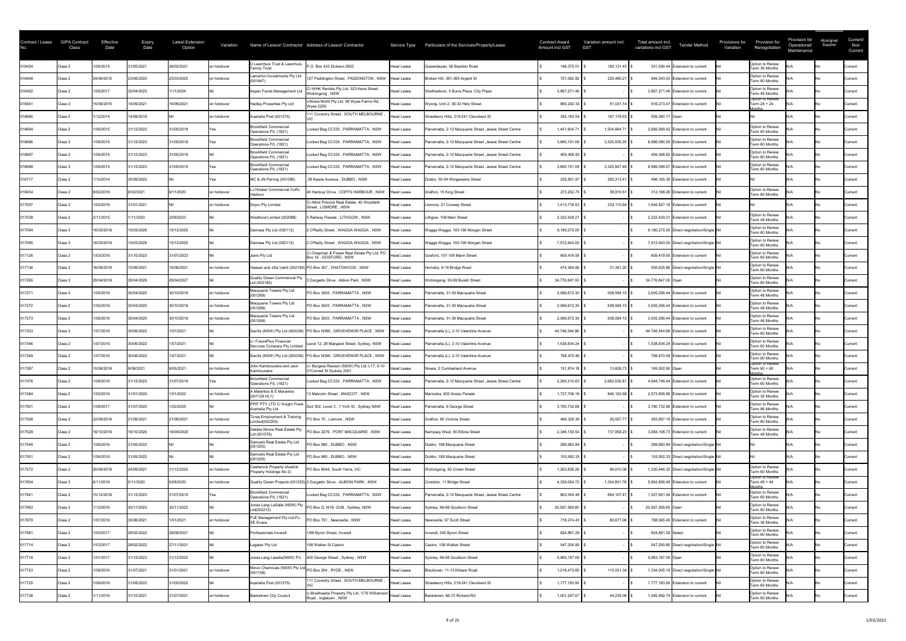| Contract / Lease | <b>GIPA Contract</b><br>Class | Effective<br>Date | <b>Expiry</b><br>Date | <b>Latest Extension</b><br>Option | Variation   |                                                                 | Name of Lessor/ Contractor Address of Lessor/ Contractor                 | Service Type      | Particulars of the Services/Property/Lease              | <b>Contract Award</b><br>Amount incl GST | Variation amount incl.<br><b>GST</b> | Total amount incl.<br><b>Tender Method</b><br>variations incl GST | Provision for<br>Provisions for<br>Renegotiation<br>Variation | Provision for<br>Operational/<br>Maintenance | Aboriginal<br>Supplier | Current/<br>Non<br>Current |
|------------------|-------------------------------|-------------------|-----------------------|-----------------------------------|-------------|-----------------------------------------------------------------|--------------------------------------------------------------------------|-------------------|---------------------------------------------------------|------------------------------------------|--------------------------------------|-------------------------------------------------------------------|---------------------------------------------------------------|----------------------------------------------|------------------------|----------------------------|
| 016434           | Class 2                       | 1/06/2015         | 31/05/2021            | 28/02/2021                        | on holdover | D Leemhuis Trust & Leemhuis<br><b>Family Trust</b>              | P.O. Box 433 Dickson 2602                                                | <b>Head Lease</b> | Queanbeyan, 56 Bayldon Road                             | 148,375.01                               | $183, 131.43$ $\mid$ 3               | 331,506.44 Extension to current                                   | Option to Renew<br>Term 36 Months                             |                                              |                        | Current                    |
| 016448           | Class 2                       | 24/06/2015        | 23/06/2020            | 23/03/2020                        | on holdover | Lamerton Investments Pty Ltd<br>(001647)                        | 127 Paddington Street, PADDINGTON, NSW                                   | Head Lease        | Broken Hill, 361-365 Argent St                          | 721,062.82                               | 225,480.21                           | 946,543.03 Extension to current                                   | Option to Renew<br>Term 60 Months                             |                                              |                        | Current                    |
| 016452           | Class 2                       | 1/05/2017         | 30/04/2025            | 1/11/2024                         |             | Aspen Funds Management Ltd                                      | C/-WHK Rentals Pty Ltd, 323 Keira Street<br>Wollongong, NSW              | <b>Head Lease</b> | Shellharbour, 5 Burra Place, City Plaza                 | 3,867,271.46                             |                                      | 3,867,271.46 Extension to current                                 | Option to Renew<br>Term 48 Months                             |                                              |                        | Current                    |
| 016541           | Class 2                       | 15/09/2015        | 14/09/2021            | 16/06/2021                        | on holdover | <b>Hadley Properties Pty Ltd</b>                                | c/Nioka North Pty Ltd, 58 Wyee Farms Rd,<br><b>Wyee 2259</b>             | <b>Head Lease</b> | Wyong, Unit 2, 30-32 Hely Street                        | 865,242.33                               | $51,031.14$ \ \$                     | 916,273.47 Extension to current                                   | Option to Renew<br>Term 24 + 24<br>nnthsا                     |                                              |                        | Current                    |
| 016690           | Class 2                       | /12/2014          | 14/09/2019            |                                   | on holdover | Australia Post (001275)                                         | 111 Coventry Street, SOUTH MELBOURNE                                     | <b>Head Lease</b> | Strawberry Hills, 219-241 Cleveland St                  | 342,183.54                               | 167,176.63                           | 509,360.17 Open                                                   |                                                               |                                              |                        | Current                    |
| 016694           | Class 2                       | 1/06/2015         | 31/12/2023            | 31/05/2019                        |             | <b>Brookfield Commercial</b><br>Operations P/L (1821)           | Locked Bag CC333, PARRAMATTA, NSW                                        | Head Lease        | Parramatta, 2-12 Macquarie Street, Jessie Street Centre | 1,451,604.71                             | 1,504,964.71                         | 2,956,569.42 Extension to current                                 | Option to Renew<br>Term 60 Months                             |                                              |                        | Current                    |
| 016696           | Class 3                       | 1/06/2015         | 31/12/2023            | 31/05/2019                        |             | <b>Brookfield Commercial</b><br>Operations P/L (1821)           | Locked Bag CC333, PARRAMATTA, NSW                                        | Head Lease        | Parramatta, 2-12 Macquarie Street, Jessie Street Centre | 3,660,151.08                             | 3,325,939.20                         | 6,986,090.29 Extension to current                                 | Option to Renew<br>Term 60 Months                             |                                              |                        | Current                    |
| 016697           | Class 2                       | 1/06/2015         | 31/12/2023            | 31/05/2019                        |             | <b>Brookfield Commercial</b><br>Operations P/L (1821)           | Locked Bag CC333, PARRAMATTA, NSW                                        | Head Lease        | Parramatta, 2-12 Macquarie Street, Jessie Street Centre | 409,368.82                               |                                      | 409,368.82 Extension to current                                   | Option to Renew<br>Term 60 Months                             |                                              |                        | Current                    |
| 016698           | Class 3                       | 1/06/2015         | 31/12/2023            | 31/05/2019                        |             | <b>Brookfield Commercial</b><br>Operations P/L (1821)           | Locked Bag CC333, PARRAMATTA, NSW                                        | <b>Head Lease</b> | Parramatta, 2-12 Macquarie Street, Jessie Street Centre | 3,660,151.08                             | 3,325,947.49                         | 6,986,098.57 Extension to current                                 | Option to Renew<br>Term 60 Months                             |                                              |                        | Current                    |
| 016717           | Class 2                       | 1/10/2014         | 30/09/2022            |                                   |             | MC & JN Perring (001095)                                        | 28 Keane Avenue, DUBBO, NSW                                              | <b>Head Lease</b> | Dubbo, 50-54 Wingewarra Street                          | 235,851.97                               | 262,313.41                           | 498,165.39 Extension to current                                   |                                                               |                                              |                        | Current                    |
| 016934           | Class 2                       | 9/02/2016         | 8/02/2021             | 8/11/2020                         | on holdover | J Hooker Commercial Coffs<br>Harbour                            | 40 Harbour Drive, COFFS HARBOUR, NSW                                     | Head Lease        | Grafton, 15 King Street                                 | 273,252.75                               | $38,915.51$ \$                       | 312,168.26 Extension to current                                   | Option to Renew<br>Term 60 Months                             |                                              |                        | Current                    |
| 017007           | Class 2                       | 1/02/2016         | 31/01/2021            |                                   | on holdover | Dojoo Pty Limited                                               | C/-Athol Pidcock Real Estate, 40 Woodlark<br>Street, LISMORE, NSW        | Head Lease        | Lismore, 21 Conway Street                               | 1,413,716.53                             | 233,110.64                           | 1,646,827.16 Extension to current                                 |                                                               |                                              |                        | Current                    |
| 017038           | Class 2                       | 2/11/2015         | 1/11/2023             | 2/08/2023                         |             | Westfund Limited (002088)                                       | 5 Railway Parade , LITHGOW , NSW                                         | Head Lease        | Lithgow, 109 Main Street                                | 2,322,429.21                             |                                      | 2,322,429.21 Extension to current                                 | Option to Renew<br>Term 48 Months                             |                                              |                        | Current                    |
| 017094           | Class 3                       | 16/03/2016        | 15/03/2026            | 15/12/2025                        |             | Damasa Pty Ltd (002112)                                         | O'Reilly Street, WAGGA WAGGA, NSW                                        | Head Lease        | Wagga Wagga, 193-195 Morgan Street                      | 9,180,275.00                             |                                      | 9,180,275.00 Direct negotiation/Single Nil                        | Option to Renew<br>Term 60 Months                             |                                              |                        | Current                    |
| 017095           | Class 3                       | 16/03/2016        | 15/03/2026            | 15/12/2025                        |             | Damasa Pty Ltd (002112)                                         | O'Reilly Street, WAGGA WAGGA, NSW                                        | <b>Head Lease</b> | Wagga Wagga, 193-195 Morgan Street                      | 7,912,943.00                             |                                      | 7,912,943.00 Direct negotiation/Single Nil                        | Option to Renew<br>Term 60 Months                             |                                              |                        | Current                    |
| 017126           | Class 2                       | 1/03/2016         | 31/10/2023            | 31/07/2023                        |             | Jarre Pty Ltd                                                   | C/-Chapman & Frazer Real Estate Pty Ltd, PO<br>Box 18, GOSFORD, NSW      | Head Lease        | Gosford, 107-109 Mann Street                            | 609,419.55                               |                                      | 609,419.55 Extension to current                                   | Option to Renew<br>Term 60 Months                             |                                              |                        | Current                    |
| 017136           | Class 2                       | 16/09/2016        | 15/09/2021            | 15/06/2021                        | on holdover |                                                                 | Hassan and Jilla Vakili (002184) PO Box 307, CHATSWOOD, NSW              | <b>Head Lease</b> | Hornsby, 6-18 Bridge Road                               | 474,264.66                               | $31,361.20$ \$                       | 505,625.86 Direct negotiation/Single Nil                          | Option to Renew<br>Term 60 Months                             |                                              |                        | Current                    |
| 017265           | Class 3                       | 29/04/2016        | 28/04/2028            | 28/04/2027                        |             | <b>Quality Green Commercial Pty</b><br>Ltd (002185)             | 3 Durgadin Drive, Albion Park, NSW                                       | <b>Head Lease</b> | Wollongong, 93-99 Burelli Street                        | 34,776,847.00                            |                                      | 34,776,847.00 Open                                                | Option to Renew<br>Term 60 Months                             |                                              |                        | Current                    |
| 017271           | Class 2                       | 1/05/2016         | 30/04/2020            | 30/10/2019                        | on holdover | Macquarie Towers Pty Ltd<br>(001269)                            | PO Box 3003, PARRAMATTA, NSW                                             | <b>Head Lease</b> | Parramatta, 31-39 Macquarie Street                      | 2,066,672.30                             | 938,584.15                           | 3,005,256.44 Extension to current                                 | Option to Renew<br>Term 48 Months                             |                                              |                        | Current                    |
| 017272           | Class 2                       | 1/05/2016         | 30/04/2020            | 30/10/2019                        | on holdover | Macquarie Towers Pty Ltd<br>(001269)                            | PO Box 3003, PARRAMATTA, NSW                                             | <b>Head Lease</b> | Parramatta, 31-39 Macquarie Street                      | 2,066,672.30                             | 938,584.15                           | 3,005,256.44 Extension to current                                 | Option to Renew<br>Term 48 Months                             |                                              |                        | Current                    |
| 017273           | Class 2                       | 1/05/2016         | 30/04/2020            | 30/10/2019                        | on holdover | Macquarie Towers Pty Ltd<br>(001269)                            | PO Box 3003, PARRAMATTA, NSW                                             | Head Lease        | Parramatta, 31-39 Macquarie Street                      | 2,066,672.30                             | 938,584.15                           | 3,005,256.44 Extension to current                                 | Option to Renew<br>Term 48 Months                             |                                              |                        | Current                    |
| 017333           | Class 3                       | 1/07/2016         | 30/06/2022            | 1/07/2021                         |             |                                                                 | Savills (NSW) Pty Ltd (000336) PO Box N366, GROSVENOR PLACE, NSW         | Head Lease        | Parramatta (L), 2-10 Valentine Avenue                   | 44,746,344.96                            |                                      | 44,746,344.96 Extension to current                                | Option to Renew<br>Term 60 Months                             |                                              |                        | Current                    |
| 017346           | Class 2                       | 1/07/2016         | 30/06/2022            | 1/07/2021                         |             | :/- FuturePlus Financial<br>Services Company Pty Limited        | Level 12, 28 Margaret Street, Sydney, NSW                                | Head Lease        | Parramatta (L), 2-10 Valentine Avenue                   | 1,538,834.24                             |                                      | 1,538,834.24 Extension to current                                 | Option to Renew<br>Term 60 Months                             |                                              |                        | Current                    |
| 017349           | Class 2                       | 1/07/2016         | 30/06/2022            | 1/07/2021                         |             | Savills (NSW) Pty Ltd (000336)                                  | PO Box N366, GROSVENOR PLACE, NSW                                        | Head Lease        | Parramatta (L), 2-10 Valentine Avenue                   | 798,470.48                               |                                      | 798,470.48 Extension to current                                   | Option to Renew<br>Term 60 Months                             |                                              |                        | Current                    |
| 017387           | Class 2                       | 10/08/2016        | 9/08/2021             | 9/05/2021                         | on holdover | John Kambourakis and Jack<br>Kambourakis                        | /- Burgess Rawson (NSW) Pty Ltd, L17, 6-10<br>O'Connell St Sydney 2001   | Head Lease        | Nowra, 2 Cumberland Avenue                              | 151,874.18                               | $13,628.73$ \$                       | 165,502.90 Open                                                   | Option to Renew<br>Term 60 + 60<br><b>Aonths</b>              |                                              |                        | Current                    |
| 017476           | Class 2                       | 1/08/2016         | 31/12/2023            | 31/07/2019                        |             | <b>Brookfield Commercial</b><br>Operations P/L (1821)           | Locked Bag CC333, PARRAMATTA, NSW                                        | Head Lease        | Parramatta, 2-12 Macquarie Street, Jessie Street Centre | 2,265,210.63                             | 2,683,535.81                         | 4,948,746.44 Extension to current                                 | Option to Renew<br>Term 60 Months                             |                                              |                        | Current                    |
| 017484           | Class 2                       | 1/02/2016         | 31/01/2020            | 1/01/2022                         | on holdover | A Marantos & E Marantos<br>$(001129$ HL1)                       | 13 Malcolm Street, MASCOT, NSW                                           | Head Lease        | Maroubra, 832 Anzac Parade                              | 1,727,706.18                             | 846,102.68   \$                      | 2,573,808.86 Extension to current                                 | Option to Renew<br>Term 36 Months                             |                                              |                        | Current                    |
| 017501           | Class 2                       | 1/08/2017         | 31/07/2025            | 1/02/2025                         |             | PPIF PTY LTD C/ Knight Frank<br>Australia Pty Ltd               | Suit 302, Level 3, 1 York St, Sydney NSW                                 | <b>Head Lease</b> | Parramatta, 9 George Street                             | 3,790,732.68                             |                                      | 3,790,732.68 Extension to current                                 | Option to Renew<br>Term 96 Months                             |                                              |                        | Current                    |
| 017508           | Class 2                       | 22/09/2016        | 21/09/2021            | 1/06/2021                         | on holdover | Tursa Employment & Training<br>imited(002200)                   | PO Box 70, Lismore, NSW                                                  | <b>Head Lease</b> | Grafton, 80 Victoria Street                             | 468,329.39                               | 25,557.77                            | 493,887.16 Extension to current                                   | Option to Renew<br>Term 60 Months                             |                                              |                        | Current                    |
| 017529           | Class 2                       | 19/10/2016        | 18/10/2020            | 18/04/2020                        | on holdover | Debbie Moore Real Estate Pty<br>Ltd (001576)                    | PO Box 2279, PORT MACQUARIE, NSW                                         | <b>Head Lease</b> | Kempsey West, 80 Elbow Street                           | 2,346,150.50                             | 737,958.23                           | 3,084,108.73 Extension to current                                 | Option to Renew<br>Term 48 Months                             |                                              |                        | Current                    |
| 017549           | Class 2                       | 1/06/2016         | 31/05/2022            |                                   |             | Samuels Real Estate Pty Ltd<br>(001200)                         | PO Box 680, DUBBO, NSW                                                   | <b>Head Lease</b> | Dubbo, 188 Macquarie Street                             | 289,983.84                               |                                      | 289,983.84 Direct negotiation/Single Nil                          |                                                               |                                              |                        | Current                    |
| 017551           | Class 2                       | 1/06/2016         | 31/05/2022            |                                   |             | Samuels Real Estate Pty Ltd<br>(001200)                         | PO Box 680, DUBBO, NSW                                                   | <b>Head Lease</b> | Dubbo, 188 Macquarie Street                             | 153,552.33                               |                                      | 153,552.33 Direct negotiation/Single Nil                          |                                                               |                                              |                        | Current                    |
| 017572           | Class 2                       | 25/09/2016        | 24/09/2021            | 31/12/2020                        | on holdover | <b>Castlerock Property (Auslink</b><br>Property Holdings No 2)  | PO Box 6044, South Yarra, VIC                                            | <b>Head Lease</b> | Wollongong, 90 Crown Street                             | 1,263,836.26                             | 66,610.06                            | 1,330,446.32 Direct negotiation/Single Nil                        | Option to Renew<br>Term 60 Months                             |                                              |                        | Current                    |
| 017604           | Class 3                       | 6/11/2016         | 5/11/2020             | 5/08/2020                         | on holdover |                                                                 | Quality Green Projects (001235) 3 Durgadin Drive, ALBION PARK, NSW       | <b>Head Lease</b> | Coniston, 11 Bridge Street                              | 4,329,054.72                             | 1,334,801.76                         | 5.663,856.48 Extension to current                                 | Option to Renew<br>Term 48 + 48<br><b>Ionths</b>              |                                              |                        | Current                    |
| 017641           | Class 2                       | 15/12/2016        | 31/12/2023            | 31/07/2019                        |             | <b>Brookfield Commercial</b><br>Operations P/L (1821)           | Locked Bag CC333, PARRAMATTA, NSW                                        | Head Lease        | Parramatta, 2-12 Macquarie Street, Jessie Street Centre | 663,554.48                               | 864,107.47                           | 1,527,661.94 Extension to current                                 | Option to Renew<br>Term 60 Months                             |                                              |                        | Current                    |
| 017663           | Class 3                       | /12/2016          | 30/11/2023            | 30/11/2022                        |             | Jones Lang LaSalle (NSW) Pty<br>td(002212)                      | PO Box Q 1618, QVB, Sydney, NSW                                          | Head Lease        | Sydney, 66-68 Goulburn Street                           | 20,597,369.80                            |                                      | 20,597,369.80 Open                                                | Option to Renew<br>Term 60 Months                             |                                              |                        | Current                    |
| 017679           | Class 2                       | 1/07/2016         | 30/06/2021            | 1/01/2021                         | on holdover | PJE Management Pty Ltd-PJ-<br><b>SE Evans</b>                   | PO Box 751, Newcastle, NSW                                               | <b>Head Lease</b> | Newcastle, 97 Scott Street                              | 718,274.43                               | $80,671.06$ \$                       | 798,945.49 Extension to current                                   | Option to Renew<br>Term 36 Months                             |                                              |                        | Current                    |
| 017681           | Class 2                       | 1/03/2017         | 28/02/2022            | 28/08/2021                        |             | Professionals Inverell                                          | 1/88 Byron Street, Inverell                                              | <b>Head Lease</b> | Inverell, 240 Byron Street                              | 624,861.29                               |                                      | 624,861.29 Select                                                 | Option to Renew<br>Term 60 Months                             |                                              |                        | Current                    |
| 017714           | Class 2                       | 1/03/2017         | 28/02/2022            | 27/11/2021                        |             | Logalex Pty Ltd                                                 | 158 Walker St Casino                                                     | <b>Head Lease</b> | Casino, 158 Walker Street                               | 547,200.80                               |                                      | 547,200.80 Direct negotiation/Single Nil                          | Option to Renew<br>Term 60 Months                             |                                              |                        | Current                    |
| 017718           | Class 3                       | 1/01/2017         | 31/12/2023            | 31/12/2022                        |             | Jones Lang Lasalle(NSW) P/L                                     | 420 George Street, Sydney, NSW                                           | Head Lease        | Sydney, 66-68 Goulburn Street                           | 5,963,187.09                             |                                      | 5,963,187.09 Open                                                 | Option to Renew<br>Term 60 Months                             |                                              |                        | Current                    |
| 017723           | Class 2                       | 1/08/2016         | 31/07/2021            | 31/01/2021                        | on holdover | Minco Chemicals (NSW) Pty Ltd PO Box 204, RYDE, NSW<br>(001158) |                                                                          | Head Lease        | Blacktown, 11-13 Kildare Road                           | 1,218,473.85                             | 115,531.34   \$                      | 1,334,005.19 Direct negotiation/Single Nil                        | Option to Renew<br>Term 60 Months                             |                                              |                        | Current                    |
| 017725           | Class 2                       | 1/09/2016         | 31/08/2022            | 31/05/2022                        |             | Australia Post (001275)                                         | 111 Coventry Street, SOUTH MELBOURNE                                     | Head Lease        | Strawberry Hills, 219-241 Cleveland St                  | 1,777,183.90                             |                                      | 1,777,183.90 Extension to current                                 | Option to Renew<br>Term 60 Months                             |                                              |                        | Current                    |
| 017736           | Class 2                       | /11/2016          | 31/10/2021            | 31/07/2021                        | on holdover | <b>Bankstown City Council</b>                                   | c/-Braithwaite Property Pty Ltd, 1/79 Williamson<br>Road, Ingleburn, NSW | Head Lease        | Bankstown, 66-72 Rickard Rd                             | 1,001,247.67                             | 44,235.06 \$                         | 1,045,482.74 Extension to current                                 | Option to Renew<br>Term 60 Months                             |                                              |                        | Current                    |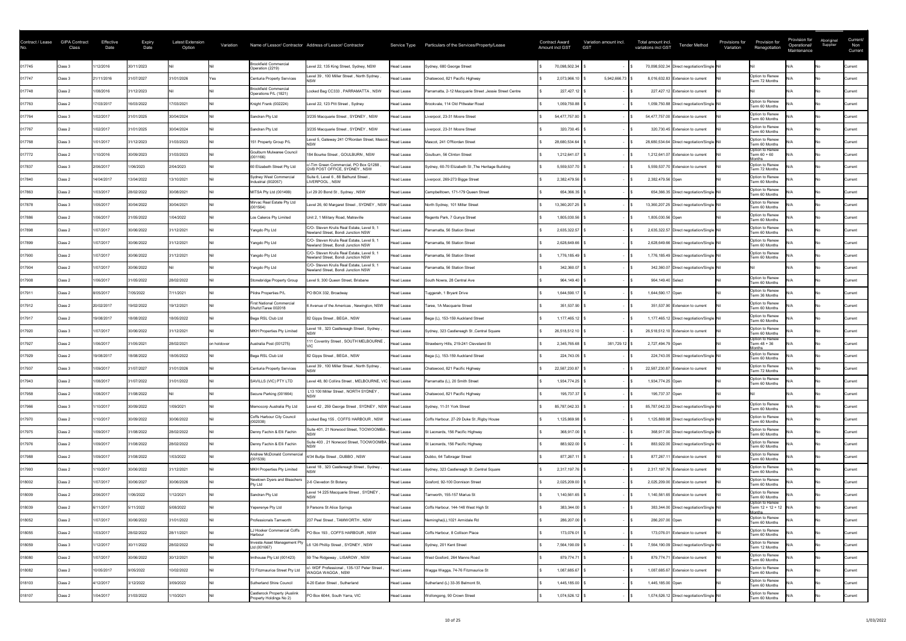| Contract / Lease | <b>GIPA Contract</b><br>Class | Effective<br>Date | <b>Expiry</b><br>Date | <b>Latest Extension</b><br>Option | Variation   |                                                         | Name of Lessor/ Contractor Address of Lessor/ Contractor                         |                   | Service Type Particulars of the Services/Property/Lease  | <b>Contract Award</b><br>Amount incl GST | Variation amount incl.<br><b>GST</b> | Total amount incl.<br>variations incl GST | <b>Tender Method</b>                        | Provisions for<br>Variation | Provision for<br>Renegotiation                       | Provision for<br>Operational/<br>Maintenance | Aboriginal<br>Supplier | Current/<br>Non<br>Current |
|------------------|-------------------------------|-------------------|-----------------------|-----------------------------------|-------------|---------------------------------------------------------|----------------------------------------------------------------------------------|-------------------|----------------------------------------------------------|------------------------------------------|--------------------------------------|-------------------------------------------|---------------------------------------------|-----------------------------|------------------------------------------------------|----------------------------------------------|------------------------|----------------------------|
| 017745           | Class 3                       | /12/2016          | 30/11/2023            |                                   |             | <b>Brookfield Commercial</b><br>Operation (2219)        | Level 22, 135 King Street, Sydney, NSW                                           | <b>Head Lease</b> | Sydney, 680 George Street                                | 70,098,502.34                            |                                      |                                           | 70,098,502.34 Direct negotiation/Single Nil |                             |                                                      |                                              |                        | <b>Current</b>             |
| 017747           | Class 3                       | 21/11/2016        | 31/07/2027            | 31/01/2026                        |             | Centuria Property Services                              | evel 39, 100 Miller Street, North Sydney,                                        | <b>Head Lease</b> | Chatswood, 821 Pacific Highway                           | 2,073,966.10                             | 5,942,666.73                         |                                           | 8,016,632.83 Extension to current           |                             | Option to Renew<br>Term 72 Months                    |                                              |                        | Current                    |
| 017748           | Class 2                       | 1/08/2016         | 31/12/2023            |                                   |             | <b>Brookfield Commercial</b><br>Operations P/L (1821)   | Locked Bag CC333, PARRAMATTA, NSW                                                | <b>Head Lease</b> | Parramatta, 2-12 Macquarie Street , Jessie Street Centre | 227,427.12                               |                                      |                                           | 227,427.12 Extension to current             |                             |                                                      |                                              |                        | Current                    |
| 017763           | Class 2                       | 17/03/2017        | 16/03/2022            | 17/03/2021                        |             | Knight Frank (002224)                                   | Level 22, 123 Pitt Street, Sydney                                                | <b>Head Lease</b> | Brookvale, 114 Old Pittwater Road                        | 1,059,750.88                             |                                      |                                           | 1,059,750.88 Direct negotiation/Single Nil  |                             | Option to Renew<br>Term 60 Months                    |                                              |                        | Current                    |
| 017764           | Class 3                       | 1/02/2017         | 31/01/2025            | 30/04/2024                        |             | Sandran Pty Ltd                                         | 3/235 Macquarie Street, SYDNEY, NSW                                              | <b>Head Lease</b> | Liverpool, 23-31 Moore Street                            | 54,477,757.00                            |                                      |                                           | 54,477,757.00 Extension to current          |                             | Option to Renew<br>Term 60 Months                    |                                              |                        | <b>Current</b>             |
| 017767           | Class 2                       | 1/02/2017         | 31/01/2025            | 30/04/2024                        |             | Sandran Pty Ltd                                         | 3/235 Macquarie Street, SYDNEY, NSW                                              | <b>Head Lease</b> | Liverpool, 23-31 Moore Street                            | 320,730.45                               |                                      |                                           | 320,730.45 Extension to current             |                             | Option to Renew<br>Term 60 Months                    |                                              |                        | Current                    |
| 017768           | Class 3                       | 1/01/2017         | 31/12/2023            | 31/03/2023                        |             | 151 Property Group P/L                                  | Level 5, Gateway 241 O'Riordan Street, Mascot,                                   | Head Lease        | Mascot, 241 O'Riordan Street                             | 28,680,534.64                            |                                      |                                           | 28,680,534.64 Direct negotiation/Single Nil |                             | Option to Renew<br>Term 60 Months                    |                                              |                        | <b>Current</b>             |
| 017772           | Class 2                       | 1/10/2016         | 30/09/2023            | 31/03/2023                        |             | Goulburn Mulwaree Council<br>(001166)                   | 184 Bourke Street, GOULBURN, NSW                                                 | <b>Head Lease</b> | Goulburn, 56 Clinton Street                              | 1,212,641.07                             |                                      |                                           | 1,212,641.07 Extension to current           |                             | Option to Renew<br>Term 60 + 60<br>lonths            |                                              |                        | <b>Current</b>             |
| 017837           | Class 3                       | 2/06/2017         | 1/06/2023             | 2/04/2023                         |             | 60 Elizabeth Street Pty Ltd                             | c/-Tim Green Commercial, PO Box Q1288<br>QVB POST OFFICE, SYDNEY, NSW            | Head Lease        | Sydney, 60-70 Elizabeth St, The Heritage Building        | 5,559,537.70                             |                                      |                                           | 5,559,537.70 Extension to current           |                             | Option to Renew<br>Term 72 Months                    |                                              |                        | Current                    |
| 017840           | Class 2                       | 14/04/2017        | 13/04/2022            | 13/10/2021                        |             | Sydney West Commercial<br>Industrial (002057)           | Suite 6, Level 6, 88 Bathurst Street<br>LIVERPOOL, NSW                           | Head Lease        | Liverpool, 269-273 Bigge Street                          | 2,382,479.56                             |                                      | 2,382,479.56 Open                         |                                             |                             | Option to Renew<br>Term 60 Months                    |                                              |                        | Current                    |
| 017863           | Class 2                       | 1/03/2017         | 28/02/2022            | 30/08/2021                        |             | MITSA Pty Ltd (001499)                                  | Lvl 29 20 Bond St, Sydney, NSW                                                   | Head Lease        | Campbelltown, 171-179 Queen Street                       | 654,366.35                               |                                      |                                           | 654,366.35 Direct negotiation/Single Nil    |                             | Option to Renew<br>Term 60 Months                    |                                              |                        | <b>Current</b>             |
| 017878           | Class 3                       | 1/05/2017         | 30/04/2022            | 30/04/2021                        |             | Mirvac Real Estate Pty Ltd<br>(001564)                  | Level 26, 60 Margaret Street, SYDNEY, NSW Head Lease                             |                   | North Sydney, 101 Miller Street                          | 13,360,207.25                            |                                      |                                           | 13,360,207.25 Direct negotiation/Single Nil |                             | Option to Renew<br>Term 60 Months                    |                                              |                        | <b>Current</b>             |
| 017886           | Class 2                       | 1/06/2017         | 31/05/2022            | 1/04/2022                         |             | Los Caleros Pty Limited                                 | Unit 2, 1 Military Road, Matraville                                              | Head Lease        | Regents Park, 7 Gunya Street                             | 1,805,030.56                             |                                      | 1,805,030.56 Open                         |                                             |                             | Option to Renew<br>Term 60 Months                    |                                              |                        | Current                    |
| 017898           | Class 2                       | 1/07/2017         | 30/06/2022            | 31/12/2021                        |             | Yangdo Pty Ltd                                          | C/O- Steven Krulis Real Estate, Level 9, 1<br>Newland Street, Bondi Junction NSW | Head Lease        | Parramatta, 56 Station Street                            | 2,635,322.57                             |                                      |                                           | 2,635,322.57 Direct negotiation/Single Nil  |                             | Option to Renew<br>Term 60 Months                    |                                              |                        | Current                    |
| 017899           | Class 2                       | 1/07/2017         | 30/06/2022            | 31/12/2021                        |             | Yangdo Pty Ltd                                          | C/O- Steven Krulis Real Estate, Level 9, 1<br>Newland Street, Bondi Junction NSW | <b>Head Lease</b> | Parramatta, 56 Station Street                            | 2,628,649.66                             |                                      |                                           | 2,628,649.66 Direct negotiation/Single Nil  |                             | Option to Renew<br>Term 60 Months                    |                                              |                        | Current                    |
| 017900           | Class 2                       | 1/07/2017         | 30/06/2022            | 31/12/2021                        |             | Yangdo Pty Ltd                                          | C/O- Steven Krulis Real Estate, Level 9, 1<br>Newland Street, Bondi Junction NSW | <b>Head Lease</b> | Parramatta, 56 Station Street                            | 1,776,185.49                             |                                      |                                           | 1,776,185.49 Direct negotiation/Single Nil  |                             | Option to Renew<br>Term 60 Months                    |                                              |                        | Current                    |
| 017904           | Class 2                       | 1/07/2017         | 30/06/2022            |                                   |             | Yangdo Pty Ltd                                          | C/O- Steven Krulis Real Estate, Level 9, 1<br>Newland Street, Bondi Junction NSW | <b>Head Lease</b> | Parramatta, 56 Station Street                            | 342,360.07                               |                                      |                                           | 342,360.07 Direct negotiation/Single Nil    |                             |                                                      |                                              |                        | <b>Current</b>             |
| 017908           | Class 2                       | 1/06/2017         | 31/05/2022            | 28/02/2022                        |             | Stonebridge Property Group                              | Level 9, 300 Queen Street, Brisbane                                              | <b>Head Lease</b> | South Nowra, 28 Central Ave                              | 964,149.40                               |                                      | 964,149.40 Select                         |                                             |                             | Option to Renew<br>Term 60 Months                    |                                              |                        | Current                    |
| 017911           | Class 2                       | 8/05/2017         | 7/05/2022             | 7/11/2021                         |             | Pildra Properties P/L                                   | PO BOX 332, Broadway                                                             | Head Lease        | Tuggerah, 1 Bryant Drive                                 | 1,644,590.17                             |                                      | 1,644,590.17 Open                         |                                             |                             | Option to Renew<br>Term 36 Months                    |                                              |                        | Current                    |
| 017912           | Class 2                       | 20/02/2017        | 19/02/2022            | 19/12/2021                        |             | <b>First National Commercial</b><br>Shultz\Taree 002018 | 6 Avenue of the Americas, Newington, NSW                                         | Head Lease        | Taree, 1A Macquarie Street                               | 351,537.90                               |                                      |                                           | 351,537.90 Extension to current             |                             | Option to Renew<br>Term 60 Months                    |                                              |                        | Current                    |
| 017917           | Class 2                       | 19/08/2017        | 18/08/2022            | 18/05/2022                        |             | Bega RSL Club Ltd                                       | 82 Gipps Street, BEGA, NSW                                                       | Head Lease        | Bega (L), 153-159 Auckland Street                        | 1,177,465.12                             |                                      |                                           | 1,177,465.12 Direct negotiation/Single Nil  |                             | Option to Renew<br>Term 60 Months                    |                                              |                        | <b>Current</b>             |
| 017920           | Class 3                       | 1/07/2017         | 30/06/2022            | 31/12/2021                        |             | MKH Properties Pty Limited                              | evel 18 , 323 Castlereagh Street , Sydney ,                                      | Head Lease        | Sydney, 323 Castlereagh St, Central Square               | 26,518,512.10                            |                                      |                                           | 26,518,512.10 Extension to current          |                             | Option to Renew<br>Term 60 Months                    |                                              |                        | <b>Current</b>             |
| 017927           | Class 2                       | 1/06/2017         | 31/05/2021            | 28/02/2021                        | on holdover | Australia Post (001275)                                 | 111 Coventry Street, SOUTH MELBOURNE                                             | <b>Head Lease</b> | Strawberry Hills, 219-241 Cleveland St                   | 2,345,765.68                             | 381,729.12 \$                        | 2,727,494.79 Open                         |                                             |                             | Option to Renew<br>Term 48 + 36                      |                                              |                        | <b>Current</b>             |
| 017929           | Class 2                       | 19/08/2017        | 18/08/2022            | 18/05/2022                        |             | Bega RSL Club Ltd                                       | 82 Gipps Street, BEGA, NSW                                                       | Head Lease        | Bega (L), 153-159 Auckland Street                        | 224,743.05                               |                                      |                                           | 224,743.05 Direct negotiation/Single Nil    |                             | Option to Renew<br>Term 60 Months                    |                                              |                        | Current                    |
| 017937           | Class 3                       | 1/09/2017         | 31/07/2027            | 31/01/2026                        |             | Centuria Property Services                              | Level 39, 100 Miller Street, North Sydney,                                       | Head Lease        | Chatswood, 821 Pacific Highway                           | 22,587,230.87                            |                                      |                                           | 22,587,230.87 Extension to current          |                             | Option to Renew<br>Term 72 Months                    |                                              |                        | Current                    |
| 017943           | Class 2                       | 1/08/2017         | 31/07/2022            | 31/01/2022                        |             | SAVILLS (VIC) PTY LTD                                   | Level 48, 80 Collins Street, MELBOURNE, VIC Head Lease                           |                   | Parramatta (L), 20 Smith Street                          | 1,934,774.25                             |                                      | 1,934,774.25 Open                         |                                             |                             | Option to Renew<br>Term 60 Months                    |                                              |                        | <b>Current</b>             |
| 017958           | Class 2                       | 1/08/2017         | 31/08/2022            |                                   |             | Secure Parking (001664)                                 | L13 100 Miller Street, NORTH SYDNEY                                              | Head Lease        | Chatswood, 821 Pacific Highway                           | 195,737.37                               |                                      | 195,737.37 Open                           |                                             |                             |                                                      |                                              |                        | Current                    |
| 017966           | Class 3                       | 1/10/2017         | 30/09/2022            | 1/09/2021                         |             | Memocorp Australia Pty Ltd                              | Level 42 , 259 George Street , SYDNEY , NSW Head Lease                           |                   | Sydney, 11-31 York Street                                | 85,787,042.33                            |                                      |                                           | 85,787,042.33 Direct negotiation/Single Nil |                             | Option to Renew<br>Term 60 Months                    |                                              |                        | <b>Current</b>             |
| 017970           | Class 2                       | 1/10/2017         | 30/09/2022            | 30/06/2022                        |             | Coffs Harbour City Council<br>(002038)                  | Locked Bag 155 , COFFS HARBOUR , NSW                                             | Head Lease        | Coffs Harbour, 27-29 Duke St, Rigby House                | 1,125,869.98                             |                                      |                                           | 1,125,869.98 Direct negotiation/Single Nil  |                             | Option to Renew<br>Term 60 Months                    |                                              |                        | <b>Current</b>             |
| 017975           | Class 2                       | 1/09/2017         | 31/08/2022            | 28/02/2022                        |             | Denny Fachin & Elli Fachin                              | Suite 401, 21 Norwood Street, TOOWOOMBA                                          | <b>Head Lease</b> | St Leonards, 156 Pacific Highway                         | 368,917.00                               |                                      |                                           | 368,917.00 Direct negotiation/Single Nil    |                             | Option to Renew<br>Term 60 Months                    |                                              |                        | Current                    |
| 017976           | Class 2                       | 1/09/2017         | 31/08/2022            | 28/02/2022                        |             | Denny Fachin & Elli Fachin                              | Suite 403, 21 Norwood Street, TOOWOOMBA                                          | Head Lease        | St Leonards, 156 Pacific Highway                         | 883,922.00                               |                                      |                                           | 883,922.00 Direct negotiation/Single Nil    |                             | Option to Renew<br>Term 60 Months                    |                                              |                        | Current                    |
| 017988           | Class 2                       | 1/09/2017         | 31/08/2022            | 1/03/2022                         |             | Andrew McDonald Commercial<br>(001539)                  | 4/34 Bultje Street, DUBBO, NSW                                                   | Head Lease        | Dubbo, 64 Talbragar Street                               | 877,267.11                               |                                      |                                           | 877,267.11 Extension to current             |                             | Option to Renew<br>Term 60 Months                    |                                              |                        | <b>Current</b>             |
| 017993           | Class 2                       | /10/2017          | 30/06/2022            | 31/12/2021                        |             | MKH Properties Pty Limited                              | evel 18, 323 Castlereagh Street, Sydney                                          | Head Lease        | Sydney, 323 Castlereagh St, Central Square               | 2,317,197.76                             |                                      |                                           | 2,317,197.76 Extension to current           |                             | Option to Renew<br>Term 60 Months                    |                                              |                        | Current                    |
| 018002           | Class 2                       | 1/07/2017         | 30/06/2027            | 30/06/2026                        |             | Newtown Dyers and Bleachers<br>Pty Ltd                  | 2-6 Clevedon St Botany                                                           | <b>Head Lease</b> | Gosford, 92-100 Donnison Street                          | 2,025,209.00                             |                                      |                                           | 2,025,209.00 Extension to current           |                             | Option to Renew<br>Term 60 Months                    |                                              |                        | Current                    |
| 018009           | Class 2                       | 2/06/2017         | 1/06/2022             | /12/2021                          |             | Sandran Pty Ltd                                         | Level 14 225 Macquarie Street, SYDNEY                                            | Head Lease        | Tamworth, 155-157 Marius St                              | 1,140,561.65                             |                                      |                                           | 1,140,561.65 Extension to current           |                             | Option to Renew<br>Term 60 Months                    |                                              |                        | Current                    |
| 018039           | Class 2                       | 6/11/2017         | 5/11/2022             | 5/08/2022                         |             | Yeperenye Pty Ltd                                       | 9 Parsons St Alice Springs                                                       | <b>Head Lease</b> | Coffs Harbour, 144-148 West High St                      | 383,344.00                               |                                      |                                           | 383,344.00 Direct negotiation/Single Nil    |                             | Option to Renew<br>Term $12 + 12 + 12$ N/A<br>1onths |                                              |                        | <b>Current</b>             |
| 018052           | Class 2                       | 1/07/2017         | 30/06/2022            | 31/01/2022                        |             | Professionals Tamworth                                  | 237 Peel Street, TAMWORTH, NSW                                                   | Head Lease        | Nemingha(L), 1021 Armidale Rd                            | 286,207.00                               |                                      | 286,207.00 Open                           |                                             |                             | Option to Renew<br>Term 60 Months                    |                                              |                        | <b>Current</b>             |
| 018055           | Class 2                       | 1/03/2017         | 28/02/2022            | 28/11/2021                        |             | LJ Hooker Commercial Coffs<br>Harbour                   | PO Box 193, COFFS HARBOUR, NSW                                                   | <b>Head Lease</b> | Coffs Harbour, 8 Collison Place                          | 173,076.01                               |                                      |                                           | 173,076.01 Extension to current             |                             | Option to Renew<br>Term 60 Months                    |                                              |                        | Current                    |
| 018059           | Class 3                       | /12/2017          | 30/11/2022            | 28/02/2022                        |             | Investa Asset Management Pty<br>Ltd (001667)            | L6 126 Phillip Street, SYDNEY, NSW                                               | Head Lease        | Sydney, 201 Kent Street                                  | 7,564,190.09                             |                                      |                                           | 7,564,190.09 Direct negotiation/Single Nil  |                             | Option to Renew<br>Term 12 Months                    |                                              |                        | <b>Current</b>             |
| 018080           | Class 2                       | 1/07/2017         | 30/06/2022            | 30/12/2021                        |             | Imthouse Pty Ltd (001423)                               | 59 The Ridgeway, LISAROW, NSW                                                    | <b>Head Lease</b> | West Gosford, 264 Manns Road                             | 879,774.71                               |                                      |                                           | 879,774.71 Extension to current             |                             | Option to Renew<br>Term 60 Months                    |                                              |                        | <b>Current</b>             |
| 018082           | Class 2                       | 10/05/2017        | 9/05/2022             | 10/02/2022                        |             | 72 Fitzmaurice Street Pty Ltd                           | /- WDF Professional, 135-137 Peter Street<br>WAGGA WAGGA, NSW                    | Head Lease        | Wagga Wagga, 74-76 Fitzmaurice St                        | 1,087,685.67                             |                                      |                                           | 1,087,685.67 Extension to current           |                             | Option to Renew<br>Term 60 Months                    |                                              |                        | Current                    |
| 018103           | Class 2                       | 4/12/2017         | 3/12/2022             | 3/09/2022                         |             | Sutherland Shire Council                                | 4-20 Eaton Street, Sutherland                                                    | Head Lease        | Sutherland (L) 33-35 Belmont St,                         | 1,445,185.00                             |                                      | 1,445,185.00 Open                         |                                             |                             | Option to Renew<br>Term 60 Months                    |                                              |                        | Current                    |
| 018107           | Class 2                       | 1/04/2017         | 31/03/2022            | 1/10/2021                         |             | Castlerock Property (Auslink<br>Property Holdings No 2) | PO Box 6044, South Yarra, VIC                                                    | Head Lease        | Wollongong, 90 Crown Street                              | 1,074,526.12                             |                                      |                                           | 1,074,526.12 Direct negotiation/Single Nil  |                             | Option to Renew<br>Term 60 Months                    |                                              |                        | <b>Current</b>             |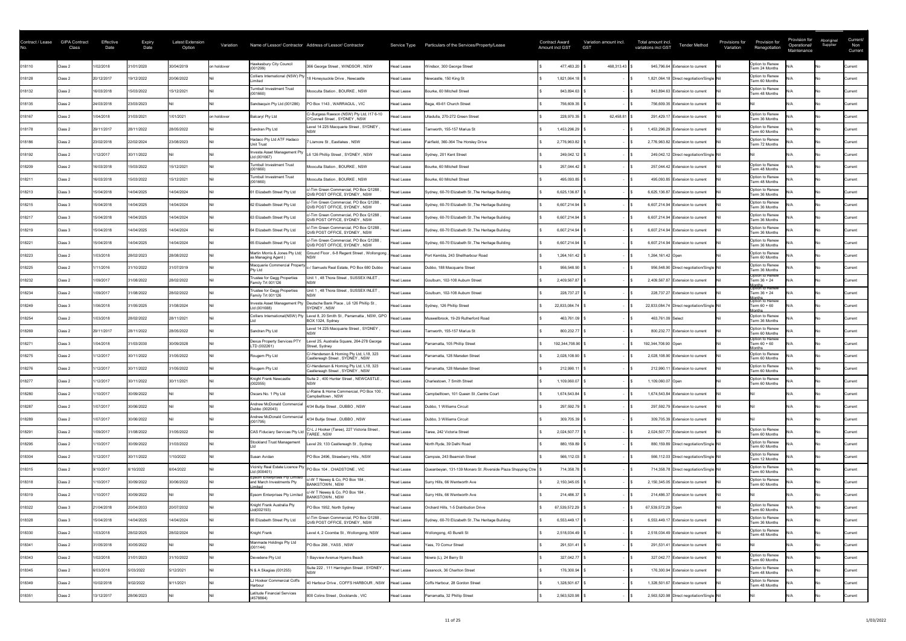| Contract / Lease | <b>GIPA Contract</b><br>Class | Effective<br>Date | <b>Expiry</b><br>Date | <b>Latest Extension</b><br>Option | Variation   |                                                            | Name of Lessor/ Contractor Address of Lessor/ Contractor                    |                   | Service Type Particulars of the Services/Property/Lease      | <b>Contract Award</b><br><b>Amount incl GST</b> | Variation amount incl.<br><b>GST</b> | Total amount incl.<br><b>Tender Method</b><br>variations incl GST | Provisions for<br>Variation | Provision for<br>Renegotiation              | Provision for<br>Operational/<br>Maintenance | Aboriginal<br>Supplier | Current/<br>Non<br>Current |
|------------------|-------------------------------|-------------------|-----------------------|-----------------------------------|-------------|------------------------------------------------------------|-----------------------------------------------------------------------------|-------------------|--------------------------------------------------------------|-------------------------------------------------|--------------------------------------|-------------------------------------------------------------------|-----------------------------|---------------------------------------------|----------------------------------------------|------------------------|----------------------------|
| 018110           | Class 2                       | 1/02/2018         | 31/01/2020            | 30/04/2019                        | on holdover | <b>Hawkesbury City Council</b><br>(001299)                 | 366 George Street, WINDSOR, NSW                                             | Head Lease        | Windsor, 300 George Street                                   | 477,483.20                                      | 468,313.43   \$                      | 945,796.64 Extension to current                                   |                             | Option to Renew<br>Term 24 Months           |                                              |                        | Current                    |
| 018128           | Class 2                       | 20/12/2017        | 19/12/2022            | 20/06/2022                        |             | <i>imited</i>                                              | Colliers International (NSW) Pty 18 Honeysuckle Drive, Newcastle            | <b>Head Lease</b> | Newcastle, 150 King St                                       | 1,821,064.18                                    |                                      | 1,821,064.18 Direct negotiation/Single Nil                        |                             | Option to Renew<br>Term 60 Months           |                                              |                        | Current                    |
| 018132           | Class 2                       | 16/03/2018        | 15/03/2022            | 15/12/2021                        |             | <b>Turnbull Investment Trust</b>                           | Mooculta Station, BOURKE, NSW                                               | <b>Head Lease</b> | Bourke, 60 Mitchell Street                                   | 843,894.63                                      |                                      | 843,894.63 Extension to current                                   |                             | Option to Renew<br>Term 48 Months           |                                              |                        | Current                    |
| 018135           | Class 2                       | 24/03/2018        | 23/03/2023            |                                   |             | Sandsequin Pty Ltd (001286)                                | PO Box 1143, WARRAGUL, VIC                                                  | <b>Head Lease</b> | Bega, 49-61 Church Street                                    | 756,609.35                                      |                                      | 756,609.35 Extension to current                                   |                             |                                             |                                              |                        | <b>Current</b>             |
| 018167           | Class 2                       | 1/04/2018         | 31/03/2021            | 1/01/2021                         | on holdover | <b>Balcaryl Pty Ltd</b>                                    | C/-Burgess Rawson (NSW) Pty Ltd, I17 6-10<br>O'Connell Street, SYDNEY, NSW  | <b>Head Lease</b> | Ulladulla, 270-272 Green Street                              | 228,970.35                                      | 62,458.81                            | 291,429.17 Extension to current                                   |                             | Option to Renew<br>Term 36 Months           |                                              |                        | <b>Current</b>             |
| 018178           | Class 2                       | 29/11/2017        | 28/11/2022            | 28/05/2022                        |             | Sandran Pty Ltd                                            | Level 14 225 Macquarie Street, SYDNEY                                       | <b>Head Lease</b> | Tamworth, 155-157 Marius St                                  | 1,453,296.29                                    |                                      | 1,453,296.29 Extension to current                                 |                             | Option to Renew<br>Term 60 Months           |                                              |                        | <b>Current</b>             |
| 018186           | Class 2                       | 23/02/2018        | 22/02/2024            | 23/08/2023                        |             | Hadaco Pty Ltd ATF Hadaco<br><b>Unit Trust</b>             | 7 Lismore St , Eastlakes , NSW                                              | Head Lease        | Fairfield, 360-364 The Horsley Drive                         | 2,776,963.82                                    |                                      | 2,776,963.82 Extension to current                                 |                             | Option to Renew<br>Term 72 Months           |                                              |                        | <b>Current</b>             |
| 018192           | Class 2                       | 1/12/2017         | 30/11/2022            |                                   |             | Investa Asset Management Pty<br>Ltd (001667)               | L6 126 Phillip Street, SYDNEY, NSW                                          | Head Lease        | Sydney, 201 Kent Street                                      | 249,042.12                                      |                                      | 249,042.12 Direct negotiation/Single Nil                          |                             |                                             |                                              |                        | Current                    |
| 018209           | Class 2                       | 16/03/2018        | 15/03/2022            | 15/12/2021                        |             | <b>Turnbull Investment Trust</b><br>(001660)               | Mooculta Station, BOURKE, NSW                                               | <b>Head Lease</b> | Bourke, 60 Mitchell Street                                   | 257,044.42                                      |                                      | 257,044.42 Extension to current                                   |                             | Option to Renew<br>Term 48 Months           |                                              |                        | Current                    |
| 018211           | Class 2                       | 16/03/2018        | 15/03/2022            | 15/12/2021                        |             | <b>Turnbull Investment Trust</b><br>(001660)               | Mooculta Station, BOURKE, NSW                                               | <b>Head Lease</b> | Bourke, 60 Mitchell Street                                   | 495,093.85                                      |                                      | 495,093.85 Extension to current                                   |                             | Option to Renew<br>Term 48 Months           |                                              |                        | Current                    |
| 018213           | Class 3                       | 15/04/2018        | 14/04/2025            | 14/04/2024                        |             | 61 Elizabeth Street Pty Ltd                                | c/-Tim Green Commercial, PO Box Q1288<br>QVB POST OFFICE, SYDNEY, NSW       | Head Lease        | Sydney, 60-70 Elizabeth St, The Heritage Building            | 6,625,136.87                                    |                                      | 6,625,136.87 Extension to current                                 |                             | Option to Renew<br>Term 36 Months           |                                              |                        | Current                    |
| 018215           | Class 3                       | 15/04/2018        | 14/04/2025            | 14/04/2024                        |             | 62 Elizabeth Street Pty Ltd                                | c/-Tim Green Commercial, PO Box Q1288<br>QVB POST OFFICE, SYDNEY, NSW       | Head Lease        | Sydney, 60-70 Elizabeth St, The Heritage Building            | 6,607,214.94                                    |                                      | 6,607,214.94 Extension to current                                 |                             | Option to Renew<br>Term 36 Months           |                                              |                        | <b>Current</b>             |
| 018217           | Class 3                       | 15/04/2018        | 14/04/2025            | 14/04/2024                        |             | 63 Elizabeth Street Pty Ltd                                | c/-Tim Green Commercial, PO Box Q1288<br>QVB POST OFFICE, SYDNEY, NSW       | Head Lease        | Sydney, 60-70 Elizabeth St, The Heritage Building            | 6,607,214.94                                    |                                      | 6,607,214.94 Extension to current                                 |                             | Option to Renew<br>Term 36 Months           |                                              |                        | Current                    |
| 018219           | Class 3                       | 15/04/2018        | 14/04/2025            | 14/04/2024                        |             | 64 Elizabeth Street Pty Ltd                                | c/-Tim Green Commercial, PO Box Q1288<br>QVB POST OFFICE, SYDNEY, NSW       | <b>Head Lease</b> | Sydney, 60-70 Elizabeth St, The Heritage Building            | 6,607,214.94                                    |                                      | 6,607,214.94 Extension to current                                 |                             | Option to Renew<br>Term 36 Months           |                                              |                        | Current                    |
| 018221           | Class 3                       | 15/04/2018        | 14/04/2025            | 14/04/2024                        |             | 65 Elizabeth Street Pty Ltd                                | c/-Tim Green Commercial, PO Box Q1288<br>QVB POST OFFICE, SYDNEY, NSW       | <b>Head Lease</b> | Sydney, 60-70 Elizabeth St, The Heritage Building            | 6,607,214.94                                    |                                      | 6,607,214.94 Extension to current                                 |                             | Option to Renew<br>Term 36 Months           |                                              |                        | <b>Current</b>             |
| 018223           | Class 2                       | /03/2018          | 28/02/2023            | 28/08/2022                        |             | Martin Morris & Jones Pty Ltd(<br>as Managing Agent)       | Ground Floor, 6-8 Regent Street, Wollongong                                 | ' Head Lease      | Port Kembla, 243 Shellharbour Road                           | 1,264,161.42                                    |                                      | 1,264,161.42 Open                                                 |                             | Option to Renew<br>Term 60 Months           |                                              |                        | <b>Current</b>             |
| 018225           | Class 2                       | /11/2016          | 31/10/2022            | 31/07/2019                        |             | Macquarie Commercial Property<br>Pty Ltd                   | c-/ Samuels Real Estate, PO Box 680 Dubbo                                   | <b>Head Lease</b> | Dubbo, 188 Macquarie Street                                  | 956,548.90                                      |                                      | 956,548.90 Direct negotiation/Single Nil                          |                             | Option to Renew<br>Term 36 Months           |                                              |                        | <b>Current</b>             |
| 018232           | Class 2                       | 1/09/2017         | 31/08/2022            | 28/02/2022                        |             | Trustee for Gegg Properties<br>Family Trt 001126           | Unit 1, 48 Thora Street, SUSSEX INLET,                                      | <b>Head Lease</b> | Goulburn, 102-108 Auburn Street                              | 2,409,567.87                                    |                                      | 2,409,567.87 Extension to current                                 |                             | Option to Renew<br>Term 36 + 24             |                                              |                        | <b>Current</b>             |
| 018234           | Class 2                       | 1/09/2017         | 31/08/2022            | 28/02/2022                        |             | Trustee for Gegg Properties<br>Family Trt 001126           | Jnit 1, 48 Thora Street, SUSSEX INLET,                                      | <b>Head Lease</b> | Goulburn, 102-108 Auburn Street                              | 228,737.27                                      |                                      | 228,737.27 Extension to current                                   |                             | Option to Renew<br>Term 36 + 24             |                                              |                        | <b>Current</b>             |
| 018249           | Class 3                       | 1/06/2018         | 31/05/2025            | 31/08/2024                        |             | Investa Asset Management Pty<br>td (001688)                | Deutsche Bank Place, L6 126 Phillip St,<br>SYDNEY . NSW                     | <b>Head Lease</b> | Sydney, 126 Phillip Street                                   | 22,833,084.74                                   |                                      | 22,833,084.74 Direct negotiation/Single Nil                       |                             | Months<br> Option to Renew<br>Term 60 + 60  |                                              |                        | <b>Current</b>             |
| 018254           | Class 2                       | 1/03/2018         | 28/02/2022            | 28/11/2021                        |             | Colliers International(NSW) Pty                            | Level 8, 20 Smith St, Parramatta, NSW, GPO<br>BOX 1324, Sydney              | Head Lease        | Muswellbrook, 19-29 Rutherford Road                          | 463,761.09                                      |                                      | 463,761.09 Select                                                 |                             | lonths<br>Option to Renew<br>Term 36 Months |                                              |                        | <b>Current</b>             |
| 018269           | Class 2                       | 29/11/2017        | 28/11/2022            | 28/05/2022                        |             | Sandran Pty Ltd                                            | Level 14 225 Macquarie Street, SYDNEY,                                      | <b>Head Lease</b> | Tamworth, 155-157 Marius St                                  | 800,232.77                                      |                                      | 800,232.77 Extension to current                                   |                             | Option to Renew<br>Term 60 Months           |                                              |                        | Current                    |
| 018271           | Class 3                       | 1/04/2018         | 31/03/2030            | 30/09/2028                        |             | Dexus Property Services PTY<br>LTD (002261)                | Level 25, Australia Square, 264-278 George<br>Street, Sydney                | Head Lease        | Parramatta, 105 Phillip Street                               | 192,344,708.90                                  |                                      | 192,344,708.90 Open                                               |                             | Option to Renew<br>Term 60 + 60             |                                              |                        | Current                    |
| 018275           | Class 2                       | 1/12/2017         | 30/11/2022            | 31/05/2022                        |             | Rougem Pty Ltd                                             | C/-Henderson & Horning Pty Ltd, L18, 323<br>Castlereagh Street, SYDNEY, NSW | <b>Head Lease</b> | Parramatta, 128 Marsden Street                               | 2,028,108.90                                    |                                      | 2,028,108.90 Extension to current                                 |                             | Option to Renew<br>Term 60 Months           |                                              |                        | Current                    |
| 018276           | Class 2                       | 1/12/2017         | 30/11/2022            | 31/05/2022                        |             | Rougem Pty Ltd                                             | C/-Henderson & Horning Pty Ltd, L18, 323<br>Castlereagh Street, SYDNEY, NSW | <b>Head Lease</b> | Parramatta, 128 Marsden Street                               | 212,990.11                                      |                                      | 212,990.11 Extension to current                                   |                             | Option to Renew<br>Term 60 Months           |                                              |                        | Current                    |
| 018277           | Class 2                       | /12/2017          | 30/11/2022            | 30/11/2021                        |             | Knight Frank Newcastle<br>002055)                          | Suite 2, 400 Hunter Street, NEWCASTLE,                                      | <b>Head Lease</b> | Charlestown, 7 Smith Street                                  | 1,109,060.07                                    |                                      | 1,109,060.07 Open                                                 |                             | Option to Renew<br>Term 60 Months           |                                              |                        | Current                    |
| 018280           | Class 2                       | 1/10/2017         | 30/09/2022            |                                   |             | Oscars No. 1 Pty Ltd                                       | c/-Raine & Horne Commercial, PO Box 100,<br>Campbelltown, NSW               | Head Lease        | Campbelltown, 101 Queen St, Centre Court                     | 1,674,543.84                                    |                                      | 1,674,543.84 Extension to current                                 |                             |                                             |                                              |                        | <b>Current</b>             |
| 018287           | Class 2                       | 1/07/2017         | 30/06/2022            |                                   |             | <b>Andrew McDonald Commercia</b><br>Dubbo (002043)         | 4/34 Bultje Street, DUBBO, NSW                                              | Head Lease        | Dubbo, 1 Williams Circuit                                    | 297,592.79                                      |                                      | 297,592.79 Extension to current                                   |                             |                                             |                                              |                        | Current                    |
| 018289           | Class 2                       | 1/07/2017         | 30/06/2022            |                                   |             | Andrew McDonald Commercial<br>(001795)                     | 4/34 Bultje Street, DUBBO, NSW                                              | Head Lease        | Dubbo, 3 Williams Circuit                                    | 309,705.39                                      |                                      | 309,705.39 Extension to current                                   |                             |                                             |                                              |                        | Current                    |
| 018291           | Class 2                       | 1/09/2017         | 31/08/2022            | 31/05/2022                        |             | <b>CAS Fiduciary Services Pty Lt</b>                       | C/-L J Hooker (Taree), 227 Victoria Street<br>TAREE, NSW                    | <b>Head Lease</b> | Taree, 242 Victoria Street                                   | 2,024,507.77                                    |                                      | 2,024,507.77 Extension to current                                 |                             | Option to Renew<br>Term 60 Months           |                                              |                        | Current                    |
| 018295           | Class 2                       | /10/2017          | 30/09/2022            | 31/03/2022                        |             | Stockland Trust Management                                 | Level 29, 133 Castlereagh St, Sydney                                        | Head Lease        | North Ryde, 39 Delhi Road                                    | 880,159.89                                      |                                      | 880,159.89 Direct negotiation/Single Nil                          |                             | Option to Renew<br>Term 60 Months           |                                              |                        | Current                    |
| 018304           | Class 2                       | /12/2017          | 30/11/2022            | 10/2022                           |             | Susan Avidan                                               | PO Box 2496, Strawberry Hills, NSW                                          | Head Lease        | Campsie, 243 Beamish Street                                  | 566,112.03                                      |                                      | 566,112.03 Direct negotiation/Single Nil                          |                             | Option to Renew<br>Term 12 Months           |                                              |                        | <b>Current</b>             |
| 018315           | Class 2                       | 9/10/2017         | 8/10/2022             | 8/04/2022                         |             | Ltd (000401)                                               | Vicinity Real Estate Licence Pty PO Box 104, CHADSTONE, VIC                 | <b>Head Lease</b> | Queanbeyan, 131-139 Monaro St, Riverside Plaza Shopping Ctre | 714,358.78                                      |                                      | 714,358.78 Direct negotiation/Single Nil                          |                             | Option to Renew<br>Term 60 Months           |                                              |                        | <b>Current</b>             |
| 018318           | Class 2                       | 1/10/2017         | 30/09/2022            | 30/06/2022                        |             | Epsom Enterprises Pty Limited<br>and March Investments Pty | c/-W T Newey & Co, PO Box 184<br><b>BANKSTOWN, NSW</b>                      | <b>Head Lease</b> | Surry Hills, 66 Wentworth Ave                                | 2,150,345.05                                    |                                      | 2,150,345.05 Extension to current                                 |                             | Option to Renew<br>Term 60 Months           |                                              |                        | <b>Current</b>             |
| 018319           | Class 2                       | 1/10/2017         | 30/09/2022            |                                   |             | <b>Epsom Enterprises Pty Limited</b>                       | c/-W T Newey & Co, PO Box 184,<br><b>BANKSTOWN, NSW</b>                     | Head Lease        | Surry Hills, 66 Wentworth Ave                                | 214,486.37                                      |                                      | 214,486.37 Extension to current                                   |                             |                                             |                                              |                        | Current                    |
| 018322           | Class 3                       | 21/04/2018        | 20/04/2033            | 20/07/2032                        |             | Knight Frank Australia Pty<br>td(002193)                   | PO Box 1952, North Sydney                                                   | Head Lease        | Orchard Hills, 1-5 Distribution Drive                        | 67,539,572.29                                   |                                      | 67,539,572.29 Open                                                |                             | Option to Renew<br>Term 60 Months           |                                              |                        | Current                    |
| 018328           | Class 3                       | 15/04/2018        | 14/04/2025            | 14/04/2024                        |             | 66 Elizabeth Street Pty Ltd                                | /-Tim Green Commercial, PO Box Q1288<br>QVB POST OFFICE, SYDNEY, NSW        | Head Lease        | Sydney, 60-70 Elizabeth St, The Heritage Building            | 6,553,449.17                                    |                                      | 6,553,449.17 Extension to current                                 |                             | Option to Renew<br>Term 36 Months           |                                              |                        | <b>Current</b>             |
| 018330           | Class 2                       | 1/03/2018         | 28/02/2025            | 28/02/2024                        |             | Knight Frank                                               | Level 4, 2 Coombe St, Wollongong, NSW                                       | Head Lease        | Wollongong, 43 Burelli St                                    | 2,518,034.49                                    |                                      | 2,518,034.49 Extension to current                                 |                             | Option to Renew<br>Term 48 Months           |                                              |                        | Current                    |
| 018341           | Class 2                       | 31/05/2018        | 30/05/2022            |                                   |             | Manmade Holdings Pty Ltd<br>(001144)                       | PO Box 298, YASS, NSW                                                       | <b>Head Lease</b> | Yass, 70 Comur Street                                        | 291,531.41                                      |                                      | 291,531.41 Extension to current                                   |                             |                                             |                                              |                        | Current                    |
| 018343           | Class 2                       | 1/02/2018         | 31/01/2023            | 31/10/2022                        |             | Devedene Pty Ltd                                           | 1 Bayview Avenue Hyams Beach                                                | Head Lease        | Nowra (L), 24 Berry St                                       | 327,042.77                                      |                                      | 327,042.77 Extension to current                                   |                             | Option to Renew<br>Term 60 Months           |                                              |                        | <b>Current</b>             |
| 018345           | Class 2                       | 6/03/2018         | 5/03/2022             | 5/12/2021                         |             | N & A Skagias (001255)                                     | Suite 222, 111 Harrington Street, SYDNEY                                    | Head Lease        | Cessnock, 36 Charlton Street                                 | 176,300.94                                      |                                      | 176,300.94 Extension to current                                   |                             | Option to Renew<br>Term 48 Months           |                                              |                        | Current                    |
| 018349           | Class 2                       | 10/02/2018        | 9/02/2022             | 9/11/2021                         |             | J Hooker Commercial Coffs<br><b>Harbour</b>                | 40 Harbour Drive, COFFS HARBOUR, NSW                                        | <b>Head Lease</b> | Coffs Harbour, 28 Gordon Street                              | 1,328,501.67                                    |                                      | 1,328,501.67 Extension to current                                 |                             | Option to Renew<br>Term 48 Months           |                                              |                        | Current                    |
| 018351           | Class 2                       | 13/12/2017        | 28/06/2023            |                                   |             | Latitude Financial Services<br>(4578864)                   | 800 Colins Street, Docklands, VIC                                           | <b>Head Lease</b> | Parramatta, 32 Phillip Street                                | 2,563,520.98                                    |                                      | 2,563,520.98 Direct negotiation/Single Nil                        |                             |                                             |                                              |                        | Current                    |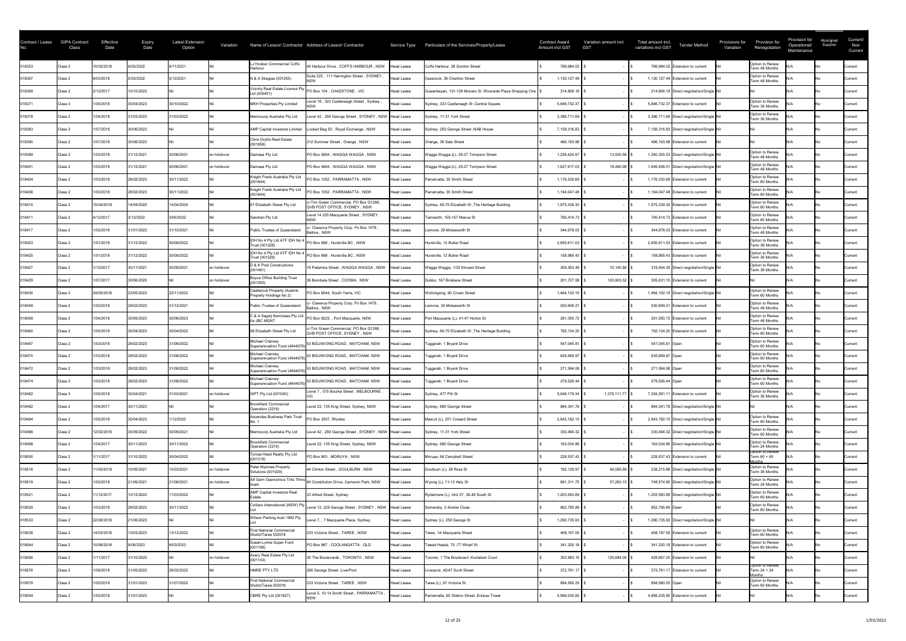| Contract / Lease | <b>GIPA Contract</b><br>Class | Effective<br>Date | <b>Expiry</b><br>Date | <b>Latest Extension</b><br>Option | Variation   |                                                         | Name of Lessor/ Contractor Address of Lessor/ Contractor               |                   | Service Type Particulars of the Services/Property/Lease           | <b>Contract Award</b><br><b>Amount incl GST</b> | Variation amount incl.<br><b>GST</b> | Total amount incl.<br><b>Tender Method</b><br>variations incl GST | Provisions for<br>Variation | Provision for<br>Renegotiation            | Provision for<br>Operational/<br>Maintenance | Aboriginal<br>Supplier | Current/<br>Non<br>Current |
|------------------|-------------------------------|-------------------|-----------------------|-----------------------------------|-------------|---------------------------------------------------------|------------------------------------------------------------------------|-------------------|-------------------------------------------------------------------|-------------------------------------------------|--------------------------------------|-------------------------------------------------------------------|-----------------------------|-------------------------------------------|----------------------------------------------|------------------------|----------------------------|
| 018353           | Class 2                       | 10/02/2018        | 9/02/2022             | 9/11/2021                         |             | LJ Hooker Commercial Coffs<br>Harbour                   | 40 Harbour Drive, COFFS HARBOUR, NSW                                   | Head Lease        | Coffs Harbour, 28 Gordon Street                                   | 799,984.02                                      |                                      | 799,984.02 Extension to current                                   |                             | Option to Renew<br>Term 48 Months         |                                              |                        | <b>Current</b>             |
| 018367           | Class 2                       | 6/03/2018         | 5/03/2022             | 5/12/2021                         |             | N & A Skagias (001255)                                  | Suite 222, 111 Harrington Street, SYDNEY                               | <b>Head Lease</b> | Cessnock, 36 Charlton Street                                      | 1,130,127.49                                    |                                      | 1,130,127.49 Extension to current                                 |                             | Option to Renew<br>Term 48 Months         |                                              |                        | Current                    |
| 018369           | Class 2                       | 2/12/2017         | 10/10/2022            |                                   |             | Ltd (000401)                                            | Vicinity Real Estate Licence Pty PO Box 104, CHADSTONE, VIC            | <b>Head Lease</b> | Queanbeyan, 131-139 Monaro St, Riverside Plaza Shopping Ctre   \$ | 214,806.18                                      |                                      | 214,806.18 Direct negotiation/Single Nil                          |                             |                                           |                                              |                        | Current                    |
| 018371           | Class 3                       | 1/05/2018         | 30/04/2023            | 30/10/2022                        |             | MKH Properties Pty Limited                              | evel 18, 323 Castlereagh Street, Sydney                                | <b>Head Lease</b> | Sydney, 323 Castlereagh St, Central Square                        | 5,846,732.37                                    |                                      | 5,846,732.37 Extension to current                                 |                             | Option to Renew<br>Term 36 Months         |                                              |                        | <b>Current</b>             |
| 018378           | Class 2                       | 1/04/2018         | 31/03/2023            | 31/03/2022                        |             | Memocorp Australia Pty Ltd                              | Level 42 , 259 George Street , SYDNEY , NSW Head Lease                 |                   | Sydney, 11-31 York Street                                         | 3,386,711.69                                    |                                      | 3,386,711.69 Direct negotiation/Single Nil                        |                             | Option to Renew<br>Term 36 Months         |                                              |                        | <b>Current</b>             |
| 018383           | Class 3                       | 1/07/2018         | 30/06/2023            |                                   |             | <b>AMP Capital Investors Limited</b>                    | Locked Bag 50, Royal Exchange, NSW                                     | Head Lease        | Sydney, 255 George Street, NAB House                              | 7,159,316.83                                    |                                      | 7,159,316.83 Direct negotiation/Single Nil                        |                             |                                           |                                              |                        | <b>Current</b>             |
| 018390           | Class 2                       | 1/07/2018         | 30/06/2023            |                                   |             | Chris Gryllis Real Estate<br>(001858)                   | 312 Summer Street, Orange, NSW                                         | <b>Head Lease</b> | Orange, 36 Sale Street                                            | 496,193.98                                      |                                      | 496,193.98 Extension to current                                   |                             |                                           |                                              |                        | Current                    |
| 018399           | Class 2                       | 1/03/2018         | 31/12/2021            | 30/06/2021                        | on holdover | Damasa Pty Ltd                                          | PO Box 5664, WAGGA WAGGA, NSW                                          | <b>Head Lease</b> | Wagga Wagga (L), 25-27 Tompson Street                             | 1,226,424.97                                    | 13,930.56                            | 1,240,355.53 Direct negotiation/Single Nil                        |                             | Option to Renew<br>Term 48 Months         |                                              |                        | <b>Current</b>             |
| 018401           | Class 2                       | 1/03/2018         | 31/12/2021            | 30/06/2021                        | on holdover | Damasa Pty Ltd                                          | PO Box 5664, WAGGA WAGGA, NSW                                          | Head Lease        | Wagga Wagga (L), 25-27 Tompson Street                             | 1,627,917.03                                    | 18,490.98                            | 1,646,408.01 Direct negotiation/Single Nil                        |                             | Option to Renew<br>Term 48 Months         |                                              |                        | <b>Current</b>             |
| 018404           | Class 2                       | 1/03/2018         | 28/02/2023            | 30/11/2022                        |             | Knight Frank Australia Pty Ltd<br>(001644)              | PO Box 1052, PARRAMATTA, NSW                                           | <b>Head Lease</b> | Parramatta, 35 Smith Street                                       | 1,176,330.69                                    |                                      | 1,176,330.69 Extension to current                                 |                             | Option to Renew<br>Term 60 Months         |                                              |                        | Current                    |
| 018406           | Class 2                       | 1/03/2018         | 28/02/2023            | 30/11/2022                        |             | Knight Frank Australia Pty Ltd<br>(001644)              | PO Box 1052, PARRAMATTA, NSW                                           | <b>Head Lease</b> | Parramatta, 35 Smith Street                                       | 1,194,047.48                                    |                                      | 1,194,047.48 Extension to current                                 |                             | Option to Renew<br>Term 60 Months         |                                              |                        | <b>Current</b>             |
| 018410           | Class 2                       | 15/04/2018        | 14/04/2025            | 14/04/2024                        |             | 67 Elizabeth Street Pty Ltd                             | c/-Tim Green Commercial, PO Box Q1288<br>QVB POST OFFICE, SYDNEY, NSW  | Head Lease        | Sydney, 60-70 Elizabeth St, The Heritage Building                 | 1,975,339.30                                    |                                      | 1,975,339.30 Extension to current                                 |                             | Option to Renew<br>Term 60 Months         |                                              |                        | <b>Current</b>             |
| 018411           | Class 2                       | 4/12/2017         | 3/12/2022             | 3/06/2022                         |             | Sandran Pty Ltd                                         | Level 14 225 Macquarie Street, SYDNEY                                  | Head Lease        | Tamworth, 155-157 Marius St                                       | 795,414.73                                      |                                      | 795,414.73 Extension to current                                   |                             | Option to Renew<br>Term 60 Months         |                                              |                        | Current                    |
| 018417           | Class 2                       | 1/02/2018         | 31/01/2022            | 31/10/2021                        |             | Public Trustee of Queensland                            | c/- Clarence Property Corp. Po Box 1478,<br>Ballina, NSW               | <b>Head Lease</b> | Lismore, 29 Molesworth St                                         | 344,978.03                                      |                                      | 344,978.03 Extension to current                                   |                             | Option to Renew<br>Term 48 Months         |                                              |                        | Current                    |
| 018423           | Class 2                       | 1/01/2018         | 31/12/2022            | 30/09/2022                        |             | IDH No 4 Pty Ltd ATF IDH No 4<br>Trust (001228)         | PO Box 698, Hurstville BC, NSW                                         | Head Lease        | Hurstville, 12 Butler Road                                        | 2,655,611.03                                    |                                      | 2,655,611.03 Extension to current                                 |                             | Option to Renew<br>Term 36 Months         |                                              |                        | <b>Current</b>             |
| 018425           | Class 2                       | 1/01/2018         | 31/12/2022            | 30/09/2022                        |             | Trust (001228)                                          | IDH No 4 Pty Ltd ATF IDH No 4  PO Box 698, Hurstville BC, NSW          | Head Lease        | Hurstville, 12 Butler Road                                        | 158,985.43                                      |                                      | 158,985.43 Extension to current                                   |                             | Option to Renew<br>Term 36 Months         |                                              |                        | Current                    |
| 018427           | Class 2                       | /12/2017          | 30/11/2021            | 30/09/2021                        | on holdover | D & K Post Constructions<br>(001481)                    | 16 Patamba Street, WAGGA WAGGA, NSW                                    | Head Lease        | Wagga Wagga, 1/32 Kincaid Street                                  | 309,363.48                                      | $10,140.86$ \ \$                     | 319,504.35 Direct negotiation/Single Nil                          |                             | Option to Renew<br>Term 36 Months         |                                              |                        | <b>Current</b>             |
| 018429           | Class 2                       | 1/07/2017         | 30/06/2020            |                                   | on holdover | Boyce Office Building Trust                             | 36 Bombala Street, COOMA, NSW                                          | Head Lease        | Dubbo, 167 Brisbane Street                                        | 201,727.58                                      | 103,903.52 \$                        | 305,631.10 Extension to current                                   |                             |                                           |                                              |                        | Current                    |
| 018435           | Class 2                       | 24/05/2018        | 23/05/2023            | 22/11/2022                        |             | Castlerock Property (Auslink<br>Property Holdings No 2) | PO Box 6044, South Yarra, VIC                                          | Head Lease        | Wollongong, 90 Crown Street                                       | 1,464,102.15                                    |                                      | 1,464,102.15 Direct negotiation/Single Nil                        |                             | Option to Renew<br>Term 60 Months         |                                              |                        | Current                    |
| 018448           | Class 2                       | 1/03/2018         | 28/02/2022            | 31/12/2021                        |             | Public Trustee of Queensland                            | /- Clarence Property Corp. Po Box 1478,<br>Ballina . NSW               | Head Lease        | Lismore, 29 Molesworth St                                         | 530,609.21                                      |                                      | 530,609.21 Extension to current                                   |                             | Option to Renew<br>Term 48 Months         |                                              |                        | <b>Current</b>             |
| 018458           | Class 2                       | 1/04/2018         | 30/09/2023            | 30/06/2023                        |             | C & A Sagolj Nominees Pty Ltd<br>t/a JBC MGNT           | PO Box 9223, , Port Macquarie, NSW                                     | Head Lease        | Port Macquarie (L), 41-47 Horton St                               | 291,050.72                                      |                                      | 291,050.72 Extension to current                                   |                             | Option to Renew<br>Term 48 Months         |                                              |                        | <b>Current</b>             |
| 018460           | Class 2                       | 1/05/2018         | 30/04/2023            | 30/04/2022                        |             | 68 Elizabeth Street Pty Ltd                             | c/-Tim Green Commercial, PO Box Q1288<br>QVB POST OFFICE, SYDNEY, NSW  | Head Lease        | Sydney, 60-70 Elizabeth St, The Heritage Building                 | 792,134.20                                      |                                      | 792,134.20 Extension to current                                   |                             | Option to Renew<br>Term 60 Months         |                                              |                        | <b>Current</b>             |
| 018467           | Class 2                       | 1/03/2018         | 28/02/2023            | 31/08/2022                        |             | Michael Cranney<br>Superannuation Fund (4644576)        | 53 BIDJIWONG ROAD, MATCHAM, NSW                                        | Head Lease        | Tuggerah, 1 Bryant Drive                                          | 547,045.81                                      |                                      | 547,045.81 Open                                                   |                             | Option to Renew<br>Term 60 Months         |                                              |                        | Current                    |
| 018470           | Class 2                       | 1/03/2018         | 28/02/2023            | 31/08/2022                        |             | Michael Cranney<br>Superannuation Fund (4644576)        | 53 BIDJIWONG ROAD, MATCHAM, NSW                                        | <b>Head Lease</b> | Tuggerah, 1 Bryant Drive                                          | 635,669.97                                      |                                      | 635,669.97 Open                                                   |                             | Option to Renew<br>Term 60 Months         |                                              |                        | Current                    |
| 018472           | Class 2                       | 1/03/2018         | 28/02/2023            | 31/08/2022                        |             | Michael Cranney<br>Superannuation Fund (4644576         | 53 BIDJIWONG ROAD, MATCHAM, NSW                                        | Head Lease        | Tuggerah, 1 Bryant Drive                                          | 271,594.06                                      |                                      | 271,594.06 Open                                                   |                             | Option to Renew<br>Term 60 Months         |                                              |                        | Current                    |
| 018474           | Class 2                       | 1/03/2018         | 28/02/2023            | 31/08/2022                        |             | Michael Cranney<br>Superannuation Fund (4644576         | 53 BIDJIWONG ROAD, MATCHAM, NSW                                        | Head Lease        | Tuggerah, 1 Bryant Drive                                          | 279,526.44                                      |                                      | 279,526.44 Open                                                   |                             | Option to Renew<br>Term 60 Months         |                                              |                        | <b>Current</b>             |
| 018482           | Class 3                       | 1/05/2018         | 30/04/2021            | 31/03/2021                        | on holdover | ISPT Pty Ltd (001040)                                   | Level 7, 575 Bourke Street, MELBOURNE,                                 | Head Lease        | Sydney, 477 Pitt St                                               | 5,949,179.34                                    | $1,375,111.77$ \\$                   | 7,324,291.11 Extension to current                                 |                             | Option to Renew<br>Term 36 Months         |                                              |                        | Current                    |
| 018492           | Class 2                       | 1/04/2017         | 30/11/2023            |                                   |             | <b>Brookfield Commercial</b><br>Operation (2219)        | Level 22, 135 King Street, Sydney, NSW                                 | Head Lease        | Sydney, 680 George Street                                         | 894,341.76                                      |                                      | 894,341.76 Direct negotiation/Single Nil                          |                             |                                           |                                              |                        | Current                    |
| 018494           | Class 2                       | 1/05/2018         | 30/04/2023            | 1/12/2022                         |             | Ascendas Business Park Trust<br>PO Box 3307, Rhodes     |                                                                        | <b>Head Lease</b> | Mascot (L), 201 Coward Street                                     | 2,843,182.10                                    |                                      | 2,843,182.10 Direct negotiation/Single Nil                        |                             | Option to Renew<br>Term 60 Months         |                                              |                        | Current                    |
| 018496           | Class 2                       | 12/02/2018        | 30/09/2022            | 30/09/2021                        |             | Memocorp Australia Pty Ltd                              | Level 42 , 259 George Street , SYDNEY , NSW Head Lease                 |                   | Sydney, 11-31 York Street                                         | 330,494.32                                      |                                      | 330,494.32 Direct negotiation/Single Nil                          |                             | Option to Renew<br>Term 60 Months         |                                              |                        | Current                    |
| 018498           | Class 2                       | 1/04/2017         | 30/11/2023            | 30/11/2022                        |             | <b>Brookfield Commercial</b><br>Operation (2219)        | Level 22, 135 King Street, Sydney, NSW                                 | Head Lease        | Sydney, 680 George Street                                         | 163,034.86                                      |                                      | 163,034.86 Direct negotiation/Single Nil                          |                             | Option to Renew<br>Term 24 Months         |                                              |                        | <b>Current</b>             |
| 018500           | Class 2                       | /11/2017          | 31/10/2022            | 30/04/2022                        |             | Tuross Head Realty Pty Ltd<br>(001319)                  | PO Box 903, MORUYA, NSW                                                | Head Lease        | Moruya, 66 Campbell Street                                        | 228,537.43                                      |                                      | 228,537.43 Extension to current                                   |                             | Option to Renew<br>Term 60 + 60<br>lonths |                                              |                        | <b>Current</b>             |
| 018516           | Class 2                       | 1/05/2018         | 10/05/2021            | 10/03/2021                        | on holdover | Peter Mylonas Property<br>Solutions (001029)            | 44 Clinton Street, GOULBURN, NSW                                       | Head Lease        | Goulburn (L), 28 Ross St                                          | 192,129.97                                      | 46,085.89                            | 238,215.86 Direct negotiation/Single Nil                          |                             | Option to Renew<br>Term 36 Months         |                                              |                        | <b>Current</b>             |
| 018519           | Class 2                       | 1/02/2018         | 21/09/2021            | 21/06/2021                        | on holdover |                                                         | Atf Gem Openclinics T/As Thms 84 Constitution Drive, Cameron Park, NSW | Head Lease        | Wyong (L), 11-13 Hely St                                          | 691,311.75                                      | $57,263.15$ \$                       | 748,574.90 Direct negotiation/Single Nil                          |                             | Option to Renew<br>Term 24 Months         |                                              |                        | <b>Current</b>             |
| 018521           | Class 2                       | 1/12/2017         | 10/12/2022            | 1/03/2022                         |             | <b>AMP Capital Investors Real</b><br>Fstate             | 33 Alfred Street, Sydney                                               | Head Lease        | Rydalmere (L), Unit 27, 38-46 South St                            | 1,203,583.89                                    |                                      | 1,203,583.89 Direct negotiation/Single Nil                        |                             | Option to Renew<br>Term 60 Months         |                                              |                        | Current                    |
| 018529           | Class 2                       | 1/03/2018         | 28/02/2022            | 30/11/2022                        |             | Colliers International (NSW) Pty                        | Level 12, 225 George Street, SYDNEY, NSW   Head Lease                  |                   | Somersby, 2 Ainslie Close                                         | 852,795.89                                      |                                      | 852,795.89 Open                                                   |                             | Option to Renew<br>Term 60 Months         |                                              |                        | Current                    |
| 018533           | Class 2                       | 22/06/2018        | 21/06/2023            |                                   |             | Wilson Parking Aust 1992 Pty                            | Level 7, , 7 Macquarie Place, Sydney                                   | Head Lease        | Sydney (L), 259 George St                                         | 1,290,735.93                                    |                                      | 1,290,735.93 Direct negotiation/Single Nil                        |                             |                                           |                                              |                        | <b>Current</b>             |
| 018538           | Class 2                       | 14/03/2018        | 13/03/2023            | 13/12/2022                        |             | <b>First National Commercial</b><br>Shultz\Taree 002018 | 233 Victoria Street, TAREE, NSW                                        | Head Lease        | Taree, 1A Macquarie Street                                        | 408,197.05                                      |                                      | 408,197.05 Extension to current                                   |                             | Option to Renew<br>Term 60 Months         |                                              |                        | <b>Current</b>             |
| 018544           | Class 2                       | 10/06/2018        | 9/06/2023             | 9/03/2023                         |             | Susan-Lynne Super Fund<br>(001196)                      | PO Box 967, COOLANGATTA, QLD                                           | Head Lease        | Tweed Heads, 75 -77 Wharf St                                      | 341,320.18                                      |                                      | 341,320.18 Extension to current                                   |                             | Option to Renew<br>Term 60 Months         |                                              |                        | Current                    |
| 018556           | Class 2                       | /11/2017          | 31/10/2020            |                                   | on holdover | Avery Real Estate Pty Ltd<br>(001143)                   | 30 The Boulevarde, TORONTO, NSW                                        | <b>Head Lease</b> | Toronto, 1 The Boulevard, Koolabah Court                          | 302,983.15                                      | 125,684.05                           | 428,667.20 Extension to current                                   |                             |                                           |                                              |                        | Current                    |
| 018576           | Class 2                       | 1/06/2018         | 31/05/2022            | 28/02/2022                        |             | HMRE PTY LTD                                            | 280 George Street, LiverPool                                           | Head Lease        | Liverpool, 45/47 Scott Street                                     | 372,761.17                                      |                                      | 372,761.17 Extension to current                                   |                             | Option to Renew<br>Term 24 + 24<br>lonths |                                              |                        | Current                    |
| 018578           | Class 2                       | 1/02/2018         | 31/01/2023            | 31/07/2022                        |             | <b>First National Commercial</b><br>Shultz\Taree 002018 | 233 Victoria Street, TAREE, NSW                                        | <b>Head Lease</b> | Taree (L), 91 Victoria St                                         | 894,580.25                                      |                                      | 894,580.25 Open                                                   |                             | Option to Renew<br>Term 60 Months         |                                              |                        | <b>Current</b>             |
| 018594           | Class 2                       | 1/02/2018         | 31/01/2023            |                                   |             | CBRE Pty Ltd (001827)                                   | Level 5, 10-14 Smith Street, PARRAMATTA<br><b>NSW</b>                  | Head Lease        | Parramatta, 60 Station Street, Eclipse Tower                      | 4,999,235.95                                    |                                      | 4,999,235.95 Extension to current                                 |                             |                                           |                                              |                        | Current                    |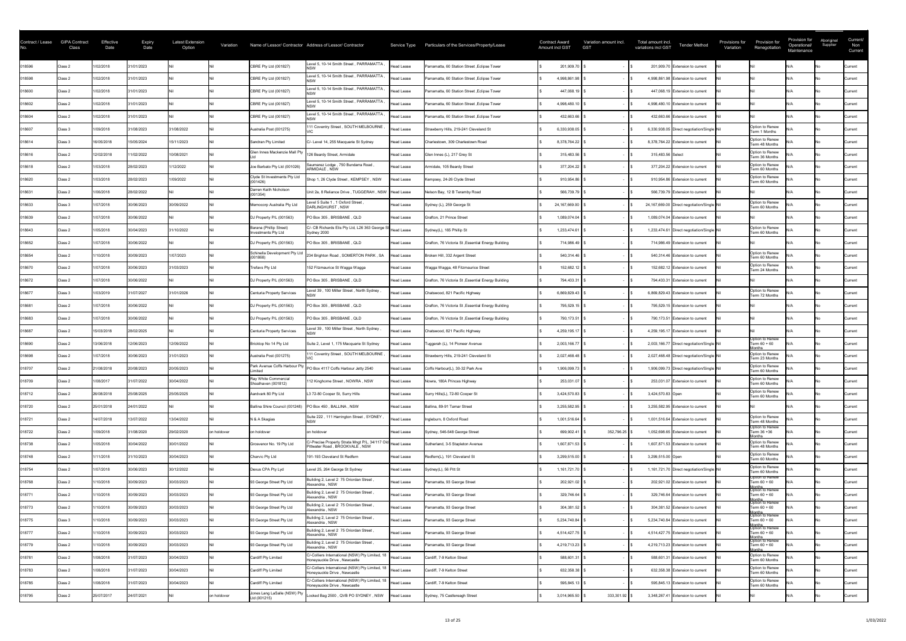| Contract / Lease | <b>GIPA Contract</b><br>Class | Effective<br>Date | <b>Expiry</b><br>Date | <b>Latest Extension</b><br>Option | Variation   |                                                         | Name of Lessor/ Contractor Address of Lessor/ Contractor                                      |                   | Service Type Particulars of the Services/Property/Lease | <b>Contract Award</b><br><b>Amount incl GST</b> | Variation amount incl.<br><b>GST</b> | Total amount incl.<br><b>Tender Method</b><br>variations incl GST | Provisions for<br>Variation | Provision for<br>Renegotiation                                | Provision for<br>Operational/<br>Maintenance | Aboriginal<br>Supplier | Current/<br>Non<br>Current |
|------------------|-------------------------------|-------------------|-----------------------|-----------------------------------|-------------|---------------------------------------------------------|-----------------------------------------------------------------------------------------------|-------------------|---------------------------------------------------------|-------------------------------------------------|--------------------------------------|-------------------------------------------------------------------|-----------------------------|---------------------------------------------------------------|----------------------------------------------|------------------------|----------------------------|
| 018596           | Class 2                       | 1/02/2018         | 31/01/2023            |                                   |             | CBRE Pty Ltd (001827)                                   | Level 5, 10-14 Smith Street, PARRAMATTA                                                       | Head Lease        | Parramatta, 60 Station Street, Eclipse Tower            |                                                 | 201,909.70                           | 201,909.70 Extension to current                                   |                             |                                                               |                                              |                        | Current                    |
| 018598           | Class 2                       | 1/02/2018         | 31/01/2023            |                                   |             | CBRE Pty Ltd (001827)                                   | Level 5, 10-14 Smith Street, PARRAMATTA                                                       | Head Lease        | Parramatta, 60 Station Street, Eclipse Tower            | 4,998,861.98                                    |                                      | 4,998,861.98 Extension to current                                 |                             |                                                               |                                              |                        | <b>Current</b>             |
| 018600           | Class 2                       | 1/02/2018         | 31/01/2023            |                                   |             | CBRE Pty Ltd (001827)                                   | Level 5, 10-14 Smith Street, PARRAMATTA                                                       | Head Lease        | Parramatta, 60 Station Street, Eclipse Tower            |                                                 | 447,068.19                           | 447,068.19 Extension to current                                   |                             |                                                               |                                              |                        | <b>Current</b>             |
| 018602           | Class 2                       | 1/02/2018         | 31/01/2023            |                                   |             | CBRE Pty Ltd (001827)                                   | Level 5, 10-14 Smith Street, PARRAMATTA                                                       | Head Lease        | Parramatta, 60 Station Street, Eclipse Tower            | 4,998,480.10                                    |                                      | 4,998,480.10 Extension to current                                 |                             |                                                               |                                              |                        | <b>Current</b>             |
| 018604           | Class 2                       | 1/02/2018         | 31/01/2023            |                                   |             | CBRE Pty Ltd (001827)                                   | Level 5, 10-14 Smith Street, PARRAMATTA                                                       | <b>Head Lease</b> | Parramatta, 60 Station Street, Eclipse Tower            |                                                 | 432,663.66                           | 432,663.66 Extension to current                                   |                             |                                                               |                                              |                        | Current                    |
| 018607           | Class 3                       | 1/09/2018         | 31/08/2023            | 31/08/2022                        |             | Australia Post (001275)                                 | 111 Coventry Street, SOUTH MELBOURNE                                                          | <b>Head Lease</b> | Strawberry Hills, 219-241 Cleveland St                  | 6,330,938.05                                    |                                      | 6,330,938.05 Direct negotiation/Single Nil                        |                             | Option to Renew<br>Term 1 Months                              |                                              |                        | Current                    |
| 018614           | Class 3                       | 16/05/2018        | 15/05/2024            | 15/11/2023                        |             | Sandran Pty Limited                                     | C/- Level 14, 255 Macquarie St Sydney                                                         | <b>Head Lease</b> | Charlestown, 309 Charlestown Road                       | 8,378,764.22                                    |                                      | 8,378,764.22 Extension to current                                 |                             | Option to Renew<br>Term 48 Months                             |                                              |                        | Current                    |
| 018616           | Class 2                       | 12/02/2018        | 11/02/2022            | 10/08/2021                        |             | Glen Innes Mackenzie Mall Pty                           | 126 Beardy Street, Armidale                                                                   | <b>Head Lease</b> | Glen Innes (L), 217 Grey St                             |                                                 | 315,483.56                           | 315,483.56 Select                                                 |                             | Option to Renew<br>Term 36 Months                             |                                              |                        | <b>Current</b>             |
| 018618           | Class 2                       | 1/03/2018         | 28/02/2023            | /12/2022                          |             | Joe Barbato Pty Ltd (001026)                            | Saumarez Lodge, 750 Bundarra Road,<br><b>ARMIDALE . NSW</b>                                   | Head Lease        | Armidale, 105 Beardy Street                             |                                                 | 377,204.22                           | 377,204.22 Extension to current                                   |                             | Option to Renew<br>Term 60 Months                             |                                              |                        | <b>Current</b>             |
| 018620           | Class 2                       | 1/03/2018         | 28/02/2023            | 1/09/2022                         |             | Clyde St Investments Pty Ltd<br>(001426)                | Shop 1, 26 Clyde Street, KEMPSEY, NSW                                                         | Head Lease        | Kempsey, 24-26 Clyde Street                             |                                                 | 910,954.86                           | 910,954.86 Extension to current                                   |                             | Option to Renew<br>Term 60 Months                             |                                              |                        | <b>Current</b>             |
| 018631           | Class 2                       | 1/06/2018         | 28/02/2022            |                                   |             | Darren Keith Nicholson<br>(001354)                      | Unit 2a, 8 Reliance Drive, TUGGERAH, NSW   Head Lease                                         |                   | Nelson Bay, 12 B Teramby Road                           |                                                 | 566,739.79                           | 566,739.79 Extension to current                                   |                             |                                                               |                                              |                        | Current                    |
| 018633           | Class 3                       | 1/07/2018         | 30/06/2023            | 30/09/2022                        |             | Memocorp Australia Pty Ltd                              | Level 5 Suite 1, 1 Oxford Street,<br>DARLINGHURST, NSW                                        | Head Lease        | Sydney (L), 259 George St                               | 24,167,669.00                                   |                                      | 24,167,669.00 Direct negotiation/Single Nil                       |                             | Option to Renew<br>Term 60 Months                             |                                              |                        | <b>Current</b>             |
| 018639           | Class 2                       | 1/07/2018         | 30/06/2022            |                                   |             | DJ Property P/L (001563)                                | PO Box 305, BRISBANE, QLD                                                                     | Head Lease        | Grafton, 21 Prince Street                               |                                                 | $1,089,074.04$ \;                    | 1,089,074.04 Extension to current                                 |                             |                                                               |                                              |                        | <b>Current</b>             |
| 018643           | Class 2                       | 1/05/2018         | 30/04/2023            | 31/10/2022                        |             | Barana (Phillip Street)<br>Investments Pty Ltd          | C/- CB Richards Elis Pty Ltd, L26 363 George S<br>Sydney 2000                                 | Head Lease        | Sydney(L), 165 Phillip St                               | 1,233,474.61                                    |                                      | 1,233,474.61 Direct negotiation/Single Nil                        |                             | Option to Renew<br>Term 60 Months                             |                                              |                        | <b>Current</b>             |
| 018652           | Class 2                       | 1/07/2018         | 30/06/2022            |                                   |             | DJ Property P/L (001563)                                | PO Box 305, BRISBANE, QLD                                                                     | Head Lease        | Grafton, 76 Victoria St, Essential Energy Building      |                                                 | 714,986.49                           | 714,986.49 Extension to current                                   |                             |                                                               |                                              |                        | <b>Current</b>             |
| 018654           | Class 2                       | 1/10/2018         | 30/09/2023            | 1/07/2023                         |             | Schinella Development Pty Ltd<br>(001868)               | 234 Brighton Road, SOMERTON PARK, SA                                                          | <b>Head Lease</b> | Broken Hill, 332 Argent Street                          |                                                 | 540,314.46                           | 540,314.46 Extension to current                                   |                             | Option to Renew<br>Term 60 Months                             |                                              |                        | Current                    |
| 018670           | Class 2                       | 1/07/2018         | 30/06/2023            | 31/03/2023                        |             | Trefavs Pty Ltd                                         | 152 Fitzmaurice St Wagga Wagga                                                                | <b>Head Lease</b> | Wagga Wagga, 48 Fitzmaurice Street                      |                                                 | 152,682.12                           | 152,682.12 Extension to current                                   |                             | Option to Renew<br>Term 24 Months                             |                                              |                        | <b>Current</b>             |
| 018672           | Class 2                       | /07/2018          | 30/06/2022            |                                   |             | DJ Property P/L (001563)                                | PO Box 305, BRISBANE, QLD                                                                     | Head Lease        | Grafton, 76 Victoria St, Essential Energy Building      |                                                 | 794,433.31                           | 794,433.31 Extension to current                                   |                             |                                                               |                                              |                        | Current                    |
| 018677           | Class 3                       | 1/03/2019         | 31/07/2027            | 31/01/2026                        |             | Centuria Property Services                              | evel 39, 100 Miller Street, North Sydney,                                                     | Head Lease        | Chatswood, 821 Pacific Highway                          | 6,869,829.43                                    |                                      | 6,869,829.43 Extension to current                                 |                             | Option to Renew<br>Term 72 Months                             |                                              |                        | <b>Current</b>             |
| 018681           | Class 2                       | 1/07/2018         | 30/06/2022            |                                   |             | DJ Property P/L (001563)                                | PO Box 305, BRISBANE, QLD                                                                     | <b>Head Lease</b> | Grafton, 76 Victoria St, Essential Energy Building      |                                                 | 795,529.15                           | 795,529.15 Extension to current                                   |                             |                                                               |                                              |                        | Current                    |
| 018683           | Class 2                       | 1/07/2018         | 30/06/2022            |                                   |             | DJ Property P/L (001563)                                | PO Box 305, BRISBANE, QLD                                                                     | Head Lease        | Grafton, 76 Victoria St, Essential Energy Building      |                                                 | 790,173.51                           | 790,173.51 Extension to current                                   |                             |                                                               |                                              |                        | Current                    |
| 018687           | Class 2                       | 15/03/2018        | 28/02/2025            |                                   |             | Centuria Property Services                              | Level 39, 100 Miller Street, North Sydney,                                                    | Head Lease        | Chatswood, 821 Pacific Highway                          | 4,259,195.17                                    |                                      | 4,259,195.17 Extension to current                                 |                             |                                                               |                                              |                        | Current                    |
| 018690           | Class 2                       | 13/06/2018        | 12/06/2023            | 12/09/2022                        |             | Bricktop No 14 Pty Ltd                                  | Suite 2, Level 1, 175 Macquarie St Sydney                                                     | Head Lease        | Tuggerah (L), 14 Pioneer Avenue                         | 2,003,166.77                                    |                                      | 2,003,166.77 Direct negotiation/Single Nil                        |                             | Option to Renew<br>Term 60 + 60                               |                                              |                        | <b>Current</b>             |
| 018698           | Class 2                       | 1/07/2018         | 30/06/2023            | 31/01/2023                        |             | Australia Post (001275)                                 | 111 Coventry Street, SOUTH MELBOURNE                                                          | Head Lease        | Strawberry Hills, 219-241 Cleveland St                  | 2,027,468.48                                    |                                      | 2,027,468.48 Direct negotiation/Single Nil                        |                             | Option to Renew<br>Term 23 Months                             |                                              |                        | Current                    |
| 018707           | Class 2                       | 21/08/2018        | 20/08/2023            | 20/05/2023                        |             | Park Avenue Coffs Harbour Pty<br>imited                 | PO Box 4117 Coffs Harbour Jetty 2540                                                          | Head Lease        | Coffs Harbour(L), 30-32 Park Ave                        | 1,906,099.73                                    |                                      | 1,906,099.73 Direct negotiation/Single Nil                        |                             | Option to Renew<br>Term 60 Months                             |                                              |                        | <b>Current</b>             |
| 018709           | Class 2                       | 1/08/2017         | 31/07/2022            | 30/04/2022                        |             | Ray White Commercial<br>Shoalhaven (001812)             | 112 Kinghorne Street, NOWRA, NSW                                                              | Head Lease        | Nowra, 180A Princes Highway                             |                                                 | 253,031.07                           | 253,031.07 Extension to current                                   |                             | Option to Renew<br>Term 60 Months                             |                                              |                        | Current                    |
| 018712           | Class 2                       | 26/08/2018        | 25/08/2025            | 25/05/2025                        |             | Aardvark 80 Pty Ltd                                     | L3 72-80 Cooper St, Surry Hills                                                               | Head Lease        | Surry Hills(L), 72-80 Cooper St                         | 3,424,570.83                                    |                                      | 3,424,570.83 Open                                                 |                             | Option to Renew<br>Term 60 Months                             |                                              |                        | Current                    |
| 018720           | Class 2                       | 25/01/2018        | 24/01/2022            |                                   |             | Ballina Shire Council (001248) PO Box 450, BALLINA, NSW |                                                                                               | Head Lease        | Ballina, 89-91 Tamar Street                             | 3,255,582.95                                    |                                      | 3,255,582.95 Extension to current                                 |                             |                                                               |                                              |                        | <b>Current</b>             |
| 018721           | Class 2                       | 14/07/2018        | 13/07/2022            | 13/04/2022                        |             | N & A Skagias                                           | Suite 222, 111 Harrington Street, SYDNEY                                                      | Head Lease        | Ingleburn, 8 Oxford Road                                | 1,001,516.64                                    |                                      | 1,001,516.64 Extension to current                                 |                             | Option to Renew<br>Term 48 Months                             |                                              |                        | Current                    |
| 018722           | Class 2                       | 1/09/2018         | 31/08/2020            | 29/02/2020                        | on holdover | on holdover                                             | on holdover                                                                                   | Head Lease        | Sydney, 546-548 George Street                           | 699,902.41                                      | 352,796.25                           | 1,052,698.65 Extension to current                                 |                             | Option to Renew<br>Term 36 +36<br>onths                       |                                              |                        | <b>Current</b>             |
| 018738           | Class 2                       | 1/05/2018         | 30/04/2022            | 30/01/2022                        |             | Grosvenor No. 19 Pty Ltd                                | IC/-Precise Property Strata Mngt P/L, 34/117 Old Head Lease<br>Pittwater Road, BROOKVALE, NSW |                   | Sutherland, 3-5 Stapleton Avenue                        | 1,607,871.53                                    |                                      | 1,607,871.53 Extension to current                                 |                             | Option to Renew<br>Term 48 Months                             |                                              |                        | <b>Current</b>             |
| 018748           | Class 2                       | /11/2018          | 31/10/2023            | 30/04/2023                        |             | Charvic Pty Ltd                                         | 191-193 Cleveland St Redfern                                                                  | Head Lease        | Redfern(L), 191 Cleveland St                            | 3,299,515.00                                    |                                      | 3,299,515.00 Open                                                 |                             | Option to Renew<br>Term 60 Months                             |                                              |                        | Current                    |
| 018754           | Class 2                       | 1/07/2018         | 30/06/2023            | 30/12/2022                        |             | Dexus CPA Pty Lyd                                       | Level 25, 264 George St Sydney                                                                | Head Lease        | Sydney(L), 56 Pitt St                                   | 1,161,721.70                                    |                                      | 1,161,721.70 Direct negotiation/Single Nil                        |                             | Option to Renew<br>Term 60 Months                             |                                              |                        | Current                    |
| 018768           | Class 2                       | /10/2018          | 30/09/2023            | 30/03/2023                        |             | 93 George Street Pty Ltd                                | Building 2, Level 2 75 Oriordan Street<br>Alexandria, NSW                                     | Head Lease        | Parramatta, 93 George Street                            |                                                 | 202,921.02                           | 202,921.02 Extension to current                                   |                             | Option to Renew<br>Term 60 + 60<br>Months<br> Option to Renew |                                              |                        | <b>Current</b>             |
| 018771           | Class 2                       | /10/2018          | 30/09/2023            | 30/03/2023                        |             | 93 George Street Pty Ltd                                | Building 2, Level 2 75 Oriordan Street<br>Alexandria . NSW                                    | <b>Head Lease</b> | Parramatta, 93 George Street                            |                                                 | 329,746.64                           | 329,746.64 Extension to current                                   |                             | Term 60 + 60<br>Months<br>Option to Renew                     |                                              |                        | <b>Current</b>             |
| 018773           | Class 2                       | /10/2018          | 30/09/2023            | 30/03/2023                        |             | 93 George Street Pty Ltd                                | Building 2, Level 2 75 Oriordan Street<br>Alexandria, NSW                                     | Head Lease        | Parramatta, 93 George Street                            |                                                 | 304,381.52                           | 304,381.52 Extension to current                                   |                             | Term 60 + 60<br>Months<br> Option to Renew                    |                                              |                        | Current                    |
| 018775           | Class 3                       | 1/10/2018         | 30/09/2023            | 30/03/2023                        |             | 93 George Street Pty Ltd                                | Building 2, Level 2 75 Oriordan Street<br>Alexandria, NSW                                     | Head Lease        | Parramatta, 93 George Street                            | 5,234,740.84                                    |                                      | 5,234,740.84 Extension to current                                 |                             | Term 60 + 60                                                  |                                              |                        | Current                    |
| 018777           | Class 2                       | 1/10/2018         | 30/09/2023            | 30/03/2023                        |             | 93 George Street Pty Ltd                                | Building 2, Level 2 75 Oriordan Street<br>Alexandria, NSW                                     | Head Lease        | Parramatta, 93 George Street                            | 4,514,427.75                                    |                                      | 4,514,427.75 Extension to current                                 |                             | Option to Renew<br>Term 60 + 60                               |                                              |                        | <b>Current</b>             |
| 018779           | Class 2                       | 1/10/2018         | 30/09/2023            | 30/03/2023                        |             | 93 George Street Pty Ltd                                | Building 2, Level 2 75 Oriordan Street<br>Alexandria, NSW                                     | Head Lease        | Parramatta, 93 George Street                            | 4,219,713.23                                    |                                      | 4,219,713.23 Extension to current                                 |                             | Option to Renew<br>Term $60 + 60$                             |                                              |                        | <b>Current</b>             |
| 018781           | Class 2                       | 1/08/2018         | 31/07/2023            | 30/04/2023                        |             | Cardiff Pty Limited                                     | C/-Colliers International (NSW) Pty Limited, 18<br>Honeysuckle Drive, Newcastle               | Head Lease        | Cardiff, 7-9 Kelton Street                              |                                                 | 588,601.31                           | 588,601.31 Extension to current                                   |                             | Option to Renew<br>Term 60 Months                             |                                              |                        | Current                    |
| 018783           | Class 2                       | 1/08/2018         | 31/07/2023            | 30/04/2023                        |             | Cardiff Pty Limited                                     | C/-Colliers International (NSW) Pty Limited, 18<br>Honeysuckle Drive, Newcastle               | Head Lease        | Cardiff, 7-9 Kelton Street                              |                                                 | 632,358.38                           | 632,358.38 Extension to current                                   |                             | Option to Renew<br>Term 60 Months                             |                                              |                        | <b>Current</b>             |
| 018785           | Class 2                       | 1/08/2018         | 31/07/2023            | 30/04/2023                        |             | Cardiff Pty Limited                                     | C/-Colliers International (NSW) Pty Limited, 18  Head Lease<br>Honeysuckle Drive, Newcastle   |                   | Cardiff, 7-9 Kelton Street                              |                                                 | 595,845.13                           | 595,845.13 Extension to current                                   |                             | Option to Renew<br>Term 60 Months                             |                                              |                        | <b>Current</b>             |
| 018795           | Class 2                       | 25/07/2017        | 24/07/2021            |                                   | on holdover | Jones Lang LaSalle (NSW) Pty<br>Ltd (001215)            | Locked Bag 2500, QVB PO SYDNEY, NSW                                                           | Head Lease        | Sydney, 75 Castlereagh Street                           | 3,014,965.50                                    | $333,301.92$ \$                      | 3,348,267.41 Extension to current                                 |                             |                                                               |                                              |                        | Current                    |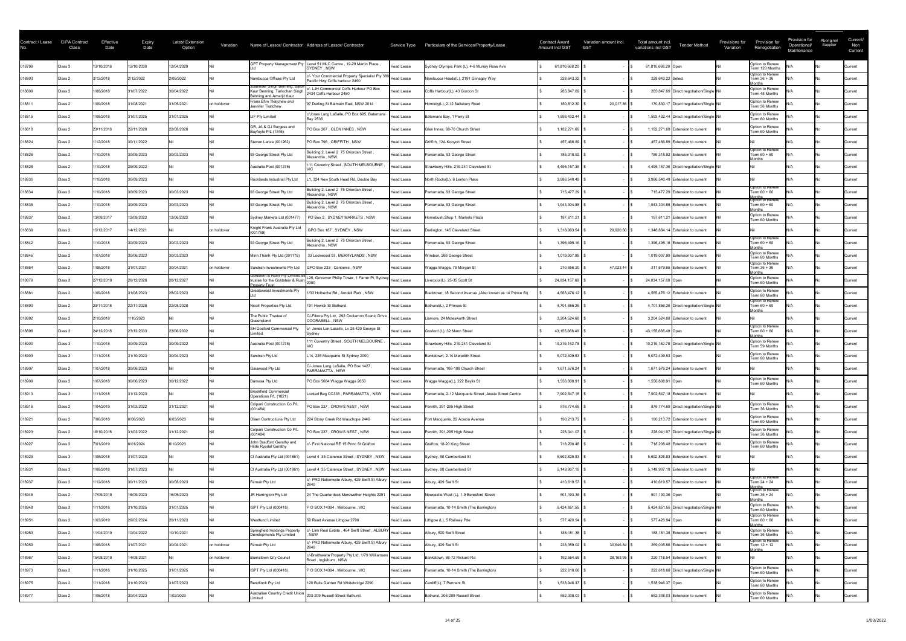| Contract / Lease | <b>GIPA Contract</b><br>Class | Effective<br>Date | <b>Expiry</b><br>Date | <b>Latest Extension</b><br>Option | Variation   |                                                                                             | Name of Lessor/ Contractor Address of Lessor/ Contractor                                                                 | Service Type      | Particulars of the Services/Property/Lease                 | <b>Contract Award</b><br><b>Amount incl GST</b> | Variation amount incl.<br><b>GST</b> | Total amount incl.<br><b>Tender Method</b><br>variations incl GST | Provisions for<br>Variation | Provision for<br>Renegotiation                     | Provision for<br>Operational/<br>Maintenance | Aboriginal<br>Supplier | Current/<br>Non<br>Current |
|------------------|-------------------------------|-------------------|-----------------------|-----------------------------------|-------------|---------------------------------------------------------------------------------------------|--------------------------------------------------------------------------------------------------------------------------|-------------------|------------------------------------------------------------|-------------------------------------------------|--------------------------------------|-------------------------------------------------------------------|-----------------------------|----------------------------------------------------|----------------------------------------------|------------------------|----------------------------|
| 018799           | Class 3                       | 13/10/2018        | 12/10/2030            | 12/04/2029                        |             | <b>GPT Property Management Pty</b>                                                          | Level 51 MLC Centre, 19-29 Martin Place,<br>SYDNEY, NSW                                                                  | <b>Head Lease</b> | Sydney Olympic Park (L), 4-6 Murray Rose Ave               | 61,810,668.20                                   |                                      | 61,810,668.20 Open                                                |                             | Option to Renew<br>Term 120 Months                 |                                              |                        | <b>Current</b>             |
| 018803           | Class 2                       | 3/12/2018         | 2/12/2022             | 2/09/2022                         |             | Nambucca Offices Pty Ltd                                                                    | J- Your Commercial Property Specialist Pty 380 Head Lease<br>Pacific Hwy Coffs harbour 2450                              |                   | Nambucca Heads(L), 2191 Giinagay Way                       | 228,643.22                                      |                                      | 228,643.22 Select                                                 |                             | Option to Renew<br>Term 36 + 36                    |                                              |                        | Current                    |
| 018809           | Class 2                       | 1/08/2018         | 31/07/2022            | 30/04/2022                        |             | Jusbinder Singh Benning, Balbir<br>Kaur Benning, Tarlochan Singh<br>enning and Amariit Kaur | c/- LJH Commercial Coffs Harbour PO Box<br>2434 Coffs Harbour 2450                                                       | <b>Head Lease</b> | Coffs Harbour(L), 43 Gordon St                             | 285,847.69                                      |                                      | 285,847.69 Direct negotiation/Single Nil                          |                             | onths<br>Option to Renew<br>Term 48 Months         |                                              |                        | <b>Current</b>             |
| 018811           | Class 2                       | 1/09/2018         | 31/08/2021            | 31/05/2021                        | on holdover | Frans Efim Tkatchew and<br>Jennifer Tkatchew                                                | 97 Darling St Balmain East, NSW 2014                                                                                     | Head Lease        | Hornsby(L), 2-12 Salisbury Road                            | 150,812.30                                      | $20,017.86$ \$                       | 170,830.17 Direct negotiation/Single Nil                          |                             | Option to Renew<br>Term 36 Months                  |                                              |                        | Current                    |
| 018815           | Class 2                       | 1/08/2018         | 31/07/2025            | 31/01/2025                        |             | LIF Pty Limited                                                                             | c/Jones Lang LaSalle, PO Box 695, Batemans<br><b>Bay 2536</b>                                                            | Head Lease        | Batemans Bay, 1 Perry St                                   | 1,593,432.44                                    |                                      | 1,593,432.44 Direct negotiation/Single Nil                        |                             | Option to Renew<br>Term 60 Months                  |                                              |                        | Current                    |
| 018818           | Class 2                       | 23/11/2018        | 22/11/2028            | 22/08/2028                        |             | GR, JA & GJ Burgess and<br>Bayfoyle P/L (1346)                                              | PO Box 207, GLEN INNES, NSW                                                                                              | <b>Head Lease</b> | Glen Innes, 68-70 Church Street                            | 1,182,271.69                                    |                                      | 1,182,271.69 Extension to current                                 |                             | Option to Renew<br>Term 60 Months                  |                                              |                        | <b>Current</b>             |
| 018824           | Class 2                       | /12/2018          | 30/11/2022            |                                   |             | Steven Lanza (001262)                                                                       | PO Box 796, GRIFFITH, NSW                                                                                                | <b>Head Lease</b> | Griffith, 12A Kooyoo Street                                | 457,466.89                                      |                                      | 457,466.89 Extension to current                                   |                             |                                                    |                                              |                        | Current                    |
| 018826           | Class 2                       | /10/2018          | 30/09/2023            | 30/03/2023                        |             | 93 George Street Pty Ltd                                                                    | Building 2, Level 2 75 Oriordan Street<br>Alexandria, NSW                                                                | <b>Head Lease</b> | Parramatta, 93 George Street                               | 786,318.92                                      |                                      | 786,318.92 Extension to current                                   |                             | Option to Renew<br>Term 60 + 60<br>onths           |                                              |                        | Current                    |
| 018828           | Class 2                       | 1/10/2018         | 29/09/2022            |                                   |             | Australia Post (001275)                                                                     | 11 Coventry Street, SOUTH MELBOURNE                                                                                      | <b>Head Lease</b> | Strawberry Hills, 219-241 Cleveland St                     | 4,495,157.36                                    |                                      | 4,495,157.36 Direct negotiation/Single Nil                        |                             |                                                    |                                              |                        | <b>Current</b>             |
| 018830           | Class 2                       | 1/10/2018         | 30/09/2023            |                                   |             | Rocklands Industrial Pty Ltd                                                                | , 324 New South Head Rd, Double Bay                                                                                      | <b>Head Lease</b> | North Rocks(L), 6 Lenton Place                             | 3,986,540.49                                    |                                      | 3,986,540.49 Extension to current                                 |                             |                                                    |                                              |                        | <b>Current</b>             |
| 018834           | Class 2                       | 1/10/2018         | 30/09/2023            | 30/03/2023                        |             | 93 George Street Pty Ltd                                                                    | Building 2, Level 2 75 Oriordan Street<br>Alexandria, NSW                                                                | <b>Head Lease</b> | Parramatta, 93 George Street                               | 715,477.29                                      |                                      | 715,477.29 Extension to current                                   |                             | Option to Renew<br>Term $60 + 60$                  |                                              |                        | <b>Current</b>             |
| 018836           | Class 2                       | 1/10/2018         | 30/09/2023            | 30/03/2023                        |             | 93 George Street Pty Ltd                                                                    | Building 2, Level 2 75 Oriordan Street<br>Alexandria, NSW                                                                | Head Lease        | Parramatta, 93 George Street                               | 1,943,304.85                                    |                                      | 1,943,304.85 Extension to current                                 |                             | Months<br>Option to Renew<br>Term 60 + 60          |                                              |                        | Current                    |
| 018837           | Class 2                       | 13/09/2017        | 12/09/2022            | 12/06/2022                        |             | Sydney Markets Ltd (001477)                                                                 | PO Box 2, SYDNEY MARKETS, NSW                                                                                            | Head Lease        | Homebush, Shop 1, Markets Plaza                            | 197,611.21                                      |                                      | 197,611.21 Extension to current                                   |                             | lonths<br>Option to Renew<br>Term 60 Months        |                                              |                        | <b>Current</b>             |
| 018839           | Class 2                       | 15/12/2017        | 14/12/2021            |                                   | on holdover | Knight Frank Australia Pty Ltd<br>(001769)                                                  | GPO Box 187, SYDNEY, NSW                                                                                                 | Head Lease        | Darlington, 145 Cleveland Street                           | 1,318,963.54                                    | 29,920.60                            | 1,348,884.14 Extension to current                                 |                             |                                                    |                                              |                        | <b>Current</b>             |
| 018842           | Class 2                       | 1/10/2018         | 30/09/2023            | 30/03/2023                        |             | 93 George Street Pty Ltd                                                                    | Building 2, Level 2 75 Oriordan Street<br>Alexandria . NSW                                                               | Head Lease        | Parramatta, 93 George Street                               | 1,396,495.16                                    |                                      | 1,396,495.16 Extension to current                                 |                             | Option to Renew<br>Term 60 + 60                    |                                              |                        | <b>Current</b>             |
| 018845           | Class 2                       | 1/07/2018         | 30/06/2023            | 30/03/2023                        |             | Minh Thanh Pty Ltd (001178)                                                                 | 33 Lockwood St, MERRYLANDS, NSW                                                                                          | <b>Head Lease</b> | Windsor, 266 George Street                                 | 1,019,007.99                                    |                                      | 1,019,007.99 Extension to current                                 |                             | onths<br>Option to Renew<br>Term 60 Months         |                                              |                        | Current                    |
| 018864           | Class 2                       | 1/08/2018         | 31/07/2021            | 30/04/2021                        | on holdover | Sandran Investments Pty Ltd                                                                 | GPO Box 233, Canberra, NSW                                                                                               | <b>Head Lease</b> | Wagga Wagga, 76 Morgan St                                  | 270,656.20                                      | 47,023.44                            | 317,679.65 Extension to current                                   |                             | Option to Renew<br>Term 36 + 36                    |                                              |                        | <b>Current</b>             |
| 018879           | Class 3                       | 27/12/2018        | 26/12/2028            | 26/12/2027                        |             |                                                                                             | Goldstein & Rush Pty Limited as L25, Governor Philip Tower, 1 Farrer Pl, Sydney<br>trustee for the Goldstein & Rush 2000 |                   | Liverpool(L), 25-35 Scott St                               | 24,034,157.69                                   |                                      | 24,034,157.69 Open                                                |                             | <b>lonths</b><br>Option to Renew<br>Term 60 Months |                                              |                        | <b>Current</b>             |
| 018881           | Class 2                       | 1/09/2018         | 31/08/2023            | 28/02/2023                        |             | Property Trust<br><b>Greaterwest Investments Pty</b>                                        | 1/33 Holbeche Rd, Arndell Park, NSW                                                                                      | Head Lease        | Blacktown, 18 Second Avenue , (Also known as 14 Prince St) | 4,565,476.12                                    |                                      | 4,565,476.12 Extension to current                                 |                             | Option to Renew<br>Term 60 Months                  |                                              |                        | Current                    |
| 018890           | Class 2                       | 23/11/2018        | 22/11/2028            | 22/08/2028                        |             | Nicoll Properties Pty Ltd                                                                   | 191 Howick St Bathurst                                                                                                   | Head Lease        | Bathurst(L), 2 Princes St                                  | 4,701,856.26                                    |                                      | 4,701,856.26 Direct negotiation/Single Nil                        |                             | Option to Renew<br>Term 60 + 60                    |                                              |                        | Current                    |
| 018892           | Class 2                       | 2/10/2018         | 1/10/2023             |                                   |             | The Public Trustee of<br>Queensland                                                         | C/-Fibora Pty Ltd, 292 Coolamon Scenic Drive, Head Lease<br>COORABELL, NSW                                               |                   | Lismore, 24 Molesworth Street                              | 3,204,524.68                                    |                                      | 3,204,524.68 Extension to current                                 |                             | ∩nths                                              |                                              |                        | Current                    |
| 018898           | Class 3                       | 24/12/2018        | 23/12/2033            | 23/06/2032                        |             | SH Gosford Commercial Pty                                                                   | - Jones Lan Lasalle, Lv 25 420 George St                                                                                 | <b>Head Lease</b> | Gosford (L), 32 Mann Street                                | 43,155,668.49                                   |                                      | 43,155,668.49 Open                                                |                             | Option to Renew<br>Term 60 + 60                    |                                              |                        | <b>Current</b>             |
| 018900           | Class 3                       | 1/10/2018         | 30/09/2023            | 30/09/2022                        |             | Australia Post (001275)                                                                     | 11 Coventry Street, SOUTH MELBOURNE                                                                                      | <b>Head Lease</b> | Strawberry Hills, 219-241 Cleveland St                     | 10,219,152.78                                   |                                      | 10,219,152.78 Direct negotiation/Single Nil                       |                             | lonths<br>Option to Renew<br>Term 59 Months        |                                              |                        | <b>Current</b>             |
| 018903           | Class 3                       | 1/11/2018         | 31/10/2023            | 30/04/2023                        |             | Sandran Pty Ltd                                                                             | L14, 225 Macquarie St Sydney 2000                                                                                        | Head Lease        | Bankstown, 2-14 Meredith Street                            | 5,072,409.53                                    |                                      | 5,072,409.53 Open                                                 |                             | Option to Renew<br>Term 60 Months                  |                                              |                        | Current                    |
| 018907           | Class 2                       | 1/07/2018         | 30/06/2023            |                                   |             | Gaiawood Pty Ltd                                                                            | C/-Jones Lang LaSalle, PO Box 1427<br>PARRAMATTA, NSW                                                                    | <b>Head Lease</b> | Parramatta, 106-108 Church Street                          | 1,671,576.24                                    |                                      | 1,671,576.24 Extension to current                                 |                             |                                                    |                                              |                        | <b>Current</b>             |
| 018909           | Class 2                       | 1/07/2018         | 30/06/2023            | 30/12/2022                        |             | Damasa Pty Ltd                                                                              | PO Box 5664 Wagga Wagga 2650                                                                                             | <b>Head Lease</b> | Wagga Wagga(L), 222 Baylis St                              | 1,556,808.91                                    |                                      | 1,556,808.91 Open                                                 |                             | Option to Renew<br>Term 60 Months                  |                                              |                        | <b>Current</b>             |
| 018913           | Class 3                       | 1/11/2018         | 31/12/2023            |                                   |             | <b>Brookfield Commercial</b><br>Operations P/L (1821)                                       | Locked Bag CC333, PARRAMATTA, NSW                                                                                        | Head Lease        | Parramatta, 2-12 Macquarie Street, Jessie Street Centre    | 7,902,547.18                                    |                                      | 7,902,547.18 Extension to current                                 |                             |                                                    |                                              |                        | Current                    |
| 018916           | Class 2                       | 1/04/2019         | 31/03/2022            | 31/12/2021                        |             | Colpani Construction Co P/L<br>(001484)                                                     | PO Box 237, CROWS NEST, NSW                                                                                              | <b>Head Lease</b> | Penrith, 291-295 High Street                               | 876,774.69                                      |                                      | 876,774.69 Direct negotiation/Single Nil                          |                             | Option to Renew<br>Term 36 Months                  |                                              |                        | <b>Current</b>             |
| 018921           | Class 2                       | 7/06/2018         | 6/06/2023             | 6/03/2023                         |             | Olsen Contructions Pty Ltd                                                                  | 224 Stony Creek Rd Wauchope 2446                                                                                         | <b>Head Lease</b> | Port Macquarie, 22 Acacia Avenue                           | 190,213.72                                      |                                      | 190,213.72 Extension to current                                   |                             | Option to Renew<br>Term 60 Months                  |                                              |                        | <b>Current</b>             |
| 018923           | Class 2                       | 16/10/2018        | 31/03/2022            | 31/12/2021                        |             | Colpani Construction Co P/L<br>(001484)                                                     | PO Box 237, CROWS NEST, NSW                                                                                              | <b>Head Lease</b> | Penrith, 291-295 High Street                               | 228,041.07                                      |                                      | 228,041.07 Direct negotiation/Single Nil                          |                             | Option to Renew<br>Term 36 Months                  |                                              |                        | <b>Current</b>             |
| 018927           | Class 2                       | 7/01/2019         | 6/01/2024             | 6/10/2023                         |             | John Bradford Gerathy and<br><b>Hilde Rypdal Gerathy</b>                                    | - First National RE 15 Princ St Grafton                                                                                  | <b>Head Lease</b> | Grafton, 18-20 King Street                                 | 718,208.48                                      |                                      | 718,208.48 Extension to current                                   |                             | Option to Renew<br>Term 60 Months                  |                                              |                        | Current                    |
| 018929           | Class 3                       | 1/08/2018         | 31/07/2023            |                                   |             | CI Australia Pty Ltd (001861)                                                               | Level 4 35 Clarence Street, SYDNEY, NSW                                                                                  | Head Lease        | Sydney, 88 Cumberland St                                   | 5,692,825.83                                    |                                      | 5,692,825.83 Extension to current                                 |                             |                                                    |                                              |                        | Current                    |
| 018931           | Class 3                       | 1/08/2018         | 31/07/2023            |                                   |             | CI Australia Pty Ltd (001861)                                                               | Level 4 35 Clarence Street, SYDNEY, NSW                                                                                  | <b>Head Lease</b> | Sydney, 88 Cumberland St                                   | 5,149,907.19                                    |                                      | 5,149,907.19 Extension to current                                 |                             |                                                    |                                              |                        | Current                    |
| 018937           | Class 2                       | /12/2018          | 30/11/2023            | 30/08/2023                        |             | Fernair Pty Ltd                                                                             | c/- PRD Nationwide Albury, 429 Swift St Albury                                                                           | Head Lease        | Albury, 429 Swift St                                       | 410,619.57                                      |                                      | 410,619.57 Extension to current                                   |                             | Option to Renew<br>Term 24 + 24                    |                                              |                        | <b>Current</b>             |
| 018946           | Class 2                       | 17/09/2018        | 16/09/2023            | 16/05/2023                        |             | JR Harrington Pty Ltd                                                                       | 24 The Quarterdeck Merewether Heights 2291                                                                               | <b>Head Lease</b> | Newcastle West (L), 1-9 Beresford Street                   | 501,193.36                                      |                                      | 501,193.36 Open                                                   |                             | Months<br> Option to Renew<br>Term 36 + 24         |                                              |                        | Current                    |
| 018948           | Class 3                       | /11/2018          | 31/10/2025            | 31/01/2025                        |             | ISPT Pty Ltd (000418)                                                                       | P O BOX 14394, Melbourne, VIC                                                                                            | Head Lease        | Parramatta, 10-14 Smith (The Barrington)                   | 5,424,851.55                                    |                                      | 5,424,851.55 Direct negotiation/Single Nil                        |                             | Option to Renew<br>Term 60 Months                  |                                              |                        | <b>Current</b>             |
| 018951           | Class 2                       | 1/03/2019         | 29/02/2024            | 29/11/2023                        |             | <b>Westfund Limited</b>                                                                     | 59 Read Avenue Lithgow 2790                                                                                              | Head Lease        | Lithgow (L), 5 Railway Pde                                 | 577,420.94                                      |                                      | 577,420.94 Open                                                   |                             | Option to Renew<br>Term $60 + 60$<br>lonths        |                                              |                        | Current                    |
| 018953           | Class 2                       | 1/04/2019         | 10/04/2022            | 10/10/2021                        |             | Springfield Holdings Property<br>Developments Pty Limited                                   | c/- Link Real Estate, 464 Swift Street, ALBURY<br><b>NSW</b>                                                             | <b>Head Lease</b> | Albury, 520 Swift Street                                   | 188,181.38                                      |                                      | 188,181.38 Extension to current                                   |                             | Option to Renew<br>Term 36 Months                  |                                              |                        | Current                    |
| 018959           | Class 2                       | 1/08/2018         | 31/07/2021            | 30/04/2021                        | on holdover | Fernair Pty Ltd                                                                             | c/- PRD Nationwide Albury, 429 Swift St Albury                                                                           | <b>Head Lease</b> | Albury, 429 Swift St                                       | 238,359.02                                      | 30,646.84                            | 269,005.86 Extension to current                                   |                             | Option to Renew<br>Term 12 + 12<br><b>Months</b>   |                                              |                        | Current                    |
| 018967           | Class 2                       | 15/08/2018        | 14/08/2021            |                                   | on holdover | <b>Bankstown City Council</b>                                                               | C/-Braithwaite Property Pty Ltd, 1/79 Williamson  Head Lease<br>Road, Ingleburn, NSW                                     |                   | Bankstown, 66-72 Rickard Rd                                | 192,554.59                                      | $28,163.95$ \$                       | 220,718.54 Extension to current                                   |                             |                                                    |                                              |                        | <b>Current</b>             |
| 018973           | Class 2                       | /11/2018          | 31/10/2025            | 31/01/2025                        |             | ISPT Pty Ltd (000418)                                                                       | P O BOX 14394, Melbourne, VIC                                                                                            | Head Lease        | Parramatta, 10-14 Smith (The Barrington)                   | 222,618.68                                      |                                      | 222,618.68 Direct negotiation/Single Nil                          |                             | Option to Renew<br>Term 60 Months                  |                                              |                        | Current                    |
| 018975           | Class 2                       | 1/11/2018         | 31/10/2023            | 31/07/2023                        |             | Bendlinnk Pty Ltd                                                                           | 120 Bulls Garden Rd Whitebridge 2290                                                                                     | Head Lease        | Cardiff(L), 7 Pennant St                                   | 1,538,946.37                                    |                                      | 1,538,946.37 Open                                                 |                             | Option to Renew<br>Term 60 Months                  |                                              |                        | Current                    |
| 018977           | Class 2                       | 1/05/2018         | 30/04/2023            | 1/02/2023                         |             | Australian Country Credit Union<br><i>imited</i>                                            | 203-209 Russell Street Bathurst                                                                                          | <b>Head Lease</b> | Bathurst, 203-209 Russell Street                           | 552,338.03                                      |                                      | 552,338.03 Extension to current                                   |                             | Option to Renew<br>Term 60 Months                  |                                              |                        | Current                    |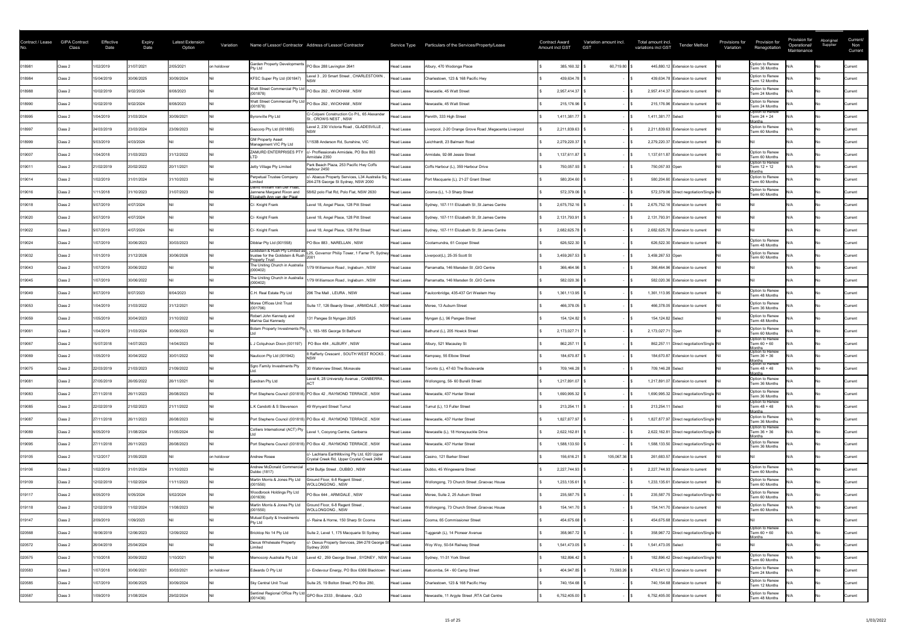| Contract / Lease | <b>GIPA Contract</b><br>Class | Effective<br>Date | <b>Expiry</b><br>Date | <b>Latest Extension</b><br>Option | Variation   |                                                                                           | Name of Lessor/ Contractor Address of Lessor/ Contractor                                   |                   | Service Type Particulars of the Services/Property/Lease | <b>Contract Award</b><br><b>Amount incl GST</b> |              | Variation amount incl.<br><b>GST</b> | Total amount incl.<br>variations incl GST | <b>Tender Method</b>                       | Provisions for<br>Variation | Provision for<br>Renegotiation                                           | Provision for<br>Operational/<br>Maintenance | Aboriginal<br>Supplier | Current/<br>Non<br>Current |
|------------------|-------------------------------|-------------------|-----------------------|-----------------------------------|-------------|-------------------------------------------------------------------------------------------|--------------------------------------------------------------------------------------------|-------------------|---------------------------------------------------------|-------------------------------------------------|--------------|--------------------------------------|-------------------------------------------|--------------------------------------------|-----------------------------|--------------------------------------------------------------------------|----------------------------------------------|------------------------|----------------------------|
| 018981           | Class 2                       | 1/02/2019         | 31/07/2021            | 2/05/2021                         | on holdover | Garden Property Developments PO Box 288 Lavington 2641<br><b>Pty Ltd</b>                  |                                                                                            | Head Lease        | Albury, 470 Wodonga Place                               |                                                 | 385,160.32   | 60,719.80                            |                                           | 445,880.12 Extension to current            |                             | Option to Renew<br>Term 36 Months                                        |                                              |                        | Current                    |
| 018984           | Class 2                       | 15/04/2019        | 30/06/2025            | 30/09/2024                        |             | KFSC Super Pty Ltd (001847)                                                               | evel 3, 20 Smart Street, CHARLESTOWN                                                       | Head Lease        | Charlestown, 123 & 168 Pacific Hwy                      |                                                 | 439,634.78   |                                      |                                           | 439,634.78 Extension to current            |                             | Option to Renew<br>Term 12 Months                                        |                                              |                        | Current                    |
| 018988           | Class 2                       | 0/02/2019         | 9/02/2024             | 8/08/2023                         |             | Watt Street Commercial Pty Ltd<br>(001878)                                                | PO Box 292, WICKHAM, NSW                                                                   | <b>Head Lease</b> | Newcastle, 45 Watt Street                               |                                                 | 2,957,414.37 |                                      |                                           | 2,957,414.37 Extension to current          |                             | Option to Renew<br>Term 24 Months                                        |                                              |                        | Current                    |
| 018990           | Class 2                       | 0/02/2019         | 9/02/2024             | 8/08/2023                         |             | Watt Street Commercial Pty Ltd<br>(001878)                                                | PO Box 292, WICKHAM, NSW                                                                   | <b>Head Lease</b> | Newcastle, 45 Watt Street                               |                                                 | 215,176.96   |                                      |                                           | 215,176.96 Extension to current            |                             | Option to Renew<br>Term 24 Months                                        |                                              |                        | Current                    |
| 018995           | Class 2                       | 1/04/2019         | 31/03/2024            | 30/09/2021                        |             | Byronville Pty Ltd                                                                        | C/-Colpani Construction Co P/L, 65 Alexander<br>St, CROWS NEST, NSW                        | Head Lease        | Penrith, 333 High Street                                |                                                 | 1,411,381.77 |                                      | 1,411,381.77 Select                       |                                            |                             | Option to Renew<br>Term 24 + 24<br>lonths                                |                                              |                        | Current                    |
| 018997           | Class 2                       | 24/03/2019        | 23/03/2024            | 23/09/2023                        |             | Gazcorp Pty Ltd (001885)                                                                  | Level 2, 230 Victoria Road, GLADESVILLE                                                    | <b>Head Lease</b> | Liverpool, 2-20 Orange Grove Road, Megacenta Liverpool  |                                                 | 2,211,839.63 |                                      |                                           | 2,211,839.63 Extension to current          |                             | Option to Renew<br>Term 60 Months                                        |                                              |                        | <b>Current</b>             |
| 018999           | Class 2                       | 5/03/2019         | 4/03/2024             |                                   |             | <b>GM Property Asset</b><br>Management VIC Pty Ltd                                        | 1/153B Anderson Rd, Sunshine, VIC                                                          | <b>Head Lease</b> | Leichhardt, 23 Balmain Road                             |                                                 | 2,279,220.37 |                                      |                                           | 2,279,220.37 Extension to current          |                             |                                                                          |                                              |                        | Current                    |
| 019007           | Class 2                       | 1/04/2018         | 31/03/2023            | 31/12/2022                        |             | <b>ZAMURD ENTERPRISES PTY</b>                                                             | - Proffessionals Armidale, PO Box 863<br>Armidale 2350                                     | Head Lease        | Armidale, 92-98 Jessie Street                           |                                                 | 1,137,611.87 |                                      |                                           | 1,137,611.87 Extension to current          |                             | Option to Renew<br>Term 60 Months                                        |                                              |                        | Current                    |
| 019011           | Class 2                       | 21/02/2019        | 20/02/2022            | 20/11/2021                        |             | Jetty Village Pty Limited                                                                 | Park Beach Plaza, 253 Pacific Hwy Coffs<br>harbour 2450                                    | Head Lease        | Coffs Harbour (L), 359 Harbour Drive                    |                                                 | 750,057.93   |                                      | 750,057.93 Open                           |                                            |                             | Option to Renew<br>Term 12 + 12<br>lonths                                |                                              |                        | <b>Current</b>             |
| 019014           | Class 2                       | 1/02/2019         | 31/01/2024            | 31/10/2023                        |             | Perpetual Trustee Company<br>imited                                                       | /- Abacus Property Services, L34 Australia Sq,<br>264-278 George St Sydney, NSW 2000       | Head Lease        | Port Macquarie (L), 21-27 Grant Street                  |                                                 | 580,204.60   |                                      |                                           | 580,204.60 Extension to current            |                             | Option to Renew<br>Term 60 Months                                        |                                              |                        | <b>Current</b>             |
| 019016           | Class 2                       | /11/2018          | 31/10/2023            | 31/07/2023                        |             | David William van Der Plaat,<br>Jannene Margaret Rixon and<br>Elizabeth Ann van der Plaat | 58/62 polo Flat Rd, Polo Flat, NSW 2630                                                    | Head Lease        | Cooma (L), 1-3 Sharp Street                             |                                                 | 572,379.06   |                                      |                                           | 572,379.06 Direct negotiation/Single Nil   |                             | Option to Renew<br>Term 60 Months                                        |                                              |                        | <b>Current</b>             |
| 019018           | Class 2                       | 5/07/2019         | 4/07/2024             |                                   |             | C/- Knight Frank                                                                          | Level 18, Angel Place, 128 Pitt Street                                                     | Head Lease        | Sydney, 107-111 Elizabeth St, St James Centre           |                                                 | 2,675,752.16 |                                      |                                           | 2,675,752.16 Extension to current          |                             |                                                                          |                                              |                        | Current                    |
| 019020           | Class 2                       | 5/07/2019         | 4/07/2024             |                                   |             | C/- Knight Frank                                                                          | Level 18, Angel Place, 128 Pitt Street                                                     | Head Lease        | Sydney, 107-111 Elizabeth St, St James Centre           |                                                 | 2,131,793.91 |                                      |                                           | 2,131,793.91 Extension to current          |                             |                                                                          |                                              |                        | <b>Current</b>             |
| 019022           | Class 2                       | 5/07/2019         | 4/07/2024             |                                   |             | C/- Knight Frank                                                                          | Level 18, Angel Place, 128 Pitt Street                                                     | Head Lease        | Sydney, 107-111 Elizabeth St, St James Centre           |                                                 | 2,682,625.78 |                                      |                                           | 2,682,625.78 Extension to current          |                             |                                                                          |                                              |                        | <b>Current</b>             |
| 019024           | Class 2                       | 1/07/2019         | 30/06/2023            | 30/03/2023                        |             | Dibblar Pty Ltd (001558)                                                                  | PO Box 883, NARELLAN, NSW                                                                  | Head Lease        | Cootamundra, 61 Cooper Street                           |                                                 | 626,522.30   |                                      |                                           | 626,522.30 Extension to current            |                             | Option to Renew<br>Term 48 Months                                        |                                              |                        | Current                    |
| 019032           | Class 2                       | 1/01/2019         | 31/12/2026            | 30/06/2026                        |             | <b>Property Trust</b>                                                                     | Goldstein & Rush Pty Limited as L25, Governor Philip Tower, 1 Farrer Pl, Sydney Head Lease |                   | Liverpool(L), 25-35 Scott St                            |                                                 | 3,459,267.53 |                                      | 3,459,267.53 Open                         |                                            |                             | Option to Renew<br>Term 60 Months                                        |                                              |                        | Current                    |
| 019043           | Class 2                       | 1/07/2019         | 30/06/2022            |                                   |             | The Uniting Church in Australia<br>(000402)                                               | 1/79 Williamson Road, Ingleburn, NSW                                                       | <b>Head Lease</b> | Parramatta, 146 Marsden St, GIO Centre                  |                                                 | 366,464.96   |                                      |                                           | 366,464.96 Extension to current            |                             |                                                                          |                                              |                        | <b>Current</b>             |
| 019045           | Class 2                       | 1/07/2019         | 30/06/2022            |                                   |             | The Uniting Church in Australia<br>(000402)                                               | 1/79 Williamson Road, Ingleburn, NSW                                                       | Head Lease        | Parramatta, 146 Marsden St, GIO Centre                  |                                                 | 582,020.36   |                                      |                                           | 582,020.36 Extension to current            |                             |                                                                          |                                              |                        | Current                    |
| 019049           | Class 2                       | 9/07/2019         | 8/07/2023             | 8/04/2023                         |             | C.H. Real Estate Pty Ltd                                                                  | 296 The Mall, LEURA, NSW                                                                   | Head Lease        | Faulconbridge, 435-437 Grt Western Hwy                  |                                                 | 1,361,113.95 |                                      |                                           | 1,361,113.95 Extension to current          |                             | Option to Renew<br>Term 48 Months                                        |                                              |                        | Current                    |
| 019053           | Class 2                       | 1/04/2019         | 31/03/2022            | 31/12/2021                        |             | Moree Offices Unit Trust<br>(001796)                                                      | Suite 17, 126 Beardy Street, ARMIDALE, NSW Head Lease                                      |                   | Moree, 13 Auburn Street                                 |                                                 | 466,378.05   |                                      |                                           | 466,378.05 Extension to current            |                             | Option to Renew<br>Term 36 Months                                        |                                              |                        | Current                    |
| 019059           | Class 2                       | 1/05/2019         | 30/04/2023            | 31/10/2022                        |             | Robert John Kennedy and<br>Marina Gai Kennedy                                             | 131 Pangee St Nyngan 2825                                                                  | Head Lease        | Nyngan (L), 96 Pangee Street                            |                                                 | 154,124.82   |                                      | 154,124.82 Select                         |                                            |                             | Option to Renew<br>Term 48 Months                                        |                                              |                        | Current                    |
| 019061           | Class 2                       | 1/04/2019         | 31/03/2024            | 30/09/2023                        |             | Bolam Property Investments Pty                                                            | 1, 183-185 George St Bathurst                                                              | Head Lease        | Bathurst (L), 205 Howick Street                         |                                                 | 2,173,027.71 |                                      | 2,173,027.71 Open                         |                                            |                             | Option to Renew<br>Term 60 Months                                        |                                              |                        | <b>Current</b>             |
| 019067           | Class 2                       | 15/07/2018        | 14/07/2023            | 14/04/2023                        |             | J Colquhoun Dixon (001197)                                                                | PO Box 484, ALBURY, NSW                                                                    | Head Lease        | Albury, 521 Macauley St                                 |                                                 | 862,257.11   |                                      |                                           | 862,257.11 Direct negotiation/Single Nil   |                             | Option to Renew<br>Term $60 + 60$                                        |                                              |                        | <b>Current</b>             |
| 019069           | Class 2                       | 1/05/2019         | 30/04/2022            | 30/01/2022                        |             | Nauticon Pty Ltd (001942)                                                                 | Rafferty Crescent, SOUTH WEST ROCKS                                                        | Head Lease        | Kempsey, 55 Elbow Street                                |                                                 | 184,670.87   |                                      |                                           | 184,670.87 Extension to current            |                             | Months<br> Option to Renew<br>Term 36 + 36<br>Months<br> Option to Renew |                                              |                        | Current                    |
| 019075           | Class 2                       | 22/03/2019        | 21/03/2023            | 21/09/2022                        |             | Sgro Family Investments Pty                                                               | 30 Waterview Street, Monavale                                                              | Head Lease        | Toronto (L), 47-63 The Boulevarde                       |                                                 | 709,146.28   |                                      | 709,146.28 Select                         |                                            |                             | Term 48 + 48<br>lonths                                                   |                                              |                        | Current                    |
| 019081           | Class 2                       | 27/05/2019        | 26/05/2022            | 26/11/2021                        |             | Sandran Pty Ltd                                                                           | Level 6, 28 University Avenue, CANBERRA,                                                   | Head Lease        | Wollongong, 56- 60 Burelli Street                       |                                                 | 1,217,891.07 |                                      |                                           | 1,217,891.07 Extension to current          |                             | Option to Renew<br>Term 36 Months                                        |                                              |                        | <b>Current</b>             |
| 019083           | Class 2                       | 27/11/2018        | 26/11/2023            | 26/08/2023                        |             |                                                                                           | Port Stephens Council (001818) PO Box 42, RAYMOND TERRACE, NSW                             | Head Lease        | Newcastle, 437 Hunter Street                            |                                                 | 1,690,995.32 |                                      |                                           | 1,690,995.32 Direct negotiation/Single Nil |                             | Option to Renew<br>Term 36 Months                                        |                                              |                        | Current                    |
| 019085           | Class 2                       | 22/02/2019        | 21/02/2023            | 21/11/2022                        |             | L.K Candotti & S Stevenson                                                                | 49 Wynyard Street Tumut                                                                    | Head Lease        | Tumut (L), 13 Fuller Street                             |                                                 | 213,254.11   |                                      | 213,254.11 Select                         |                                            |                             | Option to Renew<br>Term 48 + 48<br><u> Aonths</u>                        |                                              |                        | <b>Current</b>             |
| 019087           | Class 2                       | 27/11/2018        | 26/11/2023            | 26/08/2023                        |             |                                                                                           | Port Stephens Council (001818) PO Box 42, RAYMOND TERRACE, NSW                             | Head Lease        | Newcastle, 437 Hunter Street                            |                                                 | 1,827,877.97 |                                      |                                           | 1,827,877.97 Direct negotiation/Single Nil |                             | Option to Renew<br>Term 36 Months                                        |                                              |                        | <b>Current</b>             |
| 019089           | Class 2                       | 6/05/2019         | 31/08/2024            | 31/05/2024                        |             | Colliers International (ACT) Pty                                                          | Level 1, Cooyong Centre, Canberra                                                          | <b>Head Lease</b> | Newcastle (L), 18 Honeysuckle Drive                     |                                                 | 2,622,162.81 |                                      |                                           | 2,622,162.81 Direct negotiation/Single Nil |                             | Option to Renew<br>Term 36 + 36<br>∩nths                                 |                                              |                        | Current                    |
| 019095           | Class 2                       | 27/11/2018        | 26/11/2023            | 26/08/2023                        |             |                                                                                           | Port Stephens Council (001818) PO Box 42, RAYMOND TERRACE, NSW                             | <b>Head Lease</b> | Newcastle, 437 Hunter Street                            |                                                 | 1,588,133.50 |                                      |                                           | 1,588,133.50 Direct negotiation/Single Nil |                             | Option to Renew<br>Term 36 Months                                        |                                              |                        | Current                    |
| 019105           | Class 2                       | /12/2017          | 31/05/2020            |                                   | on holdover | Andrew Rosee                                                                              | c/- Lachlans EarthMoving Pty Ltd, 620 Upper<br>Crystal Creek Rd, Upper Crystal Creek 2484  | <b>Head Lease</b> | Casino, 121 Barker Street                               |                                                 | 156,616.21   | 105,067.36                           |                                           | 261,683.57 Extension to current            |                             |                                                                          |                                              |                        | Current                    |
| 019106           | Class 2                       | 1/02/2019         | 31/01/2024            | 31/10/2023                        |             | Andrew McDonald Commercia<br>Dubbo (1817)                                                 | 4/34 Bultje Street, DUBBO, NSW                                                             | <b>Head Lease</b> | Dubbo, 45 Wingewarra Street                             |                                                 | 2,227,744.93 |                                      |                                           | 2,227,744.93 Extension to current          |                             | Option to Renew<br>Term 60 Months                                        |                                              |                        | Current                    |
| 019109           | Class 2                       | 12/02/2019        | 11/02/2024            | 11/11/2023                        |             | Martin Morris & Jones Pty Ltd<br>(001550)                                                 | Ground Floor, 6-8 Regent Street,<br>WOLLONGONG, NSW                                        | Head Lease        | Wollongong, 73 Church Street, Graovac House             |                                                 | 1,233,135.61 |                                      |                                           | 1,233,135.61 Extension to current          |                             | Option to Renew<br>Term 60 Months                                        |                                              |                        | <b>Current</b>             |
| 019117           | Class 2                       | 6/05/2019         | 5/05/2024             | 5/02/2024                         |             | Woodbrook Holdings Pty Ltd<br>(001639)                                                    | PO Box 644, ARMIDALE, NSW                                                                  | Head Lease        | Moree, Suite 2, 25 Auburn Street                        |                                                 | 235,587.75   |                                      |                                           | 235,587.75 Direct negotiation/Single Nil   |                             | Option to Renew<br>Term 60 Months                                        |                                              |                        | Current                    |
| 019118           | Class 2                       | 12/02/2019        | 11/02/2024            | 1/08/2023                         |             | Martin Morris & Jones Pty Ltd<br>(001550)                                                 | Ground Floor, 6-8 Regent Street<br>WOLLONGONG, NSW                                         | <b>Head Lease</b> | Wollongong, 73 Church Street, Graovac House             |                                                 | 154,141.70   |                                      |                                           | 154,141.70 Extension to current            |                             | Option to Renew<br>Term 60 Months                                        |                                              |                        | Current                    |
| 019147           | Class 2                       | 2/09/2019         | 1/09/2023             |                                   |             | Mutual Equity & Investments<br>Ptv Ltd                                                    | /- Raine & Horne, 150 Sharp St Cooma                                                       | <b>Head Lease</b> | Cooma, 65 Commissioner Street                           |                                                 | 454,675.68   |                                      |                                           | 454,675.68 Extension to current            |                             |                                                                          |                                              |                        | Current                    |
| 020568           | Class 2                       | 18/06/2019        | 12/06/2023            | 12/09/2022                        |             | Bricktop No 14 Pty Ltd                                                                    | Suite 2, Level 1, 175 Macquarie St Sydney                                                  | Head Lease        | Tuggerah (L), 14 Pioneer Avenue                         |                                                 | 358,967.72   |                                      |                                           | 358,967.72 Direct negotiation/Single Nil   |                             | Option to Renew<br>Term 60 + 60<br>lonths                                |                                              |                        | <b>Current</b>             |
| 020572           | Class 2                       | 26/04/2019        | 25/04/2024            |                                   |             | Dexus Wholesale Property<br>imited                                                        | - Dexus Property Services, 264-278 George S<br>Sydney 2000                                 | <b>Head Lease</b> | Woy Woy, 50-54 Railway Street                           |                                                 | 1,541,473.05 |                                      | 1,541,473.05 Select                       |                                            |                             |                                                                          |                                              |                        | Current                    |
| 020575           | Class 2                       | /10/2018          | 30/09/2022            | /10/2021                          |             | Memocorp Australia Pty Ltd                                                                | Level 42 , 259 George Street , SYDNEY , NSW Head Lease                                     |                   | Sydney, 11-31 York Street                               |                                                 | 182,896.42   |                                      |                                           | 182,896.42 Direct negotiation/Single Nil   |                             | Option to Renew<br>Term 60 Months                                        |                                              |                        | <b>Current</b>             |
| 020583           | Class 2                       | 1/07/2018         | 30/06/2021            | 30/03/2021                        | on holdover | Edwards O Pty Ltd                                                                         | c/- Endevour Energy, PO Box 6366 Blacktown                                                 | <b>Head Lease</b> | Katoomba, 54 - 60 Camp Street                           |                                                 | 404,947.85   | 73,593.26                            |                                           | 478,541.12 Extension to current            |                             | Option to Renew<br>Term 24 Months                                        |                                              |                        | Current                    |
| 020585           | Class 2                       | 1/07/2019         | 30/06/2025            | 30/09/2024                        |             | Sky Central Unit Trust                                                                    | Suite 25, 19 Bolton Street, PO Box 280,                                                    | Head Lease        | Charlestown, 123 & 168 Pacific Hwy                      |                                                 | 740,154.68   |                                      |                                           | 740,154.68 Extension to current            |                             | Option to Renew<br>Term 12 Months                                        |                                              |                        | <b>Current</b>             |
| 020587           | Class 3                       | 1/09/2019         | 31/08/2024            | 29/02/2024                        |             | (001436)                                                                                  | Sentinel Regional Office Pty Ltd GPO Box 2333, Brisbane, QLD                               | Head Lease        | Newcastle, 11 Argyle Street , RTA Call Centre           |                                                 | 6,752,405.00 |                                      |                                           | 6,752,405.00 Extension to current          |                             | Option to Renew<br>Term 48 Months                                        |                                              |                        | Current                    |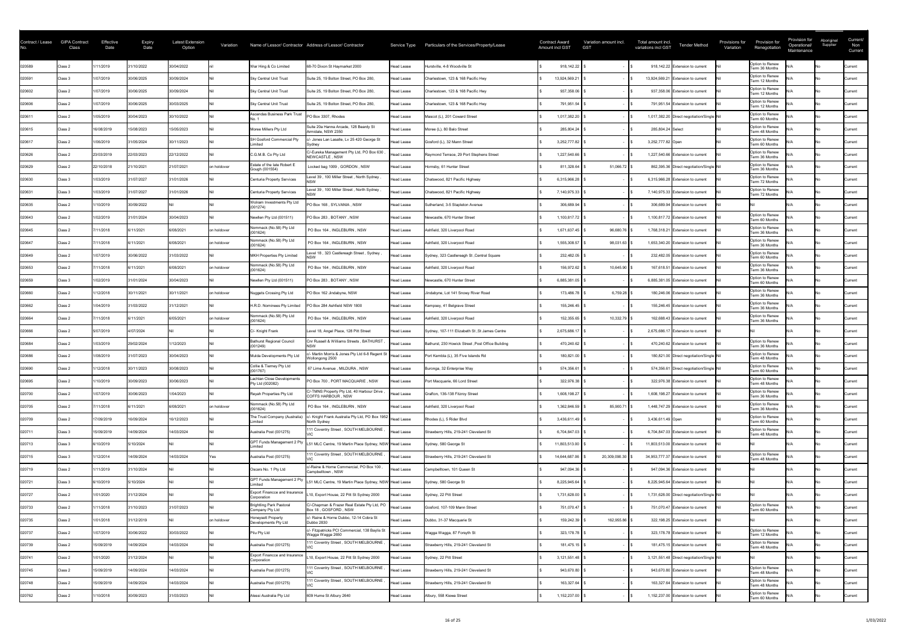| Option to Renew<br>020589<br>/11/2019<br>31/10/2022<br>30/04/2022<br>68-70 Dixon St Haymarket 2000<br>Hurstville, 4-8 Woodville St<br>918,142.22<br>War Hing & Co Limited<br>918,142.22 Extension to current<br>Class 2<br><b>Head Lease</b><br>Current<br>Term 36 Months<br>Option to Renew<br>/07/2019<br>30/06/2025<br>020591<br>30/09/2024<br>Suite 25, 19 Bolton Street, PO Box 280,<br>Charlestown, 123 & 168 Pacific Hwy<br>13,924,569.21<br><b>Sky Central Unit Trust</b><br><b>Head Lease</b><br>13,924,569.21 Extension to current<br>Class 3<br>Current<br>Term 12 Months<br>Option to Renew<br>1/07/2019<br>30/06/2025<br>Suite 25, 19 Bolton Street, PO Box 280,<br>Charlestown, 123 & 168 Pacific Hwy<br>937,358.06<br>30/09/2024<br><b>Sky Central Unit Trust</b><br>020602<br>Class 2<br><b>Head Lease</b><br>937,358.06 Extension to current<br><b>Current</b><br>Term 12 Months<br>Option to Renew<br>1/07/2019<br>30/06/2025<br>30/03/2025<br>020606<br>Suite 25, 19 Bolton Street, PO Box 280,<br>791,951.54<br>Class 2<br><b>Sky Central Unit Trust</b><br>Head Lease<br>Charlestown, 123 & 168 Pacific Hwy<br>791,951.54 Extension to current<br>Current<br>Term 12 Months<br>Ascendas Business Park Trust<br>Option to Renew<br>1/05/2019<br>30/10/2022<br>PO Box 3307, Rhodes<br>020611<br>30/04/2023<br>Mascot (L), 201 Coward Street<br>1,017,382.20<br>Class 2<br>1,017,382.20 Direct negotiation/Single Nil<br><b>Head Lease</b><br>Current<br>Term 60 Months<br>Suite 20a Hanna Arcade, 128 Beardy St<br>Option to Renew<br>16/08/2019<br>15/08/2023<br>15/05/2023<br>Moree (L), 80 Balo Street<br>020615<br>Class 2<br>Moree Millers Pty Ltd<br>285,804.24<br>285,804.24 Select<br><b>Head Lease</b><br><b>Current</b><br>Armidale, NSW 2350<br>Term 48 Months<br>SH Gosford Commercial Pty<br>Option to Renew<br>:/- Jones Lan Lasalle, Lv 25 420 George St<br>31/05/2024<br>Gosford (L), 32 Mann Street<br>020617<br>1/06/2019<br>30/11/2023<br>3,252,777.82<br>3,252,777.82 Open<br>Class 2<br><b>Head Lease</b><br>Current<br>Term 60 Months<br>imited<br>C/-Eureka Management Pty Ltd, PO Box 630<br>Option to Renew<br>23/03/2019<br>22/03/2023<br>22/12/2022<br>C.G.M.B. Co Pty Ltd<br>Raymond Terrace, 29 Port Stephens Street<br>1,227,540.66<br>1,227,540.66 Extension to current<br>020626<br>Class 2<br><b>Head Lease</b><br>Current<br>NEWCASTLE, NSW<br>Term 36 Months<br>Estate of the late Robert E<br>Option to Renew<br>Locked bag 1009, GORDON, NSW<br>21/10/2021<br>Hornsby, 61 Hunter Street<br>$51,066.72$ \$<br>22/10/2018<br>21/07/2021<br>811,328.64<br>862,395.36 Direct negotiation/Single Nil<br>020629<br>on holdover<br>Class 2<br>Head Lease<br><b>Current</b><br>Term 36 Months<br>Gough (001554)<br>Level 39, 100 Miller Street, North Sydney,<br>Option to Renew<br>1/03/2019<br>31/07/2027<br>31/01/2026<br>Centuria Property Services<br>Chatswood, 821 Pacific Highway<br>6,315,966.28<br>6,315,966.28 Extension to current<br>020630<br><b>Head Lease</b><br>Class 3<br>Current<br>Term 72 Months<br>Option to Renew<br>Level 39, 100 Miller Street, North Sydney,<br>31/07/2027<br>31/01/2026<br>7,140,975.33<br>020631<br>1/03/2019<br>Centuria Property Services<br>Chatswood, 821 Pacific Highway<br>7,140,975.33 Extension to current<br><b>Head Lease</b><br>Class 3<br><b>Current</b><br>Term 72 Months<br>Wolram Investments Pty Ltd<br>1/10/2019<br>PO Box 168, SYLVANIA, NSW<br>020635<br>30/09/2022<br>Sutherland, 3-5 Stapleton Avenue<br>306,689.94<br>306.689.94 Extension to current<br>Class 2<br><b>Head Lease</b><br>Current<br>(001274)<br>Option to Renew<br>1/02/2019<br>31/01/2024<br>30/04/2023<br>PO Box 283, BOTANY, NSW<br>1,100,817.72<br>020643<br>Newllen Pty Ltd (001511)<br>Newcastle, 670 Hunter Street<br>1,100,817.72 Extension to current<br>Class 2<br>Head Lease<br>Current<br>Term 60 Months<br>Nommack (No.58) Pty Ltd<br>Option to Renew<br>7/11/2018<br>6/11/2021<br>6/08/2021<br>PO Box 164, INGLEBURN, NSW<br>Ashfield, 320 Liverpool Road<br>020645<br>on holdover<br>1,671,637.45<br>96,680.76<br>1,768,318.21 Extension to current<br>Class 2<br>Head Lease<br><b>Current</b><br>(001624)<br>Term 36 Months<br>Nommack (No.58) Pty Ltd<br>Option to Renew<br>020647<br>7/11/2018<br>6/11/2021<br>6/08/2021<br>PO Box 164, INGLEBURN, NSW<br>Ashfield, 320 Liverpool Road<br>1,555,308.57<br>98,031.63<br>1,653,340.20 Extension to current<br>Class 2<br>on holdover<br><b>Head Lease</b><br><b>Current</b><br>(001624)<br>Term 36 Months<br>Level 18 , 323 Castlereagh Street , Sydney<br>Option to Renew<br>1/07/2019<br>30/06/2022<br>31/03/2022<br><b>MKH Properties Pty Limited</b><br>232,482.05<br>020649<br>Sydney, 323 Castlereagh St, Central Square<br>232,482.05 Extension to current<br>Class 2<br><b>Head Lease</b><br>Current<br>Term 60 Months<br>Option to Renew<br>Nommack (No.58) Pty Ltd<br>7/11/2018<br>6/11/2021<br>6/08/2021<br>PO Box 164, INGLEBURN, NSW<br>Ashfield, 320 Liverpool Road<br>156,972.62<br>10,645.90<br>on holdover<br>167,618.51 Extension to current<br>020653<br>Class 2<br><b>Head Lease</b><br>Current<br>(001624)<br>Term 36 Months<br>Option to Renew<br>1/02/2019<br>31/01/2024<br>30/04/2023<br>PO Box 283, BOTANY, NSW<br>Newcastle, 670 Hunter Street<br>6,885,381.05<br>Newllen Pty Ltd (001511)<br>020659<br>Class 3<br>Head Lease<br>6,885,381.05 Extension to current<br><b>Current</b><br>Term 60 Months<br>Option to Renew<br>/12/2018<br>30/11/2021<br>30/11/2021<br>PO Box 162 Jindabyne, NSW<br>Jindabyne, Lot 141 Snowy River Road<br>6,759.28<br>020660<br>Class 2<br>on holdover<br><b>Nuggets Crossing Pty Ltd</b><br>173,486.78<br>180,246.06 Extension to current<br>Head Lease<br>Current<br>Term 36 Months<br>Option to Renew<br>1/04/2019<br>31/03/2022<br>31/12/2021<br>Class 2<br>155,246.45<br>020662<br>H.R.D. Nominees Pty Limited<br>PO Box 284 Ashfield NSW 1800<br>Head Lease<br>Kempsey, 41 Belgrave Street<br>155,246.45 Extension to current<br>Current<br>Term 36 Months<br>Nommack (No.58) Pty Ltd<br>Option to Renew<br>020664<br>7/11/2018<br>6/11/2021<br>6/05/2021<br>PO Box 164, INGLEBURN, NSW<br>Ashfield, 320 Liverpool Road<br>152,355.65<br>10,332.79<br>Class 2<br>on holdover<br>162,688.43 Extension to current<br><b>Head Lease</b><br>Current<br>(001624)<br>Term 36 Months<br>5/07/2019<br>4/07/2024<br>C/- Knight Frank<br>Level 18, Angel Place, 128 Pitt Street<br>Sydney, 107-111 Elizabeth St, St James Centre<br>2,675,686.17<br>2,675,686.17 Extension to current<br>020666<br>Class 2<br>Head Lease<br><b>Current</b><br><b>Bathurst Regional Council</b><br>Option to Renew<br>Cnr Russell & Williams Streets, BATHURST<br>1/03/2019<br>29/02/2024<br>470,240.62<br>020684<br>/12/2023<br>Bathurst, 230 Howick Street, Post Office Building<br>Class 2<br><b>Head Lease</b><br>470,240.62 Extension to current<br><b>Current</b><br>(001249)<br>Term 36 Months<br>- Martin Morris & Jones Pty Ltd 6-8 Regent St<br>Option to Renew<br>1/08/2019<br>31/07/2023<br>180,821.00<br>30/04/2023<br>Mulda Developments Pty Ltd<br>Port Kembla (L), 35 Five Islands Rd<br>180,821.00 Direct negotiation/Single Nil<br>020686<br>Class 2<br><b>Head Lease</b><br>Current<br>Wollongong 2500<br>Term 48 Months<br>Collie & Tierney Pty Ltd<br>Option to Renew<br>1/12/2018<br>67 Lime Avenue, MILDURA, NSW<br>574,356.61<br>30/11/2023<br>30/08/2023<br>Buronga, 32 Enterprise Way<br>574,356.61 Direct negotiation/Single Nil<br>Class 2<br>020690<br>Head Lease<br><b>Current</b><br>(001767)<br>Term 60 Months<br>Option to Renew<br>Lachlan Close Developments<br>1/10/2019<br>30/09/2023<br>30/06/2023<br>PO Box 700, PORT MACQUARIE, NSW<br>322,976.38<br>020695<br>Port Macquarie, 66 Lord Street<br>322,976.38 Extension to current<br>Class 2<br><b>Head Lease</b><br><b>Current</b><br>Term 48 Months<br>Pty Ltd (002082)<br>C/-TMNS Property Pty Ltd, 40 Harbour Drive<br>Option to Renew<br>020700<br>1/07/2019<br>1/04/2023<br>30/06/2023<br>Reyah Properties Pty Ltd<br>Grafton, 136-138 Fitzroy Street<br>1,608,198.27<br>1,608,198.27 Extension to current<br>Class 2<br>Head Lease<br>Current<br><b>COFFS HARBOUR, NSW</b><br>Term 36 Months<br>Nommack (No.58) Pty Ltd<br>Option to Renew<br>020705<br>7/11/2018<br>6/11/2021<br>6/08/2021<br>PO Box 164, INGLEBURN, NSW<br>Ashfield, 320 Liverpool Road<br>1,362,846.59<br>85,900.71<br>1,448,747.29 Extension to current<br>Class 2<br>on holdover<br>Head Lease<br><b>Current</b><br>(001624)<br>Term 36 Months<br>c/- Knight Frank Australia Pty Ltd, PO Box 1952 Head Lease<br>The Trust Company (Australia)<br>Option to Renew<br>16/09/2024<br>Rhodes (L), 5 Rider Blvd<br>020709<br>7/09/2019<br>16/12/2023<br>3,436,611.49<br>3,436,611.49 Open<br>Class 2<br><b>Current</b><br>Term 60 Months<br>North Sydney<br>imited<br>111 Coventry Street, SOUTH MELBOURNE<br>Option to Renew<br>14/09/2024<br>15/09/2019<br>14/03/2024<br>Australia Post (001275)<br>Strawberry Hills, 219-241 Cleveland St<br>6,704,847.03<br>020711<br>6,704,847.03 Extension to current<br>Head Lease<br>Class 3<br><b>Current</b><br>Term 48 Months<br><b>GPT Funds Management 2 Pty</b><br>L51 MLC Centre, 19 Martin Place Sydney, NSW Head Lease<br>Sydney, 580 George St<br>6/10/2019<br>5/10/2024<br>020713<br>11,803,513.00<br>11,803,513.00 Extension to current<br>Class 3<br>Current<br>imited<br>11 Coventry Street, SOUTH MELBOURNE<br>Option to Renew<br>/12/2014<br>14/09/2024<br>14/03/2024<br>020715<br>Australia Post (001275)<br>Strawberry Hills, 219-241 Cleveland St<br>14,644,687.06<br>20,309,090.30<br><b>Head Lease</b><br>34,953,777.37 Extension to current<br>Class 3<br>Current<br>Term 48 Months<br>c/-Raine & Horne Commercial, PO Box 100,<br>020719<br>/11/2019<br>31/10/2024<br>Oscars No. 1 Pty Ltd<br>Campbelltown, 101 Queen St<br>947,094.36<br>947,094.36 Extension to current<br>Class 2<br>Head Lease<br>Current<br>Campbelltown, NSW<br><b>GPT Funds Management 2 Pty</b><br>L51 MLC Centre, 19 Martin Place Sydney, NSW Head Lease<br>020721<br>6/10/2019<br>5/10/2024<br>Sydney, 580 George St<br>8,225,945.64<br>8,225,945.64 Extension to current<br>Class 3<br><b>Current</b><br><b>Export Financce and Insurance</b><br>L10, Export House, 22 Pitt St Sydney 2000<br>Sydney, 22 Pitt Street<br>020727<br>31/12/2024<br>1/01/2020<br>1,731,628.00<br>1,731,628.00 Direct negotiation/Single Nil<br>Class 2<br>Head Lease<br><b>Current</b><br>Corporation<br>C/-Chapman & Frazer Real Estate Pty Ltd, PO<br>Option to Renew<br><b>Brightling Park Pastoral</b><br>Gosford, 107-109 Mann Street<br>020733<br>1/11/2018<br>31/10/2023<br>31/07/2023<br>751,070.47<br>Head Lease<br>751,070.47 Extension to current<br>Class 2<br>Current<br>Box 18, GOSFORD, NSW<br>Term 60 Months<br>Company Pty Ltd<br><b>Honeysett Property</b><br>c/- Raine & Horne Dubbo, 12-14 Cobra St<br>020735<br>1/01/2018<br>31/12/2019<br>Dubbo, 31-37 Macquarie St<br>159,242.39<br>162,955.86<br>322,198.25 Extension to current<br>Class 2<br>on holdover<br><b>Head Lease</b><br>Current<br>Developments Pty Ltd<br>Dubbo 2830<br>c/- Fitzpatricks PCI Commercial, 138 Baylis St<br>Option to Renew<br>1/07/2019<br>30/06/2022<br>323,178.78<br>020737<br>30/03/2022<br>Pilu Pty Ltd<br>Wagga Wagga, 87 Forsyth St<br>323,178.78 Extension to current<br>Class 2<br>Head Lease<br>Current<br>Term 12 Months<br>Wagga Wagga 2650<br>Option to Renew<br>111 Coventry Street, SOUTH MELBOURNE<br>Australia Post (001275)<br>Strawberry Hills, 219-241 Cleveland St<br>181,475.15<br>020739<br>15/09/2019<br>14/09/2024<br>14/03/2024<br>Head Lease<br>181,475.15 Extension to current<br>Class 2<br><b>Current</b><br>Term 48 Months<br><b>Export Financce and Insurance</b><br>31/12/2024<br>Sydney, 22 Pitt Street<br>020741<br>1/01/2020<br>L10, Export House, 22 Pitt St Sydney 2000<br>3,121,551.48<br><b>Head Lease</b><br>3,121,551.48 Direct negotiation/Single Nil<br>Class 2<br>Current<br>Corporation<br>111 Coventry Street, SOUTH MELBOURNE<br>Option to Renew<br>020745<br>14/09/2024<br>14/03/2024<br>Australia Post (001275)<br>Strawberry Hills, 219-241 Cleveland St<br>943,670.80<br>15/09/2019<br>943,670.80 Extension to current<br>Head Lease<br>Class 2<br><b>Current</b><br>Term 48 Months<br>11 Coventry Street, SOUTH MELBOURNE<br>Option to Renew<br>15/09/2019<br>14/09/2024<br>14/03/2024<br>Strawberry Hills, 219-241 Cleveland St<br>163,327.64<br>020748<br>Australia Post (001275)<br>163,327.64 Extension to current<br>Class 2<br>Head Lease<br>Current<br>Term 48 Months<br>Option to Renew<br>020762<br>1/10/2018<br>30/09/2023<br>Albury, 558 Kiewa Street<br>1,152,237.00<br>1/03/2023<br>609 Hume St Albury 2640<br>1,152,237.00 Extension to current<br>Alessi Australia Pty Ltd<br><b>Head Lease</b><br>Class 2<br>Current<br>Term 60 Months | Contract / Lease | <b>GIPA Contract</b><br>Class | Effective<br>Date | <b>Expiry</b><br>Date | <b>Latest Extension</b><br>Option | Variation | Name of Lessor/ Contractor Address of Lessor/ Contractor | Service Type Particulars of the Services/Property/Lease | <b>Contract Award</b><br><b>Amount incl GST</b> | Variation amount incl.<br><b>GST</b> | Total amount incl.<br>variations incl GST | <b>Tender Method</b> | Provisions for<br>Variation | Provision for<br>Renegotiation | Provision for<br>Operational/<br>Maintenance | Aboriginal<br>Supplier | Current/<br>Non<br>Current |
|-----------------------------------------------------------------------------------------------------------------------------------------------------------------------------------------------------------------------------------------------------------------------------------------------------------------------------------------------------------------------------------------------------------------------------------------------------------------------------------------------------------------------------------------------------------------------------------------------------------------------------------------------------------------------------------------------------------------------------------------------------------------------------------------------------------------------------------------------------------------------------------------------------------------------------------------------------------------------------------------------------------------------------------------------------------------------------------------------------------------------------------------------------------------------------------------------------------------------------------------------------------------------------------------------------------------------------------------------------------------------------------------------------------------------------------------------------------------------------------------------------------------------------------------------------------------------------------------------------------------------------------------------------------------------------------------------------------------------------------------------------------------------------------------------------------------------------------------------------------------------------------------------------------------------------------------------------------------------------------------------------------------------------------------------------------------------------------------------------------------------------------------------------------------------------------------------------------------------------------------------------------------------------------------------------------------------------------------------------------------------------------------------------------------------------------------------------------------------------------------------------------------------------------------------------------------------------------------------------------------------------------------------------------------------------------------------------------------------------------------------------------------------------------------------------------------------------------------------------------------------------------------------------------------------------------------------------------------------------------------------------------------------------------------------------------------------------------------------------------------------------------------------------------------------------------------------------------------------------------------------------------------------------------------------------------------------------------------------------------------------------------------------------------------------------------------------------------------------------------------------------------------------------------------------------------------------------------------------------------------------------------------------------------------------------------------------------------------------------------------------------------------------------------------------------------------------------------------------------------------------------------------------------------------------------------------------------------------------------------------------------------------------------------------------------------------------------------------------------------------------------------------------------------------------------------------------------------------------------------------------------------------------------------------------------------------------------------------------------------------------------------------------------------------------------------------------------------------------------------------------------------------------------------------------------------------------------------------------------------------------------------------------------------------------------------------------------------------------------------------------------------------------------------------------------------------------------------------------------------------------------------------------------------------------------------------------------------------------------------------------------------------------------------------------------------------------------------------------------------------------------------------------------------------------------------------------------------------------------------------------------------------------------------------------------------------------------------------------------------------------------------------------------------------------------------------------------------------------------------------------------------------------------------------------------------------------------------------------------------------------------------------------------------------------------------------------------------------------------------------------------------------------------------------------------------------------------------------------------------------------------------------------------------------------------------------------------------------------------------------------------------------------------------------------------------------------------------------------------------------------------------------------------------------------------------------------------------------------------------------------------------------------------------------------------------------------------------------------------------------------------------------------------------------------------------------------------------------------------------------------------------------------------------------------------------------------------------------------------------------------------------------------------------------------------------------------------------------------------------------------------------------------------------------------------------------------------------------------------------------------------------------------------------------------------------------------------------------------------------------------------------------------------------------------------------------------------------------------------------------------------------------------------------------------------------------------------------------------------------------------------------------------------------------------------------------------------------------------------------------------------------------------------------------------------------------------------------------------------------------------------------------------------------------------------------------------------------------------------------------------------------------------------------------------------------------------------------------------------------------------------------------------------------------------------------------------------------------------------------------------------------------------------------------------------------------------------------------------------------------------------------------------------------------------------------------------------------------------------------------------------------------------------------------------------------------------------------------------------------------------------------------------------------------------------------------------------------------------------------------------------------------------------------------------------------------------------------------------------------------------------------------------------------------------------------------------------------------------------------------------------------------------------------------------------------------------------------------------------------------------------------------------------------------------------------------------------------------------------------------------------------------------------------------------------------------------------------------------------------------------------------------------------------------------------------------------------------------------------------------------------------------------------------------------------------------------------------------------------------------------------------------------------------------------------------------------------------------------------------------------------------------------------------------------------------------------------------------------------------------------------------------------------------------------------------------------------------------------------------------------------------------------------------------------------------------------------------------------------------------------------------------------------------------------------------------------------------------------------------------------------------------------------------------------------------------------------------------------------------------------------------------------------------------------------------------------------------------------------------------------------------------------------------------------------------------------------------------------------------------------------------------------------------------------------------------------------------------------------------------------------------------------------------------------------------------------------------------------------------------------------------------------------------------------------------------------------------------------------------------------------------------------------------------------------------------------------------------------------------------------------------------------------------------------------------------------------------------------------------------------------------------------------------------------------------------------------------------------------------------------------------------------------------------------------------------------------------------------------------------------------------------------------------------------------------------------------------------------------------------------------------------------------------------------------------------------------------------------------------------------------------------------------------------------------------------------------------------------------------------------------------------------------------------------------------------------------------------------------------------------------------------------------------------------------------------------------------------------------------------------------------------------------------------------------------------------------------------------------------------------------------------------------------------------------------------------------------------------------------------------------------------------------------------------------------------------------------------------------------------------------------------------------------------------------------------------------------------------------------------------------------------------------------------------------------------------------------------------------------------------------------------------------------------------------------------------------------------------------------------------------------------------------------------------------------------------------------------------------------------------------------------------------------------------------------------------------------------------------------------------------------------------------------------------------------------------------------------------------------------------------------------------------------------------------------------------------------------------------------------|------------------|-------------------------------|-------------------|-----------------------|-----------------------------------|-----------|----------------------------------------------------------|---------------------------------------------------------|-------------------------------------------------|--------------------------------------|-------------------------------------------|----------------------|-----------------------------|--------------------------------|----------------------------------------------|------------------------|----------------------------|
|                                                                                                                                                                                                                                                                                                                                                                                                                                                                                                                                                                                                                                                                                                                                                                                                                                                                                                                                                                                                                                                                                                                                                                                                                                                                                                                                                                                                                                                                                                                                                                                                                                                                                                                                                                                                                                                                                                                                                                                                                                                                                                                                                                                                                                                                                                                                                                                                                                                                                                                                                                                                                                                                                                                                                                                                                                                                                                                                                                                                                                                                                                                                                                                                                                                                                                                                                                                                                                                                                                                                                                                                                                                                                                                                                                                                                                                                                                                                                                                                                                                                                                                                                                                                                                                                                                                                                                                                                                                                                                                                                                                                                                                                                                                                                                                                                                                                                                                                                                                                                                                                                                                                                                                                                                                                                                                                                                                                                                                                                                                                                                                                                                                                                                                                                                                                                                                                                                                                                                                                                                                                                                                                                                                                                                                                                                                                                                                                                                                                                                                                                                                                                                                                                                                                                                                                                                                                                                                                                                                                                                                                                                                                                                                                                                                                                                                                                                                                                                                                                                                                                                                                                                                                                                                                                                                                                                                                                                                                                                                                                                                                                                                                                                                                                                                                                                                                                                                                                                                                                                                                                                                                                                                                                                                                                                                                                                                                                                                                                                                                                                                                                                                                                                                                                                                                                                                                                                                                                                                                                                                                                                                                                                                                                                                                                                                                                                                                                                                                                                                                                                                                                                                                                                                                                                                                                                                                                                                                                                                                                                                                                                                                                                                                                                                                                                                                                                                                                                                                                                                                                                                                                                                                                                                                                                                                                                                                                                                                                                                                                                                                                                                                                                                                                                                                                                                                                                                                                                                                                                                                                                                                                                                                                                                                                                                                                                                                                                                                                                                                                                                                                                                                                                                                                                                                                                                                                                                                                                                                                                                         |                  |                               |                   |                       |                                   |           |                                                          |                                                         |                                                 |                                      |                                           |                      |                             |                                |                                              |                        |                            |
|                                                                                                                                                                                                                                                                                                                                                                                                                                                                                                                                                                                                                                                                                                                                                                                                                                                                                                                                                                                                                                                                                                                                                                                                                                                                                                                                                                                                                                                                                                                                                                                                                                                                                                                                                                                                                                                                                                                                                                                                                                                                                                                                                                                                                                                                                                                                                                                                                                                                                                                                                                                                                                                                                                                                                                                                                                                                                                                                                                                                                                                                                                                                                                                                                                                                                                                                                                                                                                                                                                                                                                                                                                                                                                                                                                                                                                                                                                                                                                                                                                                                                                                                                                                                                                                                                                                                                                                                                                                                                                                                                                                                                                                                                                                                                                                                                                                                                                                                                                                                                                                                                                                                                                                                                                                                                                                                                                                                                                                                                                                                                                                                                                                                                                                                                                                                                                                                                                                                                                                                                                                                                                                                                                                                                                                                                                                                                                                                                                                                                                                                                                                                                                                                                                                                                                                                                                                                                                                                                                                                                                                                                                                                                                                                                                                                                                                                                                                                                                                                                                                                                                                                                                                                                                                                                                                                                                                                                                                                                                                                                                                                                                                                                                                                                                                                                                                                                                                                                                                                                                                                                                                                                                                                                                                                                                                                                                                                                                                                                                                                                                                                                                                                                                                                                                                                                                                                                                                                                                                                                                                                                                                                                                                                                                                                                                                                                                                                                                                                                                                                                                                                                                                                                                                                                                                                                                                                                                                                                                                                                                                                                                                                                                                                                                                                                                                                                                                                                                                                                                                                                                                                                                                                                                                                                                                                                                                                                                                                                                                                                                                                                                                                                                                                                                                                                                                                                                                                                                                                                                                                                                                                                                                                                                                                                                                                                                                                                                                                                                                                                                                                                                                                                                                                                                                                                                                                                                                                                                                                                                                         |                  |                               |                   |                       |                                   |           |                                                          |                                                         |                                                 |                                      |                                           |                      |                             |                                |                                              |                        |                            |
|                                                                                                                                                                                                                                                                                                                                                                                                                                                                                                                                                                                                                                                                                                                                                                                                                                                                                                                                                                                                                                                                                                                                                                                                                                                                                                                                                                                                                                                                                                                                                                                                                                                                                                                                                                                                                                                                                                                                                                                                                                                                                                                                                                                                                                                                                                                                                                                                                                                                                                                                                                                                                                                                                                                                                                                                                                                                                                                                                                                                                                                                                                                                                                                                                                                                                                                                                                                                                                                                                                                                                                                                                                                                                                                                                                                                                                                                                                                                                                                                                                                                                                                                                                                                                                                                                                                                                                                                                                                                                                                                                                                                                                                                                                                                                                                                                                                                                                                                                                                                                                                                                                                                                                                                                                                                                                                                                                                                                                                                                                                                                                                                                                                                                                                                                                                                                                                                                                                                                                                                                                                                                                                                                                                                                                                                                                                                                                                                                                                                                                                                                                                                                                                                                                                                                                                                                                                                                                                                                                                                                                                                                                                                                                                                                                                                                                                                                                                                                                                                                                                                                                                                                                                                                                                                                                                                                                                                                                                                                                                                                                                                                                                                                                                                                                                                                                                                                                                                                                                                                                                                                                                                                                                                                                                                                                                                                                                                                                                                                                                                                                                                                                                                                                                                                                                                                                                                                                                                                                                                                                                                                                                                                                                                                                                                                                                                                                                                                                                                                                                                                                                                                                                                                                                                                                                                                                                                                                                                                                                                                                                                                                                                                                                                                                                                                                                                                                                                                                                                                                                                                                                                                                                                                                                                                                                                                                                                                                                                                                                                                                                                                                                                                                                                                                                                                                                                                                                                                                                                                                                                                                                                                                                                                                                                                                                                                                                                                                                                                                                                                                                                                                                                                                                                                                                                                                                                                                                                                                                                                                                         |                  |                               |                   |                       |                                   |           |                                                          |                                                         |                                                 |                                      |                                           |                      |                             |                                |                                              |                        |                            |
|                                                                                                                                                                                                                                                                                                                                                                                                                                                                                                                                                                                                                                                                                                                                                                                                                                                                                                                                                                                                                                                                                                                                                                                                                                                                                                                                                                                                                                                                                                                                                                                                                                                                                                                                                                                                                                                                                                                                                                                                                                                                                                                                                                                                                                                                                                                                                                                                                                                                                                                                                                                                                                                                                                                                                                                                                                                                                                                                                                                                                                                                                                                                                                                                                                                                                                                                                                                                                                                                                                                                                                                                                                                                                                                                                                                                                                                                                                                                                                                                                                                                                                                                                                                                                                                                                                                                                                                                                                                                                                                                                                                                                                                                                                                                                                                                                                                                                                                                                                                                                                                                                                                                                                                                                                                                                                                                                                                                                                                                                                                                                                                                                                                                                                                                                                                                                                                                                                                                                                                                                                                                                                                                                                                                                                                                                                                                                                                                                                                                                                                                                                                                                                                                                                                                                                                                                                                                                                                                                                                                                                                                                                                                                                                                                                                                                                                                                                                                                                                                                                                                                                                                                                                                                                                                                                                                                                                                                                                                                                                                                                                                                                                                                                                                                                                                                                                                                                                                                                                                                                                                                                                                                                                                                                                                                                                                                                                                                                                                                                                                                                                                                                                                                                                                                                                                                                                                                                                                                                                                                                                                                                                                                                                                                                                                                                                                                                                                                                                                                                                                                                                                                                                                                                                                                                                                                                                                                                                                                                                                                                                                                                                                                                                                                                                                                                                                                                                                                                                                                                                                                                                                                                                                                                                                                                                                                                                                                                                                                                                                                                                                                                                                                                                                                                                                                                                                                                                                                                                                                                                                                                                                                                                                                                                                                                                                                                                                                                                                                                                                                                                                                                                                                                                                                                                                                                                                                                                                                                                                                                                         |                  |                               |                   |                       |                                   |           |                                                          |                                                         |                                                 |                                      |                                           |                      |                             |                                |                                              |                        |                            |
|                                                                                                                                                                                                                                                                                                                                                                                                                                                                                                                                                                                                                                                                                                                                                                                                                                                                                                                                                                                                                                                                                                                                                                                                                                                                                                                                                                                                                                                                                                                                                                                                                                                                                                                                                                                                                                                                                                                                                                                                                                                                                                                                                                                                                                                                                                                                                                                                                                                                                                                                                                                                                                                                                                                                                                                                                                                                                                                                                                                                                                                                                                                                                                                                                                                                                                                                                                                                                                                                                                                                                                                                                                                                                                                                                                                                                                                                                                                                                                                                                                                                                                                                                                                                                                                                                                                                                                                                                                                                                                                                                                                                                                                                                                                                                                                                                                                                                                                                                                                                                                                                                                                                                                                                                                                                                                                                                                                                                                                                                                                                                                                                                                                                                                                                                                                                                                                                                                                                                                                                                                                                                                                                                                                                                                                                                                                                                                                                                                                                                                                                                                                                                                                                                                                                                                                                                                                                                                                                                                                                                                                                                                                                                                                                                                                                                                                                                                                                                                                                                                                                                                                                                                                                                                                                                                                                                                                                                                                                                                                                                                                                                                                                                                                                                                                                                                                                                                                                                                                                                                                                                                                                                                                                                                                                                                                                                                                                                                                                                                                                                                                                                                                                                                                                                                                                                                                                                                                                                                                                                                                                                                                                                                                                                                                                                                                                                                                                                                                                                                                                                                                                                                                                                                                                                                                                                                                                                                                                                                                                                                                                                                                                                                                                                                                                                                                                                                                                                                                                                                                                                                                                                                                                                                                                                                                                                                                                                                                                                                                                                                                                                                                                                                                                                                                                                                                                                                                                                                                                                                                                                                                                                                                                                                                                                                                                                                                                                                                                                                                                                                                                                                                                                                                                                                                                                                                                                                                                                                                                                                                         |                  |                               |                   |                       |                                   |           |                                                          |                                                         |                                                 |                                      |                                           |                      |                             |                                |                                              |                        |                            |
|                                                                                                                                                                                                                                                                                                                                                                                                                                                                                                                                                                                                                                                                                                                                                                                                                                                                                                                                                                                                                                                                                                                                                                                                                                                                                                                                                                                                                                                                                                                                                                                                                                                                                                                                                                                                                                                                                                                                                                                                                                                                                                                                                                                                                                                                                                                                                                                                                                                                                                                                                                                                                                                                                                                                                                                                                                                                                                                                                                                                                                                                                                                                                                                                                                                                                                                                                                                                                                                                                                                                                                                                                                                                                                                                                                                                                                                                                                                                                                                                                                                                                                                                                                                                                                                                                                                                                                                                                                                                                                                                                                                                                                                                                                                                                                                                                                                                                                                                                                                                                                                                                                                                                                                                                                                                                                                                                                                                                                                                                                                                                                                                                                                                                                                                                                                                                                                                                                                                                                                                                                                                                                                                                                                                                                                                                                                                                                                                                                                                                                                                                                                                                                                                                                                                                                                                                                                                                                                                                                                                                                                                                                                                                                                                                                                                                                                                                                                                                                                                                                                                                                                                                                                                                                                                                                                                                                                                                                                                                                                                                                                                                                                                                                                                                                                                                                                                                                                                                                                                                                                                                                                                                                                                                                                                                                                                                                                                                                                                                                                                                                                                                                                                                                                                                                                                                                                                                                                                                                                                                                                                                                                                                                                                                                                                                                                                                                                                                                                                                                                                                                                                                                                                                                                                                                                                                                                                                                                                                                                                                                                                                                                                                                                                                                                                                                                                                                                                                                                                                                                                                                                                                                                                                                                                                                                                                                                                                                                                                                                                                                                                                                                                                                                                                                                                                                                                                                                                                                                                                                                                                                                                                                                                                                                                                                                                                                                                                                                                                                                                                                                                                                                                                                                                                                                                                                                                                                                                                                                                                                                         |                  |                               |                   |                       |                                   |           |                                                          |                                                         |                                                 |                                      |                                           |                      |                             |                                |                                              |                        |                            |
|                                                                                                                                                                                                                                                                                                                                                                                                                                                                                                                                                                                                                                                                                                                                                                                                                                                                                                                                                                                                                                                                                                                                                                                                                                                                                                                                                                                                                                                                                                                                                                                                                                                                                                                                                                                                                                                                                                                                                                                                                                                                                                                                                                                                                                                                                                                                                                                                                                                                                                                                                                                                                                                                                                                                                                                                                                                                                                                                                                                                                                                                                                                                                                                                                                                                                                                                                                                                                                                                                                                                                                                                                                                                                                                                                                                                                                                                                                                                                                                                                                                                                                                                                                                                                                                                                                                                                                                                                                                                                                                                                                                                                                                                                                                                                                                                                                                                                                                                                                                                                                                                                                                                                                                                                                                                                                                                                                                                                                                                                                                                                                                                                                                                                                                                                                                                                                                                                                                                                                                                                                                                                                                                                                                                                                                                                                                                                                                                                                                                                                                                                                                                                                                                                                                                                                                                                                                                                                                                                                                                                                                                                                                                                                                                                                                                                                                                                                                                                                                                                                                                                                                                                                                                                                                                                                                                                                                                                                                                                                                                                                                                                                                                                                                                                                                                                                                                                                                                                                                                                                                                                                                                                                                                                                                                                                                                                                                                                                                                                                                                                                                                                                                                                                                                                                                                                                                                                                                                                                                                                                                                                                                                                                                                                                                                                                                                                                                                                                                                                                                                                                                                                                                                                                                                                                                                                                                                                                                                                                                                                                                                                                                                                                                                                                                                                                                                                                                                                                                                                                                                                                                                                                                                                                                                                                                                                                                                                                                                                                                                                                                                                                                                                                                                                                                                                                                                                                                                                                                                                                                                                                                                                                                                                                                                                                                                                                                                                                                                                                                                                                                                                                                                                                                                                                                                                                                                                                                                                                                                                                                         |                  |                               |                   |                       |                                   |           |                                                          |                                                         |                                                 |                                      |                                           |                      |                             |                                |                                              |                        |                            |
|                                                                                                                                                                                                                                                                                                                                                                                                                                                                                                                                                                                                                                                                                                                                                                                                                                                                                                                                                                                                                                                                                                                                                                                                                                                                                                                                                                                                                                                                                                                                                                                                                                                                                                                                                                                                                                                                                                                                                                                                                                                                                                                                                                                                                                                                                                                                                                                                                                                                                                                                                                                                                                                                                                                                                                                                                                                                                                                                                                                                                                                                                                                                                                                                                                                                                                                                                                                                                                                                                                                                                                                                                                                                                                                                                                                                                                                                                                                                                                                                                                                                                                                                                                                                                                                                                                                                                                                                                                                                                                                                                                                                                                                                                                                                                                                                                                                                                                                                                                                                                                                                                                                                                                                                                                                                                                                                                                                                                                                                                                                                                                                                                                                                                                                                                                                                                                                                                                                                                                                                                                                                                                                                                                                                                                                                                                                                                                                                                                                                                                                                                                                                                                                                                                                                                                                                                                                                                                                                                                                                                                                                                                                                                                                                                                                                                                                                                                                                                                                                                                                                                                                                                                                                                                                                                                                                                                                                                                                                                                                                                                                                                                                                                                                                                                                                                                                                                                                                                                                                                                                                                                                                                                                                                                                                                                                                                                                                                                                                                                                                                                                                                                                                                                                                                                                                                                                                                                                                                                                                                                                                                                                                                                                                                                                                                                                                                                                                                                                                                                                                                                                                                                                                                                                                                                                                                                                                                                                                                                                                                                                                                                                                                                                                                                                                                                                                                                                                                                                                                                                                                                                                                                                                                                                                                                                                                                                                                                                                                                                                                                                                                                                                                                                                                                                                                                                                                                                                                                                                                                                                                                                                                                                                                                                                                                                                                                                                                                                                                                                                                                                                                                                                                                                                                                                                                                                                                                                                                                                                                                                         |                  |                               |                   |                       |                                   |           |                                                          |                                                         |                                                 |                                      |                                           |                      |                             |                                |                                              |                        |                            |
|                                                                                                                                                                                                                                                                                                                                                                                                                                                                                                                                                                                                                                                                                                                                                                                                                                                                                                                                                                                                                                                                                                                                                                                                                                                                                                                                                                                                                                                                                                                                                                                                                                                                                                                                                                                                                                                                                                                                                                                                                                                                                                                                                                                                                                                                                                                                                                                                                                                                                                                                                                                                                                                                                                                                                                                                                                                                                                                                                                                                                                                                                                                                                                                                                                                                                                                                                                                                                                                                                                                                                                                                                                                                                                                                                                                                                                                                                                                                                                                                                                                                                                                                                                                                                                                                                                                                                                                                                                                                                                                                                                                                                                                                                                                                                                                                                                                                                                                                                                                                                                                                                                                                                                                                                                                                                                                                                                                                                                                                                                                                                                                                                                                                                                                                                                                                                                                                                                                                                                                                                                                                                                                                                                                                                                                                                                                                                                                                                                                                                                                                                                                                                                                                                                                                                                                                                                                                                                                                                                                                                                                                                                                                                                                                                                                                                                                                                                                                                                                                                                                                                                                                                                                                                                                                                                                                                                                                                                                                                                                                                                                                                                                                                                                                                                                                                                                                                                                                                                                                                                                                                                                                                                                                                                                                                                                                                                                                                                                                                                                                                                                                                                                                                                                                                                                                                                                                                                                                                                                                                                                                                                                                                                                                                                                                                                                                                                                                                                                                                                                                                                                                                                                                                                                                                                                                                                                                                                                                                                                                                                                                                                                                                                                                                                                                                                                                                                                                                                                                                                                                                                                                                                                                                                                                                                                                                                                                                                                                                                                                                                                                                                                                                                                                                                                                                                                                                                                                                                                                                                                                                                                                                                                                                                                                                                                                                                                                                                                                                                                                                                                                                                                                                                                                                                                                                                                                                                                                                                                                                                                         |                  |                               |                   |                       |                                   |           |                                                          |                                                         |                                                 |                                      |                                           |                      |                             |                                |                                              |                        |                            |
|                                                                                                                                                                                                                                                                                                                                                                                                                                                                                                                                                                                                                                                                                                                                                                                                                                                                                                                                                                                                                                                                                                                                                                                                                                                                                                                                                                                                                                                                                                                                                                                                                                                                                                                                                                                                                                                                                                                                                                                                                                                                                                                                                                                                                                                                                                                                                                                                                                                                                                                                                                                                                                                                                                                                                                                                                                                                                                                                                                                                                                                                                                                                                                                                                                                                                                                                                                                                                                                                                                                                                                                                                                                                                                                                                                                                                                                                                                                                                                                                                                                                                                                                                                                                                                                                                                                                                                                                                                                                                                                                                                                                                                                                                                                                                                                                                                                                                                                                                                                                                                                                                                                                                                                                                                                                                                                                                                                                                                                                                                                                                                                                                                                                                                                                                                                                                                                                                                                                                                                                                                                                                                                                                                                                                                                                                                                                                                                                                                                                                                                                                                                                                                                                                                                                                                                                                                                                                                                                                                                                                                                                                                                                                                                                                                                                                                                                                                                                                                                                                                                                                                                                                                                                                                                                                                                                                                                                                                                                                                                                                                                                                                                                                                                                                                                                                                                                                                                                                                                                                                                                                                                                                                                                                                                                                                                                                                                                                                                                                                                                                                                                                                                                                                                                                                                                                                                                                                                                                                                                                                                                                                                                                                                                                                                                                                                                                                                                                                                                                                                                                                                                                                                                                                                                                                                                                                                                                                                                                                                                                                                                                                                                                                                                                                                                                                                                                                                                                                                                                                                                                                                                                                                                                                                                                                                                                                                                                                                                                                                                                                                                                                                                                                                                                                                                                                                                                                                                                                                                                                                                                                                                                                                                                                                                                                                                                                                                                                                                                                                                                                                                                                                                                                                                                                                                                                                                                                                                                                                                                                                         |                  |                               |                   |                       |                                   |           |                                                          |                                                         |                                                 |                                      |                                           |                      |                             |                                |                                              |                        |                            |
|                                                                                                                                                                                                                                                                                                                                                                                                                                                                                                                                                                                                                                                                                                                                                                                                                                                                                                                                                                                                                                                                                                                                                                                                                                                                                                                                                                                                                                                                                                                                                                                                                                                                                                                                                                                                                                                                                                                                                                                                                                                                                                                                                                                                                                                                                                                                                                                                                                                                                                                                                                                                                                                                                                                                                                                                                                                                                                                                                                                                                                                                                                                                                                                                                                                                                                                                                                                                                                                                                                                                                                                                                                                                                                                                                                                                                                                                                                                                                                                                                                                                                                                                                                                                                                                                                                                                                                                                                                                                                                                                                                                                                                                                                                                                                                                                                                                                                                                                                                                                                                                                                                                                                                                                                                                                                                                                                                                                                                                                                                                                                                                                                                                                                                                                                                                                                                                                                                                                                                                                                                                                                                                                                                                                                                                                                                                                                                                                                                                                                                                                                                                                                                                                                                                                                                                                                                                                                                                                                                                                                                                                                                                                                                                                                                                                                                                                                                                                                                                                                                                                                                                                                                                                                                                                                                                                                                                                                                                                                                                                                                                                                                                                                                                                                                                                                                                                                                                                                                                                                                                                                                                                                                                                                                                                                                                                                                                                                                                                                                                                                                                                                                                                                                                                                                                                                                                                                                                                                                                                                                                                                                                                                                                                                                                                                                                                                                                                                                                                                                                                                                                                                                                                                                                                                                                                                                                                                                                                                                                                                                                                                                                                                                                                                                                                                                                                                                                                                                                                                                                                                                                                                                                                                                                                                                                                                                                                                                                                                                                                                                                                                                                                                                                                                                                                                                                                                                                                                                                                                                                                                                                                                                                                                                                                                                                                                                                                                                                                                                                                                                                                                                                                                                                                                                                                                                                                                                                                                                                                                                                         |                  |                               |                   |                       |                                   |           |                                                          |                                                         |                                                 |                                      |                                           |                      |                             |                                |                                              |                        |                            |
|                                                                                                                                                                                                                                                                                                                                                                                                                                                                                                                                                                                                                                                                                                                                                                                                                                                                                                                                                                                                                                                                                                                                                                                                                                                                                                                                                                                                                                                                                                                                                                                                                                                                                                                                                                                                                                                                                                                                                                                                                                                                                                                                                                                                                                                                                                                                                                                                                                                                                                                                                                                                                                                                                                                                                                                                                                                                                                                                                                                                                                                                                                                                                                                                                                                                                                                                                                                                                                                                                                                                                                                                                                                                                                                                                                                                                                                                                                                                                                                                                                                                                                                                                                                                                                                                                                                                                                                                                                                                                                                                                                                                                                                                                                                                                                                                                                                                                                                                                                                                                                                                                                                                                                                                                                                                                                                                                                                                                                                                                                                                                                                                                                                                                                                                                                                                                                                                                                                                                                                                                                                                                                                                                                                                                                                                                                                                                                                                                                                                                                                                                                                                                                                                                                                                                                                                                                                                                                                                                                                                                                                                                                                                                                                                                                                                                                                                                                                                                                                                                                                                                                                                                                                                                                                                                                                                                                                                                                                                                                                                                                                                                                                                                                                                                                                                                                                                                                                                                                                                                                                                                                                                                                                                                                                                                                                                                                                                                                                                                                                                                                                                                                                                                                                                                                                                                                                                                                                                                                                                                                                                                                                                                                                                                                                                                                                                                                                                                                                                                                                                                                                                                                                                                                                                                                                                                                                                                                                                                                                                                                                                                                                                                                                                                                                                                                                                                                                                                                                                                                                                                                                                                                                                                                                                                                                                                                                                                                                                                                                                                                                                                                                                                                                                                                                                                                                                                                                                                                                                                                                                                                                                                                                                                                                                                                                                                                                                                                                                                                                                                                                                                                                                                                                                                                                                                                                                                                                                                                                                                                                         |                  |                               |                   |                       |                                   |           |                                                          |                                                         |                                                 |                                      |                                           |                      |                             |                                |                                              |                        |                            |
|                                                                                                                                                                                                                                                                                                                                                                                                                                                                                                                                                                                                                                                                                                                                                                                                                                                                                                                                                                                                                                                                                                                                                                                                                                                                                                                                                                                                                                                                                                                                                                                                                                                                                                                                                                                                                                                                                                                                                                                                                                                                                                                                                                                                                                                                                                                                                                                                                                                                                                                                                                                                                                                                                                                                                                                                                                                                                                                                                                                                                                                                                                                                                                                                                                                                                                                                                                                                                                                                                                                                                                                                                                                                                                                                                                                                                                                                                                                                                                                                                                                                                                                                                                                                                                                                                                                                                                                                                                                                                                                                                                                                                                                                                                                                                                                                                                                                                                                                                                                                                                                                                                                                                                                                                                                                                                                                                                                                                                                                                                                                                                                                                                                                                                                                                                                                                                                                                                                                                                                                                                                                                                                                                                                                                                                                                                                                                                                                                                                                                                                                                                                                                                                                                                                                                                                                                                                                                                                                                                                                                                                                                                                                                                                                                                                                                                                                                                                                                                                                                                                                                                                                                                                                                                                                                                                                                                                                                                                                                                                                                                                                                                                                                                                                                                                                                                                                                                                                                                                                                                                                                                                                                                                                                                                                                                                                                                                                                                                                                                                                                                                                                                                                                                                                                                                                                                                                                                                                                                                                                                                                                                                                                                                                                                                                                                                                                                                                                                                                                                                                                                                                                                                                                                                                                                                                                                                                                                                                                                                                                                                                                                                                                                                                                                                                                                                                                                                                                                                                                                                                                                                                                                                                                                                                                                                                                                                                                                                                                                                                                                                                                                                                                                                                                                                                                                                                                                                                                                                                                                                                                                                                                                                                                                                                                                                                                                                                                                                                                                                                                                                                                                                                                                                                                                                                                                                                                                                                                                                                                                                         |                  |                               |                   |                       |                                   |           |                                                          |                                                         |                                                 |                                      |                                           |                      |                             |                                |                                              |                        |                            |
|                                                                                                                                                                                                                                                                                                                                                                                                                                                                                                                                                                                                                                                                                                                                                                                                                                                                                                                                                                                                                                                                                                                                                                                                                                                                                                                                                                                                                                                                                                                                                                                                                                                                                                                                                                                                                                                                                                                                                                                                                                                                                                                                                                                                                                                                                                                                                                                                                                                                                                                                                                                                                                                                                                                                                                                                                                                                                                                                                                                                                                                                                                                                                                                                                                                                                                                                                                                                                                                                                                                                                                                                                                                                                                                                                                                                                                                                                                                                                                                                                                                                                                                                                                                                                                                                                                                                                                                                                                                                                                                                                                                                                                                                                                                                                                                                                                                                                                                                                                                                                                                                                                                                                                                                                                                                                                                                                                                                                                                                                                                                                                                                                                                                                                                                                                                                                                                                                                                                                                                                                                                                                                                                                                                                                                                                                                                                                                                                                                                                                                                                                                                                                                                                                                                                                                                                                                                                                                                                                                                                                                                                                                                                                                                                                                                                                                                                                                                                                                                                                                                                                                                                                                                                                                                                                                                                                                                                                                                                                                                                                                                                                                                                                                                                                                                                                                                                                                                                                                                                                                                                                                                                                                                                                                                                                                                                                                                                                                                                                                                                                                                                                                                                                                                                                                                                                                                                                                                                                                                                                                                                                                                                                                                                                                                                                                                                                                                                                                                                                                                                                                                                                                                                                                                                                                                                                                                                                                                                                                                                                                                                                                                                                                                                                                                                                                                                                                                                                                                                                                                                                                                                                                                                                                                                                                                                                                                                                                                                                                                                                                                                                                                                                                                                                                                                                                                                                                                                                                                                                                                                                                                                                                                                                                                                                                                                                                                                                                                                                                                                                                                                                                                                                                                                                                                                                                                                                                                                                                                                                                                         |                  |                               |                   |                       |                                   |           |                                                          |                                                         |                                                 |                                      |                                           |                      |                             |                                |                                              |                        |                            |
|                                                                                                                                                                                                                                                                                                                                                                                                                                                                                                                                                                                                                                                                                                                                                                                                                                                                                                                                                                                                                                                                                                                                                                                                                                                                                                                                                                                                                                                                                                                                                                                                                                                                                                                                                                                                                                                                                                                                                                                                                                                                                                                                                                                                                                                                                                                                                                                                                                                                                                                                                                                                                                                                                                                                                                                                                                                                                                                                                                                                                                                                                                                                                                                                                                                                                                                                                                                                                                                                                                                                                                                                                                                                                                                                                                                                                                                                                                                                                                                                                                                                                                                                                                                                                                                                                                                                                                                                                                                                                                                                                                                                                                                                                                                                                                                                                                                                                                                                                                                                                                                                                                                                                                                                                                                                                                                                                                                                                                                                                                                                                                                                                                                                                                                                                                                                                                                                                                                                                                                                                                                                                                                                                                                                                                                                                                                                                                                                                                                                                                                                                                                                                                                                                                                                                                                                                                                                                                                                                                                                                                                                                                                                                                                                                                                                                                                                                                                                                                                                                                                                                                                                                                                                                                                                                                                                                                                                                                                                                                                                                                                                                                                                                                                                                                                                                                                                                                                                                                                                                                                                                                                                                                                                                                                                                                                                                                                                                                                                                                                                                                                                                                                                                                                                                                                                                                                                                                                                                                                                                                                                                                                                                                                                                                                                                                                                                                                                                                                                                                                                                                                                                                                                                                                                                                                                                                                                                                                                                                                                                                                                                                                                                                                                                                                                                                                                                                                                                                                                                                                                                                                                                                                                                                                                                                                                                                                                                                                                                                                                                                                                                                                                                                                                                                                                                                                                                                                                                                                                                                                                                                                                                                                                                                                                                                                                                                                                                                                                                                                                                                                                                                                                                                                                                                                                                                                                                                                                                                                                                                                         |                  |                               |                   |                       |                                   |           |                                                          |                                                         |                                                 |                                      |                                           |                      |                             |                                |                                              |                        |                            |
|                                                                                                                                                                                                                                                                                                                                                                                                                                                                                                                                                                                                                                                                                                                                                                                                                                                                                                                                                                                                                                                                                                                                                                                                                                                                                                                                                                                                                                                                                                                                                                                                                                                                                                                                                                                                                                                                                                                                                                                                                                                                                                                                                                                                                                                                                                                                                                                                                                                                                                                                                                                                                                                                                                                                                                                                                                                                                                                                                                                                                                                                                                                                                                                                                                                                                                                                                                                                                                                                                                                                                                                                                                                                                                                                                                                                                                                                                                                                                                                                                                                                                                                                                                                                                                                                                                                                                                                                                                                                                                                                                                                                                                                                                                                                                                                                                                                                                                                                                                                                                                                                                                                                                                                                                                                                                                                                                                                                                                                                                                                                                                                                                                                                                                                                                                                                                                                                                                                                                                                                                                                                                                                                                                                                                                                                                                                                                                                                                                                                                                                                                                                                                                                                                                                                                                                                                                                                                                                                                                                                                                                                                                                                                                                                                                                                                                                                                                                                                                                                                                                                                                                                                                                                                                                                                                                                                                                                                                                                                                                                                                                                                                                                                                                                                                                                                                                                                                                                                                                                                                                                                                                                                                                                                                                                                                                                                                                                                                                                                                                                                                                                                                                                                                                                                                                                                                                                                                                                                                                                                                                                                                                                                                                                                                                                                                                                                                                                                                                                                                                                                                                                                                                                                                                                                                                                                                                                                                                                                                                                                                                                                                                                                                                                                                                                                                                                                                                                                                                                                                                                                                                                                                                                                                                                                                                                                                                                                                                                                                                                                                                                                                                                                                                                                                                                                                                                                                                                                                                                                                                                                                                                                                                                                                                                                                                                                                                                                                                                                                                                                                                                                                                                                                                                                                                                                                                                                                                                                                                                                                                         |                  |                               |                   |                       |                                   |           |                                                          |                                                         |                                                 |                                      |                                           |                      |                             |                                |                                              |                        |                            |
|                                                                                                                                                                                                                                                                                                                                                                                                                                                                                                                                                                                                                                                                                                                                                                                                                                                                                                                                                                                                                                                                                                                                                                                                                                                                                                                                                                                                                                                                                                                                                                                                                                                                                                                                                                                                                                                                                                                                                                                                                                                                                                                                                                                                                                                                                                                                                                                                                                                                                                                                                                                                                                                                                                                                                                                                                                                                                                                                                                                                                                                                                                                                                                                                                                                                                                                                                                                                                                                                                                                                                                                                                                                                                                                                                                                                                                                                                                                                                                                                                                                                                                                                                                                                                                                                                                                                                                                                                                                                                                                                                                                                                                                                                                                                                                                                                                                                                                                                                                                                                                                                                                                                                                                                                                                                                                                                                                                                                                                                                                                                                                                                                                                                                                                                                                                                                                                                                                                                                                                                                                                                                                                                                                                                                                                                                                                                                                                                                                                                                                                                                                                                                                                                                                                                                                                                                                                                                                                                                                                                                                                                                                                                                                                                                                                                                                                                                                                                                                                                                                                                                                                                                                                                                                                                                                                                                                                                                                                                                                                                                                                                                                                                                                                                                                                                                                                                                                                                                                                                                                                                                                                                                                                                                                                                                                                                                                                                                                                                                                                                                                                                                                                                                                                                                                                                                                                                                                                                                                                                                                                                                                                                                                                                                                                                                                                                                                                                                                                                                                                                                                                                                                                                                                                                                                                                                                                                                                                                                                                                                                                                                                                                                                                                                                                                                                                                                                                                                                                                                                                                                                                                                                                                                                                                                                                                                                                                                                                                                                                                                                                                                                                                                                                                                                                                                                                                                                                                                                                                                                                                                                                                                                                                                                                                                                                                                                                                                                                                                                                                                                                                                                                                                                                                                                                                                                                                                                                                                                                                                                                         |                  |                               |                   |                       |                                   |           |                                                          |                                                         |                                                 |                                      |                                           |                      |                             |                                |                                              |                        |                            |
|                                                                                                                                                                                                                                                                                                                                                                                                                                                                                                                                                                                                                                                                                                                                                                                                                                                                                                                                                                                                                                                                                                                                                                                                                                                                                                                                                                                                                                                                                                                                                                                                                                                                                                                                                                                                                                                                                                                                                                                                                                                                                                                                                                                                                                                                                                                                                                                                                                                                                                                                                                                                                                                                                                                                                                                                                                                                                                                                                                                                                                                                                                                                                                                                                                                                                                                                                                                                                                                                                                                                                                                                                                                                                                                                                                                                                                                                                                                                                                                                                                                                                                                                                                                                                                                                                                                                                                                                                                                                                                                                                                                                                                                                                                                                                                                                                                                                                                                                                                                                                                                                                                                                                                                                                                                                                                                                                                                                                                                                                                                                                                                                                                                                                                                                                                                                                                                                                                                                                                                                                                                                                                                                                                                                                                                                                                                                                                                                                                                                                                                                                                                                                                                                                                                                                                                                                                                                                                                                                                                                                                                                                                                                                                                                                                                                                                                                                                                                                                                                                                                                                                                                                                                                                                                                                                                                                                                                                                                                                                                                                                                                                                                                                                                                                                                                                                                                                                                                                                                                                                                                                                                                                                                                                                                                                                                                                                                                                                                                                                                                                                                                                                                                                                                                                                                                                                                                                                                                                                                                                                                                                                                                                                                                                                                                                                                                                                                                                                                                                                                                                                                                                                                                                                                                                                                                                                                                                                                                                                                                                                                                                                                                                                                                                                                                                                                                                                                                                                                                                                                                                                                                                                                                                                                                                                                                                                                                                                                                                                                                                                                                                                                                                                                                                                                                                                                                                                                                                                                                                                                                                                                                                                                                                                                                                                                                                                                                                                                                                                                                                                                                                                                                                                                                                                                                                                                                                                                                                                                                                                                         |                  |                               |                   |                       |                                   |           |                                                          |                                                         |                                                 |                                      |                                           |                      |                             |                                |                                              |                        |                            |
|                                                                                                                                                                                                                                                                                                                                                                                                                                                                                                                                                                                                                                                                                                                                                                                                                                                                                                                                                                                                                                                                                                                                                                                                                                                                                                                                                                                                                                                                                                                                                                                                                                                                                                                                                                                                                                                                                                                                                                                                                                                                                                                                                                                                                                                                                                                                                                                                                                                                                                                                                                                                                                                                                                                                                                                                                                                                                                                                                                                                                                                                                                                                                                                                                                                                                                                                                                                                                                                                                                                                                                                                                                                                                                                                                                                                                                                                                                                                                                                                                                                                                                                                                                                                                                                                                                                                                                                                                                                                                                                                                                                                                                                                                                                                                                                                                                                                                                                                                                                                                                                                                                                                                                                                                                                                                                                                                                                                                                                                                                                                                                                                                                                                                                                                                                                                                                                                                                                                                                                                                                                                                                                                                                                                                                                                                                                                                                                                                                                                                                                                                                                                                                                                                                                                                                                                                                                                                                                                                                                                                                                                                                                                                                                                                                                                                                                                                                                                                                                                                                                                                                                                                                                                                                                                                                                                                                                                                                                                                                                                                                                                                                                                                                                                                                                                                                                                                                                                                                                                                                                                                                                                                                                                                                                                                                                                                                                                                                                                                                                                                                                                                                                                                                                                                                                                                                                                                                                                                                                                                                                                                                                                                                                                                                                                                                                                                                                                                                                                                                                                                                                                                                                                                                                                                                                                                                                                                                                                                                                                                                                                                                                                                                                                                                                                                                                                                                                                                                                                                                                                                                                                                                                                                                                                                                                                                                                                                                                                                                                                                                                                                                                                                                                                                                                                                                                                                                                                                                                                                                                                                                                                                                                                                                                                                                                                                                                                                                                                                                                                                                                                                                                                                                                                                                                                                                                                                                                                                                                                                                                         |                  |                               |                   |                       |                                   |           |                                                          |                                                         |                                                 |                                      |                                           |                      |                             |                                |                                              |                        |                            |
|                                                                                                                                                                                                                                                                                                                                                                                                                                                                                                                                                                                                                                                                                                                                                                                                                                                                                                                                                                                                                                                                                                                                                                                                                                                                                                                                                                                                                                                                                                                                                                                                                                                                                                                                                                                                                                                                                                                                                                                                                                                                                                                                                                                                                                                                                                                                                                                                                                                                                                                                                                                                                                                                                                                                                                                                                                                                                                                                                                                                                                                                                                                                                                                                                                                                                                                                                                                                                                                                                                                                                                                                                                                                                                                                                                                                                                                                                                                                                                                                                                                                                                                                                                                                                                                                                                                                                                                                                                                                                                                                                                                                                                                                                                                                                                                                                                                                                                                                                                                                                                                                                                                                                                                                                                                                                                                                                                                                                                                                                                                                                                                                                                                                                                                                                                                                                                                                                                                                                                                                                                                                                                                                                                                                                                                                                                                                                                                                                                                                                                                                                                                                                                                                                                                                                                                                                                                                                                                                                                                                                                                                                                                                                                                                                                                                                                                                                                                                                                                                                                                                                                                                                                                                                                                                                                                                                                                                                                                                                                                                                                                                                                                                                                                                                                                                                                                                                                                                                                                                                                                                                                                                                                                                                                                                                                                                                                                                                                                                                                                                                                                                                                                                                                                                                                                                                                                                                                                                                                                                                                                                                                                                                                                                                                                                                                                                                                                                                                                                                                                                                                                                                                                                                                                                                                                                                                                                                                                                                                                                                                                                                                                                                                                                                                                                                                                                                                                                                                                                                                                                                                                                                                                                                                                                                                                                                                                                                                                                                                                                                                                                                                                                                                                                                                                                                                                                                                                                                                                                                                                                                                                                                                                                                                                                                                                                                                                                                                                                                                                                                                                                                                                                                                                                                                                                                                                                                                                                                                                                                                                         |                  |                               |                   |                       |                                   |           |                                                          |                                                         |                                                 |                                      |                                           |                      |                             |                                |                                              |                        |                            |
|                                                                                                                                                                                                                                                                                                                                                                                                                                                                                                                                                                                                                                                                                                                                                                                                                                                                                                                                                                                                                                                                                                                                                                                                                                                                                                                                                                                                                                                                                                                                                                                                                                                                                                                                                                                                                                                                                                                                                                                                                                                                                                                                                                                                                                                                                                                                                                                                                                                                                                                                                                                                                                                                                                                                                                                                                                                                                                                                                                                                                                                                                                                                                                                                                                                                                                                                                                                                                                                                                                                                                                                                                                                                                                                                                                                                                                                                                                                                                                                                                                                                                                                                                                                                                                                                                                                                                                                                                                                                                                                                                                                                                                                                                                                                                                                                                                                                                                                                                                                                                                                                                                                                                                                                                                                                                                                                                                                                                                                                                                                                                                                                                                                                                                                                                                                                                                                                                                                                                                                                                                                                                                                                                                                                                                                                                                                                                                                                                                                                                                                                                                                                                                                                                                                                                                                                                                                                                                                                                                                                                                                                                                                                                                                                                                                                                                                                                                                                                                                                                                                                                                                                                                                                                                                                                                                                                                                                                                                                                                                                                                                                                                                                                                                                                                                                                                                                                                                                                                                                                                                                                                                                                                                                                                                                                                                                                                                                                                                                                                                                                                                                                                                                                                                                                                                                                                                                                                                                                                                                                                                                                                                                                                                                                                                                                                                                                                                                                                                                                                                                                                                                                                                                                                                                                                                                                                                                                                                                                                                                                                                                                                                                                                                                                                                                                                                                                                                                                                                                                                                                                                                                                                                                                                                                                                                                                                                                                                                                                                                                                                                                                                                                                                                                                                                                                                                                                                                                                                                                                                                                                                                                                                                                                                                                                                                                                                                                                                                                                                                                                                                                                                                                                                                                                                                                                                                                                                                                                                                                                                                         |                  |                               |                   |                       |                                   |           |                                                          |                                                         |                                                 |                                      |                                           |                      |                             |                                |                                              |                        |                            |
|                                                                                                                                                                                                                                                                                                                                                                                                                                                                                                                                                                                                                                                                                                                                                                                                                                                                                                                                                                                                                                                                                                                                                                                                                                                                                                                                                                                                                                                                                                                                                                                                                                                                                                                                                                                                                                                                                                                                                                                                                                                                                                                                                                                                                                                                                                                                                                                                                                                                                                                                                                                                                                                                                                                                                                                                                                                                                                                                                                                                                                                                                                                                                                                                                                                                                                                                                                                                                                                                                                                                                                                                                                                                                                                                                                                                                                                                                                                                                                                                                                                                                                                                                                                                                                                                                                                                                                                                                                                                                                                                                                                                                                                                                                                                                                                                                                                                                                                                                                                                                                                                                                                                                                                                                                                                                                                                                                                                                                                                                                                                                                                                                                                                                                                                                                                                                                                                                                                                                                                                                                                                                                                                                                                                                                                                                                                                                                                                                                                                                                                                                                                                                                                                                                                                                                                                                                                                                                                                                                                                                                                                                                                                                                                                                                                                                                                                                                                                                                                                                                                                                                                                                                                                                                                                                                                                                                                                                                                                                                                                                                                                                                                                                                                                                                                                                                                                                                                                                                                                                                                                                                                                                                                                                                                                                                                                                                                                                                                                                                                                                                                                                                                                                                                                                                                                                                                                                                                                                                                                                                                                                                                                                                                                                                                                                                                                                                                                                                                                                                                                                                                                                                                                                                                                                                                                                                                                                                                                                                                                                                                                                                                                                                                                                                                                                                                                                                                                                                                                                                                                                                                                                                                                                                                                                                                                                                                                                                                                                                                                                                                                                                                                                                                                                                                                                                                                                                                                                                                                                                                                                                                                                                                                                                                                                                                                                                                                                                                                                                                                                                                                                                                                                                                                                                                                                                                                                                                                                                                                                                                         |                  |                               |                   |                       |                                   |           |                                                          |                                                         |                                                 |                                      |                                           |                      |                             |                                |                                              |                        |                            |
|                                                                                                                                                                                                                                                                                                                                                                                                                                                                                                                                                                                                                                                                                                                                                                                                                                                                                                                                                                                                                                                                                                                                                                                                                                                                                                                                                                                                                                                                                                                                                                                                                                                                                                                                                                                                                                                                                                                                                                                                                                                                                                                                                                                                                                                                                                                                                                                                                                                                                                                                                                                                                                                                                                                                                                                                                                                                                                                                                                                                                                                                                                                                                                                                                                                                                                                                                                                                                                                                                                                                                                                                                                                                                                                                                                                                                                                                                                                                                                                                                                                                                                                                                                                                                                                                                                                                                                                                                                                                                                                                                                                                                                                                                                                                                                                                                                                                                                                                                                                                                                                                                                                                                                                                                                                                                                                                                                                                                                                                                                                                                                                                                                                                                                                                                                                                                                                                                                                                                                                                                                                                                                                                                                                                                                                                                                                                                                                                                                                                                                                                                                                                                                                                                                                                                                                                                                                                                                                                                                                                                                                                                                                                                                                                                                                                                                                                                                                                                                                                                                                                                                                                                                                                                                                                                                                                                                                                                                                                                                                                                                                                                                                                                                                                                                                                                                                                                                                                                                                                                                                                                                                                                                                                                                                                                                                                                                                                                                                                                                                                                                                                                                                                                                                                                                                                                                                                                                                                                                                                                                                                                                                                                                                                                                                                                                                                                                                                                                                                                                                                                                                                                                                                                                                                                                                                                                                                                                                                                                                                                                                                                                                                                                                                                                                                                                                                                                                                                                                                                                                                                                                                                                                                                                                                                                                                                                                                                                                                                                                                                                                                                                                                                                                                                                                                                                                                                                                                                                                                                                                                                                                                                                                                                                                                                                                                                                                                                                                                                                                                                                                                                                                                                                                                                                                                                                                                                                                                                                                                                                                         |                  |                               |                   |                       |                                   |           |                                                          |                                                         |                                                 |                                      |                                           |                      |                             |                                |                                              |                        |                            |
|                                                                                                                                                                                                                                                                                                                                                                                                                                                                                                                                                                                                                                                                                                                                                                                                                                                                                                                                                                                                                                                                                                                                                                                                                                                                                                                                                                                                                                                                                                                                                                                                                                                                                                                                                                                                                                                                                                                                                                                                                                                                                                                                                                                                                                                                                                                                                                                                                                                                                                                                                                                                                                                                                                                                                                                                                                                                                                                                                                                                                                                                                                                                                                                                                                                                                                                                                                                                                                                                                                                                                                                                                                                                                                                                                                                                                                                                                                                                                                                                                                                                                                                                                                                                                                                                                                                                                                                                                                                                                                                                                                                                                                                                                                                                                                                                                                                                                                                                                                                                                                                                                                                                                                                                                                                                                                                                                                                                                                                                                                                                                                                                                                                                                                                                                                                                                                                                                                                                                                                                                                                                                                                                                                                                                                                                                                                                                                                                                                                                                                                                                                                                                                                                                                                                                                                                                                                                                                                                                                                                                                                                                                                                                                                                                                                                                                                                                                                                                                                                                                                                                                                                                                                                                                                                                                                                                                                                                                                                                                                                                                                                                                                                                                                                                                                                                                                                                                                                                                                                                                                                                                                                                                                                                                                                                                                                                                                                                                                                                                                                                                                                                                                                                                                                                                                                                                                                                                                                                                                                                                                                                                                                                                                                                                                                                                                                                                                                                                                                                                                                                                                                                                                                                                                                                                                                                                                                                                                                                                                                                                                                                                                                                                                                                                                                                                                                                                                                                                                                                                                                                                                                                                                                                                                                                                                                                                                                                                                                                                                                                                                                                                                                                                                                                                                                                                                                                                                                                                                                                                                                                                                                                                                                                                                                                                                                                                                                                                                                                                                                                                                                                                                                                                                                                                                                                                                                                                                                                                                                                                                         |                  |                               |                   |                       |                                   |           |                                                          |                                                         |                                                 |                                      |                                           |                      |                             |                                |                                              |                        |                            |
|                                                                                                                                                                                                                                                                                                                                                                                                                                                                                                                                                                                                                                                                                                                                                                                                                                                                                                                                                                                                                                                                                                                                                                                                                                                                                                                                                                                                                                                                                                                                                                                                                                                                                                                                                                                                                                                                                                                                                                                                                                                                                                                                                                                                                                                                                                                                                                                                                                                                                                                                                                                                                                                                                                                                                                                                                                                                                                                                                                                                                                                                                                                                                                                                                                                                                                                                                                                                                                                                                                                                                                                                                                                                                                                                                                                                                                                                                                                                                                                                                                                                                                                                                                                                                                                                                                                                                                                                                                                                                                                                                                                                                                                                                                                                                                                                                                                                                                                                                                                                                                                                                                                                                                                                                                                                                                                                                                                                                                                                                                                                                                                                                                                                                                                                                                                                                                                                                                                                                                                                                                                                                                                                                                                                                                                                                                                                                                                                                                                                                                                                                                                                                                                                                                                                                                                                                                                                                                                                                                                                                                                                                                                                                                                                                                                                                                                                                                                                                                                                                                                                                                                                                                                                                                                                                                                                                                                                                                                                                                                                                                                                                                                                                                                                                                                                                                                                                                                                                                                                                                                                                                                                                                                                                                                                                                                                                                                                                                                                                                                                                                                                                                                                                                                                                                                                                                                                                                                                                                                                                                                                                                                                                                                                                                                                                                                                                                                                                                                                                                                                                                                                                                                                                                                                                                                                                                                                                                                                                                                                                                                                                                                                                                                                                                                                                                                                                                                                                                                                                                                                                                                                                                                                                                                                                                                                                                                                                                                                                                                                                                                                                                                                                                                                                                                                                                                                                                                                                                                                                                                                                                                                                                                                                                                                                                                                                                                                                                                                                                                                                                                                                                                                                                                                                                                                                                                                                                                                                                                                                                                         |                  |                               |                   |                       |                                   |           |                                                          |                                                         |                                                 |                                      |                                           |                      |                             |                                |                                              |                        |                            |
|                                                                                                                                                                                                                                                                                                                                                                                                                                                                                                                                                                                                                                                                                                                                                                                                                                                                                                                                                                                                                                                                                                                                                                                                                                                                                                                                                                                                                                                                                                                                                                                                                                                                                                                                                                                                                                                                                                                                                                                                                                                                                                                                                                                                                                                                                                                                                                                                                                                                                                                                                                                                                                                                                                                                                                                                                                                                                                                                                                                                                                                                                                                                                                                                                                                                                                                                                                                                                                                                                                                                                                                                                                                                                                                                                                                                                                                                                                                                                                                                                                                                                                                                                                                                                                                                                                                                                                                                                                                                                                                                                                                                                                                                                                                                                                                                                                                                                                                                                                                                                                                                                                                                                                                                                                                                                                                                                                                                                                                                                                                                                                                                                                                                                                                                                                                                                                                                                                                                                                                                                                                                                                                                                                                                                                                                                                                                                                                                                                                                                                                                                                                                                                                                                                                                                                                                                                                                                                                                                                                                                                                                                                                                                                                                                                                                                                                                                                                                                                                                                                                                                                                                                                                                                                                                                                                                                                                                                                                                                                                                                                                                                                                                                                                                                                                                                                                                                                                                                                                                                                                                                                                                                                                                                                                                                                                                                                                                                                                                                                                                                                                                                                                                                                                                                                                                                                                                                                                                                                                                                                                                                                                                                                                                                                                                                                                                                                                                                                                                                                                                                                                                                                                                                                                                                                                                                                                                                                                                                                                                                                                                                                                                                                                                                                                                                                                                                                                                                                                                                                                                                                                                                                                                                                                                                                                                                                                                                                                                                                                                                                                                                                                                                                                                                                                                                                                                                                                                                                                                                                                                                                                                                                                                                                                                                                                                                                                                                                                                                                                                                                                                                                                                                                                                                                                                                                                                                                                                                                                                                                                         |                  |                               |                   |                       |                                   |           |                                                          |                                                         |                                                 |                                      |                                           |                      |                             |                                |                                              |                        |                            |
|                                                                                                                                                                                                                                                                                                                                                                                                                                                                                                                                                                                                                                                                                                                                                                                                                                                                                                                                                                                                                                                                                                                                                                                                                                                                                                                                                                                                                                                                                                                                                                                                                                                                                                                                                                                                                                                                                                                                                                                                                                                                                                                                                                                                                                                                                                                                                                                                                                                                                                                                                                                                                                                                                                                                                                                                                                                                                                                                                                                                                                                                                                                                                                                                                                                                                                                                                                                                                                                                                                                                                                                                                                                                                                                                                                                                                                                                                                                                                                                                                                                                                                                                                                                                                                                                                                                                                                                                                                                                                                                                                                                                                                                                                                                                                                                                                                                                                                                                                                                                                                                                                                                                                                                                                                                                                                                                                                                                                                                                                                                                                                                                                                                                                                                                                                                                                                                                                                                                                                                                                                                                                                                                                                                                                                                                                                                                                                                                                                                                                                                                                                                                                                                                                                                                                                                                                                                                                                                                                                                                                                                                                                                                                                                                                                                                                                                                                                                                                                                                                                                                                                                                                                                                                                                                                                                                                                                                                                                                                                                                                                                                                                                                                                                                                                                                                                                                                                                                                                                                                                                                                                                                                                                                                                                                                                                                                                                                                                                                                                                                                                                                                                                                                                                                                                                                                                                                                                                                                                                                                                                                                                                                                                                                                                                                                                                                                                                                                                                                                                                                                                                                                                                                                                                                                                                                                                                                                                                                                                                                                                                                                                                                                                                                                                                                                                                                                                                                                                                                                                                                                                                                                                                                                                                                                                                                                                                                                                                                                                                                                                                                                                                                                                                                                                                                                                                                                                                                                                                                                                                                                                                                                                                                                                                                                                                                                                                                                                                                                                                                                                                                                                                                                                                                                                                                                                                                                                                                                                                                                                                         |                  |                               |                   |                       |                                   |           |                                                          |                                                         |                                                 |                                      |                                           |                      |                             |                                |                                              |                        |                            |
|                                                                                                                                                                                                                                                                                                                                                                                                                                                                                                                                                                                                                                                                                                                                                                                                                                                                                                                                                                                                                                                                                                                                                                                                                                                                                                                                                                                                                                                                                                                                                                                                                                                                                                                                                                                                                                                                                                                                                                                                                                                                                                                                                                                                                                                                                                                                                                                                                                                                                                                                                                                                                                                                                                                                                                                                                                                                                                                                                                                                                                                                                                                                                                                                                                                                                                                                                                                                                                                                                                                                                                                                                                                                                                                                                                                                                                                                                                                                                                                                                                                                                                                                                                                                                                                                                                                                                                                                                                                                                                                                                                                                                                                                                                                                                                                                                                                                                                                                                                                                                                                                                                                                                                                                                                                                                                                                                                                                                                                                                                                                                                                                                                                                                                                                                                                                                                                                                                                                                                                                                                                                                                                                                                                                                                                                                                                                                                                                                                                                                                                                                                                                                                                                                                                                                                                                                                                                                                                                                                                                                                                                                                                                                                                                                                                                                                                                                                                                                                                                                                                                                                                                                                                                                                                                                                                                                                                                                                                                                                                                                                                                                                                                                                                                                                                                                                                                                                                                                                                                                                                                                                                                                                                                                                                                                                                                                                                                                                                                                                                                                                                                                                                                                                                                                                                                                                                                                                                                                                                                                                                                                                                                                                                                                                                                                                                                                                                                                                                                                                                                                                                                                                                                                                                                                                                                                                                                                                                                                                                                                                                                                                                                                                                                                                                                                                                                                                                                                                                                                                                                                                                                                                                                                                                                                                                                                                                                                                                                                                                                                                                                                                                                                                                                                                                                                                                                                                                                                                                                                                                                                                                                                                                                                                                                                                                                                                                                                                                                                                                                                                                                                                                                                                                                                                                                                                                                                                                                                                                                                                                         |                  |                               |                   |                       |                                   |           |                                                          |                                                         |                                                 |                                      |                                           |                      |                             |                                |                                              |                        |                            |
|                                                                                                                                                                                                                                                                                                                                                                                                                                                                                                                                                                                                                                                                                                                                                                                                                                                                                                                                                                                                                                                                                                                                                                                                                                                                                                                                                                                                                                                                                                                                                                                                                                                                                                                                                                                                                                                                                                                                                                                                                                                                                                                                                                                                                                                                                                                                                                                                                                                                                                                                                                                                                                                                                                                                                                                                                                                                                                                                                                                                                                                                                                                                                                                                                                                                                                                                                                                                                                                                                                                                                                                                                                                                                                                                                                                                                                                                                                                                                                                                                                                                                                                                                                                                                                                                                                                                                                                                                                                                                                                                                                                                                                                                                                                                                                                                                                                                                                                                                                                                                                                                                                                                                                                                                                                                                                                                                                                                                                                                                                                                                                                                                                                                                                                                                                                                                                                                                                                                                                                                                                                                                                                                                                                                                                                                                                                                                                                                                                                                                                                                                                                                                                                                                                                                                                                                                                                                                                                                                                                                                                                                                                                                                                                                                                                                                                                                                                                                                                                                                                                                                                                                                                                                                                                                                                                                                                                                                                                                                                                                                                                                                                                                                                                                                                                                                                                                                                                                                                                                                                                                                                                                                                                                                                                                                                                                                                                                                                                                                                                                                                                                                                                                                                                                                                                                                                                                                                                                                                                                                                                                                                                                                                                                                                                                                                                                                                                                                                                                                                                                                                                                                                                                                                                                                                                                                                                                                                                                                                                                                                                                                                                                                                                                                                                                                                                                                                                                                                                                                                                                                                                                                                                                                                                                                                                                                                                                                                                                                                                                                                                                                                                                                                                                                                                                                                                                                                                                                                                                                                                                                                                                                                                                                                                                                                                                                                                                                                                                                                                                                                                                                                                                                                                                                                                                                                                                                                                                                                                                                                                         |                  |                               |                   |                       |                                   |           |                                                          |                                                         |                                                 |                                      |                                           |                      |                             |                                |                                              |                        |                            |
|                                                                                                                                                                                                                                                                                                                                                                                                                                                                                                                                                                                                                                                                                                                                                                                                                                                                                                                                                                                                                                                                                                                                                                                                                                                                                                                                                                                                                                                                                                                                                                                                                                                                                                                                                                                                                                                                                                                                                                                                                                                                                                                                                                                                                                                                                                                                                                                                                                                                                                                                                                                                                                                                                                                                                                                                                                                                                                                                                                                                                                                                                                                                                                                                                                                                                                                                                                                                                                                                                                                                                                                                                                                                                                                                                                                                                                                                                                                                                                                                                                                                                                                                                                                                                                                                                                                                                                                                                                                                                                                                                                                                                                                                                                                                                                                                                                                                                                                                                                                                                                                                                                                                                                                                                                                                                                                                                                                                                                                                                                                                                                                                                                                                                                                                                                                                                                                                                                                                                                                                                                                                                                                                                                                                                                                                                                                                                                                                                                                                                                                                                                                                                                                                                                                                                                                                                                                                                                                                                                                                                                                                                                                                                                                                                                                                                                                                                                                                                                                                                                                                                                                                                                                                                                                                                                                                                                                                                                                                                                                                                                                                                                                                                                                                                                                                                                                                                                                                                                                                                                                                                                                                                                                                                                                                                                                                                                                                                                                                                                                                                                                                                                                                                                                                                                                                                                                                                                                                                                                                                                                                                                                                                                                                                                                                                                                                                                                                                                                                                                                                                                                                                                                                                                                                                                                                                                                                                                                                                                                                                                                                                                                                                                                                                                                                                                                                                                                                                                                                                                                                                                                                                                                                                                                                                                                                                                                                                                                                                                                                                                                                                                                                                                                                                                                                                                                                                                                                                                                                                                                                                                                                                                                                                                                                                                                                                                                                                                                                                                                                                                                                                                                                                                                                                                                                                                                                                                                                                                                                                                                         |                  |                               |                   |                       |                                   |           |                                                          |                                                         |                                                 |                                      |                                           |                      |                             |                                |                                              |                        |                            |
|                                                                                                                                                                                                                                                                                                                                                                                                                                                                                                                                                                                                                                                                                                                                                                                                                                                                                                                                                                                                                                                                                                                                                                                                                                                                                                                                                                                                                                                                                                                                                                                                                                                                                                                                                                                                                                                                                                                                                                                                                                                                                                                                                                                                                                                                                                                                                                                                                                                                                                                                                                                                                                                                                                                                                                                                                                                                                                                                                                                                                                                                                                                                                                                                                                                                                                                                                                                                                                                                                                                                                                                                                                                                                                                                                                                                                                                                                                                                                                                                                                                                                                                                                                                                                                                                                                                                                                                                                                                                                                                                                                                                                                                                                                                                                                                                                                                                                                                                                                                                                                                                                                                                                                                                                                                                                                                                                                                                                                                                                                                                                                                                                                                                                                                                                                                                                                                                                                                                                                                                                                                                                                                                                                                                                                                                                                                                                                                                                                                                                                                                                                                                                                                                                                                                                                                                                                                                                                                                                                                                                                                                                                                                                                                                                                                                                                                                                                                                                                                                                                                                                                                                                                                                                                                                                                                                                                                                                                                                                                                                                                                                                                                                                                                                                                                                                                                                                                                                                                                                                                                                                                                                                                                                                                                                                                                                                                                                                                                                                                                                                                                                                                                                                                                                                                                                                                                                                                                                                                                                                                                                                                                                                                                                                                                                                                                                                                                                                                                                                                                                                                                                                                                                                                                                                                                                                                                                                                                                                                                                                                                                                                                                                                                                                                                                                                                                                                                                                                                                                                                                                                                                                                                                                                                                                                                                                                                                                                                                                                                                                                                                                                                                                                                                                                                                                                                                                                                                                                                                                                                                                                                                                                                                                                                                                                                                                                                                                                                                                                                                                                                                                                                                                                                                                                                                                                                                                                                                                                                                                                                         |                  |                               |                   |                       |                                   |           |                                                          |                                                         |                                                 |                                      |                                           |                      |                             |                                |                                              |                        |                            |
|                                                                                                                                                                                                                                                                                                                                                                                                                                                                                                                                                                                                                                                                                                                                                                                                                                                                                                                                                                                                                                                                                                                                                                                                                                                                                                                                                                                                                                                                                                                                                                                                                                                                                                                                                                                                                                                                                                                                                                                                                                                                                                                                                                                                                                                                                                                                                                                                                                                                                                                                                                                                                                                                                                                                                                                                                                                                                                                                                                                                                                                                                                                                                                                                                                                                                                                                                                                                                                                                                                                                                                                                                                                                                                                                                                                                                                                                                                                                                                                                                                                                                                                                                                                                                                                                                                                                                                                                                                                                                                                                                                                                                                                                                                                                                                                                                                                                                                                                                                                                                                                                                                                                                                                                                                                                                                                                                                                                                                                                                                                                                                                                                                                                                                                                                                                                                                                                                                                                                                                                                                                                                                                                                                                                                                                                                                                                                                                                                                                                                                                                                                                                                                                                                                                                                                                                                                                                                                                                                                                                                                                                                                                                                                                                                                                                                                                                                                                                                                                                                                                                                                                                                                                                                                                                                                                                                                                                                                                                                                                                                                                                                                                                                                                                                                                                                                                                                                                                                                                                                                                                                                                                                                                                                                                                                                                                                                                                                                                                                                                                                                                                                                                                                                                                                                                                                                                                                                                                                                                                                                                                                                                                                                                                                                                                                                                                                                                                                                                                                                                                                                                                                                                                                                                                                                                                                                                                                                                                                                                                                                                                                                                                                                                                                                                                                                                                                                                                                                                                                                                                                                                                                                                                                                                                                                                                                                                                                                                                                                                                                                                                                                                                                                                                                                                                                                                                                                                                                                                                                                                                                                                                                                                                                                                                                                                                                                                                                                                                                                                                                                                                                                                                                                                                                                                                                                                                                                                                                                                                                                                         |                  |                               |                   |                       |                                   |           |                                                          |                                                         |                                                 |                                      |                                           |                      |                             |                                |                                              |                        |                            |
|                                                                                                                                                                                                                                                                                                                                                                                                                                                                                                                                                                                                                                                                                                                                                                                                                                                                                                                                                                                                                                                                                                                                                                                                                                                                                                                                                                                                                                                                                                                                                                                                                                                                                                                                                                                                                                                                                                                                                                                                                                                                                                                                                                                                                                                                                                                                                                                                                                                                                                                                                                                                                                                                                                                                                                                                                                                                                                                                                                                                                                                                                                                                                                                                                                                                                                                                                                                                                                                                                                                                                                                                                                                                                                                                                                                                                                                                                                                                                                                                                                                                                                                                                                                                                                                                                                                                                                                                                                                                                                                                                                                                                                                                                                                                                                                                                                                                                                                                                                                                                                                                                                                                                                                                                                                                                                                                                                                                                                                                                                                                                                                                                                                                                                                                                                                                                                                                                                                                                                                                                                                                                                                                                                                                                                                                                                                                                                                                                                                                                                                                                                                                                                                                                                                                                                                                                                                                                                                                                                                                                                                                                                                                                                                                                                                                                                                                                                                                                                                                                                                                                                                                                                                                                                                                                                                                                                                                                                                                                                                                                                                                                                                                                                                                                                                                                                                                                                                                                                                                                                                                                                                                                                                                                                                                                                                                                                                                                                                                                                                                                                                                                                                                                                                                                                                                                                                                                                                                                                                                                                                                                                                                                                                                                                                                                                                                                                                                                                                                                                                                                                                                                                                                                                                                                                                                                                                                                                                                                                                                                                                                                                                                                                                                                                                                                                                                                                                                                                                                                                                                                                                                                                                                                                                                                                                                                                                                                                                                                                                                                                                                                                                                                                                                                                                                                                                                                                                                                                                                                                                                                                                                                                                                                                                                                                                                                                                                                                                                                                                                                                                                                                                                                                                                                                                                                                                                                                                                                                                                                                                         |                  |                               |                   |                       |                                   |           |                                                          |                                                         |                                                 |                                      |                                           |                      |                             |                                |                                              |                        |                            |
|                                                                                                                                                                                                                                                                                                                                                                                                                                                                                                                                                                                                                                                                                                                                                                                                                                                                                                                                                                                                                                                                                                                                                                                                                                                                                                                                                                                                                                                                                                                                                                                                                                                                                                                                                                                                                                                                                                                                                                                                                                                                                                                                                                                                                                                                                                                                                                                                                                                                                                                                                                                                                                                                                                                                                                                                                                                                                                                                                                                                                                                                                                                                                                                                                                                                                                                                                                                                                                                                                                                                                                                                                                                                                                                                                                                                                                                                                                                                                                                                                                                                                                                                                                                                                                                                                                                                                                                                                                                                                                                                                                                                                                                                                                                                                                                                                                                                                                                                                                                                                                                                                                                                                                                                                                                                                                                                                                                                                                                                                                                                                                                                                                                                                                                                                                                                                                                                                                                                                                                                                                                                                                                                                                                                                                                                                                                                                                                                                                                                                                                                                                                                                                                                                                                                                                                                                                                                                                                                                                                                                                                                                                                                                                                                                                                                                                                                                                                                                                                                                                                                                                                                                                                                                                                                                                                                                                                                                                                                                                                                                                                                                                                                                                                                                                                                                                                                                                                                                                                                                                                                                                                                                                                                                                                                                                                                                                                                                                                                                                                                                                                                                                                                                                                                                                                                                                                                                                                                                                                                                                                                                                                                                                                                                                                                                                                                                                                                                                                                                                                                                                                                                                                                                                                                                                                                                                                                                                                                                                                                                                                                                                                                                                                                                                                                                                                                                                                                                                                                                                                                                                                                                                                                                                                                                                                                                                                                                                                                                                                                                                                                                                                                                                                                                                                                                                                                                                                                                                                                                                                                                                                                                                                                                                                                                                                                                                                                                                                                                                                                                                                                                                                                                                                                                                                                                                                                                                                                                                                                                                                         |                  |                               |                   |                       |                                   |           |                                                          |                                                         |                                                 |                                      |                                           |                      |                             |                                |                                              |                        |                            |
|                                                                                                                                                                                                                                                                                                                                                                                                                                                                                                                                                                                                                                                                                                                                                                                                                                                                                                                                                                                                                                                                                                                                                                                                                                                                                                                                                                                                                                                                                                                                                                                                                                                                                                                                                                                                                                                                                                                                                                                                                                                                                                                                                                                                                                                                                                                                                                                                                                                                                                                                                                                                                                                                                                                                                                                                                                                                                                                                                                                                                                                                                                                                                                                                                                                                                                                                                                                                                                                                                                                                                                                                                                                                                                                                                                                                                                                                                                                                                                                                                                                                                                                                                                                                                                                                                                                                                                                                                                                                                                                                                                                                                                                                                                                                                                                                                                                                                                                                                                                                                                                                                                                                                                                                                                                                                                                                                                                                                                                                                                                                                                                                                                                                                                                                                                                                                                                                                                                                                                                                                                                                                                                                                                                                                                                                                                                                                                                                                                                                                                                                                                                                                                                                                                                                                                                                                                                                                                                                                                                                                                                                                                                                                                                                                                                                                                                                                                                                                                                                                                                                                                                                                                                                                                                                                                                                                                                                                                                                                                                                                                                                                                                                                                                                                                                                                                                                                                                                                                                                                                                                                                                                                                                                                                                                                                                                                                                                                                                                                                                                                                                                                                                                                                                                                                                                                                                                                                                                                                                                                                                                                                                                                                                                                                                                                                                                                                                                                                                                                                                                                                                                                                                                                                                                                                                                                                                                                                                                                                                                                                                                                                                                                                                                                                                                                                                                                                                                                                                                                                                                                                                                                                                                                                                                                                                                                                                                                                                                                                                                                                                                                                                                                                                                                                                                                                                                                                                                                                                                                                                                                                                                                                                                                                                                                                                                                                                                                                                                                                                                                                                                                                                                                                                                                                                                                                                                                                                                                                                                                                                         |                  |                               |                   |                       |                                   |           |                                                          |                                                         |                                                 |                                      |                                           |                      |                             |                                |                                              |                        |                            |
|                                                                                                                                                                                                                                                                                                                                                                                                                                                                                                                                                                                                                                                                                                                                                                                                                                                                                                                                                                                                                                                                                                                                                                                                                                                                                                                                                                                                                                                                                                                                                                                                                                                                                                                                                                                                                                                                                                                                                                                                                                                                                                                                                                                                                                                                                                                                                                                                                                                                                                                                                                                                                                                                                                                                                                                                                                                                                                                                                                                                                                                                                                                                                                                                                                                                                                                                                                                                                                                                                                                                                                                                                                                                                                                                                                                                                                                                                                                                                                                                                                                                                                                                                                                                                                                                                                                                                                                                                                                                                                                                                                                                                                                                                                                                                                                                                                                                                                                                                                                                                                                                                                                                                                                                                                                                                                                                                                                                                                                                                                                                                                                                                                                                                                                                                                                                                                                                                                                                                                                                                                                                                                                                                                                                                                                                                                                                                                                                                                                                                                                                                                                                                                                                                                                                                                                                                                                                                                                                                                                                                                                                                                                                                                                                                                                                                                                                                                                                                                                                                                                                                                                                                                                                                                                                                                                                                                                                                                                                                                                                                                                                                                                                                                                                                                                                                                                                                                                                                                                                                                                                                                                                                                                                                                                                                                                                                                                                                                                                                                                                                                                                                                                                                                                                                                                                                                                                                                                                                                                                                                                                                                                                                                                                                                                                                                                                                                                                                                                                                                                                                                                                                                                                                                                                                                                                                                                                                                                                                                                                                                                                                                                                                                                                                                                                                                                                                                                                                                                                                                                                                                                                                                                                                                                                                                                                                                                                                                                                                                                                                                                                                                                                                                                                                                                                                                                                                                                                                                                                                                                                                                                                                                                                                                                                                                                                                                                                                                                                                                                                                                                                                                                                                                                                                                                                                                                                                                                                                                                                                                                         |                  |                               |                   |                       |                                   |           |                                                          |                                                         |                                                 |                                      |                                           |                      |                             |                                |                                              |                        |                            |
|                                                                                                                                                                                                                                                                                                                                                                                                                                                                                                                                                                                                                                                                                                                                                                                                                                                                                                                                                                                                                                                                                                                                                                                                                                                                                                                                                                                                                                                                                                                                                                                                                                                                                                                                                                                                                                                                                                                                                                                                                                                                                                                                                                                                                                                                                                                                                                                                                                                                                                                                                                                                                                                                                                                                                                                                                                                                                                                                                                                                                                                                                                                                                                                                                                                                                                                                                                                                                                                                                                                                                                                                                                                                                                                                                                                                                                                                                                                                                                                                                                                                                                                                                                                                                                                                                                                                                                                                                                                                                                                                                                                                                                                                                                                                                                                                                                                                                                                                                                                                                                                                                                                                                                                                                                                                                                                                                                                                                                                                                                                                                                                                                                                                                                                                                                                                                                                                                                                                                                                                                                                                                                                                                                                                                                                                                                                                                                                                                                                                                                                                                                                                                                                                                                                                                                                                                                                                                                                                                                                                                                                                                                                                                                                                                                                                                                                                                                                                                                                                                                                                                                                                                                                                                                                                                                                                                                                                                                                                                                                                                                                                                                                                                                                                                                                                                                                                                                                                                                                                                                                                                                                                                                                                                                                                                                                                                                                                                                                                                                                                                                                                                                                                                                                                                                                                                                                                                                                                                                                                                                                                                                                                                                                                                                                                                                                                                                                                                                                                                                                                                                                                                                                                                                                                                                                                                                                                                                                                                                                                                                                                                                                                                                                                                                                                                                                                                                                                                                                                                                                                                                                                                                                                                                                                                                                                                                                                                                                                                                                                                                                                                                                                                                                                                                                                                                                                                                                                                                                                                                                                                                                                                                                                                                                                                                                                                                                                                                                                                                                                                                                                                                                                                                                                                                                                                                                                                                                                                                                                                                                         |                  |                               |                   |                       |                                   |           |                                                          |                                                         |                                                 |                                      |                                           |                      |                             |                                |                                              |                        |                            |
|                                                                                                                                                                                                                                                                                                                                                                                                                                                                                                                                                                                                                                                                                                                                                                                                                                                                                                                                                                                                                                                                                                                                                                                                                                                                                                                                                                                                                                                                                                                                                                                                                                                                                                                                                                                                                                                                                                                                                                                                                                                                                                                                                                                                                                                                                                                                                                                                                                                                                                                                                                                                                                                                                                                                                                                                                                                                                                                                                                                                                                                                                                                                                                                                                                                                                                                                                                                                                                                                                                                                                                                                                                                                                                                                                                                                                                                                                                                                                                                                                                                                                                                                                                                                                                                                                                                                                                                                                                                                                                                                                                                                                                                                                                                                                                                                                                                                                                                                                                                                                                                                                                                                                                                                                                                                                                                                                                                                                                                                                                                                                                                                                                                                                                                                                                                                                                                                                                                                                                                                                                                                                                                                                                                                                                                                                                                                                                                                                                                                                                                                                                                                                                                                                                                                                                                                                                                                                                                                                                                                                                                                                                                                                                                                                                                                                                                                                                                                                                                                                                                                                                                                                                                                                                                                                                                                                                                                                                                                                                                                                                                                                                                                                                                                                                                                                                                                                                                                                                                                                                                                                                                                                                                                                                                                                                                                                                                                                                                                                                                                                                                                                                                                                                                                                                                                                                                                                                                                                                                                                                                                                                                                                                                                                                                                                                                                                                                                                                                                                                                                                                                                                                                                                                                                                                                                                                                                                                                                                                                                                                                                                                                                                                                                                                                                                                                                                                                                                                                                                                                                                                                                                                                                                                                                                                                                                                                                                                                                                                                                                                                                                                                                                                                                                                                                                                                                                                                                                                                                                                                                                                                                                                                                                                                                                                                                                                                                                                                                                                                                                                                                                                                                                                                                                                                                                                                                                                                                                                                                                                                         |                  |                               |                   |                       |                                   |           |                                                          |                                                         |                                                 |                                      |                                           |                      |                             |                                |                                              |                        |                            |
|                                                                                                                                                                                                                                                                                                                                                                                                                                                                                                                                                                                                                                                                                                                                                                                                                                                                                                                                                                                                                                                                                                                                                                                                                                                                                                                                                                                                                                                                                                                                                                                                                                                                                                                                                                                                                                                                                                                                                                                                                                                                                                                                                                                                                                                                                                                                                                                                                                                                                                                                                                                                                                                                                                                                                                                                                                                                                                                                                                                                                                                                                                                                                                                                                                                                                                                                                                                                                                                                                                                                                                                                                                                                                                                                                                                                                                                                                                                                                                                                                                                                                                                                                                                                                                                                                                                                                                                                                                                                                                                                                                                                                                                                                                                                                                                                                                                                                                                                                                                                                                                                                                                                                                                                                                                                                                                                                                                                                                                                                                                                                                                                                                                                                                                                                                                                                                                                                                                                                                                                                                                                                                                                                                                                                                                                                                                                                                                                                                                                                                                                                                                                                                                                                                                                                                                                                                                                                                                                                                                                                                                                                                                                                                                                                                                                                                                                                                                                                                                                                                                                                                                                                                                                                                                                                                                                                                                                                                                                                                                                                                                                                                                                                                                                                                                                                                                                                                                                                                                                                                                                                                                                                                                                                                                                                                                                                                                                                                                                                                                                                                                                                                                                                                                                                                                                                                                                                                                                                                                                                                                                                                                                                                                                                                                                                                                                                                                                                                                                                                                                                                                                                                                                                                                                                                                                                                                                                                                                                                                                                                                                                                                                                                                                                                                                                                                                                                                                                                                                                                                                                                                                                                                                                                                                                                                                                                                                                                                                                                                                                                                                                                                                                                                                                                                                                                                                                                                                                                                                                                                                                                                                                                                                                                                                                                                                                                                                                                                                                                                                                                                                                                                                                                                                                                                                                                                                                                                                                                                                                                                         |                  |                               |                   |                       |                                   |           |                                                          |                                                         |                                                 |                                      |                                           |                      |                             |                                |                                              |                        |                            |
|                                                                                                                                                                                                                                                                                                                                                                                                                                                                                                                                                                                                                                                                                                                                                                                                                                                                                                                                                                                                                                                                                                                                                                                                                                                                                                                                                                                                                                                                                                                                                                                                                                                                                                                                                                                                                                                                                                                                                                                                                                                                                                                                                                                                                                                                                                                                                                                                                                                                                                                                                                                                                                                                                                                                                                                                                                                                                                                                                                                                                                                                                                                                                                                                                                                                                                                                                                                                                                                                                                                                                                                                                                                                                                                                                                                                                                                                                                                                                                                                                                                                                                                                                                                                                                                                                                                                                                                                                                                                                                                                                                                                                                                                                                                                                                                                                                                                                                                                                                                                                                                                                                                                                                                                                                                                                                                                                                                                                                                                                                                                                                                                                                                                                                                                                                                                                                                                                                                                                                                                                                                                                                                                                                                                                                                                                                                                                                                                                                                                                                                                                                                                                                                                                                                                                                                                                                                                                                                                                                                                                                                                                                                                                                                                                                                                                                                                                                                                                                                                                                                                                                                                                                                                                                                                                                                                                                                                                                                                                                                                                                                                                                                                                                                                                                                                                                                                                                                                                                                                                                                                                                                                                                                                                                                                                                                                                                                                                                                                                                                                                                                                                                                                                                                                                                                                                                                                                                                                                                                                                                                                                                                                                                                                                                                                                                                                                                                                                                                                                                                                                                                                                                                                                                                                                                                                                                                                                                                                                                                                                                                                                                                                                                                                                                                                                                                                                                                                                                                                                                                                                                                                                                                                                                                                                                                                                                                                                                                                                                                                                                                                                                                                                                                                                                                                                                                                                                                                                                                                                                                                                                                                                                                                                                                                                                                                                                                                                                                                                                                                                                                                                                                                                                                                                                                                                                                                                                                                                                                                                                                         |                  |                               |                   |                       |                                   |           |                                                          |                                                         |                                                 |                                      |                                           |                      |                             |                                |                                              |                        |                            |
|                                                                                                                                                                                                                                                                                                                                                                                                                                                                                                                                                                                                                                                                                                                                                                                                                                                                                                                                                                                                                                                                                                                                                                                                                                                                                                                                                                                                                                                                                                                                                                                                                                                                                                                                                                                                                                                                                                                                                                                                                                                                                                                                                                                                                                                                                                                                                                                                                                                                                                                                                                                                                                                                                                                                                                                                                                                                                                                                                                                                                                                                                                                                                                                                                                                                                                                                                                                                                                                                                                                                                                                                                                                                                                                                                                                                                                                                                                                                                                                                                                                                                                                                                                                                                                                                                                                                                                                                                                                                                                                                                                                                                                                                                                                                                                                                                                                                                                                                                                                                                                                                                                                                                                                                                                                                                                                                                                                                                                                                                                                                                                                                                                                                                                                                                                                                                                                                                                                                                                                                                                                                                                                                                                                                                                                                                                                                                                                                                                                                                                                                                                                                                                                                                                                                                                                                                                                                                                                                                                                                                                                                                                                                                                                                                                                                                                                                                                                                                                                                                                                                                                                                                                                                                                                                                                                                                                                                                                                                                                                                                                                                                                                                                                                                                                                                                                                                                                                                                                                                                                                                                                                                                                                                                                                                                                                                                                                                                                                                                                                                                                                                                                                                                                                                                                                                                                                                                                                                                                                                                                                                                                                                                                                                                                                                                                                                                                                                                                                                                                                                                                                                                                                                                                                                                                                                                                                                                                                                                                                                                                                                                                                                                                                                                                                                                                                                                                                                                                                                                                                                                                                                                                                                                                                                                                                                                                                                                                                                                                                                                                                                                                                                                                                                                                                                                                                                                                                                                                                                                                                                                                                                                                                                                                                                                                                                                                                                                                                                                                                                                                                                                                                                                                                                                                                                                                                                                                                                                                                                                                                         |                  |                               |                   |                       |                                   |           |                                                          |                                                         |                                                 |                                      |                                           |                      |                             |                                |                                              |                        |                            |
|                                                                                                                                                                                                                                                                                                                                                                                                                                                                                                                                                                                                                                                                                                                                                                                                                                                                                                                                                                                                                                                                                                                                                                                                                                                                                                                                                                                                                                                                                                                                                                                                                                                                                                                                                                                                                                                                                                                                                                                                                                                                                                                                                                                                                                                                                                                                                                                                                                                                                                                                                                                                                                                                                                                                                                                                                                                                                                                                                                                                                                                                                                                                                                                                                                                                                                                                                                                                                                                                                                                                                                                                                                                                                                                                                                                                                                                                                                                                                                                                                                                                                                                                                                                                                                                                                                                                                                                                                                                                                                                                                                                                                                                                                                                                                                                                                                                                                                                                                                                                                                                                                                                                                                                                                                                                                                                                                                                                                                                                                                                                                                                                                                                                                                                                                                                                                                                                                                                                                                                                                                                                                                                                                                                                                                                                                                                                                                                                                                                                                                                                                                                                                                                                                                                                                                                                                                                                                                                                                                                                                                                                                                                                                                                                                                                                                                                                                                                                                                                                                                                                                                                                                                                                                                                                                                                                                                                                                                                                                                                                                                                                                                                                                                                                                                                                                                                                                                                                                                                                                                                                                                                                                                                                                                                                                                                                                                                                                                                                                                                                                                                                                                                                                                                                                                                                                                                                                                                                                                                                                                                                                                                                                                                                                                                                                                                                                                                                                                                                                                                                                                                                                                                                                                                                                                                                                                                                                                                                                                                                                                                                                                                                                                                                                                                                                                                                                                                                                                                                                                                                                                                                                                                                                                                                                                                                                                                                                                                                                                                                                                                                                                                                                                                                                                                                                                                                                                                                                                                                                                                                                                                                                                                                                                                                                                                                                                                                                                                                                                                                                                                                                                                                                                                                                                                                                                                                                                                                                                                                                                                         |                  |                               |                   |                       |                                   |           |                                                          |                                                         |                                                 |                                      |                                           |                      |                             |                                |                                              |                        |                            |
|                                                                                                                                                                                                                                                                                                                                                                                                                                                                                                                                                                                                                                                                                                                                                                                                                                                                                                                                                                                                                                                                                                                                                                                                                                                                                                                                                                                                                                                                                                                                                                                                                                                                                                                                                                                                                                                                                                                                                                                                                                                                                                                                                                                                                                                                                                                                                                                                                                                                                                                                                                                                                                                                                                                                                                                                                                                                                                                                                                                                                                                                                                                                                                                                                                                                                                                                                                                                                                                                                                                                                                                                                                                                                                                                                                                                                                                                                                                                                                                                                                                                                                                                                                                                                                                                                                                                                                                                                                                                                                                                                                                                                                                                                                                                                                                                                                                                                                                                                                                                                                                                                                                                                                                                                                                                                                                                                                                                                                                                                                                                                                                                                                                                                                                                                                                                                                                                                                                                                                                                                                                                                                                                                                                                                                                                                                                                                                                                                                                                                                                                                                                                                                                                                                                                                                                                                                                                                                                                                                                                                                                                                                                                                                                                                                                                                                                                                                                                                                                                                                                                                                                                                                                                                                                                                                                                                                                                                                                                                                                                                                                                                                                                                                                                                                                                                                                                                                                                                                                                                                                                                                                                                                                                                                                                                                                                                                                                                                                                                                                                                                                                                                                                                                                                                                                                                                                                                                                                                                                                                                                                                                                                                                                                                                                                                                                                                                                                                                                                                                                                                                                                                                                                                                                                                                                                                                                                                                                                                                                                                                                                                                                                                                                                                                                                                                                                                                                                                                                                                                                                                                                                                                                                                                                                                                                                                                                                                                                                                                                                                                                                                                                                                                                                                                                                                                                                                                                                                                                                                                                                                                                                                                                                                                                                                                                                                                                                                                                                                                                                                                                                                                                                                                                                                                                                                                                                                                                                                                                                                                                         |                  |                               |                   |                       |                                   |           |                                                          |                                                         |                                                 |                                      |                                           |                      |                             |                                |                                              |                        |                            |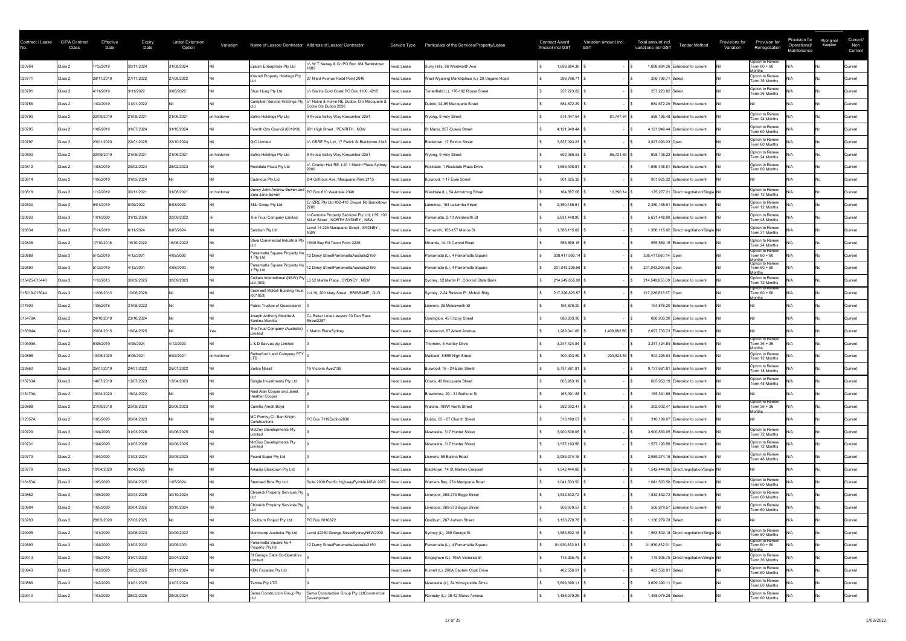| Contract / Lease | <b>GIPA Contract</b><br>Class | Effective<br>Date | <b>Expiry</b><br>Date | <b>Latest Extension</b><br>Option | Variation   |                                                | Name of Lessor/ Contractor Address of Lessor/ Contractor                                         |                   | Service Type Particulars of the Services/Property/Lease | <b>Contract Award</b><br><b>Amount incl GST</b> | Variation amount incl.<br><b>GST</b> | Total amount incl.<br><b>Tender Method</b><br>variations incl GST | Provisions for<br>Variation | Provision for<br>Renegotiation                       | Provision for<br>Operational/<br>Maintenance | Aboriginal<br>Supplier | Current/<br>Non<br>Current |
|------------------|-------------------------------|-------------------|-----------------------|-----------------------------------|-------------|------------------------------------------------|--------------------------------------------------------------------------------------------------|-------------------|---------------------------------------------------------|-------------------------------------------------|--------------------------------------|-------------------------------------------------------------------|-----------------------------|------------------------------------------------------|----------------------------------------------|------------------------|----------------------------|
| 020764           | Class 2                       | /12/2019          | 30/11/2024            | 31/08/2024                        |             | Epsom Enterprises Pty Ltd                      | - W.T.Newey & Co PO Box 184 Banktstown                                                           | <b>Head Lease</b> | Surry Hills, 66 Wentworth Ave                           | 1,698,884.36                                    |                                      | 1,698,884.36 Extension to current                                 |                             | Option to Renew<br>Term 60 + 60<br>lonths            |                                              |                        | <b>Current</b>             |
| 020771           | Class 2                       | 28/11/2019        | 27/11/2022            | 27/08/2022                        |             | Krisnell Property Holdings Pty                 | 27 Nield Avenue Rodd Point 2046                                                                  | <b>Head Lease</b> | West Wyalong Marketplace (L), 29 Ungarie Road           | 296,796.71                                      |                                      | 296,796.71 Select                                                 |                             | Option to Renew<br>Term 36 Months                    |                                              |                        | Current                    |
| 020781           | Class 2                       | 4/11/2019         | 3/11/2022             | 3/08/2022                         |             | Shun Hung Pty Ltd                              | c/- Savills Gold Coast PO Box 1100, 4215                                                         | <b>Head Lease</b> | Tenterfield (L), 176-182 Rouse Street                   | 257,223.82                                      |                                      | 257,223.82 Select                                                 |                             | Option to Renew<br>Term 36 Months                    |                                              |                        | Current                    |
| 020786           | Class 2                       | 1/02/2019         | 31/01/2022            |                                   |             | Campbell Service Holdings Pty                  | c/- Raine & Horne RE Dubbo, Cnr Macquarie &<br>Cobra Sts Dubbo 2830                              | <b>Head Lease</b> | Dubbo, 92-96 Macquarie Street                           | 684,672.29                                      |                                      | 684,672.29 Extension to current                                   |                             |                                                      |                                              |                        | Current                    |
| 020790           | Class 2                       | 22/09/2019        | 21/09/2021            | 21/06/2021                        | on holdover | Safira Holdings Pty Ltd                        | 9 Avoca Valley Way Kincumber 2251                                                                | <b>Head Lease</b> | Wyong, 9 Hely Street                                    | 514,447.64                                      | $81,747.84$   9                      | 596,195.48 Extension to current                                   |                             | Option to Renew<br>Term 24 Months                    |                                              |                        | Current                    |
| 020795           | Class 2                       | 1/08/2019         | 31/07/2024            | 31/10/2024                        |             | Penrith City Council (001619)                  | 601 High Street, PENRITH, NSW                                                                    | Head Lease        | St Marys, 227 Queen Street                              | 4,121,949.44                                    |                                      | 4,121,949.44 Extension to current                                 |                             | Option to Renew<br>Term 60 Months                    |                                              |                        | <b>Current</b>             |
| 020797           | Class 2                       | 23/01/2020        | 22/01/2025            | 22/10/2024                        |             | QIC Limited                                    | c/- CBRE Pty Ltd, 17 Parick St Blacktown 2148 Head Lease                                         |                   | Blacktown, 17 Patrick Street                            | 3,827,093.23                                    |                                      | 3,827,093.23 Open                                                 |                             | Option to Renew<br>Term 60 Months                    |                                              |                        | <b>Current</b>             |
| 020800           | Class 2                       | 22/09/2019        | 21/09/2021            | 21/06/2021                        | on holdover | Safira Holdings Pty Ltd                        | 9 Avoca Valley Way Kincumber 2251                                                                | Head Lease        | Wyong, 9 Hely Street                                    | 602,386.53                                      | $95,721.69$ \$                       | 698,108.22 Extension to current                                   |                             | Option to Renew<br>Term 24 Months                    |                                              |                        | <b>Current</b>             |
| 020812           | Class 2                       | 1/03/2019         | 29/02/2024            | 28/02/2023                        |             | Rockdale Plaza Pty Ltd                         | c/- Charter Hall RE, L20 1 Martin Place Sydney                                                   | Head Lease        | Rockdale, 1 Rockdale Plaza Drive                        | 1,659,408.81                                    |                                      | 1,659,408.81 Extension to current                                 |                             | Option to Renew<br>Term 60 Months                    |                                              |                        | Current                    |
| 020814           | Class 2                       | 1/06/2019         | 31/05/2024            |                                   |             | Cadmous Pty Ltd                                | 2-4 Giffnock Ave, Macquarie Park 2113                                                            | Head Lease        | Burwood, 1-17 Elsie Street                              | 901,625.32                                      |                                      | 901,625.32 Extension to current                                   |                             |                                                      |                                              |                        | <b>Current</b>             |
| 020818           | Class 2                       | /12/2019          | 30/11/2021            | 31/08/2021                        | on holdover | Denny John Andrew Bowen and<br>Sara Jane Bowen | PO Box 610 Westdale 2340                                                                         | Head Lease        | Westdale (L), 54 Armstrong Street                       | 164,887.06                                      | $10,390.14$ \$                       | 175,277.21 Direct negotiation/Single Nil                          |                             | Option to Renew<br>Term 12 Months                    |                                              |                        | <b>Current</b>             |
| 020830           | Class 2                       | 9/01/2019         | 8/09/2022             | 8/03/2022                         |             | SNL Group Pty Ltd                              | C/ IZRE Pty Ltd 402-410 Chapel Rd Bankstown                                                      | Head Lease        | Lakemba, 194 Lakemba Street                             | 2,350,188.61                                    |                                      | 2,350,188.61 Extension to current                                 |                             | Option to Renew<br>Term 12 Months                    |                                              |                        | <b>Current</b>             |
| 020832           | Class 3                       | 1/01/2020         | 31/12/2026            | 30/09/2022                        |             | The Trust Company Limited                      | C/-Centuria Property Services Pty Ltd, L39, 100   Head Lease<br>Miller Street, NORTH SYDNEY, NSW |                   | Parramatta, 2-10 Wentworth St                           | 5,631,448.90                                    |                                      | 5,631,448.90 Extension to current                                 |                             | Option to Renew<br>Term 48 Months                    |                                              |                        | Current                    |
| 020834           | Class 2                       | /11/2019          | 6/11/2024             | 6/05/2024                         |             | Sandran Pty Ltd                                | Level 14 225 Macquarie Street, SYDNEY,                                                           | Head Lease        | Tamworth, 155-157 Marius St                             | 1,386,115.02                                    |                                      | 1,386,115.02 Direct negotiation/Single Nil                        |                             | Option to Renew<br>Term 37 Months                    |                                              |                        | Current                    |
| 020836           | Class 2                       | 17/10/2018        | 16/10/2022            | 16/06/2022                        |             |                                                | Shire Commercial Industrial Pty 15/46 Bay Rd Taren Point 2229                                    | <b>Head Lease</b> | Miranda, 14-16 Central Road                             | 555,569.15                                      |                                      | 555,569.15 Extension to current                                   |                             | Option to Renew<br>Term 24 Months                    |                                              |                        | Current                    |
| 020888           | Class 3                       | 5/12/2019         | 4/12/2031             | 4/05/2030                         |             | Parramatta Square Property No<br>1 Pty Ltd     | 12 Darcy StreetParramattaAustralia2150                                                           | Head Lease        | Parramatta (L), 4 Parramatta Square                     | 338,411,060.14                                  |                                      | 338,411,060.14 Open                                               |                             | Option to Renew<br>Term $60 + 60$                    |                                              |                        | Current                    |
| 020890           | Class 3                       | 5/12/2019         | 4/12/2031             | 4/05/2030                         |             | 1 Pty Ltd                                      | Parramatta Square Property No   12 Darcy StreetParramattaAustralia2150                           | Head Lease        | Parramatta (L), 4 Parramatta Square                     | 201,043,209.56                                  |                                      | 201,043,209.56 Open                                               |                             | Months<br> Option to Renew<br>Term 60 + 60<br>lonths |                                              |                        | <b>Current</b>             |
| 015425-015440    | Class 3                       | 1/10/2013         | 30/09/2025            | 30/09/2023                        |             | Ltd (363)                                      | Colliers International (NSW) Pty  L3 52 Martin Place, SYDNEY, NSW                                | Head Lease        | Sydney, 52 Martin PI, Colonial State Bank               | 214,549,855.00                                  |                                      | 214,549,855.00 Extension to current                               |                             | Option to Renew<br>Term 72 Months                    |                                              |                        | Current                    |
| 015019-015044    | Class 3                       | 11/06/2013        | 10/06/2028            |                                   |             |                                                | Cromwell McKell Building Trust  Lvl 19, 200 Mary Street, BRISBANE, QLD                           | Head Lease        | Sydney, 2-24 Rawson PI, McKell Bldg                     | 217,226,823.57                                  |                                      | 217,226,823.57 Open                                               |                             | Option to Renew<br>Term 60 + 60                      |                                              |                        | Current                    |
| 017600           | Class 2                       | 1/06/2016         | 31/05/2022            |                                   |             | Public Trustee of Queensland                   |                                                                                                  | Head Lease        | Lismore, 29 Molesworth St                               | 194,876.20                                      |                                      | 194,876.20 Extension to current                                   |                             |                                                      |                                              |                        | Current                    |
| 015478A          | Class 2                       | 24/10/2019        | 23/10/2024            |                                   |             | Joseph Anthony Manitta &<br>Santina Manitta    | C/- Baker Love Lawyers 30 Dan Rees<br>Street2287                                                 | Head Lease        | Carrington, 45 Fitzroy Street                           | 686,933.30                                      |                                      | 686,933.30 Extension to current                                   |                             |                                                      |                                              |                        | Current                    |
| 016304A          | Class 2                       | 20/04/2015        | 19/04/2025            |                                   |             | The Trust Company (Australia)                  | Martin PlaceSydney                                                                               | Head Lease        | Chatswood, 67 Albert Avenue                             | 1,289,041.06                                    | 1,408,692.66                         | 2,697,733.73 Extension to current                                 |                             |                                                      |                                              |                        | <b>Current</b>             |
| 010609A          | Class 2                       | 5/08/2019         | 4/08/2024             | 1/12/2023                         |             | L & D Savvas pty Limited                       |                                                                                                  | Head Lease        | Thornton, 8 Hartley Drive                               | 3,247,424.84                                    |                                      | 3,247,424.84 Extension to current                                 |                             | Option to Renew<br>Term 36 + 36                      |                                              |                        | <b>Current</b>             |
| 020895           | Class 2                       | 10/05/2020        | 9/05/2021             | 9/02/2021                         | on holdover | Rutherford Land Company PTY                    |                                                                                                  | Head Lease        | Maitland, 8/555 High Street                             | 300,403.59                                      | 203,823.35 \$                        | 504,226.93 Extension to current                                   |                             | Option to Renew<br>Term 12 Months                    |                                              |                        | Current                    |
| 020860           | Class 3                       | 25/07/2019        | 24/07/2022            | 25/01/2022                        |             | Sarkis Nassif                                  | 19 Victoria Ave2138                                                                              | Head Lease        | Burwood, 16 - 24 Elsie Street                           | 9,737,681.81                                    |                                      | 9,737,681.81 Extension to current                                 |                             | Option to Renew<br>Term 18 Months                    |                                              |                        | Current                    |
| 016733A          | Class 2                       | 14/07/2019        | 13/07/2023            | 13/04/2023                        |             | Bringle Investments Pty Ltd                    |                                                                                                  | Head Lease        | Cowra, 43 Macquarie Street                              | 605,953.19                                      |                                      | 605,953.19 Extension to current                                   |                             | Option to Renew<br>Term 48 Months                    |                                              |                        | <b>Current</b>             |
| 018173A          | Class 2                       | 19/04/2020        | 18/04/2022            |                                   |             | Noel Alan Cooper and Janet<br>Heather Cooper   |                                                                                                  | Head Lease        | Brewarrina, 29 - 31 Bathurst St                         | 165,391.88                                      |                                      | 165,391.88 Extension to current                                   |                             |                                                      |                                              |                        | Current                    |
| 020868           | Class 2                       | 21/09/2018        | 20/09/2023            | 20/06/2023                        |             | Camilla Arnott Boyd                            |                                                                                                  | Head Lease        | Walcha, 188W North Street                               | 292,002.47                                      |                                      | 292,002.47 Extension to current                                   |                             | Option to Renew<br>Term 36 + 36<br>lonths            |                                              |                        | <b>Current</b>             |
| 012357A          | Class 2                       | 1/05/2020         | 30/04/2023            |                                   |             | MC Perring C/- Ben Knight<br>Constructions     | PO Box 7119Dubbo2830                                                                             | <b>Head Lease</b> | Dubbo, 65 - 67 Church Street                            | 316,199.07                                      |                                      | 316,199.07 Extension to current                                   |                             |                                                      |                                              |                        | Current                    |
| 020729           | Class 2                       | 1/04/2020         | 31/03/2026            | 30/06/2025                        |             | McCloy Developments Pty<br>imited              |                                                                                                  | <b>Head Lease</b> | Newcastle, 317 Hunter Street                            | 3,900,830.05                                    |                                      | 3,900,830.05 Extension to current                                 |                             | Option to Renew<br>Term 72 Months                    |                                              |                        | Current                    |
| 020731           | Class 2                       | 1/04/2020         | 31/03/2026            | 30/06/2025                        |             | McCloy Developments Pty                        |                                                                                                  | <b>Head Lease</b> | Newcastle, 317 Hunter Street                            | 1,537,193.56                                    |                                      | 1,537,193.56 Extension to current                                 |                             | Option to Renew<br>Term 72 Months                    |                                              |                        | Current                    |
| 020770           | Class 2                       | 1/04/2020         | 31/03/2024            | 30/09/2023                        |             | Pound Super Pty Ltd                            |                                                                                                  | <b>Head Lease</b> | Lismore, 58 Ballina Road                                | 2,989,274.16                                    |                                      | 2,989,274.16 Extension to current                                 |                             | Option to Renew<br>Term 48 Months                    |                                              |                        | Current                    |
| 020779           | Class 2                       | 0/04/2020         | 9/04/2025             |                                   |             | Arkadia Blacktown Pty Ltd                      |                                                                                                  | <b>Head Lease</b> | Blacktown, 14 St Martins Crescent                       | 1,542,444.06                                    |                                      | 1,542,444.06 Direct negotiation/Single Nil                        |                             |                                                      |                                              |                        | Current                    |
| 016153A          | Class 2                       | 1/05/2020         | 30/04/2025            | 1/05/2024                         |             | Stannard Bros Pty Ltd                          | Suite 2939 Pacific HighwayPymble NSW 2073   Head Lease                                           |                   | Warners Bay, 274 Macquarie Road                         | 1,041,503.50                                    |                                      | 1,041,503.50 Extension to current                                 |                             | Option to Renew<br>Term 60 Months                    |                                              |                        | Current                    |
| 020862           | Class 2                       | 1/05/2020         | 30/04/2025            | 30/10/2024                        |             | <b>Chiswick Property Services Pty</b>          |                                                                                                  | Head Lease        | Liverpool, 269-273 Bigge Street                         | 1,532,832.72                                    |                                      | 1,532,832.72 Extension to current                                 |                             | Option to Renew<br>Term 60 Months                    |                                              |                        | Current                    |
| 020864           | Class 2                       | 1/05/2020         | 30/04/2025            | 30/10/2024                        |             | Chiswick Property Services Pty                 |                                                                                                  | Head Lease        | Liverpool, 269-273 Bigge Street                         | 506,979.57                                      |                                      | 506,979.57 Extension to current                                   |                             | Option to Renew<br>Term 60 Months                    |                                              |                        | <b>Current</b>             |
| 020783           | Class 2                       | 28/03/2020        | 27/03/2025            |                                   |             | Goulburn Project Pty Ltd                       | PO Box 3016872                                                                                   | Head Lease        | Goulburn, 267 Auburn Street                             | 1,136,279.78                                    |                                      | 1,136,279.78 Select                                               |                             |                                                      |                                              |                        | <b>Current</b>             |
| 020905           | Class 2                       | 1/01/2020         | 30/06/2023            | 30/09/2022                        |             | Memocorp Australia Pty Ltd                     | evel 42259 George StreetSydneyNSW2000                                                            | Head Lease        | Sydney (L), 259 George St                               | 1,583,502.18                                    |                                      | 1,583,502.18 Direct negotiation/Single Nil                        |                             | Option to Renew<br>Term 60 Months                    |                                              |                        | Current                    |
| 020893           | Class 3                       | 1/04/2020         | 31/03/2032            | 30/09/2031                        |             | Parramatta Square No 4<br>Property Pty Itd     | 12 Darcy StreetParramattaAustralia2150                                                           | Head Lease        | Parramatta (L), 4 Parramatta Square                     | 91,930,832.01                                   |                                      | 91,930,832.01 Open                                                |                             | Option to Renew<br>Term 60 + 60<br>lonths            |                                              | No.                    | Current                    |
| 020913           | Class 2                       | 1/08/2019         | 31/07/2022            | 30/04/2022                        |             | St George Cabs Co-Operative<br>imited          |                                                                                                  | Head Lease        | Kingsgrove (L), 105A Vanessa St                         | 175,925.75                                      |                                      | 175,925.75 Direct negotiation/Single Nil                          |                             | Option to Renew<br>Term 36 Months                    |                                              |                        | Current                    |
| 020940           | Class 2                       | 1/03/2020         | 28/02/2025            | 28/11/2024                        |             | KDK Facades Pty Ltd                            |                                                                                                  | Head Lease        | Kurnell (L), 268A Captain Cook Drive                    | 462,556.91                                      |                                      | 462,556.91 Select                                                 |                             | Option to Renew<br>Term 60 Months                    |                                              |                        | Current                    |
| 020866           | Class 2                       | 1/02/2020         | 31/01/2025            | 31/07/2024                        |             | Tamba Pty LTD                                  |                                                                                                  | Head Lease        | Newcastle (L), 24 Honeysuckle Drive                     | 3,699,390.11                                    |                                      | 3,699,390.11 Open                                                 |                             | Option to Renew<br>Term 60 Months                    |                                              |                        | Current                    |
| 020910           | Class 2                       | 1/03/2020         | 28/02/2025            | 28/08/2024                        |             | Sema Construction Group Pty                    | Sema Construction Group Pty LtdCommercial<br>Development                                         | Head Lease        | Revesby (L), 38-42 Marco Avenue                         | 1,488,079.28                                    |                                      | 1,488,079.28 Select                                               |                             | Option to Renew<br>Term 60 Months                    |                                              |                        | Current                    |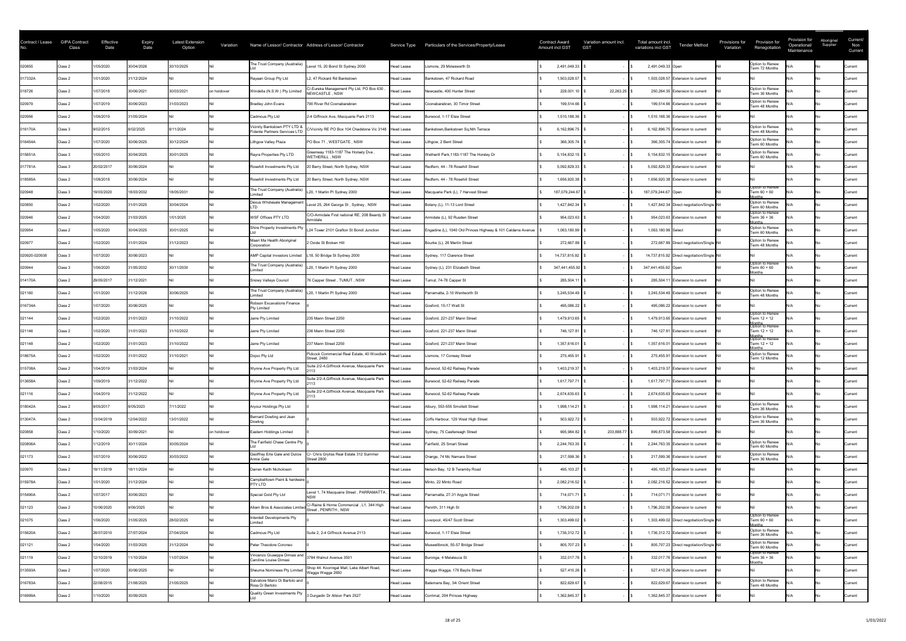| Contract / Lease | <b>GIPA Contract</b><br>Class | Effective<br>Date | <b>Expiry</b><br>Date | <b>Latest Extension</b><br>Option | Variation   |                                                               | Name of Lessor/ Contractor Address of Lessor/ Contractor           |                   | Service Type Particulars of the Services/Property/Lease      | <b>Contract Award</b><br><b>Amount incl GST</b> | Variation amount incl.<br><b>GST</b> | Total amount incl.<br><b>Tender Method</b><br>variations incl GST | Provisions for<br>Variation | Provision for<br>Renegotiation                             | Provision for<br>Operational/<br>Maintenance | Aboriginal<br>Supplier | Current/<br>Non<br>Current |
|------------------|-------------------------------|-------------------|-----------------------|-----------------------------------|-------------|---------------------------------------------------------------|--------------------------------------------------------------------|-------------------|--------------------------------------------------------------|-------------------------------------------------|--------------------------------------|-------------------------------------------------------------------|-----------------------------|------------------------------------------------------------|----------------------------------------------|------------------------|----------------------------|
| 020855           | Class 2                       | 1/05/2020         | 30/04/2026            | 30/10/2025                        |             | The Trust Company (Australia)                                 | Level 15, 20 Bond St Sydney 2000                                   | <b>Head Lease</b> | Lismore, 29 Molesworth St                                    | 2,491,049.33                                    |                                      | 2,491,049.33 Open                                                 |                             | Option to Renew<br>Term 72 Months                          |                                              |                        | Current                    |
| 017332A          | Class 2                       | 1/01/2020         | 31/12/2024            |                                   |             | Rayaan Group Pty Ltd                                          | L2. 47 Rickard Rd Bankstown                                        | Head Lease        | Bankstown, 47 Rickard Road                                   | 1,503,028.57                                    |                                      | 1,503,028.57 Extension to current                                 |                             |                                                            |                                              |                        | Current                    |
| 018726           | Class 2                       | 1/07/2018         | 30/06/2021            | 30/03/2021                        | on holdover | Windella (N.S.W.) Pty Limited                                 | C/-Eureka Management Pty Ltd, PO Box 630<br>NEWCASTLE, NSW         | <b>Head Lease</b> | Newcastle, 400 Hunter Street                                 | 228,001.10                                      | 22,263.25                            | 250,264.35 Extension to current                                   |                             | Option to Renew<br>Term 36 Months                          |                                              |                        | <b>Current</b>             |
| 020979           | Class 2                       | 1/07/2019         | 30/06/2023            | 31/03/2023                        |             | Bradley John Evans                                            | 790 River Rd Coonabarabran                                         | <b>Head Lease</b> | Coonabarabran, 30 Timor Street                               | 199,514.66                                      |                                      | 199,514.66 Extension to current                                   |                             | Option to Renew<br>Term 48 Months                          |                                              |                        | Current                    |
| 020956           | Class 2                       | 1/06/2019         | 31/05/2024            |                                   |             | Cadmous Pty Ltd                                               | 2-4 Giffnock Ave, Macquarie Park 2113                              | <b>Head Lease</b> | Burwood, 1-17 Elsie Street                                   | 1,510,188.36                                    |                                      | 1,510,188.36 Extension to current                                 |                             |                                                            |                                              |                        | Current                    |
| 016170A          | Class 3                       | 9/02/2015         | 8/02/2025             | 8/11/2024                         |             | Vicinity Bankstown PTY LTD &<br>Fidante Partners Services LTD | C/Vicinity RE PO Box 104 Chadstone Vic 3148 Head Lease             |                   | Bankstown, Bankstown Sq, Nth Terrace                         | 6,162,896.75                                    |                                      | 6,162,896.75 Extension to current                                 |                             | Option to Renew<br>Term 48 Months                          |                                              |                        | <b>Current</b>             |
| 016454A          | Class 2                       | /07/2020          | 30/06/2025            | 30/12/2024                        |             | ithgow Valley Plaza                                           | PO Box 71, WESTGATE, NSW                                           | Head Lease        | Lithgow, 2 Bent Street                                       | 366,305.74                                      |                                      | 366,305.74 Extension to current                                   |                             | Option to Renew<br>Term 60 Months                          |                                              |                        | Current                    |
| 015651A          | Class 3                       | 1/05/2010         | 30/04/2025            | 30/01/2025                        |             | Rayra Properties Pty LTD                                      | Greenway 1183-1187 The Horsely Dve,<br>WETHERILL, NSW              | Head Lease        | Wetherill Park, 1183-1187 The Horsley Dr                     | 5, 154, 832. 15                                 |                                      | 5,154,832.15 Extension to current                                 |                             | Option to Renew<br>Term 60 Months                          |                                              |                        | <b>Current</b>             |
| 017781A          | Class 3                       | 20/02/2017        | 30/06/2024            |                                   |             | Rosehill Investments Pty Ltd                                  | 20 Berry Street, North Sydney, NSW                                 | Head Lease        | Redfern, 44 - 78 Rosehill Street                             | 5,092,829.33                                    |                                      | 5,092,829.33 Extension to current                                 |                             |                                                            |                                              |                        | <b>Current</b>             |
| 018585A          | Class 2                       | 1/08/2018         | 30/06/2024            |                                   |             | Rosehill Investments Pty Ltd                                  | 20 Berry Street, North Sydney, NSW                                 | Head Lease        | Redfern, 44 - 78 Rosehill Street                             | 1,656,920.38                                    |                                      | 1,656,920.38 Extension to current                                 |                             |                                                            |                                              |                        | <b>Current</b>             |
| 020948           | Class 3                       | 19/03/2020        | 18/03/2032            | 18/05/2031                        |             | The Trust Company (Australia)<br>imited                       | L20, 1 Martin PI Sydney 2000                                       | Head Lease        | Macquarie Park (L), 7 Harvest Street                         | 187,079,244.67                                  |                                      | 187,079,244.67 Open                                               |                             | Option to Renew<br>Term 60 + 60<br>lonths                  |                                              |                        | <b>Current</b>             |
| 020850           | Class 2                       | 1/02/2020         | 31/01/2025            | 30/04/2024                        |             | Dexus Wholesale Managemen                                     | Level 25, 264 George St, Sydney, NSW                               | Head Lease        | Botany (L), 11-13 Lord Street                                | 1,427,842.34                                    |                                      | 1,427,842.34 Direct negotiation/Single Nil                        |                             | Option to Renew<br>Term 60 Months                          |                                              |                        | Current                    |
| 020946           | Class 2                       | 1/04/2020         | 31/03/2025            | 1/01/2025                         |             | WSF Offices PTY LTD                                           | C/O-Armidale First national RE, 208 Beardy St<br>Armidale          | Head Lease        | Armidale (L), 92 Rusden Street                               | 954,023.63                                      |                                      | 954,023.63 Extension to current                                   |                             | Option to Renew<br>Term 36 + 36                            |                                              |                        | Current                    |
| 020954           | Class 2                       | 1/05/2020         | 30/04/2025            | 30/01/2025                        |             | Shire Property Investments Pty                                | L24 Tower 2101 Grafton St Bondi Junction                           | Head Lease        | Engadine (L), 1040 Old Princes Highway & 101 Caldarra Avenue | 1,063,180.99                                    |                                      | 1,063,180.99 Select                                               |                             | Option to Renew<br>Term 60 Months                          |                                              |                        | Current                    |
| 020977           | Class 2                       | 1/02/2020         | 31/01/2024            | 31/12/2023                        |             | Maari Ma Health Aboriginal<br>Corporation                     | 2 Oxide St Broken Hill                                             | Head Lease        | Bourke (L), 26 Mertin Street                                 | 272,667.89                                      |                                      | 272,667.89 Direct negotiation/Single Nil                          |                             | Option to Renew<br>Term 48 Months                          |                                              |                        | Current                    |
| 020920-020938    | Class 3                       | 1/07/2020         | 30/06/2023            |                                   |             | AMP Capital Investors Limited   L18, 50 Bridge St Sydney 2000 |                                                                    | Head Lease        | Sydney, 117 Clarence Street                                  | 14,737,815.92                                   |                                      | 14,737,815.92 Direct negotiation/Single Nil                       |                             |                                                            |                                              |                        | Current                    |
| 020944           | Class 3                       | 1/06/2020         | 31/05/2032            | 30/11/2030                        |             | The Trust Company (Australia)  L20, 1 Martin PI Sydney 2000   |                                                                    | Head Lease        | Sydney (L), 231 Elizabeth Street                             | 347,441,455.92                                  |                                      | 347,441,455.92 Open                                               |                             | Option to Renew<br>Term 60 + 60<br>onths                   |                                              |                        | <b>Current</b>             |
| 014170A          | Class 2                       | 29/05/2017        | 31/12/2021            |                                   |             | Snowy Valleys Council                                         | 76 Capper Street, TUMUT, NSW                                       | Head Lease        | Tumut, 74-78 Capper St                                       | 285,504.11                                      |                                      | 285,504.11 Extension to current                                   |                             |                                                            |                                              |                        | Current                    |
| 021160           | Class 2                       | 1/01/2020         | 31/12/2026            | 30/06/2025                        |             | The Trust Company (Australia)                                 | L20, 1 Martin PI Sydney 2000                                       | Head Lease        | Parramatta, 2-10 Wentworth St                                | 3,245,534.49                                    |                                      | 3,245,534.49 Extension to current                                 |                             | Option to Renew<br>Term 48 Months                          |                                              |                        | Current                    |
| 016734A          | Class 2                       | 1/07/2020         | 30/06/2025            |                                   |             | <b>Robson Excavations Finance</b><br>Pty Limited              |                                                                    | Head Lease        | Gosford, 15-17 Watt St                                       | 495,086.22                                      |                                      | 495,086.22 Extension to current                                   |                             |                                                            |                                              |                        | Current                    |
| 021144           | Class 2                       | 1/02/2020         | 31/01/2023            | 31/10/2022                        |             | Jarre Pty Limited                                             | 235 Mann Street 2250                                               | Head Lease        | Gosford, 221-237 Mann Street                                 | 1,479,913.65                                    |                                      | 1,479,913.65 Extension to current                                 |                             | Option to Renew<br>Term 12 + 12                            |                                              |                        | Current                    |
| 021146           | Class 2                       | 1/02/2020         | 31/01/2023            | 31/10/2022                        |             | Jarre Pty Limited                                             | 236 Mann Street 2250                                               | Head Lease        | Gosford, 221-237 Mann Street                                 | 746,127.81                                      |                                      | 746,127.81 Extension to current                                   |                             | Months<br> Option to Renew<br>Term 12 + 12                 |                                              |                        | <b>Current</b>             |
| 021148           | Class 2                       | 1/02/2020         | 31/01/2023            | 31/10/2022                        |             | Jarre Pty Limited                                             | 237 Mann Street 2250                                               | Head Lease        | Gosford, 221-237 Mann Street                                 | 1,357,616.01                                    |                                      | 1,357,616.01 Extension to current                                 |                             | Months<br>Option to Renew<br>Term 12 + 12<br><b>Months</b> |                                              |                        | <b>Current</b>             |
| 018675A          | Class 2                       | 1/02/2020         | 31/01/2022            | 31/10/2021                        |             | Dojoo Pty Ltd                                                 | Pidcock Commercial Real Estate, 40 Woodlark<br><b>Street, 2480</b> | Head Lease        | Lismore, 17 Conway Street                                    | 275,455.91                                      |                                      | 275,455.91 Extension to current                                   |                             | Option to Renew<br>Term 12 Months                          |                                              |                        | Current                    |
| 015708A          | Class 2                       | 1/04/2019         | 31/03/2024            |                                   |             | Wynne Ave Property Pty Ltd                                    | Suite 2/2-4, Giffnock Avenue, Macquarie Park                       | Head Lease        | Burwood, 52-62 Railway Parade                                | 1,403,219.37                                    |                                      | 1,403,219.37 Extension to current                                 |                             |                                                            |                                              |                        | Current                    |
| 013658A          | Class 2                       | 1/09/2019         | 31/12/2022            |                                   |             | Wynne Ave Property Pty Ltd                                    | Suite 2/2-4, Giffnock Avenue, Macquarie Park                       | Head Lease        | Burwood, 52-62 Railway Parade                                | 1,617,797.71                                    |                                      | 1,617,797.71 Extension to current                                 |                             |                                                            |                                              |                        | Current                    |
| 021116           | Class 2                       | 1/04/2019         | 31/12/2022            |                                   |             | Wynne Ave Property Pty Ltd                                    | Suite 2/2-4, Giffnock Avenue, Macquarie Park                       | Head Lease        | Burwood, 52-62 Railway Parade                                | 2,674,635.63                                    |                                      | 2,674,635.63 Extension to current                                 |                             |                                                            |                                              |                        | Current                    |
| 018042A          | Class 2                       | 9/05/2017         | 8/05/2023             | /11/2022                          |             | Aryour Holdings Pty Ltd                                       |                                                                    | Head Lease        | Albury, 553-555 Smollett Street                              | 1,998,114.21                                    |                                      | 1,998,114.21 Extension to current                                 |                             | Option to Renew<br>Term 36 Months                          |                                              |                        | Current                    |
| 013047A          | Class 2                       | 13/04/2019        | 12/04/2022            | 13/01/2022                        |             | Bernard Dowling and Jean<br>)owlina                           |                                                                    | Head Lease        | Coffs Harbour, 129 West High Street                          | 503,922.72                                      |                                      | 503,922.72 Extension to current                                   |                             | Option to Renew<br>Term 36 Months                          |                                              |                        | <b>Current</b>             |
| 020858           | Class 2                       | /10/2020          | 30/09/2021            |                                   | on holdover | Eastern Holdings Limited                                      |                                                                    | <b>Head Lease</b> | Sydney, 75 Castlereagh Street                                | 695,984.82                                      | 203,888.77                           | 899,873.58 Extension to current                                   |                             |                                                            |                                              |                        | Current                    |
| 020806A          | Class 2                       | 1/12/2019         | 30/11/2024            | 30/05/2024                        |             | The Fairfield Chase Centre Pty                                |                                                                    | <b>Head Lease</b> | Fairfield, 25 Smart Street                                   | 2,244,763.35                                    |                                      | 2,244,763.35 Extension to current                                 |                             | Option to Renew<br>Term 60 Months                          |                                              |                        | Current                    |
| 021173           | Class 2                       | 1/07/2019         | 30/06/2022            | 30/03/2022                        |             | Geoffrey Erle Gale and Dulcie<br>Annie Gale                   | C/- Chris Gryliss Real Estate 312 Summer<br>Street 2800            | Head Lease        | Orange, 74 Mc Namara Street                                  | 217,599.36                                      |                                      | 217,599.36 Extension to current                                   |                             | Option to Renew<br>Term 36 Months                          |                                              |                        | Current                    |
| 020970           | Class 2                       | 19/11/2019        | 18/11/2024            |                                   |             | Darren Keith Nicholoson                                       |                                                                    | Head Lease        | Nelson Bay, 12 B Teramby Road                                | 495,103.27                                      |                                      | 495,103.27 Extension to current                                   |                             |                                                            |                                              |                        | Current                    |
| 015978A          | Class 2                       | 1/01/2020         | 31/12/2024            |                                   |             | Campbelltown Paint & hardware<br>PTY LTD                      |                                                                    | Head Lease        | Minto, 22 Minto Road                                         | 2,082,216.52                                    |                                      | 2,082,216.52 Extension to current                                 |                             |                                                            |                                              |                        | <b>Current</b>             |
| 015490A          | Class 2                       | 1/07/2017         | 30/06/2023            |                                   |             | Special Gold Pty Ltd                                          | Level 1, 74 Macquarie Street, PARRAMATTA                           | <b>Head Lease</b> | Parramatta, 27-31 Argyle Street                              | 714,071.71                                      |                                      | 714,071.71 Extension to current                                   |                             |                                                            |                                              |                        | Current                    |
| 021123           | Class 2                       | 10/06/2020        | 9/06/2025             |                                   |             | Allam Bros & Associates Lim                                   | C/-Raine & Horne Commercial, L1, 344 High<br>Street, PENRITH, NSW  | Head Lease        | Penrith, 311 High St                                         | 1,796,202.09                                    |                                      | 1,796,202.09 Extension to current                                 |                             |                                                            |                                              |                        | Current                    |
| 021075           | Class 2                       | 1/06/2020         | 31/05/2025            | 28/02/2025                        |             | Interdell Developments Pty                                    |                                                                    | <b>Head Lease</b> | Liverpool, 45/47 Scott Street                                | 1,303,499.02                                    |                                      | 1,303,499.02 Direct negotiation/Single Nil                        |                             | Option to Renew<br>Term $60 + 60$<br>lonths                |                                              |                        | Current                    |
| 015620A          | Class 2                       | 28/07/2010        | 27/07/2024            | 27/04/2024                        |             | Cadmous Pty Ltd                                               | Suite 2, 2-4 Giffnock Avenue 2113                                  | Head Lease        | Burwood, 1-17 Elsie Street                                   | 1,736,312.72                                    |                                      | 1,736,312.72 Extension to current                                 |                             | Option to Renew<br>Term 36 Months                          |                                              |                        | Current                    |
| 021121           | Class 2                       | 1/04/2020         | 31/03/2025            | 31/12/2024                        |             | Peter Theodore Coroneo                                        |                                                                    | Head Lease        | Muswellbrook, 55-57 Bridge Street                            | 805,707.23                                      |                                      | 805,707.23 Direct negotiation/Single Nil                          |                             | Option to Renew<br>Term 60 Months                          |                                              |                        | <b>Current</b>             |
| 021119           | Class 2                       | 12/10/2019        | 11/10/2024            | 11/07/2024                        |             | Vincenzo Giuseppe Dimasi and<br>Caroline Louise Dimasi        | 3784 Walnut Avenue 3501                                            | Head Lease        | Buronga, 4 Melaleuca St                                      | 332,017.76                                      |                                      | 332,017.76 Extension to current                                   |                             | Option to Renew<br>Term 36 + 36<br>lonths                  |                                              |                        | <b>Current</b>             |
| 013593A          | Class 2                       | 1/07/2020         | 30/06/2025            |                                   |             | Sheuma Nominees Pty Limited                                   | Shop 44. Kooringal Mall, Lake Albert Road,<br>Wagga Wagga 2650     | Head Lease        | Wagga Wagga, 176 Baylis Street                               | 527,410.26                                      |                                      | 527,410.26 Extension to current                                   |                             |                                                            |                                              |                        | Current                    |
| 016783A          | Class 2                       | 22/08/2015        | 21/08/2025            | 21/05/2025                        |             | Salvatore Mario Di Bartolo and<br>Ross Di Bartolo             |                                                                    | Head Lease        | Batemans Bay, 34i Orient Street                              | 822,629.67                                      |                                      | 822,629.67 Extension to current                                   |                             | Option to Renew<br>Term 48 Months                          |                                              |                        | Current                    |
| 016999A          | Class 2                       | /10/2020          | 30/09/2025            |                                   |             | Quality Green Investments Pty                                 | 3 Durgadin Dr Albion Park 2527                                     | Head Lease        | Corrimal, 204 Princes Highway                                | 1,362,845.37                                    |                                      | 1,362,845.37 Extension to current                                 |                             |                                                            |                                              |                        | Current                    |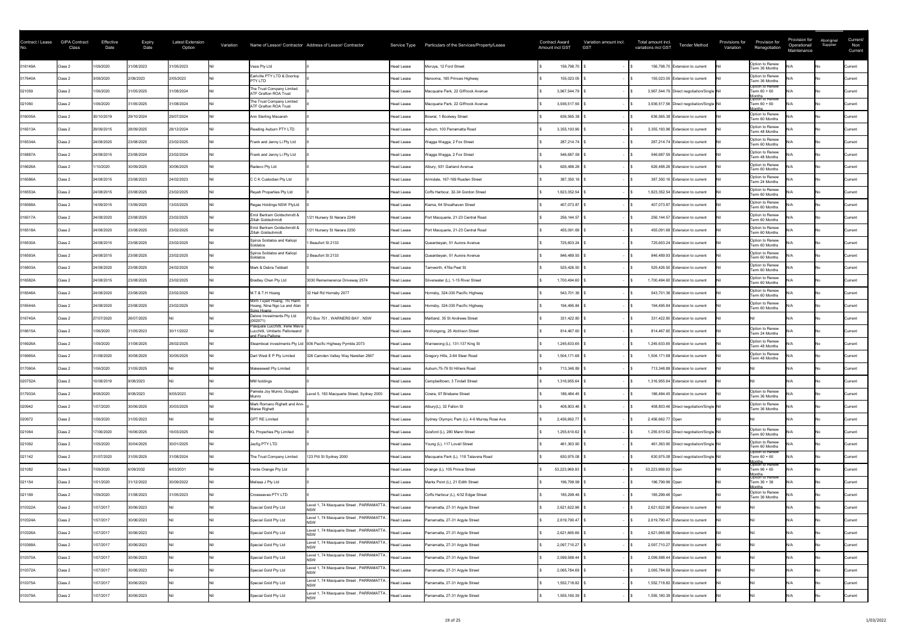| Contract / Lease<br>No. | <b>GIPA Contract</b><br>Class | Effective<br>Date | <b>Expiry</b><br>Date | <b>Latest Extension</b><br>Option | Variation |                                                                                       | Name of Lessor/ Contractor Address of Lessor/ Contractor      |                   | Service Type Particulars of the Services/Property/Lease | <b>Contract Award</b><br>Amount incl GST | Variation amount incl.<br><b>GST</b> | Total amount incl.<br>variations incl GST  | <b>Tender Method</b> | Provisions for<br>Variation | Provision for<br>Renegotiation                              | Provision for<br>Operational/<br>Maintenance | Aboriginal<br>Supplier | Current/<br>Non<br>Current |
|-------------------------|-------------------------------|-------------------|-----------------------|-----------------------------------|-----------|---------------------------------------------------------------------------------------|---------------------------------------------------------------|-------------------|---------------------------------------------------------|------------------------------------------|--------------------------------------|--------------------------------------------|----------------------|-----------------------------|-------------------------------------------------------------|----------------------------------------------|------------------------|----------------------------|
| 016149A                 | Class 2                       | 1/09/2020         | 31/08/2023            | 31/05/2023                        |           | Veza Pty Ltd                                                                          |                                                               | Head Lease        | Moruya, 12 Ford Street                                  | 156,798.70                               |                                      | 156,798.70 Extension to current            |                      |                             | Option to Renew<br>Term 36 Months                           |                                              |                        | Current                    |
| 017640A                 | Class 2                       | 3/08/2020         | 2/08/2023             | 2/05/2023                         |           | Earlville PTY LTD & Doortop<br>PTY LTD                                                |                                                               | <b>Head Lease</b> | Narooma, 185 Princes Highway                            | 155,023.05                               |                                      | 155,023.05 Extension to current            |                      |                             | Option to Renew<br>Term 36 Months                           |                                              |                        | Current                    |
| 021059                  | Class 2                       | 1/06/2020         | 31/05/2025            | 31/08/2024                        |           | The Trust Company Limited<br><b>ATF Grafton ROA Trust</b>                             |                                                               | Head Lease        | Macquarie Park, 22 Giffnock Avenue                      | 3,967,544.79                             |                                      | 3,967,544.79 Direct negotiation/Single Nil |                      |                             | Option to Renew<br>Term $60 + 60$                           |                                              |                        | Current                    |
| 021060                  | Class 2                       | 1/06/2020         | 31/05/2025            | 31/08/2024                        |           | The Trust Company Limited<br><b>ATF Grafton ROA Trust</b>                             |                                                               | <b>Head Lease</b> | Macquarie Park, 22 Giffnock Avenue                      | 3,936,517.56                             |                                      | 3,936,517.56 Direct negotiation/Single Nil |                      |                             | Months<br> Option to Renew<br>Term 60 + 60<br><b>Ionths</b> |                                              |                        | Current                    |
| 016005A                 | Class 2                       | 30/10/2019        | 29/10/2024            | 29/07/2024                        |           | Ann Sterling Macansh                                                                  |                                                               | <b>Head Lease</b> | Bowral, 1 Boolwey Street                                | 636,565.38                               |                                      | 636,565.38 Extension to current            |                      |                             | Option to Renew<br>Term 60 Months                           |                                              |                        | Current                    |
| 016513A                 | Class 2                       | 29/09/2015        | 28/09/2025            | 28/12/2024                        |           | Reading Auburn PTY LTD                                                                |                                                               | <b>Head Lease</b> | Auburn, 100 Parramatta Road                             | 3,355,193.96                             |                                      | 3,355,193.96 Extension to current          |                      |                             | Option to Renew<br>Term 48 Months                           |                                              |                        | <b>Current</b>             |
| 016534A                 | Class 2                       | 24/08/2020        | 23/08/2025            | 23/02/2025                        |           | Frank and Jenny Li Pty Ltd                                                            |                                                               | Head Lease        | Wagga Wagga, 2 Fox Street                               | 287,214.74                               |                                      | 287,214.74 Extension to current            |                      |                             | Option to Renew<br>Term 60 Months                           |                                              |                        | <b>Current</b>             |
| 016887A                 | Class 2                       | 24/08/2015        | 23/08/2024            | 23/02/2024                        |           | Frank and Jenny Li Pty Ltd                                                            |                                                               | Head Lease        | Wagga Wagga, 2 Fox Street                               | 546,687.59                               |                                      | 546,687.59 Extension to current            |                      |                             | Option to Renew<br>Term 48 Months                           |                                              |                        | <b>Current</b>             |
| 016626A                 | Class 2                       | 1/10/2020         | 30/09/2025            | 30/06/2025                        |           | Radevo Pty Ltd                                                                        |                                                               | Head Lease        | Albury, 931 Garland Avenue                              | 626,488.26                               |                                      | 626,488.26 Extension to current            |                      |                             | Option to Renew<br>Term 60 Months                           |                                              |                        | Current                    |
| 016586A                 | Class 2                       | 24/08/2015        | 23/08/2023            | 24/02/2023                        |           | C C K Custodian Pty Ltd                                                               |                                                               | Head Lease        | Armidale, 167-169 Rusden Street                         | 387,350.16                               |                                      | 387,350.16 Extension to current            |                      |                             | Option to Renew<br>Term 24 Months                           |                                              |                        | <b>Current</b>             |
| 016553A                 | Class 2                       | 24/08/2015        | 23/08/2025            | 23/02/2025                        |           | Reyah Properties Pty Ltd                                                              |                                                               | Head Lease        | Coffs Harbour, 32-34 Gordon Street                      | 1,823,352.54                             |                                      | 1,823,352.54 Extension to current          |                      |                             | Option to Renew<br>Term 60 Months                           |                                              |                        | Current                    |
| 016568A                 | Class 2                       | 14/09/2015        | 13/09/2025            | 13/03/2025                        |           | Regas Holdings NSW PtyLtd                                                             |                                                               | Head Lease        | Kiama, 64 Shoalhaven Street                             | 407,073.87                               |                                      | 407,073.87 Extension to current            |                      |                             | Option to Renew<br>Term 60 Months                           |                                              |                        | <b>Current</b>             |
| 016517A                 | Class 2                       | 24/08/2020        | 23/08/2025            | 23/02/2025                        |           | Errol Bertram Goldschmidt &<br>Zillah Goldschmidt                                     | 1/21 Nursery St Narara 2249                                   | Head Lease        | Port Macquarie, 21-23 Central Road                      | 256,144.57                               |                                      | 256,144.57 Extension to current            |                      |                             | Option to Renew<br>Term 60 Months                           |                                              |                        | Current                    |
| 016518A                 | Class 2                       | 24/08/2020        | 23/08/2025            | 23/02/2025                        |           | Errol Bertram Goldschmidt &<br>Zillah Goldschmidt                                     | 1/21 Nursery St Narara 2250                                   | Head Lease        | Port Macquarie, 21-23 Central Road                      | 455,091.69                               |                                      | 455,091.69 Extension to current            |                      |                             | Option to Renew<br>Term 60 Months                           |                                              |                        | <b>Current</b>             |
| 016530A                 | Class 2                       | 24/08/2015        | 23/08/2025            | 23/02/2025                        |           | Spiros Soldatos and Kaliopi<br>Soldatos                                               | Beaufort St 2133                                              | Head Lease        | Queanbeyan, 51 Aurora Avenue                            | 725,603.24                               |                                      | 725,603.24 Extension to current            |                      |                             | Option to Renew<br>Term 60 Months                           |                                              |                        | Current                    |
| 016593A                 | Class 2                       | 24/08/2015        | 23/08/2025            | 23/02/2025                        |           | Spiros Soldatos and Kaliopi<br>Soldatos                                               | Beaufort St 2133                                              | Head Lease        | Queanbeyan, 51 Aurora Avenue                            | 846,489.93                               |                                      | 846,489.93 Extension to current            |                      |                             | Option to Renew<br>Term 60 Months                           |                                              |                        | Current                    |
| 016803A                 | Class 2                       | 24/08/2020        | 23/08/2025            | 24/02/2025                        |           | Mark & Debra Tebbatt                                                                  |                                                               | <b>Head Lease</b> | Tamworth, 476a Peel St                                  | 525,426.50                               |                                      | 525,426.50 Extension to current            |                      |                             | Option to Renew<br>Term 60 Months                           |                                              |                        | Current                    |
| 016582A                 | Class 2                       | 24/08/2015        | 23/08/2025            | 23/02/2025                        |           | Bradley Chen Pty Ltd                                                                  | 3030 Rememerence Driveway 2574                                | Head Lease        | Silverwater (L), 1-15 River Street                      | 1,700,494.60                             |                                      | 1,700,494.60 Extension to current          |                      |                             | Option to Renew<br>Term 60 Months                           |                                              |                        | <b>Current</b>             |
| 016546A                 | Class 2                       | 24/08/2020        | 23/08/2025            | 23/02/2025                        |           | M.T & T.H Hoang                                                                       | 32 Hall Rd Hornsby 2077                                       | Head Lease        | Hornsby, 324-330 Pacific Highway                        | 543,701.36                               |                                      | 543,701.36 Extension to current            |                      |                             | Option to Renew<br>Term 60 Months                           |                                              |                        | Current                    |
| 016544A                 | Class 2                       | 24/08/2020        | 23/08/2025            | 23/02/2025                        |           | Minh Tuyen Hoang, Thi Hanh<br>Hoang, Nina Ngo Le and Alan<br>Song Hoang               |                                                               | <b>Head Lease</b> | Hornsby, 324-330 Pacific Highway                        | 194,495.84                               |                                      | 194,495.84 Extension to current            |                      |                             | Option to Renew<br>Term 60 Months                           |                                              |                        | Current                    |
| 016745A                 | Class 2                       | 27/07/2020        | 26/07/2025            |                                   |           | Delore Investments Pty Ltd<br>(002071)                                                | PO Box 751, WARNERS BAY, NSW                                  | Head Lease        | Maitland, 35 St Andrews Street                          | 331,422.80                               |                                      | 331,422.80 Extension to current            |                      |                             |                                                             |                                              |                        | Current                    |
| 016615A                 | Class 2                       | 1/06/2020         | 31/05/2023            | 30/11/2022                        |           | Pasquale Lucchitti, Irene Mavis<br>Lucchitti, Umberto Palloneand<br>and Flora Pallone |                                                               | Head Lease        | Wollongong, 25 Atchison Street                          | 814,467.60                               |                                      | 814,467.60 Extension to current            |                      |                             | Option to Renew<br>Term 24 Months                           |                                              |                        | <b>Current</b>             |
| 016926A                 | Class 2                       | 1/09/2020         | 31/08/2025            | 28/02/2025                        |           |                                                                                       | Steamboat investments Pty Ltd 936 Pacific Highway Pymble 2073 | Head Lease        | Warrawong (L), 131-137 King St                          | 1,245,633.65                             |                                      | 1,245,633.65 Extension to current          |                      |                             | Option to Renew<br>Term 48 Months                           |                                              |                        | <b>Current</b>             |
| 016965A                 | Class 2                       | 31/08/2020        | 30/08/2025            | 30/05/2025                        |           | Dart West E P Pty Limited                                                             | 326 Camden Valley Way Narellan 2567                           | Head Lease        | Gregory Hills, 2-64 Steer Road                          | 1,504,171.68                             |                                      | 1,504,171.68 Extension to current          |                      |                             | Option to Renew<br>Term 48 Months                           |                                              |                        | Current                    |
| 017060A                 | Class 2                       | 1/06/2020         | 31/05/2025            |                                   |           | Makeeswell Pty Limited                                                                |                                                               | Head Lease        | Auburn, 75-79 St Hilliers Road                          | 713,348.89                               |                                      | 713,348.89 Extension to current            |                      |                             |                                                             |                                              |                        | Current                    |
| 020752A                 | Class 2                       | 10/08/2019        | 9/08/2023             |                                   |           | MM holdings                                                                           |                                                               | <b>Head Lease</b> | Campbelltown, 3 Tindall Street                          | 1,316,955.64                             |                                      | 1,316,955.64 Extension to current          |                      |                             |                                                             |                                              |                        | <b>Current</b>             |
| 017933A                 | Class 2                       | 9/08/2020         | 8/08/2023             | 9/05/2023                         |           | Pamela Joy Munro, Douglas                                                             | Level 5, 183 Macquarie Street, Sydney 2000                    | Head Lease        | Cowra, 97 Brisbane Street                               | 186,484.45                               |                                      | 186,484.45 Extension to current            |                      |                             | Option to Renew<br>Term 36 Months                           |                                              |                        | Current                    |
| 020942                  | Class 2                       | 1/07/2020         | 30/06/2025            | 30/03/2025                        |           | Mark Romano Righett and Ann-<br>Maree Righett                                         |                                                               | Head Lease        | Albury(L), 32 Fallon St                                 | 408,803.46                               |                                      | 408,803.46 Direct negotiation/Single Nil   |                      |                             | Option to Renew<br>Term 36 Months                           |                                              |                        | <b>Current</b>             |
| 020972                  | Class 2                       | 1/06/2020         | 31/05/2023            |                                   |           | <b>GPT RE Limited</b>                                                                 |                                                               | Head Lease        | Sydney Olympic Park (L), 4-6 Murray Rose Ave            | 2,456,662.77                             |                                      | 2,456,662.77 Open                          |                      |                             |                                                             |                                              |                        | <b>Current</b>             |
| 021064                  | Class 2                       | 7/06/2020         | 16/06/2025            | 16/03/2025                        |           | KL Properties Pty Limited                                                             |                                                               | Head Lease        | Gosford (L), 280 Mann Street                            | 1,255,610.62                             |                                      | 1,255,610.62 Direct negotiation/Single Nil |                      |                             | Option to Renew<br>Term 60 Months                           |                                              |                        | Current                    |
| 021062                  | Class 2                       | 1/05/2020         | 30/04/2025            | 30/01/2025                        |           | Jacfig PTY LTD                                                                        |                                                               | Head Lease        | Young (L), 117 Lovell Street                            | 461,363.90                               |                                      | 461,363.90 Direct negotiation/Single Nil   |                      |                             | Option to Renew<br>Term 60 Months                           |                                              |                        | Current                    |
| 021142                  | Class 2                       | 31/07/2020        | 31/05/2025            | 31/08/2024                        |           | The Trust Company Limited                                                             | 123 Pitt St Sydney 2000                                       | Head Lease        | Macquarie Park (L), 118 Talavera Road                   | 630,975.08                               |                                      | 630,975.08 Direct negotiation/Single Nil   |                      |                             | Option to Renew<br>Term 60 + 60                             |                                              |                        | Current                    |
| 021082                  | Class 3                       | 7/09/2020         | 6/09/2032             | 6/03/2031                         |           | Verde Orange Pty Ltd                                                                  |                                                               | Head Lease        | Orange (L), 105 Prince Street                           | 53,223,969.93                            |                                      | 53,223,969.93 Open                         |                      |                             | Months<br>Option to Renew<br>Term 96 + 60                   |                                              |                        | Current                    |
| 021154                  | Class 2                       | 1/01/2020         | 31/12/2022            | 30/09/2022                        |           | Melissa J Pty Ltd                                                                     |                                                               | Head Lease        | Marks Point (L), 21 Edith Street                        | 196,799.99                               |                                      | 196,799.99 Open                            |                      |                             | Months<br>Option to Renew<br>Term 36 + 36<br>lonths         |                                              |                        | Current                    |
| 021169                  | Class 2                       | 1/09/2020         | 31/08/2023            | 31/05/2023                        |           | Crosswaves PTY LTD                                                                    |                                                               | Head Lease        | Coffs Harbour (L), 4/32 Edgar Street                    | 185,299.46                               |                                      | 185,299.46 Open                            |                      |                             | Option to Renew<br>Term 36 Months                           |                                              |                        | <b>Current</b>             |
| 010322A                 | Class 2                       | 1/07/2017         | 30/06/2023            |                                   |           | Special Gold Pty Ltd                                                                  | Level 1, 74 Macquarie Street, PARRAMATTA                      | Head Lease        | Parramatta, 27-31 Argyle Street                         | 2,621,622.96                             |                                      | 2,621,622.96 Extension to current          |                      |                             |                                                             |                                              |                        | Current                    |
| 010324A                 | Class 2                       | 1/07/2017         | 30/06/2023            |                                   |           | Special Gold Pty Ltd                                                                  | Level 1, 74 Macquarie Street, PARRAMATTA,                     | <b>Head Lease</b> | Parramatta, 27-31 Argyle Street                         | 2,619,790.47                             |                                      | 2,619,790.47 Extension to current          |                      |                             |                                                             |                                              |                        | Current                    |
| 010326A                 | Class 2                       | 1/07/2017         | 30/06/2023            |                                   |           | Special Gold Pty Ltd                                                                  | Level 1, 74 Macquarie Street, PARRAMATTA,                     | Head Lease        | Parramatta, 27-31 Argyle Street                         | 2,621,665.66                             |                                      | 2,621,665.66 Extension to current          |                      |                             |                                                             |                                              |                        | <b>Current</b>             |
| 010368A                 | Class 2                       | 1/07/2017         | 30/06/2023            |                                   |           | Special Gold Pty Ltd                                                                  | Level 1, 74 Macquarie Street, PARRAMATTA,                     | <b>Head Lease</b> | Parramatta, 27-31 Argyle Street                         | 2,097,710.27                             |                                      | 2,097,710.27 Extension to current          |                      |                             |                                                             |                                              |                        | <b>Current</b>             |
| 010370A                 | Class 2                       | 1/07/2017         | 30/06/2023            |                                   |           | Special Gold Pty Ltd                                                                  | Level 1, 74 Macquarie Street, PARRAMATTA,                     | <b>Head Lease</b> | Parramatta, 27-31 Argyle Street                         | 2,099,588.44                             |                                      | 2,099,588.44 Extension to current          |                      |                             |                                                             |                                              |                        | <b>Current</b>             |
| 010372A                 | Class 2                       | 1/07/2017         | 30/06/2023            |                                   |           | Special Gold Pty Ltd                                                                  | Level 1, 74 Macquarie Street, PARRAMATTA, Head Lease          |                   | Parramatta, 27-31 Argyle Street                         | 2,065,784.69                             |                                      | 2,065,784.69 Extension to current          |                      |                             |                                                             |                                              |                        | Current                    |
| 010375A                 | Class 2                       | 1/07/2017         | 30/06/2023            |                                   |           | Special Gold Pty Ltd                                                                  | Level 1, 74 Macquarie Street, PARRAMATTA, Head Lease          |                   | Parramatta, 27-31 Argyle Street                         | 1,552,718.82                             |                                      | 1,552,718.82 Extension to current          |                      |                             |                                                             |                                              |                        | Current                    |
| 010379A                 | Class 2                       | 1/07/2017         | 30/06/2023            |                                   |           | Special Gold Pty Ltd                                                                  | Level 1, 74 Macquarie Street, PARRAMATTA,                     | Head Lease        | Parramatta, 27-31 Argyle Street                         | 1,555,160.39                             |                                      | 1,555,160.39 Extension to current          |                      |                             |                                                             |                                              |                        | Current                    |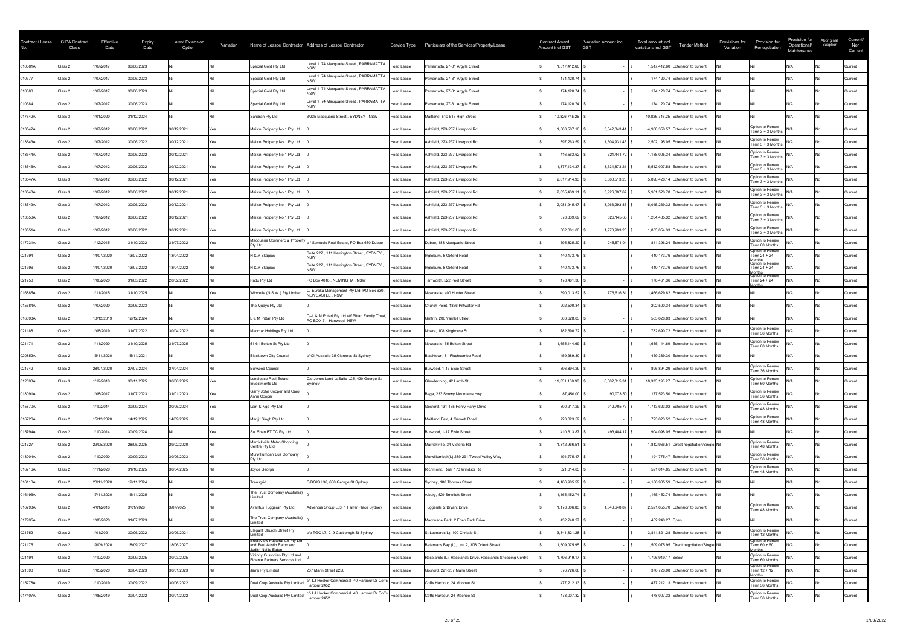| Contract / Lease<br>No. | <b>GIPA Contract</b><br>Class | Effective<br>Date | <b>Expiry</b><br>Date | <b>Latest Extension</b><br>Option | Variation |                                                                                          | Name of Lessor/ Contractor Address of Lessor/ Contractor                      |                   | Service Type  Particulars of the Services/Property/Lease  | <b>Contract Award</b><br>Amount incl GST | Variation amount incl.<br><b>GST</b> | Total amount incl.<br><b>Tender Method</b><br>variations incl GST | Provisions for<br>Variation | Provision for<br>Renegotiation                     | Provision for<br>Operational/<br>Maintenance | Aboriginal<br>Supplier | Current/<br>Non<br>Current |
|-------------------------|-------------------------------|-------------------|-----------------------|-----------------------------------|-----------|------------------------------------------------------------------------------------------|-------------------------------------------------------------------------------|-------------------|-----------------------------------------------------------|------------------------------------------|--------------------------------------|-------------------------------------------------------------------|-----------------------------|----------------------------------------------------|----------------------------------------------|------------------------|----------------------------|
| 010381A                 | Class 2                       | 1/07/2017         | 30/06/2023            |                                   |           | Special Gold Pty Ltd                                                                     | Level 1, 74 Macquarie Street, PARRAMATTA,                                     | <b>Head Lease</b> | Parramatta, 27-31 Argyle Street                           | 1,517,412.60                             |                                      | 1,517,412.60 Extension to current                                 |                             |                                                    |                                              |                        | Current                    |
| 010377                  | Class 2                       | /07/2017          | 30/06/2023            |                                   |           | Special Gold Pty Ltd                                                                     | Level 1, 74 Macquarie Street, PARRAMATTA                                      | <b>Head Lease</b> | Parramatta, 27-31 Argyle Street                           | 174,120.74                               |                                      | 174,120.74 Extension to current                                   |                             |                                                    |                                              |                        | Current                    |
| 010380                  | Class 2                       | 1/07/2017         | 30/06/2023            |                                   |           | Special Gold Pty Ltd                                                                     | Level 1, 74 Macquarie Street, PARRAMATTA                                      | <b>Head Lease</b> | Parramatta, 27-31 Argyle Street                           | 174,120.74                               |                                      | 174,120.74 Extension to current                                   |                             |                                                    |                                              |                        | Current                    |
| 010384                  | Class 2                       | 1/07/2017         | 30/06/2023            |                                   |           | Special Gold Pty Ltd                                                                     | Level 1, 74 Macquarie Street, PARRAMATTA                                      | Head Lease        | Parramatta, 27-31 Argyle Street                           | 174,120.74                               |                                      | 174,120.74 Extension to current                                   |                             |                                                    |                                              |                        | Current                    |
| 017542A                 | Class 3                       | 1/01/2020         | 31/12/2024            |                                   |           | Sandran Pty Ltd                                                                          | 3/235 Macquarie Street, SYDNEY, NSW                                           | Head Lease        | Maitland, 510-516 High Street                             | 10,826,745.25                            |                                      | 10,826,745.25 Extension to current                                |                             |                                                    |                                              |                        | Current                    |
| 013542A                 | Class 2                       | 1/07/2012         | 30/06/2022            | 30/12/2021                        | Yes       | Meikin Proiperty No 1 Pty Ltd                                                            |                                                                               | Head Lease        | Ashfield, 223-237 Liverpool Rd                            | 1,563,507.16                             | 3,342,843.41                         | 4,906,350.57 Extension to current                                 |                             | Option to Renew<br>Term 3 + 3 Months               |                                              |                        | <b>Current</b>             |
| 013543A                 | Class 2                       | 1/07/2012         | 30/06/2022            | 30/12/2021                        |           | Meikin Proiperty No 1 Pty Ltd                                                            |                                                                               | Head Lease        | Ashfield, 223-237 Liverpool Rd                            | 897,263.59                               | 1,604,931.46                         | 2,502,195.05 Extension to current                                 |                             | Option to Renew<br>Term 3 + 3 Months               |                                              |                        | <b>Current</b>             |
| 013544A                 | Class 2                       | 1/07/2012         | 30/06/2022            | 30/12/2021                        |           | Meikin Proiperty No 1 Pty Ltd                                                            |                                                                               | Head Lease        | Ashfield, 223-237 Liverpool Rd                            | 416,563.62                               | 721,441.72 \$                        | 1,138,005.34 Extension to current                                 |                             | Option to Renew<br>Term 3 + 3 Months               |                                              |                        | <b>Current</b>             |
| 013546A                 | Class 3                       | 1/07/2012         | 30/06/2022            | 30/12/2021                        |           | Meikin Proiperty No 1 Pty Ltd                                                            |                                                                               | Head Lease        | Ashfield, 223-237 Liverpool Rd                            | 1,877,134.37                             | 3,634,873.21                         | 5,512,007.58 Extension to current                                 |                             | Option to Renew<br>Term 3 + 3 Months               |                                              |                        | Current                    |
| 013547A                 | Class 3                       | 1/07/2012         | 30/06/2022            | 30/12/2021                        |           | Meikin Proiperty No 1 Pty Ltd                                                            |                                                                               | Head Lease        | Ashfield, 223-237 Liverpool Rd                            | 2,017,914.93                             | 3,880,513.20                         | 5,898,428.14 Extension to current                                 |                             | Option to Renew<br>Term 3 + 3 Months               |                                              |                        | <b>Current</b>             |
| 013548A                 | Class 3                       | 1/07/2012         | 30/06/2022            | 30/12/2021                        |           | Meikin Proiperty No 1 Pty Ltd                                                            |                                                                               | Head Lease        | Ashfield, 223-237 Liverpool Rd                            | 2,055,439.11                             | 3,926,087.67                         | 5,981,526.78 Extension to current                                 |                             | Option to Renew<br>Term $3 + 3$ Months             |                                              |                        | <b>Current</b>             |
| 013549A                 | Class 3                       | 1/07/2012         | 30/06/2022            | 30/12/2021                        |           | Meikin Proiperty No 1 Pty Ltd                                                            |                                                                               | Head Lease        | Ashfield, 223-237 Liverpool Rd                            | 2,081,945.47                             | 3,963,293.85                         | 6,045,239.32 Extension to current                                 |                             | Option to Renew<br>Term 3 + 3 Months               |                                              |                        | <b>Current</b>             |
| 013550A                 | Class 2                       | 1/07/2012         | 30/06/2022            | 30/12/2021                        |           | Meikin Proiperty No 1 Pty Ltd                                                            |                                                                               | Head Lease        | Ashfield, 223-237 Liverpool Rd                            | 378,339.69                               | $826, 145.63$ \ \$                   | 1,204,485.32 Extension to current                                 |                             | Option to Renew<br>Term $3 + 3$ Months             |                                              |                        | Current                    |
| 013551A                 | Class 2                       | 1/07/2012         | 30/06/2022            | 30/12/2021                        |           | Meikin Proiperty No 1 Pty Ltd                                                            |                                                                               | Head Lease        | Ashfield, 223-237 Liverpool Rd                            | 582,061.06                               | 1,270,993.28                         | 1,853,054.33 Extension to current                                 |                             | Option to Renew<br>Term $3 + 3$ Months             |                                              |                        | <b>Current</b>             |
| 017231A                 | Class 2                       | 1/12/2015         | 31/10/2022            | 31/07/2022                        |           | Macquarie Commercial Propert<br><b>Pty Ltd</b>                                           | -/ Samuels Real Estate, PO Box 680 Dubbo                                      | Head Lease        | Dubbo, 188 Macquarie Street                               | 595,825.20                               | 245,571.04   \$                      | 841,396.24 Extension to current                                   |                             | Option to Renew<br>Term 60 Months                  |                                              |                        | <b>Current</b>             |
| 021394                  | Class 2                       | 14/07/2020        | 13/07/2022            | 13/04/2022                        |           | N & A Skagias                                                                            | Suite 222, 111 Harrington Street, SYDNEY                                      | Head Lease        | Ingleburn, 8 Oxford Road                                  | 440,173.76                               |                                      | 440,173.76 Extension to current                                   |                             | Option to Renew<br>Term 24 + 24                    |                                              |                        | Current                    |
| 021396                  | Class 2                       | 14/07/2020        | 13/07/2022            | 13/04/2022                        |           | N & A Skagias                                                                            | Suite 222, 111 Harrington Street, SYDNEY                                      | Head Lease        | Ingleburn, 8 Oxford Road                                  | 440,173.76                               |                                      | 440,173.76 Extension to current                                   |                             | Months<br>Option to Renew<br>Term 24 + 24          |                                              |                        | <b>Current</b>             |
| 021750                  | Class 2                       | 1/06/2020         | 31/05/2022            | 28/02/2022                        |           | Padu Pty Ltd                                                                             | PO Box 4018, NEMINGHA, NSW                                                    | Head Lease        | Tamworth, 522 Peel Street                                 | 178,461.36                               |                                      | 178,461.36 Extension to current                                   |                             | Months<br>Option to Renew<br>Term 24 + 24<br>onths |                                              |                        | <b>Current</b>             |
| 016885A                 | Class 2                       | /11/2015          | 31/10/2025            |                                   |           | Windella (N.S.W.) Pty Limited                                                            | C/-Eureka Management Pty Ltd, PO Box 630<br>NEWCASTLE, NSW                    | <b>Head Lease</b> | Newcastle, 400 Hunter Street                              | 690,013.52                               | 776,616.31                           | 1,466,629.82 Extension to current                                 |                             |                                                    |                                              |                        | Current                    |
| 015684A                 | Class 2                       | 1/07/2020         | 30/06/2023            |                                   |           | The Quays Pty Ltd                                                                        |                                                                               | Head Lease        | Church Point, 1856 Pittwater Rd                           | 202,500.34                               |                                      | 202,500.34 Extension to current                                   |                             |                                                    |                                              |                        | Current                    |
| 016098A                 | Class 2                       | 13/12/2019        | 12/12/2024            |                                   |           | L & M Pittari Pty Ltd                                                                    | C/-L & M Pittari Pty Ltd atf Pittari Family Trust,<br>PO BOX 71, Hanwood, NSW | Head Lease        | Griffith, 200 Yambil Street                               | 563,628.83                               |                                      | 563,628.83 Extension to current                                   |                             |                                                    |                                              |                        | Current                    |
| 021188                  | Class 2                       | 1/08/2019         | 31/07/2022            | 30/04/2022                        |           | Macmar Holdings Pty Ltd                                                                  |                                                                               | Head Lease        | Nowra, 108 Kinghorne St                                   | 782,690.72                               |                                      | 782,690.72 Extension to current                                   |                             | Option to Renew<br>Term 36 Months                  |                                              |                        | <b>Current</b>             |
| 021171                  | Class 2                       | /11/2020          | 31/10/2025            | 31/07/2025                        |           | 51-61 Bolton St Pty Ltd                                                                  |                                                                               | Head Lease        | Newcastle, 55 Bolton Street                               | 1,655,144.69                             |                                      | 1,655,144.69 Extension to current                                 |                             | Option to Renew<br>Term 60 Months                  |                                              |                        | <b>Current</b>             |
| 020852A                 | Class 2                       | 16/11/2020        | 15/11/2021            |                                   |           | <b>Blacktown City Council</b>                                                            | c/ Cl Australia 35 Clarence St Sydney                                         | Head Lease        | Blacktown, 81 Flushcombe Road                             | 459,389.30                               |                                      | 459,389.30 Extension to current                                   |                             |                                                    |                                              |                        | <b>Current</b>             |
| 021742                  | Class 2                       | 28/07/2020        | 27/07/2024            | 27/04/2024                        |           | Burwood Council                                                                          |                                                                               | Head Lease        | Burwood, 1-17 Elsie Street                                | 896,894.29                               |                                      | 896,894.29 Extension to current                                   |                             | Option to Renew<br>Term 36 Months                  |                                              |                        | Current                    |
| 012693A                 | Class 3                       | 1/12/2010         | 30/11/2025            | 30/06/2025                        |           | Lendlease Real Estate<br>Investments Ltd                                                 | C/o Jones Land LaSalle L25, 420 George St<br>Sydney                           | Head Lease        | Glendenning, 42 Lamb St                                   | 11,531,180.96                            | 6,802,015.31                         | 18,333,196.27 Extension to current                                |                             | Option to Renew<br>Term 60 Months                  |                                              |                        | <b>Current</b>             |
| 018091A                 | Class 2                       | 1/08/2017         | 31/07/2023            | 31/01/2023                        |           | Garry John Cooper and Carol<br>Anne Cooper                                               |                                                                               | Head Lease        | Bega, 233 Snowy Mountains Hwy                             | 87,450.00                                | 90,073.50                            | 177,523.50 Extension to current                                   |                             | Option to Renew<br>Term 36 Months                  |                                              |                        | Current                    |
| 015870A                 | Class 2                       | 1/10/2014         | 30/09/2024            | 30/06/2024                        |           | Lam & Ngo Pty Ltd                                                                        |                                                                               | Head Lease        | Gosford, 131-135 Henry Parry Drive                        | 800,917.29                               | 912,705.73                           | 1,713,623.02 Extension to current                                 |                             | Option to Renew<br>Term 48 Months                  |                                              |                        | <b>Current</b>             |
| 016726A                 | Class 2                       | 15/12/2020        | 14/12/2025            | 14/09/2025                        |           | Manjit Singh Pty Ltd                                                                     |                                                                               | <b>Head Lease</b> | Maitland East, 4 Garnett Road                             | 723,023.52                               |                                      | 723,023.52 Extension to current                                   |                             | Option to Renew<br>Term 48 Months                  |                                              |                        | <b>Current</b>             |
| 015794A                 | Class 2                       | /10/2014          | 30/09/2024            |                                   |           | Sai Shan BT TC Pty Ltd                                                                   |                                                                               | <b>Head Lease</b> | Burwood, 1-17 Elsie Street                                | 410,613.87                               | 493,484.17                           | 904,098.05 Extension to current                                   |                             |                                                    |                                              |                        | Current                    |
| 021727                  | Class 2                       | 29/05/2020        | 28/05/2025            | 29/02/2020                        |           | Marrickville Metro Shopping<br>Centre Pty Ltd                                            |                                                                               | Head Lease        | Marrickville, 34 Victoria Rd                              | 1,812,966.51                             |                                      | 1,812,966.51 Direct negotiation/Single Nil                        |                             | Option to Renew<br>Term 48 Months                  |                                              |                        | Current                    |
| 018004A                 | Class 2                       | /10/2020          | 30/09/2023            | 30/06/2023                        |           | Murwillumbah Bus Company<br><b>Pty Ltd</b>                                               |                                                                               | Head Lease        | Murwillumbah(L), 289-291 Tweed Valley Way                 | 194,775.47                               |                                      | 194,775.47 Extension to current                                   |                             | Option to Renew<br>Term 36 Months                  |                                              |                        | Current                    |
| 016716A                 | Class 2                       | /11/2020          | 31/10/2025            | 30/04/2025                        |           | Joyce George                                                                             |                                                                               | Head Lease        | Richmond, Rear 173 Windsor Rd                             | 521,014.85                               |                                      | 521,014.85 Extension to current                                   |                             | Option to Renew<br>Term 48 Months                  |                                              |                        | <b>Current</b>             |
| 016110A                 | Class 2                       | 20/11/2020        | 19/11/2024            |                                   |           | Transgrid                                                                                | C/BGIS L36, 680 George St Sydney                                              | Head Lease        | Sydney, 180 Thomas Street                                 | 4,186,905.59                             |                                      | 4,186,905.59 Extension to current                                 |                             |                                                    |                                              |                        | <b>Current</b>             |
| 016196A                 | Class 2                       | 7/11/2020         | 16/11/2025            |                                   |           | The Trust Comoany (Australia)<br>imited                                                  |                                                                               | Head Lease        | Albury, 520 Smollett Street                               | 1,165,452.74                             |                                      | 1,165,452.74 Extension to current                                 |                             |                                                    |                                              |                        | Current                    |
| 016798A                 | Class 2                       | 4/01/2016         | 3/01/2026             | 3/07/2025                         |           | Aventus Tuggerah Pty Ltd                                                                 | Adventus Group L33, 1 Farrer Place Sydney                                     | Head Lease        | Tuggerah, 2 Bryant Drive                                  | 1,178,006.83                             | 1,343,648.87                         | 2,521,655.70 Extension to current                                 |                             | Option to Renew<br>Term 48 Months                  |                                              |                        | Current                    |
| 017995A                 | Class 2                       | 1/08/2020         | 31/07/2023            |                                   |           | The Trust Company (Australia)<br>imited                                                  |                                                                               | Head Lease        | Macquarie Park, 2 Eden Park Drive                         | 452,240.27                               |                                      | 452,240.27 Open                                                   |                             |                                                    |                                              |                        | Current                    |
| 021752                  | Class 2                       | 1/01/2021         | 30/06/2022            | 30/06/2021                        |           | Elegant Church Street Pty                                                                | c/o TGC L7, 219 Castleregh St Sydney                                          | Head Lease        | St Leonards(L), 100 Christie St                           | 3,841,821.28                             |                                      | 3,841,821.28 Extension to current                                 |                             | Option to Renew<br>Term 12 Months                  |                                              |                        | <b>Current</b>             |
| 021175                  | Class 2                       | 19/09/2020        | 18/09/2027            | 18/06/2027                        |           | Broadview Pastoral Co Pty Ltd<br>and Paul Austin Eaton and<br><b>Judith Nellie Eaton</b> |                                                                               | Head Lease        | Batemans Bay (L), Unit 2, 30B Orient Street               | 1,509,075.95                             |                                      | 1,509,075.95 Direct negotiation/Single Nil                        |                             | Option to Renew<br>Term 60 + 60<br><b>Aonths</b>   |                                              |                        | <b>Current</b>             |
| 021194                  | Class 2                       | /10/2020          | 30/09/2025            | 30/03/2025                        |           | Vicinity Custodian Pty Ltd and<br>Fidante Partners Services Ltd                          |                                                                               | Head Lease        | Roselands (L), Roselands Drive, Roselands Shopping Centre | 1,796,919.17                             |                                      | 1,796,919.17 Select                                               |                             | Option to Renew<br>Term 60 Months                  |                                              |                        | <b>Current</b>             |
| 021390                  | Class 2                       | 1/05/2020         | 30/04/2023            | 30/01/2023                        |           | Jarre Pty Limited                                                                        | 237 Mann Street 2250                                                          | Head Lease        | Gosford, 221-237 Mann Street                              | 376,726.08                               |                                      | 376,726.08 Extension to current                                   |                             | Option to Renew<br>Term 12 + 12<br>onths           |                                              |                        | Current                    |
| 015278A                 | Class 2                       | 1/10/2019         | 30/09/2022            | 30/06/2022                        |           | Dual Corp Australia Pty Limited                                                          | Harbour 2452                                                                  |                   | Coffs Harbour, 24 Moonee St                               | 477,212.13                               |                                      | 477,212.13 Extension to current                                   |                             | Option to Renew<br>Term 36 Months                  |                                              |                        | <b>Current</b>             |
| 017407A                 | Class 2                       | 1/05/2019         | 30/04/2022            | 30/01/2022                        |           | Dual Corp Australia Pty Limited                                                          | c/- LJ Hooker Commercial, 40 Harbour Dr Coffs<br>Harbour 2452                 | Head Lease        | Coffs Harbour, 24 Moonee St                               | 478,007.32                               |                                      | 478,007.32 Extension to current                                   |                             | Option to Renew<br>Term 36 Months                  |                                              |                        | <b>Current</b>             |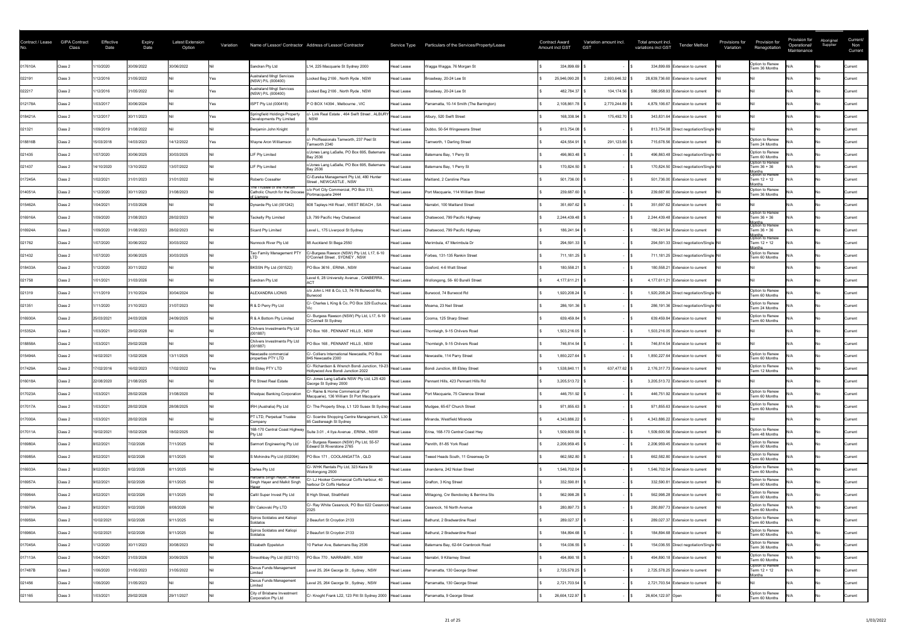| Contract / Lease<br>No. | <b>GIPA Contract</b><br>Class | Effective<br>Date | <b>Expiry</b><br>Date | Latest Extension<br>Option | Variation |                                                             | Name of Lessor/ Contractor Address of Lessor/ Contractor                                       |                   | Service Type Particulars of the Services/Property/Lease | <b>Contract Award</b><br><b>Amount incl GST</b> | Variation amount incl.<br><b>GST</b> | Total amount incl.<br><b>Tender Method</b><br>variations incl GST | Provisions for<br>Variation | Provision for<br>Renegotiation                       | Provision for<br>Operational/<br>Maintenance | Aboriginal<br>Supplier | Current/<br>Non<br>Current |
|-------------------------|-------------------------------|-------------------|-----------------------|----------------------------|-----------|-------------------------------------------------------------|------------------------------------------------------------------------------------------------|-------------------|---------------------------------------------------------|-------------------------------------------------|--------------------------------------|-------------------------------------------------------------------|-----------------------------|------------------------------------------------------|----------------------------------------------|------------------------|----------------------------|
| 017610A                 | Class 2                       | 1/10/2020         | 30/09/2022            | 30/06/2022                 |           | Sandran Pty Ltd                                             | L14, 225 Macquarie St Sydney 2000                                                              | Head Lease        | Wagga Wagga, 76 Morgan St                               | 334,899.69                                      |                                      | 334,899.69 Extension to current                                   |                             | Option to Renew<br>Term 36 Months                    |                                              |                        | Current                    |
| 022191                  | Class 3                       | /12/2016          | 31/05/2022            |                            |           | <b>Australand Mngt Services</b><br>(NSW) P/L (000400)       | Locked Bag 2106, North Ryde, NSW                                                               | <b>Head Lease</b> | Broadway, 20-24 Lee St                                  | 25,946,090.28                                   | 2,693,646.32                         | 28,639,736.60 Extension to current                                |                             |                                                      |                                              |                        | Current                    |
| 022217                  | Class 2                       | /12/2016          | 31/05/2022            |                            |           | <b>Australand Mngt Services</b><br>(NSW) P/L (000400)       | Locked Bag 2106, North Ryde, NSW                                                               | Head Lease        | Broadway, 20-24 Lee St                                  | 482,784.37                                      | 104,174.56                           | 586,958.93 Extension to current                                   |                             |                                                      |                                              |                        | <b>Current</b>             |
| 012178A                 | Class 2                       | 1/03/2017         | 30/06/2024            |                            |           | ISPT Pty Ltd (000418)                                       | P O BOX 14394, Melbourne, VIC                                                                  | <b>Head Lease</b> | Parramatta, 10-14 Smith (The Barrington)                | 2,108,861.78                                    | 2,770,244.89                         | 4,879,106.67 Extension to current                                 |                             |                                                      |                                              |                        | Current                    |
| 018421A                 | Class 2                       | 1/12/2017         | 30/11/2023            |                            |           | Springfield Holdings Property<br>Developments Pty Limited   | - Link Real Estate, 464 Swift Street, ALBURY<br><b>NSW</b>                                     | <b>Head Lease</b> | Albury, 520 Swift Street                                | 168,338.94                                      | 175,492.70                           | 343,831.64 Extension to current                                   |                             |                                                      |                                              |                        | Current                    |
| 021321                  | Class 2                       | 1/09/2019         | 31/08/2022            |                            |           | Benjamin John Knight                                        |                                                                                                | <b>Head Lease</b> | Dubbo, 50-54 Wingewarra Street                          | 813,754.08                                      |                                      | 813,754.08 Direct negotiation/Single Nil                          |                             |                                                      |                                              |                        | Current                    |
| 018816B                 | Class 2                       | 15/03/2018        | 14/03/2023            | 14/12/2022                 |           | Wayne Aron Williamson                                       | /- Proffessionals Tamworth, 237 Peel St<br>Tamworth 2340                                       | <b>Head Lease</b> | Tamworth, 1 Darling Street                              | 424,554.91                                      | 291,123.65                           | 715,678.56 Extension to current                                   |                             | Option to Renew<br>Term 24 Months                    |                                              |                        | <b>Current</b>             |
| 021435                  | Class 2                       | /07/2020          | 30/06/2025            | 30/03/2025                 |           | LIF Pty Limited                                             | c/Jones Lang LaSalle, PO Box 695, Batemans<br>Bay 2536                                         | <b>Head Lease</b> | Batemans Bay, 1 Perry St                                | 496,863.48                                      |                                      | 496,863.48 Direct negotiation/Single Nil                          |                             | Option to Renew<br>Term 60 Months                    |                                              |                        | <b>Current</b>             |
| 021437                  | Class 2                       | 14/10/2020        | 13/10/2022            | 13/07/2022                 |           | LIF Pty Limited                                             | c/Jones Lang LaSalle, PO Box 695, Batemans<br><b>Bay 2536</b>                                  | Head Lease        | Batemans Bay, 1 Perry St                                | 170,824.50                                      |                                      | 170,824.50 Direct negotiation/Single Nil                          |                             | Option to Renew<br>Term 36 + 36                      |                                              |                        | <b>Current</b>             |
| 017245A                 | Class 2                       | 1/02/2021         | 31/01/2023            | 31/01/2022                 |           | Roberto Cossalter                                           | C/-Eureka Management Pty Ltd, 480 Hunter<br>Street, NEWCASTLE, NSW                             | Head Lease        | Maitland, 2 Caroline Place                              | 501,736.00                                      |                                      | 501,736.00 Extension to current                                   |                             | Months<br>Option to Renew<br>Term 12 + 12<br>lonths  |                                              |                        | <b>Current</b>             |
| 014051A                 | Class 2                       | /12/2020          | 30/11/2023            | 31/08/2023                 |           | The Trustee of the Roman<br>Catholic Church for the Diocese | c/o Port City Commercial, PO Box 313,<br>Portmacquarie 2444                                    | Head Lease        | Port Macquarie, 114 William Street                      | 239,687.60                                      |                                      | 239,687.60 Extension to current                                   |                             | Option to Renew<br>Term 36 Months                    |                                              |                        | Current                    |
| 015462A                 | Class 2                       | 1/04/2021         | 31/03/2026            |                            |           | Dynarde Pty Ltd (001242)                                    | 608 Tapleys Hill Road, WEST BEACH, SA                                                          | Head Lease        | Narrabri, 100 Maitland Street                           | 351,697.62                                      |                                      | 351,697.62 Extension to current                                   |                             |                                                      |                                              |                        | <b>Current</b>             |
| 016916A                 | Class 2                       | 1/09/2020         | 31/08/2023            | 28/02/2023                 |           | Tackelly Pty Limited                                        | L9, 799 Pacific Hwy Chatswood                                                                  | Head Lease        | Chatswood, 799 Pacific Highway                          | 2,244,439.48                                    |                                      | 2,244,439.48 Extension to current                                 |                             | Option to Renew<br>Term 36 + 36                      |                                              |                        | Current                    |
| 016924A                 | Class 2                       | 1/09/2020         | 31/08/2023            | 28/02/2023                 |           | Sicard Pty Limited                                          | Level L, 175 Liverpool St Sydney                                                               | Head Lease        | Chatswood, 799 Pacific Highway                          | 186,241.94                                      |                                      | 186,241.94 Extension to current                                   |                             | Months<br> Option to Renew<br>Term 36 + 36           |                                              |                        | <b>Current</b>             |
| 021762                  | Class 2                       | 1/07/2020         | 30/06/2022            | 30/03/2022                 |           | Nunnock River Pty Ltd                                       | 88 Auckland St Bega 2550                                                                       | Head Lease        | Merimbula, 47 Merimbula Dr                              | 294,591.33                                      |                                      | 294,591.33 Direct negotiation/Single Nil                          |                             | Months<br> Option to Renew<br>Term 12 + 12<br>lonths |                                              |                        | Current                    |
| 021432                  | Class 2                       | 1/07/2020         | 30/06/2025            | 30/03/2025                 |           | Tao Family Management PTY                                   | C/-Burgess Rawson (NSW) Pty Ltd, L17, 6-10<br>O'Connell Street, SYDNEY, NSW                    | Head Lease        | Forbes, 131-135 Rankin Street                           | 711,181.25                                      |                                      | 711,181.25 Direct negotiation/Single Nil                          |                             | Option to Renew<br>Term 60 Months                    |                                              |                        | Current                    |
| 018433A                 | Class 2                       | 1/12/2020         | 30/11/2022            |                            |           | BKSSN Pty Ltd (001522)                                      | PO Box 3616, ERINA, NSW                                                                        | Head Lease        | Gosford, 4-6 Watt Street                                | 180,558.21                                      |                                      | 180,558.21 Extension to current                                   |                             |                                                      |                                              |                        | Current                    |
| 021758                  | Class 2                       | 1/01/2021         | 31/03/2026            |                            |           | Sandran Pty Ltd                                             | Level 6, 28 University Avenue, CANBERRA                                                        | Head Lease        | Wollongong, 56- 60 Burelli Street                       | 4,177,611.21                                    |                                      | 4,177,611.21 Extension to current                                 |                             |                                                      |                                              |                        | Current                    |
| 021319                  | Class 2                       | /11/2019          | 31/10/2024            | 30/04/2024                 |           | ALEXANDRA LIONIS                                            | c/o John L Hill & Co, L3, 74-76 Burwood Rd,<br>Burwood                                         | Head Lease        | Burwood, 74 Burwood Rd                                  | 1,920,208.24                                    |                                      | 1,920,208.24 Direct negotiation/Single Nil                        |                             | Option to Renew<br>Term 60 Months                    |                                              |                        | <b>Current</b>             |
| 021351                  | Class 2                       | /11/2020          | 31/10/2023            | 31/07/2023                 |           | R & D Perry Pty Ltd                                         | C/- Charles L King & Co, PO Box 329 Euchuca,                                                   | Head Lease        | Moama, 23 Neil Street                                   | 286,191.36                                      |                                      | 286,191.36 Direct negotiation/Single Nil                          |                             | Option to Renew<br>Term 24 Months                    |                                              |                        | Current                    |
| 016930A                 | Class 2                       | 25/03/2021        | 24/03/2026            | 24/09/2025                 |           | R & A Bottom Pty Limited                                    | C/- Burgess Rawson (NSW) Pty Ltd, L17, 6-10<br>O'Connell St Sydney                             | Head Lease        | Cooma, 125 Sharp Street                                 | 639,459.84                                      |                                      | 639,459.84 Extension to current                                   |                             | Option to Renew<br>Term 60 Months                    |                                              |                        | Current                    |
| 015352A                 | Class 2                       | 1/03/2021         | 29/02/2028            |                            |           | Chilvers Investments Pty Ltd<br>(001887)                    | PO Box 168, PENNANT HILLS, NSW                                                                 | Head Lease        | Thornleigh, 9-15 Chilvers Road                          | 1,503,216.05                                    |                                      | 1,503,216.05 Extension to current                                 |                             |                                                      |                                              |                        | Current                    |
| 018858A                 | Class 2                       | 1/03/2021         | 29/02/2028            |                            |           | Chilvers Investments Pty Ltd<br>(001887)                    | PO Box 168, PENNANT HILLS, NSW                                                                 | Head Lease        | Thornleigh, 9-15 Chilvers Road                          | 746,814.54                                      |                                      | 746,814.54 Extension to current                                   |                             |                                                      |                                              |                        | Current                    |
| 015494A                 | Class 2                       | 14/02/2021        | 13/02/2026            | 13/11/2025                 |           | Newcastle commercia<br>properties PTY LTD                   | C/- Colliers International Newcastle, PO Box<br>845 Newcastle 2300                             | Head Lease        | Newcastle, 114 Parry Street                             | 1,850,227.64                                    |                                      | 1,850,227.64 Extension to current                                 |                             | Option to Renew<br>Term 60 Months                    |                                              |                        | <b>Current</b>             |
| 017429A                 | Class 2                       | 7/02/2016         | 16/02/2023            | 7/02/2022                  |           | 88 Ebley PTY LTD                                            | C/- Richardson & Wrench Bondi Junction, 19-23  Head Lease<br>Hollywood Ave Bondi Junction 2022 |                   | Bondi Junction, 88 Ebley Street                         | 1,538,840.11                                    | 637,477.62 \$                        | 2,176,317.73 Extension to current                                 |                             | Option to Renew<br>Term 12 Months                    |                                              |                        | <b>Current</b>             |
| 016018A                 | Class 2                       | 22/08/2020        | 21/08/2025            |                            |           | Pitt Street Real Estate                                     | C/- Jones Lang LaSalle NSW Pty Ltd, L25 420<br>George St Sydney 2000                           | Head Lease        | Pennant Hills, 423 Pennant Hills Rd                     | 3,205,513.72                                    |                                      | 3,205,513.72 Extension to current                                 |                             |                                                      |                                              |                        | Current                    |
| 017023A                 | Class 2                       | 1/03/2021         | 28/02/2026            | 31/08/2020                 |           | <b>Westpac Banking Corporation</b>                          | C/- Raine & Horne Commerical (Port<br>Macquarie), 136 William St Port Macquarie                | Head Lease        | Port Macquarie, 75 Clarence Street                      | 446,751.92                                      |                                      | 446,751.92 Extension to current                                   |                             | Option to Renew<br>Term 60 Months                    |                                              |                        | Current                    |
| 017017A                 | Class 2                       | 1/03/2021         | 28/02/2026            | 28/08/2025                 |           | <b>IRH (Australia) Pty Ltd</b>                              | C/- The Property Shop, L1 120 Susex St Sydney Head Lease                                       |                   | Mudgee, 65-67 Church Street                             | 971,855.63                                      |                                      | 971,855.63 Extension to current                                   |                             | Option to Renew<br>Term 60 Months                    |                                              |                        | <b>Current</b>             |
| 017000A                 | Class 2                       | 1/03/2021         | 28/02/2026            |                            |           | PT LTD, Perpetual Trustee<br>:ompanv                        | C/- Scentre Shopping Centre Management, L30 Head Lease<br>85 Castlereagh St Sydney             |                   | Miranda, Westfield Miranda                              | 4,343,886.22                                    |                                      | 4,343,886.22 Extension to current                                 |                             |                                                      |                                              |                        | <b>Current</b>             |
| 017011A                 | Class 2                       | 19/02/2021        | 18/02/2026            | 18/02/2025                 |           | 168-170 Central Coast Highway<br><b>Pty Ltd</b>             | Suite 3.01, 4 Ilya Avenue, ERINA, NSW                                                          | Head Lease        | Erina, 168-170 Central Coast Hwy                        | 1,509,600.56                                    |                                      | 1,509,600.56 Extension to current                                 |                             | Option to Renew<br>Term 48 Months                    |                                              |                        | <b>Current</b>             |
| 016980A                 | Class 2                       | 8/02/2021         | 7/02/2026             | 7/11/2025                  |           | Sarmort Engineering Pty Ltd                                 | :/- Burgess Rawson (NSW) Pty Ltd, 55-57<br>Edward St Riverstone 2765                           | <b>Head Lease</b> | Penrith, 81-85 York Road                                | 2,206,959.45                                    |                                      | 2,206,959.45 Extension to current                                 |                             | Option to Renew<br>Term 60 Months                    |                                              |                        | <b>Current</b>             |
| 016985A                 | Class 2                       | 9/02/2021         | 8/02/2026             | 8/11/2025                  |           | S Mohindra Pty Ltd (002094)                                 | PO Box 171, COOLANGATTA, QLD                                                                   | <b>Head Lease</b> | Tweed Heads South, 11 Greenway Dr                       | 662,582.80                                      |                                      | 662,582.80 Extension to current                                   |                             | Option to Renew<br>Term 60 Months                    |                                              |                        | Current                    |
| 016933A                 | Class 2                       | 9/02/2021         | 8/02/2026             | 8/11/2025                  |           | Darlea Pty Ltd                                              | C/- WHK Rentals Pty Ltd, 323 Keira St<br>Wollongong 2500                                       | <b>Head Lease</b> | Unanderra, 242 Nolan Street                             | 1,546,702.04                                    |                                      | 1,546,702.04 Extension to current                                 |                             | Option to Renew<br>Term 60 Months                    |                                              |                        | Current                    |
| 016957A                 | Class 2                       | 9/02/2021         | 8/02/2026             | 8/11/2025                  |           | Harbans Singh Hayer, Hansa<br>Singh Hayer and Malkit Singh  | :/- LJ Hooker Commercial Coffs harbour, 40<br>harbour Dr Coffs Harbour                         | <b>Head Lease</b> | Grafton, 3 King Street                                  | 332,590.81                                      |                                      | 332,590.81 Extension to current                                   |                             | Option to Renew<br>Term 60 Months                    |                                              |                        | <b>Current</b>             |
| 016964A                 | Class 2                       | 9/02/2021         | 8/02/2026             | 8/11/2025                  |           | Callil Super Invest Pty Ltd                                 | High Street, Strathfield                                                                       | Head Lease        | Mittagong, Cnr Bendooley & Berrima Sts                  | 562,998.28                                      |                                      | 562,998.28 Extension to current                                   |                             | Option to Renew<br>Term 60 Months                    |                                              |                        | <b>Current</b>             |
| 016979A                 | Class 2                       | 9/02/2021         | 9/02/2026             | 8/08/2026                  |           | BV Cakovski Pty LTD                                         | C/- Ray White Cessnock, PO Box 622 Cessnock                                                    | Head Lease        | Cessnock, 16 North Avenue                               | 280,897.73                                      |                                      | 280,897.73 Extension to current                                   |                             | Option to Renew<br>Term 60 Months                    |                                              |                        | <b>Current</b>             |
| 016959A                 | Class 2                       | 10/02/2021        | 9/02/2026             | 9/11/2025                  |           | Spiros Soldatos and Kaliopi<br>Soldatos                     | Beaufort St Croydon 2133                                                                       | <b>Head Lease</b> | Bathurst, 2 Bradwardine Road                            | 289,027.37                                      |                                      | 289,027.37 Extension to current                                   |                             | Option to Renew<br>Term 60 Months                    |                                              |                        | Current                    |
| 016960A                 | Class 2                       | 10/02/2021        | 9/02/2026             | 9/11/2025                  |           | Spiros Soldatos and Kaliopi<br>Soldatos                     | 2 Beaufort St Croydon 2133                                                                     | <b>Head Lease</b> | Bathurst, 2 Bradwardine Road                            | 184,894.68                                      |                                      | 184,894.68 Extension to current                                   |                             | Option to Renew<br>Term 60 Months                    |                                              |                        | Current                    |
| 017045A                 | Class 2                       | /12/2020          | 30/11/2023            | 30/08/2023                 |           | Elizabeth Eppelstun                                         | 10 Parker Ave, Batemans Bay 2536                                                               | Head Lease        | Batemans Bay, 62-64 Cranbrook Road                      | 154,036.55                                      |                                      | 154,036.55 Direct negotiation/Single Nil                          |                             | Option to Renew<br>Term 36 Months                    |                                              |                        | <b>Current</b>             |
| 017113A                 | Class 2                       | 1/04/2021         | 31/03/2026            | 30/09/2025                 |           | Smoothbay Pty Ltd (002110)                                  | PO Box 770, NARRABRI, NSW                                                                      | Head Lease        | Narrabri, 9 Killarney Street                            | 494,890.18                                      |                                      | 494,890.18 Extension to current                                   |                             | Option to Renew<br>Term 60 Months                    |                                              |                        | Current                    |
| 017487B                 | Class 2                       | 1/06/2020         | 31/05/2023            | 31/05/2022                 |           | Dexus Funds Management<br>imited                            | Level 25, 264 George St, Sydney, NSW                                                           | Head Lease        | Parramatta, 130 George Street                           | 2,725,578.25                                    |                                      | 2,725,578.25 Extension to current                                 |                             | Option to Renew<br>Term 12 + 12                      |                                              |                        | <b>Current</b>             |
| 021456                  | Class 2                       | 1/06/2020         | 31/05/2023            |                            |           | Dexus Funds Management<br>imited                            | Level 25, 264 George St, Sydney, NSW                                                           | Head Lease        | Parramatta, 130 George Street                           | 2,721,703.54                                    |                                      | 2,721,703.54 Extension to current                                 |                             | <b>Months</b>                                        |                                              |                        | <b>Current</b>             |
| 021165                  | Class 3                       | 1/03/2021         | 29/02/2028            | 29/11/2027                 |           | City of Brisbane Investment<br>Corporation Pty Ltd          | C/- Knoght Frank L22, 123 Pitt St Sydney 2000   Head Lease                                     |                   | Parramatta, 9 George Street                             | 26,604,122.97                                   |                                      | 26,604,122.97 Open                                                |                             | Option to Renew<br>Term 60 Months                    |                                              |                        | Current                    |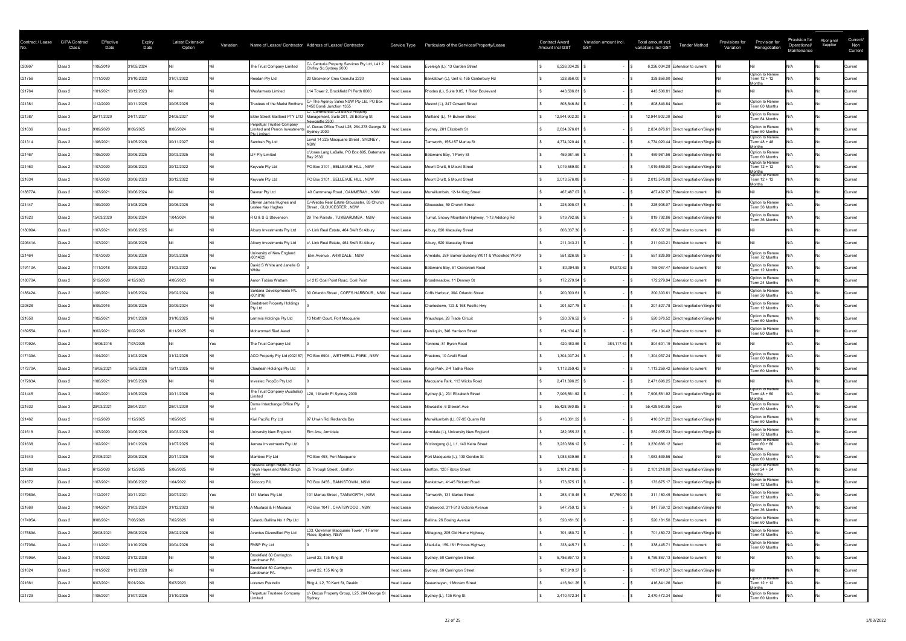| Contract / Lease | <b>GIPA Contract</b><br>Class | Effective<br>Date | <b>Expiry</b><br>Date | <b>Latest Extension</b><br>Option | Variation |                                                                                   | Name of Lessor/ Contractor Address of Lessor/ Contractor                                     | Service Type      | Particulars of the Services/Property/Lease         | <b>Contract Award</b><br><b>Amount incl GST</b> | Variation amount incl.<br><b>GST</b> | Total amount incl.<br>variations incl GST | <b>Tender Method</b>                       | Provisions for<br>Variation | Provision for<br>Renegotiation                      | Provision for<br>Operational/<br>Maintenance | Aboriginal<br>Supplier | Current/<br>Non<br>Current |
|------------------|-------------------------------|-------------------|-----------------------|-----------------------------------|-----------|-----------------------------------------------------------------------------------|----------------------------------------------------------------------------------------------|-------------------|----------------------------------------------------|-------------------------------------------------|--------------------------------------|-------------------------------------------|--------------------------------------------|-----------------------------|-----------------------------------------------------|----------------------------------------------|------------------------|----------------------------|
| 020907           | Class 3                       | 1/06/2019         | 31/05/2024            |                                   |           | The Trust Company Limited                                                         | C/- Centuria Property Services Pty Ltd, L41 2<br>Chifley Sq Sydney 2000                      | <b>Head Lease</b> | Eveleigh (L), 13 Garden Street                     | 6,226,034.28                                    |                                      |                                           | 6,226,034.28 Extension to current          |                             |                                                     |                                              |                        | Current                    |
| 021756           | Class 2                       | /11/2020          | 31/10/2022            | 31/07/2022                        |           | Reedan Pty Ltd                                                                    | 20 Grosvenor Cres Cronulla 2230                                                              | <b>Head Lease</b> | Bankstown (L), Unit 6, 165 Canterbury Rd           | 328,856.00                                      |                                      | 328,856.00 Select                         |                                            |                             | Option to Renew<br>Term 12 + 12<br>onths            |                                              |                        | <b>Current</b>             |
| 021764           | Class 2                       | 1/01/2021         | 30/12/2023            |                                   |           | <b>Wesfarmers Limited</b>                                                         | L14 Tower 2, Brookfield PI Perth 6000                                                        | <b>Head Lease</b> | Rhodes (L), Suite 9.05, 1 Rider Boulevard          | 443,506.81                                      |                                      | 443,506.81 Select                         |                                            |                             |                                                     |                                              |                        | Current                    |
| 021381           | Class 2                       | /12/2020          | 30/11/2025            | 30/05/2025                        |           | Trustees of the Marist Brothers                                                   | C/- The Agency Sales NSW Pty Ltd, PO Box<br>1450 Bondi Junction 1355                         | Head Lease        | Mascot (L), 247 Coward Street                      | 808,846.84                                      |                                      | 808,846.84 Select                         |                                            |                             | Option to Renew<br>Term 60 Months                   |                                              |                        | Current                    |
| 021387           | Class 3                       | 25/11/2020        | 24/11/2027            | 24/05/2027                        |           | <b>Elder Street Maitland PTY LTD</b>                                              | C/- Commercial Collective Property<br>Management, Suite 201, 28 Boltong St<br>Jewcastle 2300 | Head Lease        | Maitland (L), 14 Bulwer Street                     | 12,944,902.30                                   |                                      | 12,944,902.30 Select                      |                                            |                             | Option to Renew<br>Term 84 Months                   |                                              |                        | Current                    |
| 021636           | Class 2                       | 9/09/2020         | 8/09/2025             | 8/06/2024                         |           | Perpetual Trustee Company<br>Limited and Perron Investments<br><b>Ptv Limited</b> | :/- Dexus Office Trust L25, 264-278 George St<br>Sydney 2000                                 | <b>Head Lease</b> | Sydney, 201 Elizabeth St                           | 2,834,876.61                                    |                                      |                                           | 2,834,876.61 Direct negotiation/Single Nil |                             | Option to Renew<br>Term 60 Months                   |                                              |                        | <b>Current</b>             |
| 021314           | Class 2                       | 1/06/2021         | 31/05/2028            | 30/11/2027                        |           | Sandran Pty Ltd                                                                   | Level 14 225 Macquarie Street, SYDNEY                                                        | <b>Head Lease</b> | Tamworth, 155-157 Marius St                        | 4,774,020.44                                    |                                      |                                           | 4,774,020.44 Direct negotiation/Single Nil |                             | Option to Renew<br>Term 48 + 48<br><b>Months</b>    |                                              |                        | Current                    |
| 021467           | Class 2                       | 1/06/2020         | 30/06/2025            | 30/03/2025                        |           | LIF Pty Limited                                                                   | c/Jones Lang LaSalle, PO Box 695, Batemans<br>Bay 2536                                       | Head Lease        | Batemans Bay, 1 Perry St                           | 459,981.56                                      |                                      |                                           | 459,981.56 Direct negotiation/Single Nil   |                             | Option to Renew<br>Term 60 Months                   |                                              |                        | Current                    |
| 021460           | Class 2                       | 1/07/2020         | 30/06/2023            | 30/12/2022                        |           | Keyvale Pty Ltd                                                                   | PO Box 3101, BELLEVUE HILL, NSW                                                              | <b>Head Lease</b> | Mount Druitt, 5 Mount Street                       | 1,019,589.00                                    |                                      |                                           | 1,019,589.00 Direct negotiation/Single Nil |                             | Option to Renew<br>Term 12 + 12                     |                                              |                        | <b>Current</b>             |
| 021634           | Class 2                       | 1/07/2020         | 30/06/2023            | 30/12/2022                        |           | Keyvale Pty Ltd                                                                   | PO Box 3101, BELLEVUE HILL, NSW                                                              | Head Lease        | Mount Druitt, 5 Mount Street                       | 2,013,576.08                                    |                                      |                                           | 2,013,576.08 Direct negotiation/Single Nil |                             | Months<br> Option to Renew<br>Term 12 + 12<br>onths |                                              |                        | <b>Current</b>             |
| 018877A          | Class 2                       | 1/07/2021         | 30/06/2024            |                                   |           | Davnar Pty Ltd                                                                    | 49 Cammeray Road, CAMMERAY, NSW                                                              | Head Lease        | Murwillumbah, 12-14 King Street                    | 467,487.07                                      |                                      |                                           | 467,487.07 Extension to current            |                             |                                                     |                                              |                        | Current                    |
| 021447           | Class 2                       | 1/09/2020         | 31/08/2025            | 30/06/2025                        |           | Steven James Hughes and<br>Leslee Kay Hughes                                      | C/-Webbs Real Estate Gloucester, 85 Church<br>Street, GLOUCESTER, NSW                        | <b>Head Lease</b> | Gloucester, 59 Church Street                       | 225,908.07                                      |                                      |                                           | 225,908.07 Direct negotiation/Single Nil   |                             | Option to Renew<br>Term 36 Months                   |                                              |                        | Current                    |
| 021620           | Class 2                       | 15/03/2020        | 30/06/2024            | 1/04/2024                         |           | R G & S G Stevenson                                                               | 29 The Parade, TUMBARUMBA, NSW                                                               | Head Lease        | Tumut, Snowy Mountains Highway, 1-13 Adelong Rd    | 819,792.86                                      |                                      |                                           | 819,792.86 Direct negotiation/Single Nil   |                             | Option to Renew<br>Term 36 Months                   |                                              |                        | <b>Current</b>             |
| 018099A          | Class 2                       | 1/07/2021         | 30/06/2025            |                                   |           | Albury Investments Pty Ltd                                                        | c/- Link Real Estate, 464 Swift St Albury                                                    | Head Lease        | Albury, 620 Macauley Street                        | 806,337.30                                      |                                      |                                           | 806,337.30 Extension to current            |                             |                                                     |                                              |                        | <b>Current</b>             |
| 020641A          | Class 2                       | 1/07/2021         | 30/06/2025            |                                   |           | Albury Investments Pty Ltd                                                        | /- Link Real Estate, 464 Swift St Albury                                                     | Head Lease        | Albury, 620 Macauley Street                        | 211,043.21                                      |                                      |                                           | 211,043.21 Extension to current            |                             |                                                     |                                              |                        | Current                    |
| 021464           | Class 2                       | 1/07/2020         | 30/06/2026            | 30/03/2026                        |           | University of New England<br>(001402)                                             | Elm Avenue, ARMIDALE, NSW                                                                    | <b>Head Lease</b> | Armidale, JSF Barker Building W011 & Woolshed W049 | 551,826.99                                      |                                      |                                           | 551,826.99 Direct negotiation/Single Nil   |                             | Option to Renew<br>Term 72 Months                   |                                              |                        | Current                    |
| 019110A          | Class 2                       | 1/11/2018         | 30/06/2022            | 31/03/2022                        |           | David S White and Janelle G                                                       |                                                                                              | <b>Head Lease</b> | Batemans Bay, 61 Cranbrook Road                    | 80,094.85                                       |                                      |                                           | 165,067.47 Extension to current            |                             | Option to Renew<br>Term 12 Months                   |                                              |                        | <b>Current</b>             |
| 018070A          | Class 2                       | 5/12/2020         | 4/12/2023             | 4/06/2023                         |           | Aaron Tobias Wattam                                                               | c-/ 215 Coal Point Road, Coal Point                                                          | Head Lease        | Broadmeadow, 11 Denney St                          | 172,279.94                                      |                                      |                                           | 172,279.94 Extension to current            |                             | Option to Renew<br>Term 24 Months                   |                                              |                        | <b>Current</b>             |
| 018542A          | Class 2                       | 1/06/2021         | 31/05/2024            | 29/02/2024                        |           | Santana Developments P/L<br>(001816)                                              | 30 Orlando Street, COFFS HARBOUR, NSW                                                        | <b>Head Lease</b> | Coffs Harbour, 30A Orlando Street                  | 200,303.61                                      |                                      |                                           | 200,303.61 Extension to current            |                             | Option to Renew<br>Term 36 Months                   |                                              |                        | Current                    |
| 020828           | Class 2                       | 5/09/2016         | 30/06/2025            | 30/09/2024                        |           | <b>Bradstreet Property Holdings</b><br>Pty Ltd                                    |                                                                                              | Head Lease        | Charlestown, 123 & 168 Pacific Hwy                 | 201,527.78                                      |                                      |                                           | 201,527.78 Direct negotiation/Single Nil   |                             | Option to Renew<br>Term 12 Months                   |                                              |                        | Current                    |
| 021658           | Class 2                       | 1/02/2021         | 31/01/2026            | 31/10/2025                        |           | Lemmis Holdings Pty Ltd                                                           | 13 North Court, Port Macquarie                                                               | Head Lease        | Wauchope, 28 Trade Circuit                         | 520,376.52                                      |                                      |                                           | 520,376.52 Direct negotiation/Single Nil   |                             | Option to Renew<br>Term 60 Months                   |                                              |                        | Current                    |
| 016955A          | Class 2                       | 9/02/2021         | 8/02/2026             | 8/11/2025                         |           | Mohammad Riad Awad                                                                |                                                                                              | <b>Head Lease</b> | Deniliquin, 346 Harrison Street                    | 154,104.42                                      |                                      |                                           | 154,104.42 Extension to current            |                             | Option to Renew<br>Term 60 Months                   |                                              |                        | <b>Current</b>             |
| 017092A          | Class 2                       | 15/06/2016        | 7/07/2025             |                                   |           | The Trust Company Ltd                                                             |                                                                                              | Head Lease        | Yennora, 81 Byron Road                             | 420,483.56                                      | 384,117.63 \$                        |                                           | 804,601.19 Extension to current            |                             |                                                     |                                              |                        | <b>Current</b>             |
| 017139A          | Class 2                       | 1/04/2021         | 31/03/2026            | 31/12/2025                        |           |                                                                                   | ACO Property Pty Ltd (002187) PO Box 6904, WETHERILL PARK, NSW                               | Head Lease        | Prestons, 10 Avalli Road                           | 1,304,037.24                                    |                                      |                                           | 1,304,037.24 Extension to current          |                             | Option to Renew<br>Term 60 Months                   |                                              |                        | Current                    |
| 017270A          | Class 2                       | 16/05/2021        | 15/05/2026            | 15/11/2025                        |           | Claraleah Holdings Pty Ltd                                                        |                                                                                              | Head Lease        | Kings Park, 2-4 Tasha Place                        | 1,113,259.42                                    |                                      |                                           | 1,113,259.42 Extension to current          |                             | Option to Renew<br>Term 60 Months                   |                                              |                        | <b>Current</b>             |
| 017263A          | Class 2                       | 1/06/2021         | 31/05/2026            |                                   |           | Investec PropCo Pty Ltd                                                           |                                                                                              | Head Lease        | Macquarie Park, 113 Wicks Road                     | 2,471,696.25                                    |                                      |                                           | 2,471,696.25 Extension to current          |                             |                                                     |                                              |                        | <b>Current</b>             |
| 021445           | Class 3                       | 1/06/2021         | 31/05/2028            | 30/11/2026                        |           | The Trust Company (Australia)  L20, 1 Martin PI Sydney 2000                       |                                                                                              | Head Lease        | Sydney (L), 231 Elizabeth Street                   | 7,906,561.92                                    |                                      |                                           | 7,906,561.92 Direct negotiation/Single Nil |                             | Option to Renew<br>Term 48 + 60<br>lonths           |                                              |                        | Current                    |
| 021632           | Class 3                       | 29/03/2021        | 28/04/2031            | 28/07/2030                        |           | Doma Interchange Office Pty                                                       |                                                                                              | Head Lease        | Newcastle, 6 Stewart Ave                           | 55,428,980.85                                   |                                      | 55,428,980.85 Open                        |                                            |                             | Option to Renew<br>Term 60 Months                   |                                              |                        | <b>Current</b>             |
| 021462           | Class 2                       | /12/2020          | 1/12/2025             | 1/09/2025                         |           | Kiwi Pacific Pty Ltd                                                              | 97 Unwin Rd, Redlands Bay                                                                    | Head Lease        | Murwillumbah (L), 87-95 Quarry Rd                  | 416,301.22                                      |                                      |                                           | 416,301.22 Direct negotiation/Single Nil   |                             | Option to Renew<br>Term 60 Months                   |                                              |                        | <b>Current</b>             |
| 021618           | Class 2                       | 1/07/2020         | 30/06/2026            | 30/03/2026                        |           | University New England                                                            | Elm Ave, Armidale                                                                            | <b>Head Lease</b> | Armidale (L), University New England               | 282,055.23                                      |                                      |                                           | 282,055.23 Direct negotiation/Single Nil   |                             | Option to Renew<br>Term 72 Months                   |                                              |                        | <b>Current</b>             |
| 021638           | Class 2                       | 1/02/2021         | 31/01/2026            | 31/07/2025                        |           | Jerrara Investments Pty Ltd                                                       |                                                                                              | <b>Head Lease</b> | Wollongong (L), L1, 140 Keira Street               | 3,230,686.12                                    |                                      | 3,230,686.12 Select                       |                                            |                             | Option to Renew<br>Term 60 + 60<br>onths            |                                              |                        | Current                    |
| 021643           | Class 2                       | 21/05/2021        | 20/05/2026            | 20/11/2025                        |           | Mamboo Pty Ltd                                                                    | PO Box 493, Port Macquarie                                                                   | <b>Head Lease</b> | Port Macquarie (L), 130 Gordon St                  | 1,083,539.56                                    |                                      | 1,083,539.56 Select                       |                                            |                             | Option to Renew<br>Term 60 Months                   |                                              |                        | Current                    |
| 021688           | Class 2                       | 6/12/2020         | 5/12/2025             | 5/06/2025                         |           | Harbans Singh Hayer, Hansa<br>Singh Hayer and Malkit Singh                        | 25 Through Street, Grafton                                                                   | Head Lease        | Grafton, 120 Fitzroy Street                        | 2,101,218.00                                    |                                      |                                           | 2,101,218.00 Direct negotiation/Single Nil |                             | Option to Renew<br>Term 24 + 24<br>Months           |                                              |                        | Current                    |
| 021672           | Class 2                       | /07/2021          | 30/06/2022            | 1/04/2022                         |           | Gridcorp P/L                                                                      | PO Box 3455, BANKSTOWN, NSW                                                                  | <b>Head Lease</b> | Bankstown, 41-45 Rickard Road                      | 173,675.17                                      |                                      |                                           | 173,675.17 Direct negotiation/Single Nil   |                             | Option to Renew<br>Term 12 Months                   |                                              |                        | <b>Current</b>             |
| 017969A          | Class 2                       | /12/2017          | 30/11/2021            | 30/07/2021                        |           | 131 Marius Pty Ltd                                                                | 131 Marius Street, TAMWORTH, NSW                                                             | Head Lease        | Tamworth, 131 Marius Street                        | 253,410.45                                      | 57,750.00                            |                                           | 311,160.45 Extension to current            |                             | Option to Renew<br>Term 12 Months                   |                                              |                        | <b>Current</b>             |
| 021669           | Class 2                       | 1/04/2021         | 31/03/2024            | 31/12/2023                        |           | A Mustaca & H Mustaca                                                             | PO Box 1047, CHATSWOOD, NSW                                                                  | Head Lease        | Chatswood, 311-313 Victoria Avenue                 | 847,759.12                                      |                                      |                                           | 847,759.12 Direct negotiation/Single Nil   |                             | Option to Renew<br>Term 36 Months                   |                                              |                        | <b>Current</b>             |
| 017495A          | Class 2                       | 8/08/2021         | 7/08/2026             | 7/02/2026                         |           | Calardu Ballina No 1 Pty Ltd                                                      |                                                                                              | <b>Head Lease</b> | Ballina, 26 Boeing Avenue                          | 520,181.50                                      |                                      |                                           | 520,181.50 Extension to current            |                             | Option to Renew<br>Term 60 Months                   |                                              |                        | Current                    |
| 017589A          | Class 2                       | 29/08/2021        | 28/08/2026            | 28/02/2026                        |           | Aventus Diversified Pty Ltd                                                       | L33, Governor Macquarie Tower, 1 Farrer<br>Place, Sydney, NSW                                | Head Lease        | Mittagong, 205 Old Hume Highway                    | 701,480.72                                      |                                      |                                           | 701,480.72 Direct negotiation/Single Nil   |                             | Option to Renew<br>Term 48 Months                   |                                              |                        | Current                    |
| 017706A          | Class 2                       | /11/2021          | 31/10/2026            | 30/04/2026                        |           | <b>FMSP Pty Ltd</b>                                                               |                                                                                              | Head Lease        | Ulladulla, 159-161 Princes Highway                 | 338,445.71                                      |                                      |                                           | 338,445.71 Extension to current            |                             | Option to Renew<br>Term 60 Months                   |                                              |                        | <b>Current</b>             |
| 017696A          | Class 3                       | 1/01/2022         | 31/12/2028            |                                   |           | Brookfield 60 Carrington<br>Landowner P/L                                         | Level 22, 135 King St                                                                        | Head Lease        | Sydney, 60 Carrington Street                       | 6,786,867.13                                    |                                      |                                           | 6,786,867.13 Extension to current          |                             |                                                     |                                              |                        | Current                    |
| 021624           | Class 2                       | 1/01/2022         | 31/12/2028            |                                   |           | Brookfield 60 Carrington<br>Landowner P/L                                         | Level 22, 135 King St                                                                        | Head Lease        | Sydney, 60 Carrington Street                       | 187,919.37                                      |                                      |                                           | 187,919.37 Direct negotiation/Single Nil   |                             |                                                     |                                              |                        | <b>Current</b>             |
| 021661           | Class 2                       | 6/07/2021         | 5/01/2024             | 5/07/2023                         |           | Lorenzo Pastrello                                                                 | Bldg 4, L2, 70 Kent St, Deakin                                                               | Head Lease        | Queanbeyan, 1 Monaro Street                        | 416,841.26                                      |                                      | 416,841.26 Select                         |                                            |                             | Option to Renew<br>Term 12 + 12<br>lonths           |                                              |                        | <b>Current</b>             |
| 021729           | Class 2                       | 1/08/2021         | 31/07/2026            | 1/10/2025                         |           | Perpetual Trusteee Company<br>imited                                              | c/- Dexus Property Group, L25, 264 George St<br>Sydney                                       | Head Lease        | Sydney (L), 135 King St                            | 2,470,472.34                                    |                                      | 2,470,472.34 Select                       |                                            |                             | Option to Renew<br>Term 60 Months                   |                                              |                        | Current                    |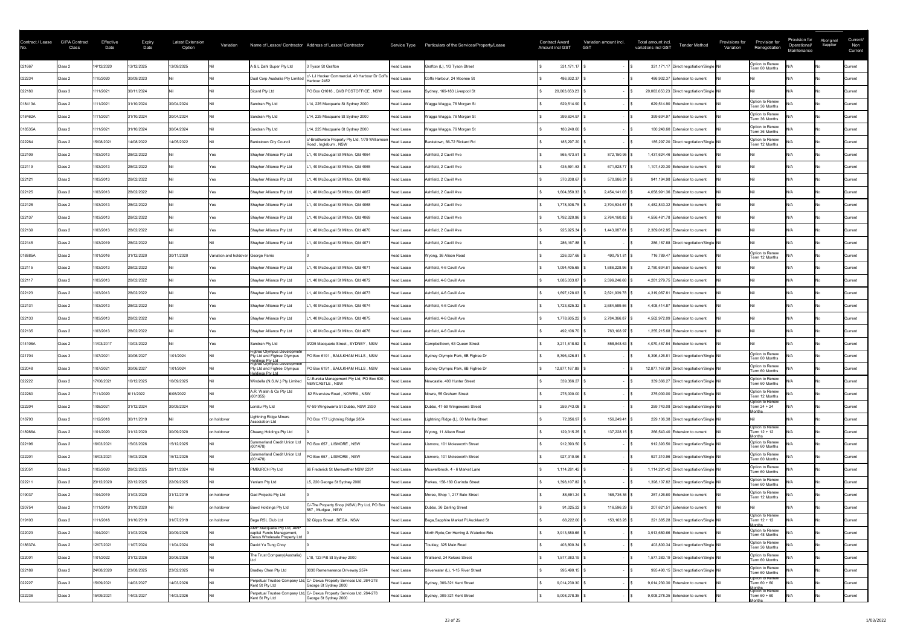| Contract / Lease | <b>GIPA Contract</b><br>Class | Effective<br>Date | <b>Expiry</b><br>Date | <b>Latest Extension</b><br>Option | Variation                            |                                                                                         | Name of Lessor/ Contractor Address of Lessor/ Contractor                 |                   | Service Type  Particulars of the Services/Property/Lease | <b>Contract Award</b><br><b>Amount incl GST</b> |               | Variation amount incl.<br><b>GST</b> | Total amount incl.<br>variations incl GST   | <b>Tender Method</b> | Provisions for<br>Variation | Provision for<br>Renegotiation                       | Provision for<br>Operational/<br>Maintenance | Aboriginal<br>Supplier | Current/<br>Non<br>Current |
|------------------|-------------------------------|-------------------|-----------------------|-----------------------------------|--------------------------------------|-----------------------------------------------------------------------------------------|--------------------------------------------------------------------------|-------------------|----------------------------------------------------------|-------------------------------------------------|---------------|--------------------------------------|---------------------------------------------|----------------------|-----------------------------|------------------------------------------------------|----------------------------------------------|------------------------|----------------------------|
| 021667           | Class 2                       | 14/12/2020        | 13/12/2025            | 13/09/2025                        |                                      | A & L Dahl Super Pty Ltd                                                                | <b>Tyson St Grafton</b>                                                  | <b>Head Lease</b> | Grafton (L), 1/3 Tyson Street                            |                                                 | 331,171.17    |                                      | 331,171.17 Direct negotiation/Single Nil    |                      |                             | Option to Renew<br>Term 60 Months                    |                                              |                        | Current                    |
| 022234           | Class 2                       | /10/2020          | 30/09/2023            |                                   |                                      | Dual Corp Australia Pty Limite                                                          | c/- LJ Hooker Commercial, 40 Harbour Dr Coffs Head Lease<br>Harbour 2452 |                   | Coffs Harbour, 24 Moonee St                              |                                                 | 486,932.37    |                                      | 486,932.37 Extension to current             |                      |                             |                                                      |                                              |                        | <b>Current</b>             |
| 022180           | Class 3                       | /11/2021          | 30/11/2024            |                                   |                                      | Sicard Pty Ltd                                                                          | PO Box Q1618, QVB POSTOFFICE, NSW                                        | <b>Head Lease</b> | Sydney, 169-183 Liverpool St                             |                                                 | 20,063,653.23 |                                      | 20,063,653.23 Direct negotiation/Single Nil |                      |                             |                                                      |                                              |                        | <b>Current</b>             |
| 018413A          | Class 2                       | /11/2021          | 31/10/2024            | 30/04/2024                        |                                      | Sandran Pty Ltd                                                                         | L14, 225 Macquarie St Sydney 2000                                        | Head Lease        | Wagga Wagga, 76 Morgan St                                |                                                 | 629,514.90    |                                      | 629,514.90 Extension to current             |                      |                             | Option to Renew<br>Term 36 Months                    |                                              |                        | Current                    |
| 018462A          | Class 2                       | 1/11/2021         | 31/10/2024            | 30/04/2024                        |                                      | Sandran Pty Ltd                                                                         | L14, 225 Macquarie St Sydney 2000                                        | Head Lease        | Wagga Wagga, 76 Morgan St                                |                                                 | 399,634.97    |                                      | 399,634.97 Extension to current             |                      |                             | Option to Renew<br>Term 36 Months                    |                                              |                        | Current                    |
| 018535A          | Class 2                       | /11/2021          | 31/10/2024            | 30/04/2024                        |                                      | Sandran Pty Ltd                                                                         | L14, 225 Macquarie St Sydney 2000                                        | Head Lease        | Wagga Wagga, 76 Morgan St                                |                                                 | 180,240.60    |                                      | 180,240.60 Extension to current             |                      |                             | Option to Renew<br>Term 36 Months                    |                                              |                        | <b>Current</b>             |
| 022264           | Class 2                       | 15/08/2021        | 14/08/2022            | 14/05/2022                        |                                      | <b>Bankstown City Council</b>                                                           | c/-Braithwaite Property Pty Ltd, 1/79 Williamson<br>Road, Ingleburn, NSW | Head Lease        | Bankstown, 66-72 Rickard Rd                              |                                                 | 185,297.20    |                                      | 185,297.20 Direct negotiation/Single Nil    |                      |                             | Option to Renew<br>Term 12 Months                    |                                              |                        | Current                    |
| 022109           | Class 2                       | 1/03/2013         | 28/02/2022            |                                   |                                      | Shayher Alliance Pty Ltd                                                                | 1, 40 McDougall St Milton, Qld 4064                                      | Head Lease        | Ashfield, 2 Cavill Ave                                   |                                                 | 565,473.51    | 872,150.95                           | 1,437,624.46 Extension to current           |                      |                             |                                                      |                                              |                        | Current                    |
| 022119           | Class 2                       | 1/03/2013         | 28/02/2022            |                                   |                                      | Shayher Alliance Pty Ltd                                                                | 1, 40 McDougall St Milton, Qld 4065                                      | Head Lease        | Ashfield, 2 Cavill Ave                                   |                                                 | 435,591.53    | 671,828.77                           | 1,107,420.30 Extension to current           |                      |                             |                                                      |                                              |                        | <b>Current</b>             |
| 022121           | Class 2                       | 1/03/2013         | 28/02/2022            |                                   |                                      | Shayher Alliance Pty Ltd                                                                | 1, 40 McDougall St Milton, Qld 4066                                      | Head Lease        | Ashfield, 2 Cavill Ave                                   |                                                 | 370,208.67    | 570,986.31                           | 941,194.98 Extension to current             |                      |                             |                                                      |                                              |                        | <b>Current</b>             |
| 022125           | Class 2                       | 1/03/2013         | 28/02/2022            |                                   |                                      | Shayher Alliance Pty Ltd                                                                | , 40 McDougall St Milton, Qld 4067                                       | Head Lease        | Ashfield, 2 Cavill Ave                                   |                                                 | 1,604,850.33  | 2,454,141.03   \$                    | 4,058,991.36 Extension to current           |                      |                             |                                                      |                                              |                        | Current                    |
| 022128           | Class 2                       | 1/03/2013         | 28/02/2022            |                                   |                                      | Shayher Alliance Pty Ltd                                                                | , 40 McDougall St Milton, Qld 4068                                       | Head Lease        | Ashfield, 2 Cavill Ave                                   |                                                 | 1,778,308.75  | 2,704,534.57                         | 4,482,843.32 Extension to current           |                      |                             |                                                      |                                              |                        | Current                    |
| 022137           | Class 2                       | 1/03/2013         | 28/02/2022            |                                   |                                      | Shayher Alliance Pty Ltd                                                                | 1, 40 McDougall St Milton, Qld 4069                                      | Head Lease        | Ashfield, 2 Cavill Ave                                   |                                                 | 1,792,320.96  | 2,764,160.82 \$                      | 4,556,481.78 Extension to current           |                      |                             |                                                      |                                              |                        | <b>Current</b>             |
| 022139           | Class 2                       | 1/03/2013         | 28/02/2022            |                                   |                                      | Shayher Alliance Pty Ltd                                                                | 1, 40 McDougall St Milton, Qld 4070                                      | Head Lease        | Ashfield, 2 Cavill Ave                                   |                                                 | 925,925.34    | 1,443,087.61                         | 2,369,012.95 Extension to current           |                      |                             |                                                      |                                              |                        | Current                    |
| 022145           | Class 2                       | 1/03/2019         | 28/02/2022            |                                   |                                      | Shayher Alliance Pty Ltd                                                                | 1, 40 McDougall St Milton, Qld 4071                                      | <b>Head Lease</b> | Ashfield, 2 Cavill Ave                                   |                                                 | 286,167.88    |                                      | 286,167.88 Direct negotiation/Single Nil    |                      |                             |                                                      |                                              |                        | Current                    |
| 018885A          | Class 2                       | 1/01/2016         | 31/12/2020            | 30/11/2020                        | Variation and holdover George Parris |                                                                                         |                                                                          | <b>Head Lease</b> | Wyong, 36 Alison Road                                    |                                                 | 226,037.66    | 490,751.81   \$                      | 716,789.47 Extension to current             |                      |                             | Option to Renew<br>Term 12 Months                    |                                              |                        | Current                    |
| 022115           | Class 2                       | 1/03/2013         | 28/02/2022            |                                   |                                      | Shayher Alliance Pty Ltd                                                                | 1, 40 McDougall St Milton, Qld 4071                                      | <b>Head Lease</b> | Ashfield, 4-6 Cavill Ave                                 |                                                 | 1,094,405.65  | 1,686,228.96                         | 2,780,634.61 Extension to current           |                      |                             |                                                      |                                              |                        | <b>Current</b>             |
| 022117           | Class 2                       | 1/03/2013         | 28/02/2022            |                                   |                                      | Shayher Alliance Pty Ltd                                                                | 1, 40 McDougall St Milton, Qld 4072                                      | Head Lease        | Ashfield, 4-6 Cavill Ave                                 |                                                 | 1,685,033.07  | 2,596,246.68                         | 4,281,279.75 Extension to current           |                      |                             |                                                      |                                              |                        | Current                    |
| 022123           | Class 2                       | 1/03/2013         | 28/02/2022            |                                   |                                      | Shayher Alliance Pty Ltd                                                                | 1, 40 McDougall St Milton, Qld 4073                                      | Head Lease        | Ashfield, 4-6 Cavill Ave                                 |                                                 | 1,697,128.03  | 2,621,939.78                         | 4,319,067.81 Extension to current           |                      |                             |                                                      |                                              |                        | Current                    |
| 022131           | Class 2                       | 1/03/2013         | 28/02/2022            |                                   |                                      | Shayher Alliance Pty Ltd                                                                | 1, 40 McDougall St Milton, Qld 4074                                      | Head Lease        | Ashfield, 4-6 Cavill Ave                                 |                                                 | 1,723,825.32  | 2,684,589.56                         | 4,408,414.87 Extension to current           |                      |                             |                                                      |                                              |                        | Current                    |
| 022133           | Class 2                       | 1/03/2013         | 28/02/2022            |                                   |                                      | Shayher Alliance Pty Ltd                                                                | 1, 40 McDougall St Milton, Qld 4075                                      | Head Lease        | Ashfield, 4-6 Cavill Ave                                 |                                                 | 1,778,605.22  | 2,784,366.87                         | 4,562,972.09 Extension to current           |                      |                             |                                                      |                                              |                        | Current                    |
| 022135           | Class 2                       | 1/03/2013         | 28/02/2022            |                                   |                                      | Shayher Alliance Pty Ltd                                                                | 1, 40 McDougall St Milton, Qld 4076                                      | Head Lease        | Ashfield, 4-6 Cavill Ave                                 |                                                 | 492,106.70    | 763,108.97                           | 1,255,215.68 Extension to current           |                      |                             |                                                      |                                              |                        | <b>Current</b>             |
| 014106A          | Class 2                       | 1/03/2017         | 10/03/2022            |                                   |                                      | Sandran Pty Ltd                                                                         | 3/235 Macquarie Street, SYDNEY, NSW                                      | <b>Head Lease</b> | Campbelltown, 63 Queen Street                            |                                                 | 3,211,618.92  | 858,848.63                           | 4,070,467.54 Extension to current           |                      |                             |                                                      |                                              |                        | <b>Current</b>             |
| 021704           | Class 3                       | 1/07/2021         | 30/06/2027            | 1/01/2024                         |                                      | Figtree Olympus Developmetn<br>Pty Ltd and Figtree Olympus                              | PO Box 6191, BAULKHAM HILLS, NSW                                         | <b>Head Lease</b> | Sydney Olympic Park, 6B Figtree Dr                       |                                                 | 8,396,426.81  |                                      | 8,396,426.81 Direct negotiation/Single Nil  |                      |                             | Option to Renew<br>Term 60 Months                    |                                              |                        | Current                    |
| 022048           | Class 3                       | 1/07/2021         | 30/06/2027            | 1/01/2024                         |                                      | <u>Holdings Ptv Ltd</u><br>Figtree Olympus Developmetn<br>Pty Ltd and Figtree Olympus   | PO Box 6191, BAULKHAM HILLS, NSW                                         | Head Lease        | Sydney Olympic Park, 6B Figtree Dr                       |                                                 | 12,877,167.89 |                                      | 12,877,167.89 Direct negotiation/Single Nil |                      |                             | Option to Renew<br>Term 60 Months                    |                                              |                        | Current                    |
| 022222           | Class 2                       | 17/06/2021        | 16/12/2025            | 16/09/2025                        |                                      | <b>Holdinas Ptv Ltd</b><br>Windella (N.S.W.) Pty Limited                                | C/-Eureka Management Pty Ltd, PO Box 630<br>NEWCASTLE, NSW               | Head Lease        | Newcastle, 400 Hunter Street                             |                                                 | 339,366.27    |                                      | 339,366.27 Direct negotiation/Single Nil    |                      |                             | Option to Renew<br>Term 60 Months                    |                                              |                        | Current                    |
| 022260           | Class 2                       | 7/11/2020         | 6/11/2022             | 6/08/2022                         |                                      | A.R. Walsh & Co Pty Ltd<br>(001355)                                                     | 82 Riverview Road, NOWRA, NSW                                            | <b>Head Lease</b> | Nowra, 55 Graham Street                                  |                                                 | 275,000.00    |                                      | 275,000.00 Direct negotiation/Single Nil    |                      |                             | Option to Renew<br>Term 12 Months                    |                                              |                        | Current                    |
| 022204           | Class 2                       | 1/08/2021         | 31/12/2024            | 30/09/2024                        |                                      | Loristu Pty Ltd                                                                         | 47-59 Wingewarra St Dubbo, NSW 2830                                      | Head Lease        | Dubbo, 47-59 Wingewarra Street                           |                                                 | 259,743.08    |                                      | 259,743.08 Direct negotiation/Single Nil    |                      |                             | Option to Renew<br>Term 24 + 24                      |                                              |                        | <b>Current</b>             |
| 018793           | Class 2                       | /12/2018          | 30/11/2019            |                                   | on holdover                          | Lightning Ridge Miners<br><b>Association Ltd</b>                                        | PO Box 177 Lightning Ridge 2834                                          | <b>Head Lease</b> | Lightning Ridge (L), 60 Morilla Street                   |                                                 | 72,856.97     | 156,249.41                           | 229,106.38 Direct negotiation/Single Nil    |                      |                             | <u> 1onths</u>                                       |                                              |                        | <b>Current</b>             |
| 018986A          | Class 2                       | 1/01/2020         | 31/12/2020            | 30/09/2020                        | on holdover                          | Cheang Holdings Pty Ltd                                                                 |                                                                          | <b>Head Lease</b> | Wyong, 11 Alison Road                                    |                                                 | 129,315.25    | 137,228.15                           | 266,543.40 Extension to current             |                      |                             | Option to Renew<br>Term 12 + 12<br>nths              |                                              |                        | Current                    |
| 022196           | Class 2                       | 16/03/2021        | 15/03/2026            | 15/12/2025                        |                                      | Summerland Credit Union Ltd<br>(001478)                                                 | PO Box 657, LISMORE, NSW                                                 | Head Lease        | Lismore, 101 Molesworth Street                           |                                                 | 912,393.50    |                                      | 912,393.50 Direct negotiation/Single Nil    |                      |                             | Option to Renew<br>Term 60 Months                    |                                              |                        | Current                    |
| 022201           | Class 2                       | 6/03/2021         | 15/03/2026            | 15/12/2025                        |                                      | Summerland Credit Union Ltd<br>(001478)                                                 | PO Box 657, LISMORE, NSW                                                 | <b>Head Lease</b> | Lismore, 101 Molesworth Street                           |                                                 | 927,310.96    |                                      | 927,310.96 Direct negotiation/Single Nil    |                      |                             | Option to Renew<br>Term 60 Months                    |                                              |                        | Current                    |
| 022051           | Class 2                       | /03/2020          | 28/02/2025            | 28/11/2024                        |                                      | PMBURCH Pty Ltd                                                                         | 66 Frederick St Merewether NSW 2291                                      | Head Lease        | Muswellbrook, 4 - 6 Market Lane                          |                                                 | 1,114,281.42  |                                      | 1,114,281.42 Direct negotiation/Single Nil  |                      |                             | Option to Renew<br>Term 60 Months                    |                                              |                        | Current                    |
| 022211           | Class 2                       | 23/12/2020        | 22/12/2025            | 22/09/2025                        |                                      | Yenlam Pty Ltd                                                                          | L5, 220 George St Sydney 2000                                            | Head Lease        | Parkes, 158-160 Clarinda Street                          |                                                 | 1,398,107.82  |                                      | 1,398,107.82 Direct negotiation/Single Nil  |                      |                             | Option to Renew<br>Term 60 Months                    |                                              |                        | <b>Current</b>             |
| 019037           | Class 2                       | 1/04/2019         | 31/03/2020            | 31/12/2019                        | on holdover                          | Gad Projects Pty Ltd                                                                    |                                                                          | <b>Head Lease</b> | Moree, Shop 1, 217 Balo Street                           |                                                 | 88,691.24     | 168,735.36                           | 257,426.60 Extension to current             |                      |                             | Option to Renew<br>Term 12 Months                    |                                              |                        | <b>Current</b>             |
| 020754           | Class 2                       | /11/2019          | 31/10/2020            |                                   | on holdover                          | <b>Bawd Holdings Pty Ltd</b>                                                            | C/-The Property Shop (NSW) Pty Ltd, PO Box<br>587, Mudgee, NSW           | Head Lease        | Dubbo, 36 Darling Street                                 |                                                 | 91,025.22     | 116,596.29                           | 207,621.51 Extension to current             |                      |                             |                                                      |                                              |                        | Current                    |
| 019103           | Class 2                       | 1/11/2018         | 31/10/2019            | 31/07/2019                        | on holdover                          | Bega RSL Club Ltd                                                                       | 82 Gipps Street, BEGA, NSW                                               | <b>Head Lease</b> | Bega, Sapphire Market PI, Auckland St                    |                                                 | 68,222.00     | 153,163.28 \$                        | 221,385.28 Direct negotiation/Single Nil    |                      |                             | Option to Renew<br>Term 12 + 12<br>lonths            |                                              |                        | Current                    |
| 022023           | Class 2                       | 1/04/2021         | 31/03/2026            | 30/09/2025                        |                                      | AMP Macquarie Pty Ltd, AMP<br>capital Funds Management,<br>Dexus Wholesale Property Ltd |                                                                          | <b>Head Lease</b> | North Ryde, Cnr Herring & Waterloo Rds                   |                                                 | 3,913,680.66  |                                      | 3,913,680.66 Extension to current           |                      |                             | Option to Renew<br>Term 48 Months                    |                                              |                        | Current                    |
| 018637A          | Class 2                       | 12/07/2021        | 11/07/2024            | 1/04/2024                         |                                      | David Yu Tung Choy                                                                      |                                                                          | Head Lease        | Toukley, 325 Main Road                                   |                                                 | 403,800.34    |                                      | 403,800.34 Direct negotiation/Single Nil    |                      |                             | Option to Renew<br>Term 36 Months                    |                                              |                        | <b>Current</b>             |
| 022001           | Class 2                       | 1/01/2022         | 31/12/2026            | 30/06/2026                        |                                      | The Trust Company(Australia)                                                            | L18, 123 Pitt St Sydney 2000                                             | Head Lease        | Wallsend, 24 Kokera Street                               |                                                 | 1,577,383.19  |                                      | 1,577,383.19 Direct negotiation/Single Nil  |                      |                             | Option to Renew<br>Term 60 Months                    |                                              |                        | Current                    |
| 022189           | Class 2                       | 24/08/2020        | 23/08/2025            | 23/02/2025                        |                                      | Bradley Chen Pty Ltd                                                                    | 3030 Rememerence Driveway 2574                                           | <b>Head Lease</b> | Silverwater (L), 1-15 River Street                       |                                                 | 995,490.15    |                                      | 995,490.15 Direct negotiation/Single Nil    |                      |                             | Option to Renew<br>Term 60 Months                    |                                              |                        | Current                    |
| 022227           | Class 3                       | 15/09/2021        | 14/03/2027            | 14/03/2026                        |                                      | Perpetual Trustee Company Lt<br>Kent St Pty Ltd                                         | C/- Dexus Property Services Ltd, 264-278<br>George St Sydney 2000        | <b>Head Lease</b> | Sydney, 309-321 Kent Street                              |                                                 | 9,014,230.30  |                                      | 9,014,230.30 Extension to current           |                      |                             | Option to Renew<br>Term 60 + 60                      |                                              |                        | Current                    |
| 022236           | Class 3                       | 15/09/2021        | 14/03/2027            | 14/03/2026                        |                                      | Perpetual Trustee Company Lt<br>Kent St Pty Ltd                                         | C/- Dexus Property Services Ltd, 264-278<br>George St Sydney 2000        | <b>Head Lease</b> | Sydney, 309-321 Kent Street                              |                                                 | 9,008,278.35  |                                      | 9,008,278.35 Extension to current           |                      |                             | Months<br> Option to Renew<br>Term 60 + 60<br>lonths |                                              |                        | Current                    |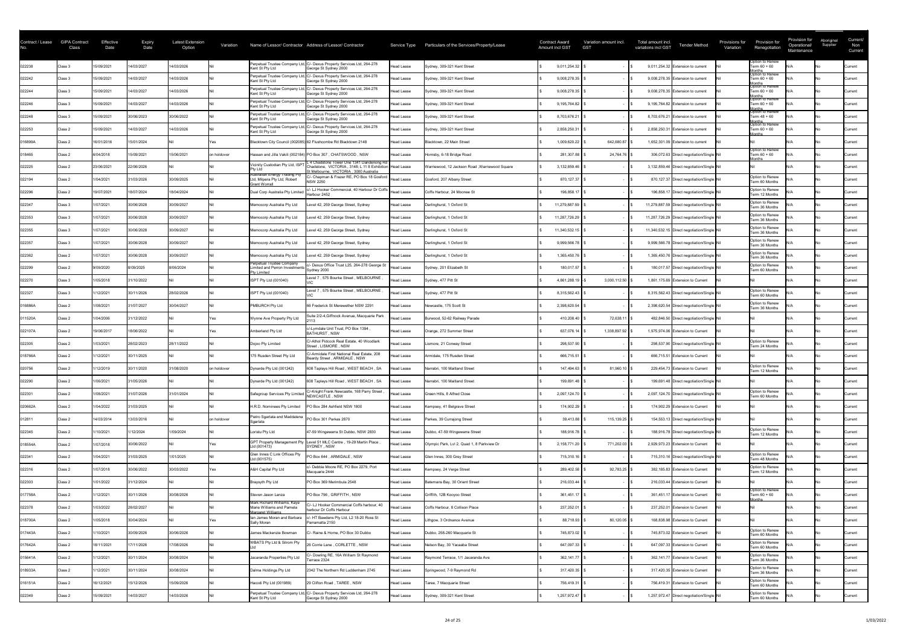| Contract / Lease | <b>GIPA Contract</b><br>Class | Effective<br>Date | Expiry<br>Date | Latest Extension<br>Option | Variation   |                                                                                      | Name of Lessor/ Contractor Address of Lessor/ Contractor                                                                                        |                   | Service Type Particulars of the Services/Property/Lease | <b>Contract Award</b><br>Amount incl GST | Variation amount incl.<br><b>GST</b> | Total amount incl.<br><b>Tender Method</b><br>variations incl GST | Provisions for<br>Variation | Provision for<br>Renegotiation                       | Provision for<br>Operational/<br>Maintenance | Aboriginal<br>Supplier | Current/<br>Non<br>Current |
|------------------|-------------------------------|-------------------|----------------|----------------------------|-------------|--------------------------------------------------------------------------------------|-------------------------------------------------------------------------------------------------------------------------------------------------|-------------------|---------------------------------------------------------|------------------------------------------|--------------------------------------|-------------------------------------------------------------------|-----------------------------|------------------------------------------------------|----------------------------------------------|------------------------|----------------------------|
| 022238           | Class 3                       | 15/09/2021        | 14/03/2027     | 14/03/2026                 |             | Perpetual Trustee Company Ltd<br>Kent St Pty Ltd                                     | C/- Dexus Property Services Ltd, 264-278<br>George St Sydney 2000                                                                               | <b>Head Lease</b> | Sydney, 309-321 Kent Street                             | 9,011,254.32                             |                                      | 9,011,254.32 Extension to current                                 |                             | Option to Renew<br>Term $60 + 60$                    |                                              |                        | Current                    |
| 022242           | Class 3                       | 15/09/2021        | 14/03/2027     | 14/03/2026                 |             | Perpetual Trustee Company L<br>Kent St Pty Ltd                                       | C/- Dexus Property Services Ltd, 264-278<br>George St Sydney 2000                                                                               | <b>Head Lease</b> | Sydney, 309-321 Kent Street                             | 9,008,278.35                             |                                      | 9,008,278.35 Extension to current                                 |                             | Months<br> Option to Renew<br>Term 60 + 60           |                                              |                        | Current                    |
| 022244           | Class 3                       | 15/09/2021        | 14/03/2027     | 14/03/2026                 |             | Perpetual Trustee Company L<br>Kent St Pty Ltd                                       | C/- Dexus Property Services Ltd, 264-278<br>George St Sydney 2000                                                                               | <b>Head Lease</b> | Sydney, 309-321 Kent Street                             | 9,008,278.35                             |                                      | 9,008,278.35 Extension to current                                 |                             | Months<br> Option to Renew<br>Term 60 + 60           |                                              |                        | Current                    |
| 022246           | Class 3                       | 15/09/2021        | 14/03/2027     | 14/03/2026                 |             | Perpetual Trustee Company L<br>Kent St Pty Ltd                                       | C/- Dexus Property Services Ltd, 264-278<br>George St Sydney 2000                                                                               | <b>Head Lease</b> | Sydney, 309-321 Kent Street                             | 9,195,764.82                             |                                      | 9,195,764.82 Extension to current                                 |                             | Months<br> Option to Renew<br>Term 60 + 60<br>lonths |                                              |                        | Current                    |
| 022248           | Class 3                       | 15/09/2021        | 30/06/2023     | 30/06/2022                 |             | Perpetual Trustee Company Lt<br>Kent St Pty Ltd                                      | C/- Dexus Property Services Ltd, 264-278<br>George St Sydney 2000                                                                               | <b>Head Lease</b> | Sydney, 309-321 Kent Street                             | 8,703,676.21                             |                                      | 8,703,676.21 Extension to current                                 |                             | Option to Renew<br>Term 48 + 60                      |                                              |                        | Current                    |
| 022253           | Class 2                       | 15/09/2021        | 14/03/2027     | 14/03/2026                 |             | Perpetual Trustee Company Ltd<br>Kent St Pty Ltd                                     | C/- Dexus Property Services Ltd, 264-278<br>George St Sydney 2000                                                                               | <b>Head Lease</b> | Sydney, 309-321 Kent Street                             | 2,858,250.31                             |                                      | 2,858,250.31 Extension to current                                 |                             | Months<br> Option to Renew<br>Term 60 + 60<br>∩nths  |                                              |                        | Current                    |
| 016899A          | Class 2                       | 16/01/2016        | 15/01/2024     |                            |             |                                                                                      | Blacktown City Council (002085) 62 Flushcombe Rd Blacktown 2148                                                                                 | Head Lease        | Blacktown, 22 Main Street                               | 1,009,620.22                             | 642,680.87                           | 1,652,301.09 Extension to current                                 |                             |                                                      |                                              |                        | <b>Current</b>             |
| 018465           | Class 2                       | 6/04/2018         | 15/09/2021     | 15/06/2021                 | on holdover |                                                                                      | Hassan and Jilla Vakili (002184) PO Box 307, CHATSWOOD, NSW                                                                                     | Head Lease        | Hornsby, 6-18 Bridge Road                               | 281,307.88                               | 24,764.76                            | 306,072.63 Direct negotiation/Single Nil                          |                             | Option to Renew<br>Term 60 + 60<br><b>Months</b>     |                                              |                        | <b>Current</b>             |
| 022225           | Class 2                       | 23/06/2021        | 22/06/2026     |                            |             | Vicinity Custodian Pty Ltd, ISP <sup>-</sup><br>Ptv Ltd                              | L 4 Chadstone Tower One 1341 Dandenong Rd<br>Chadstone, VICTORIA, 3148; L 11 8 Exhibition   Head Lease<br>t Melbourne, VICTORIA, 3000 Australia |                   | Warriewood, 12 Jackson Road, Warriewood Square          | 3,132,859.46                             |                                      | 3,132,859.46 Direct negotiation/Single Nil                        |                             |                                                      |                                              |                        | Current                    |
| 022194           | Class 2                       | 1/04/2021         | 31/03/2026     | 30/09/2025                 |             | <b>Australian Energy Trading Pty</b><br>td, Milpera Pty Ltd, Robert<br>Grant Worrall | C/- Chapman & Frazer RE, PO Box 18 Gosford<br><b>NSW 2250</b>                                                                                   | Head Lease        | Gosford, 207 Albany Street                              | 870,127.37                               |                                      | 870,127.37 Direct negotiation/Single Nil                          |                             | Option to Renew<br>Term 60 Months                    |                                              |                        | <b>Current</b>             |
| 022296           | Class 2                       | 19/07/2021        | 18/07/2024     | 18/04/2024                 |             | Dual Corp Australia Pty Limite                                                       | :/- LJ Hooker Commercial, 40 Harbour Dr Coffs  <br>Harbour 2452                                                                                 | Head Lease        | Coffs Harbour, 24 Moonee St                             | 196,858.17                               |                                      | 196,858.17 Direct negotiation/Single Nil                          |                             | Option to Renew<br>Term 12 Months                    |                                              |                        | Current                    |
| 022347           | Class 3                       | 1/07/2021         | 30/06/2028     | 30/09/2027                 |             | Memocorp Australia Pty Ltd                                                           | evel 42, 259 George Street, Sydney                                                                                                              | <b>Head Lease</b> | Darlinghurst, 1 Oxford St                               | 11,279,887.59                            |                                      | 11,279,887.59 Direct negotiation/Single Nil                       |                             | Option to Renew<br>Term 36 Months                    |                                              |                        | <b>Current</b>             |
| 022353           | Class 3                       | 1/07/2021         | 30/06/2028     | 30/09/2027                 |             | Memocorp Australia Pty Ltd                                                           | Level 42, 259 George Street, Sydney                                                                                                             | Head Lease        | Darlinghurst, 1 Oxford St                               | 11,287,726.29                            |                                      | 11,287,726.29 Direct negotiation/Single Nil                       |                             | Option to Renew<br>Term 36 Months                    |                                              |                        | Current                    |
| 022355           | Class 3                       | 1/07/2021         | 30/06/2028     | 30/09/2027                 |             | Memocorp Australia Pty Ltd                                                           | Level 42, 259 George Street, Sydney                                                                                                             | Head Lease        | Darlinghurst, 1 Oxford St                               | 11,340,532.15                            |                                      | 11,340,532.15 Direct negotiation/Single Nil                       |                             | Option to Renew<br>Term 36 Months                    |                                              |                        | <b>Current</b>             |
| 022357           | Class 3                       | 1/07/2021         | 30/06/2028     | 30/09/2027                 |             | Memocorp Australia Pty Ltd                                                           | evel 42, 259 George Street, Sydney                                                                                                              | Head Lease        | Darlinghurst, 1 Oxford St                               | 9,999,566.78                             |                                      | 9,999,566.78 Direct negotiation/Single Nil                        |                             | Option to Renew<br>Term 36 Months                    |                                              |                        | Current                    |
| 022362           | Class 2                       | 1/07/2021         | 30/06/2028     | 30/09/2027                 |             | Memocorp Australia Pty Ltd                                                           | Level 42, 259 George Street, Sydney                                                                                                             | Head Lease        | Darlinghurst, 1 Oxford St                               | 1,365,450.76                             |                                      | 1,365,450.76 Direct negotiation/Single Nil                        |                             | Option to Renew<br>Term 36 Months                    |                                              |                        | Current                    |
| 022299           | Class 2                       | 9/09/2020         | 8/09/2025      | 8/06/2024                  |             | Perpetual Trustee Company<br>imited and Perron Investment<br><sup>2</sup> tv Limited | /- Dexus Office Trust L25, 264-278 George St<br>Sydney 2000                                                                                     | Head Lease        | Sydney, 201 Elizabeth St                                | 180,017.57                               |                                      | 180,017.57 Direct negotiation/Single Nil                          |                             | Option to Renew<br>Term 60 Months                    |                                              |                        | <b>Current</b>             |
| 022270           | Class 3                       | 1/05/2018         | 31/10/2022     |                            |             | ISPT Pty Ltd (001040)                                                                | Level 7, 575 Bourke Street, MELBOURNE                                                                                                           | <b>Head Lease</b> | Sydney, 477 Pitt St                                     | 4,861,288.19                             | 3,000,112.50                         | 1,861,175.69 Extension to Current                                 |                             |                                                      |                                              |                        | Current                    |
| 022327           | Class 3                       | /12/2021          | 30/11/2026     | 28/02/2026                 |             | ISPT Pty Ltd (001040)                                                                | Level 7, 575 Bourke Street, MELBOURNE,                                                                                                          | Head Lease        | Sydney, 477 Pitt St                                     | 8,315,562.43                             |                                      | 8,315,562.43 Direct negotiation/Single Nil                        |                             | Option to Renew<br>Term 60 Months                    |                                              |                        | Current                    |
| 016886A          | Class 2                       | 1/08/2021         | 31/07/2027     | 30/04/2027                 |             | PMBURCH Pty Ltd                                                                      | 66 Frederick St Merewether NSW 2291                                                                                                             | Head Lease        | Newcastle, 175 Scott St                                 | 2,398,620.54                             |                                      | 2,398,620.54 Direct negotiation/Single Nil                        |                             | Option to Renew<br>Term 36 Months                    |                                              |                        | Current                    |
| 011520A          | Class 2                       | 1/04/2006         | 31/12/2022     |                            |             | Wynne Ave Property Pty Ltd                                                           | Suite 2/2-4, Giffnock Avenue, Macquarie Park                                                                                                    | Head Lease        | Burwood, 52-62 Railway Parade                           | 410,208.40                               | 72,638.11 \$                         | 482,846.50 Direct negotiation/Single Nil                          |                             |                                                      |                                              |                        | Current                    |
| 022107A          | Class 2                       | 19/06/2017        | 18/06/2022     |                            |             | Amberlend Pty Ltd                                                                    | c/-Lymdale Unit Trust, PO Box 1394<br><b>BATHURST, NSW</b>                                                                                      | Head Lease        | Orange, 272 Summer Street                               | 637,076.14                               | 1,338,897.92                         | 1,975,974.06 Extension to Current                                 |                             |                                                      |                                              |                        | <b>Current</b>             |
| 022305           | Class 2                       | 1/03/2021         | 28/02/2023     | 28/11/2022                 |             | Dojoo Pty Limited                                                                    | C/-Athol Pidcock Real Estate, 40 Woodlark<br>Street, LISMORE, NSW                                                                               | Head Lease        | Lismore, 21 Conway Street                               | 298,537.90                               |                                      | 298,537.90 Direct negotiation/Single Nil                          |                             | Option to Renew<br>Term 24 Months                    |                                              |                        | Current                    |
| 018766A          | Class 2                       | /12/2021          | 30/11/2025     |                            |             | 175 Rusden Street Pty Ltd                                                            | C/-Armidale First National Real Estate, 208<br>Beardy Street, ARMIDALE, NSW                                                                     | Head Lease        | Armidale, 175 Rusden Street                             | 666,715.51                               |                                      | 666,715.51 Extension to Current                                   |                             |                                                      |                                              |                        | <b>Current</b>             |
| 020756           | Class 2                       | /12/2019          | 30/11/2020     | 31/08/2020                 | on holdover | Dynarde Pty Ltd (001242)                                                             | 608 Tapleys Hill Road, WEST BEACH, SA                                                                                                           | Head Lease        | Narrabri, 100 Maitland Street                           | 147,494.63                               | $81,960.10$ \$                       | 229,454.73 Extension to Current                                   |                             | Option to Renew<br>Term 12 Months                    |                                              |                        | <b>Current</b>             |
| 022290           | Class 2                       | 1/06/2021         | 31/05/2026     |                            |             | Dynarde Pty Ltd (001242)                                                             | 608 Tapleys Hill Road, WEST BEACH, SA                                                                                                           | Head Lease        | Narrabri, 100 Maitland Street                           | 199,691.48                               |                                      | 199,691.48 Direct negotiation/Single Nil                          |                             |                                                      |                                              |                        | Current                    |
| 022301           | Class 2                       | 1/08/2021         | 31/07/2026     | 31/01/2024                 |             | Safegroup Services Pty Limite                                                        | C/-Knight Frank Newcastle, 168 Parry Street,<br>NEWCASTLE, NSW                                                                                  | Head Lease        | Green Hills, 8 Alfred Close                             | 2,097,124.70                             |                                      | 2,097,124.70 Direct negotiation/Single Nil                        |                             | Option to Renew<br>Term 60 Months                    |                                              |                        | Current                    |
| 020662A          | Class 2                       | 1/04/2022         | 31/03/2025     |                            |             | H.R.D. Nominees Pty Limited                                                          | PO Box 284 Ashfield NSW 1800                                                                                                                    | Head Lease        | Kempsey, 41 Belgrave Street                             | 174,902.29                               |                                      | 174,902.29 Extension to Current                                   |                             |                                                      |                                              |                        | Current                    |
| 012811           | Class 2                       | 14/03/2014        | 13/03/2016     |                            | on holdover | Pietro Sgarlata and Maddalena<br><b>S</b> aarlata                                    | PO Box 301 Parkes 2870                                                                                                                          | Head Lease        | Parkes, 39 Currajong Street                             | 39,413.88                                | 115,139.25                           | 154,553.13 Direct negotiation/Single Nil                          |                             |                                                      |                                              |                        | <b>Current</b>             |
| 022345           | Class 2                       | /10/2021          | 1/12/2024      | 1/09/2024                  |             | Loristu Pty Ltd                                                                      | 47-59 Wingewarra St Dubbo, NSW 2830                                                                                                             | Head Lease        | Dubbo, 47-59 Wingewarra Street                          | 188,916.78                               |                                      | 188,916.78 Direct negotiation/Single Nil                          |                             | Option to Renew<br>Term 12 Months                    |                                              |                        | <b>Current</b>             |
| 018554A          | Class 2                       | 1/07/2018         | 30/06/2022     |                            |             | <b>GPT Property Management Pty</b><br>Ltd (001473)                                   | Level 51 MLC Centre, 19-29 Martin Place,<br>SYDNEY, NSW                                                                                         | Head Lease        | Olympic Park, Lvl 2, Quad 1, 8 Parkview Dr              | 2,158,771.20                             | 771,202.03                           | 2,929,973.23 Extension to Current                                 |                             |                                                      |                                              |                        | <b>Current</b>             |
| 022341           | Class 2                       | 1/04/2021         | 31/03/2025     | 1/01/2025                  |             | Glen Innes C Link Offices Pty<br>Ltd (001575)                                        | PO Box 644, ARMIDALE, NSW                                                                                                                       | <b>Head Lease</b> | Glen Innes, 300 Grey Street                             | 715,310.16                               |                                      | 715,310.16 Direct negotiation/Single Nil                          |                             | Option to Renew<br>Term 48 Months                    |                                              |                        | Current                    |
| 022316           | Class 2                       | 1/07/2018         | 30/06/2022     | 30/03/2022                 |             | A&H Capital Pty Ltd                                                                  | c/- Debbie Moore RE, PO Box 2279, Port<br>Macquarie 2444                                                                                        | Head Lease        | Kempsey, 24 Verge Street                                | 289,402.58                               | 92,783.25                            | 382,185.83 Extension to Current                                   |                             | Option to Renew<br>Term 12 Months                    |                                              |                        | Current                    |
| 022303           | Class 2                       | 1/01/2022         | 31/12/2024     |                            |             | Braysyth Pty Ltd                                                                     | PO Box 369 Merimbula 2548                                                                                                                       | Head Lease        | Batemans Bay, 30 Orient Street                          | 216,033.44                               |                                      | 216,033.44 Extension to Current                                   |                             |                                                      |                                              |                        | <b>Current</b>             |
| 017758A          | Class 2                       | /12/2021          | 30/11/2026     | 30/08/2026                 |             | Steven Jason Lanza                                                                   | PO Box 796, GRIFFITH, NSW                                                                                                                       | Head Lease        | Griffith, 12B Kooyoo Street                             | 361,451.17                               |                                      | 361,451.17 Extension to Current                                   |                             | Option to Renew<br>Term 60 + 60                      |                                              |                        | <b>Current</b>             |
| 022378           | Class 2                       | 1/03/2022         | 28/02/2027     |                            |             | Лагk Richard Williams, Kaye<br>Marie Williams and Pamela<br>Margaret Williams        | C/- LJ Hooker Commercial Coffs harbour, 40<br>harbour Dr Coffs Harbour                                                                          | Head Lease        | Coffs Harbour, 8 Collison Place                         | 237,252.01                               |                                      | 237,252.01 Extension to Current                                   |                             | onths                                                |                                              |                        | <b>Current</b>             |
| 018700A          | Class 2                       | 1/05/2018         | 30/04/2024     |                            |             | Ian James Moran and Barbara<br>Sally Moran                                           | c/- HT Bawdens Pty Ltd, L2 18-20 Ross St<br>Parramatta 2150                                                                                     | Head Lease        | Lithgow, 3 Ordnance Avenue                              | 88,718.93                                | 80,120.05                            | 168,838.98 Extension to Current                                   |                             |                                                      |                                              |                        | Current                    |
| 017443A          | Class 2                       | 1/10/2021         | 30/09/2026     | 30/06/2026                 |             | James Mackenzie Bowman                                                               | C/- Raine & Horne, PO Box 30 Dubbo                                                                                                              | <b>Head Lease</b> | Dubbo, 258-260 Macquarie St                             | 745,873.02                               |                                      | 745,873.02 Extension to Current                                   |                             | Option to Renew<br>Term 60 Months                    |                                              |                        | Current                    |
| 017642A          | Class 2                       | 18/11/2021        | 17/11/2026     | 7/08/2026                  |             | WBATS Pty Ltd & Silrom Pty                                                           | 26 Corrie Lane, CORLETTE, NSW                                                                                                                   | Head Lease        | Nelson Bay, 30 Yacaaba Street                           | 647,097.33                               |                                      | 647,097.33 Extension to Current                                   |                             | Option to Renew<br>Term 60 Months                    |                                              |                        | <b>Current</b>             |
| 015641A          | Class 2                       | /12/2021          | 30/11/2024     | 30/08/2024                 |             | Jacaranda Properties Pty Ltd                                                         | C/- Dowling RE, 16A William St Raymond<br>Ferrace 2324                                                                                          | Head Lease        | Raymond Terrace, 1/1 Jacaranda Ave                      | 362,141.77                               |                                      | 362,141.77 Extension to Current                                   |                             | Option to Renew<br>Term 36 Months                    |                                              |                        | Current                    |
| 018933A          | Class 2                       | /12/2021          | 30/11/2024     | 30/08/2024                 |             | Dalma Holdings Pty Ltd                                                               | 2342 The Northern Rd Luddenham 2745                                                                                                             | Head Lease        | Springwood, 7-9 Raymond Rd                              | 317,420.35                               |                                      | 317,420.35 Extension to Current                                   |                             | Option to Renew<br>Term 36 Months                    |                                              |                        | <b>Current</b>             |
| 016151A          | Class 2                       | 16/12/2021        | 15/12/2026     | 15/09/2026                 |             | Hacodi Pty Ltd (001989)                                                              | 29 Clifton Road, TAREE, NSW                                                                                                                     | <b>Head Lease</b> | Taree, 7 Macquarie Street                               | 756,419.31                               |                                      | 756,419.31 Extension to Current                                   |                             | Option to Renew<br>Term 60 Months                    |                                              |                        | <b>Current</b>             |
| 022349           | Class 2                       | 15/09/2021        | 14/03/2027     | 14/03/2026                 |             | Perpetual Trustee Company Lto<br>Kent St Pty Ltd                                     | C/- Dexus Property Services Ltd, 264-278<br>George St Sydney 2000                                                                               | Head Lease        | Sydney, 309-321 Kent Street                             | 1,257,972.47                             |                                      | 1,257,972.47 Direct negotiation/Single Ni                         |                             | Option to Renew<br>Term 60 Months                    |                                              |                        | Current                    |